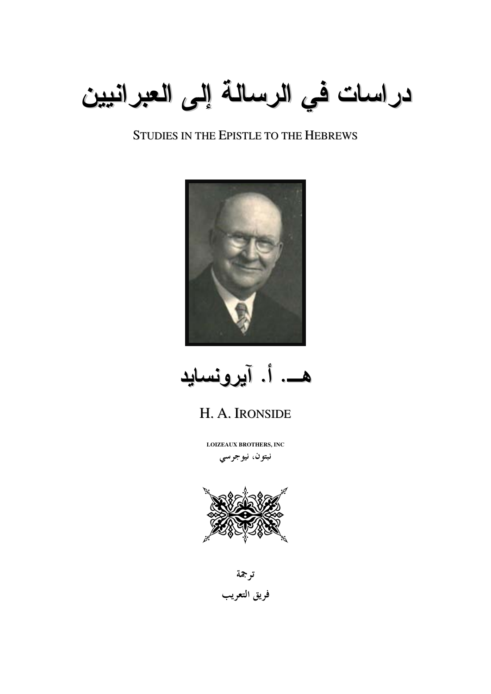

## **STUDIES IN THE EPISTLE TO THE HEBREWS**



هــــ. أ. آيرونسايد

# H. A. IRONSIDE

**LOIZEAUX BROTHERS, INC** 

نبتون، نيوجرسي



ترجمة فريق التعريب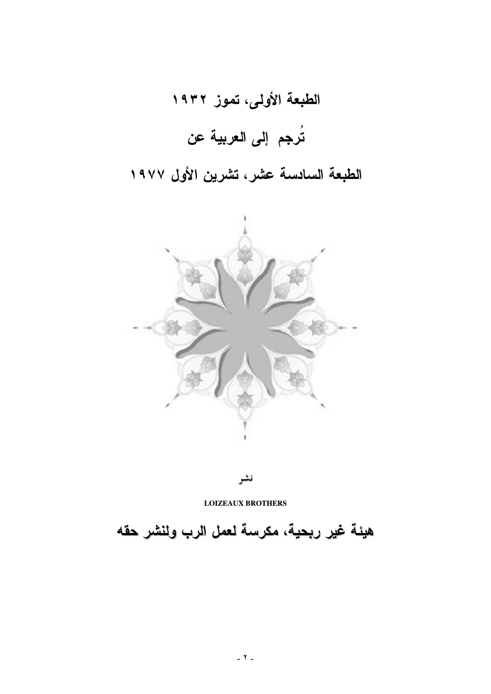# الطبعة الأولى، تموز ١٩٣٢ تُرجم إلى العربية عن

# الطبعة السادسة عشر، تشرين الأول ١٩٧٧



نشر

**LOIZEAUX BROTHERS** 

هيئة غير ربحية، مكرسة لعمل الرب ولنشر حقه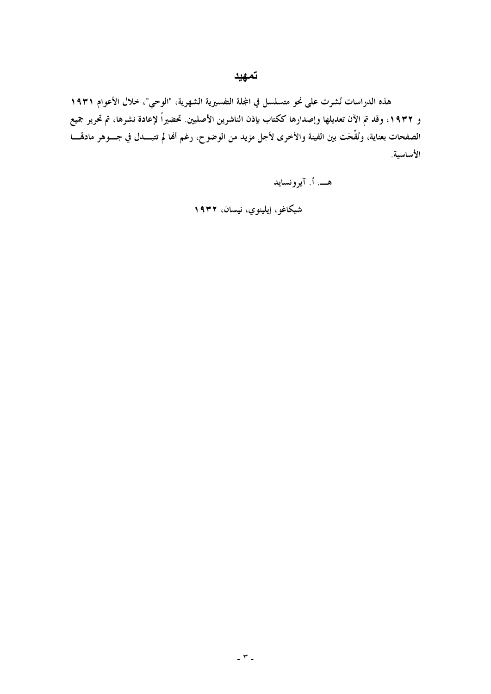#### تمهيد

هذه الدراسات نُشرت على نحو متسلسل في المجلة التفسيرية الشهرية، "الوحي"، خلال الأعوام ١٩٣١ و ١٩٣٢، وقد تم الآن تعديلها وإصدارها ككتاب بإذن الناشرين الأصليين. تحضيراً لإعادة نشرها، تم تحرير جميع الصفحات بعناية، ونُقَّحَت بين الفينة والأخرى لأجل مزيد من الوضوح، رغم ألها لم تتبـــدل في جـــوهر مادهّــــا الأساسية.

هــــ. أ. آيوونسايد

شيكاغو، إيلينوي، نيسان، ١٩٣٢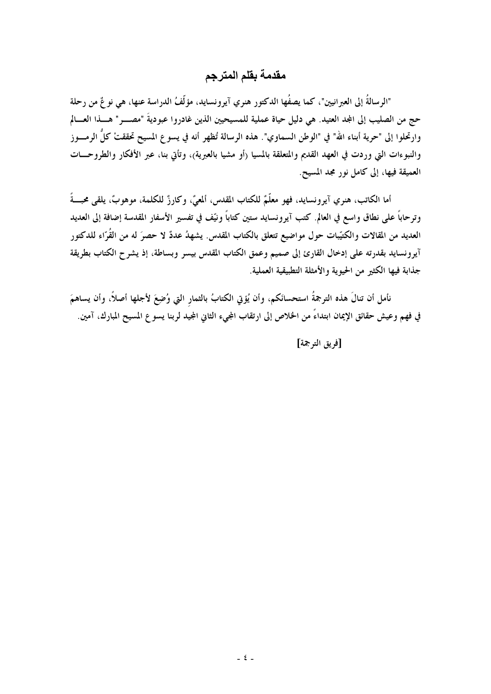## مقدمة بقلم المترجم

"الرسالةُ إلى العبرانيين"، كما يصفُها الدكتور هنري آيرونسايد، مؤلَّفُ الدراسة عنها، هي نوعٌ من رحلة حج من الصليب إلى المجد العتيد. هي دليل حياة عملية للمسيحيين الذين غادروا عبوديةَ "مصـــر" هــــذا العــــالم وارتحلوا إلى "حرية أبناء الله" في "الوطن السماوي". هذه الرسالة تُظهر أنه في يسوع المسيح تحققتْ كلَّ الرمـــوز والنبوءات التي وردت في العهد القديم والمتعلقة بالمسيا (أو مشيا بالعبرية)، وتأتى بنا، عبر الأفكار والطروحــات العميقة فيها، إلى كامل نور مجد المسيح.

أما الكاتب، هنري آيرونسايد، فهو معلَّمٌ للكتاب المقدس، ألمعيٌّ، وكارزٌ للكلمة، موهوبٌ، يلقى محبَّــةً وترحاباً على نطاق واسع في العالم. كتب آيرونسايد ستين كتاباً ونيّف في تفسير الأسفار المقدسة إضافة إلى العديد العديد من المقالات والكتيّبات حول مواضيع تتعلق بالكتاب المقدس. يشهدُ عددٌ لا حصرَ له من القُرّاء للدكتور آيرونسايد بقدرته على إدخال القارئ إلى صميم وعمق الكتاب المقدس بيسر وبساطة، إذ يشرح الكتاب بطريقة جذابة فيها الكثير من الحيوية والأمثلة التطبيقية العملية.

نأمل أن تنالَ هذه الترجمةُ استحسانَكم، وأن يُؤتي الكتابُ بالثمار التي وُضِعَ لأجلها أصلاً، وأن يساهمَ في فهم وعيش حقائق الإيمان ابتداءً من الخلاص إلى ارتقاب المجيء الثانى المجيد لربنا يسو ع المسيح المبارك، آمين.

[فريق الترجمة]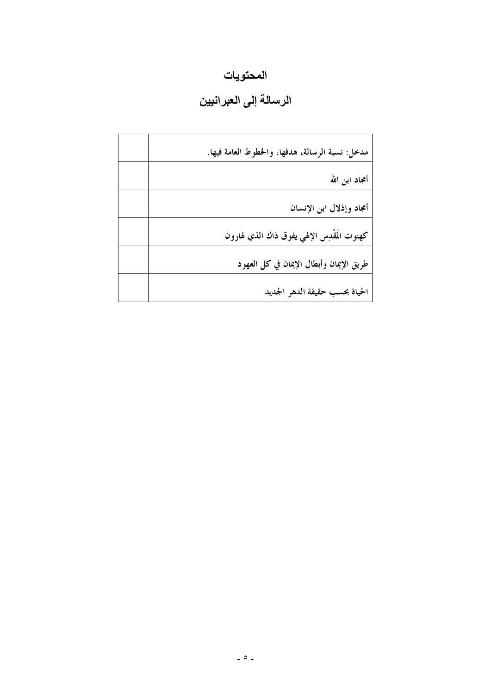# المحتويات

# الرسالة إلى العبرانيين

| مدخل: نسبة الرسالة، هدفها، والخطوط العامة فيها. |
|-------------------------------------------------|
| أمجاد ابن الله                                  |
| أمجاد وإذلال ابن الإنسان                        |
| كهنوت المُقْدِس الإلهي يفوق ذاك الذي لهارون     |
| طريق الإيمان وأبطال الإيمان في كل العهود        |
| الحياة بحسب حقيقة الدهر الجديد                  |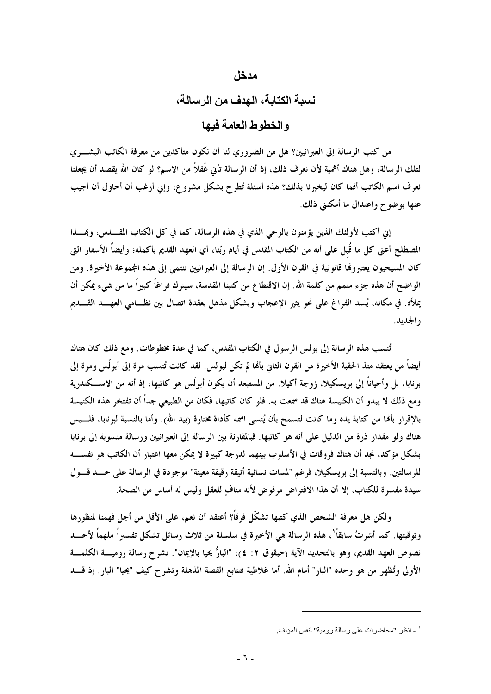#### مدخل

#### نسبة الكتابة، الـهدف من الرسالة،

و الخطوط العامة فيها

من كتب الرسالة إلى العبرانيين؟ هل من الضروري لنا أن نكون متأكدين من معرفة الكاتب البشــــري لتلك الرسالة، وهل هناك أهمية لأن نعرف ذلك، إذ أن الرسالة تأتى غُفلاً من الاسم؟ لو كان الله يقصد أن يجعلنا نعرف اسم الكاتب أفما كان ليخبرنا بذلك؟ هذه أسئلة تُطرح بشكل مشروع، وإنى أرغب أن أحاول أن أجيب عنها بوضوح واعتدال ما أمكنني ذلك.

إني أكتب لأولئك الذين يؤمنون بالوحي الذي في هذه الرسالة، كما في كل الكتاب المقـــــــــدس، وبمــــــذا المصطلح أعنى كل ما قُبل على أنه من الكتاب المقدس في أيام ربّنا، أي العهد القديم بأكمله؛ وأيضاً الأسفار التي كان المسيحيون يعتبروها قانونية في القرن الأول. إن الرسالة إلى العبرانيين تنتمي إلى هذه المجموعة الأخيرة. ومن الواضح أن هذه جزء متمم من كلمة الله. إن الاقتطاع من كتبنا المقدسة، سيترك فراغاً كبيراً ما من شيء يمكن أن يملأه. في مكانه، يُسد الفراغ على نحو يثير الإعجاب وبشكل مذهل بعقدة اتصال بين نظــامي العهـــد القـــديم و الجديد .

تُنسب هذه الرسالة إلى بولس الرسول في الكتاب المقدس، كما في عدة مخطوطات. ومع ذلك كان هناك أيضاً من يعتقد منذ الحقبة الأخيرة من القرن الثاني بأها لم تكن لبولس. لقد كانت تُنسب مرة إلى أبولّس ومرة إلى برنابا، بل وأحياناً إلى بريسكيلا، زوجة أكيلا. من المستبعد أن يكون أبولّس هو كاتبها، إذ أنه من الاســـكندرية ومع ذلك لا يبدو أن الكنيسة هناك قد سمعت به. فلو كان كاتبها، فكان من الطبيعي جداً أن تفتخر هذه الكنيسة بالإقرار بألها من كتابة يده وما كانت لتسمح بأن يُنسى اسمه كأداة مختارة (بيد الله). وأما بالنسبة لبرنابا، فلـــيس هناك ولو مقدار ذرة من الدليل على أنه هو كاتبها. فبالمقارنة بين الرسالة إلى العبرانيين ورسالة منسوبة إلى برنابا بشكل مؤكد، نجد أن هناك فروقات في الأسلوب بينهما لدرجة كبيرة لا يمكن معها اعتبار أن الكاتب هو نفســــه للرسالتين. وبالنسبة إلى بريسكيلا، فرغم "لمسات نسائية أنيقة رقيقة معينة" موجودة في الرسالة على حــد قـــول سيدة مفسرة للكتاب، إلا أن هذا الافتراض مرفوض لأنه منافٍ للعقل وليس له أساس من الصحة.

ولكن هل معرفة الشخص الذي كتبها تشكَّل فرقاً؟ أعتقد أن نعم، على الأقل من أجل فهمنا لمنظورها وتوقيتها. كما أشرتُ سابقاً'، هذه الرسالة هي الأخيرة في سلسلة من ثلاث رسائل تشكل تفسيراً ملهماً لأحـــد نصوص العهد القديم، وهو بالتحديد الآية (حبقوق ٢: ٤)، "البارُّ يحيا بالإيمان". تشرح رسالة روميـــــة الكلمــــة الأولى وتُظهر من هو وحده "البار" أمام الله. أما غلاطية فتتابع القصة المذهلة وتشرح كيف "يحيا" البار. إذ قــــد

<sup>&</sup>quot; ـ انظر "محاضرات على رسالة رومية" لنفس المؤلف.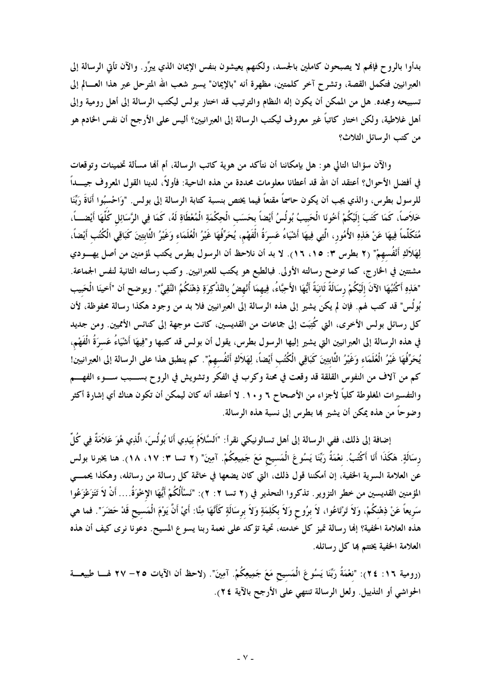بدأوا بالروح فإفمم لا يصبحون كاملين بالجسد، ولكنهم يعيشون بنفس الإيمان الذي يبرِّرٍ. والآن تأتي الرسالة إلى العبرانيين فتكمل القصة، وتشرح آخر كلمتين، مظهرة أنه "بالإيمان" يسير شعب الله المترحل عبر هذا العسالم إلى تسبيحه ومجده. هل من الممكن أن يكون إله النظام والترتيب قد اختار بولس ليكتب الرسالة إلى أهل رومية وإلى .<br>أهل غلاطية، ولكن اختار كاتباً غير معروف ليكتب الرسالة إلى العبرانيين؟ أليس على الأرجح أن نفس الخادم هو من كتب الرسائل الثلاث؟

والآن سؤالنا التالي هو : هل بإمكاننا أن نتأكد من هوية كاتب الرسالة، أم ألها مسألة تخمينات وتوقعات في أفضل الأحوال؟ أعتقد أن الله قد أعطانا معلومات محددة من هذه الناحية: فأولاً، لدينا القول المعروف جيــــداً للرسول بطرس، والذي يجب أن يكون حاسمًا مقنعاً فيما يختص بنسبة كتابة الرسالة إلى بولس. "وَاحْسبُوا أَنَاةَ رَبَّنا خَلاَصاً، كَمَا كَتَبَ إِلَيْكُمْ أَخُونَا الْحَبِيبُ بُولُسُ أَيْضاً بحَسَبِ الْحِكْمَةِ الْمُعْطَاةِ لَهُ، كَمَا فِي الرَّسَائِلِ كُلُّهَا أَيْضــــاً، مُتَكَلِّماً فِيهَا عَنْ هَذِهِ الأُمُورِ، الَّتِي فِيهَا أَشْيَاءُ عَسرَةُ الْفَهْمِ، يُحَرِّفُهَا غَيْرُ الْعُلَمَاء وَغَيْرُ الثَّابِتِينَ كَبَاقِي الْكُتُب أَيْضاً، لِهَلاَكِ أَنْفُسهمْ" (٢ بطرس ٣: ١٥، ١٦). لا بد أن نلاحظ أن الرسول بطرس يكتب لمؤمنين من أصل يهـــودي مشتتين في الخارج، كما توضح رسالته الأولى. فبالطبع هو يكتب للعبرانيين. وكتب رسالته الثانية لنفس الجماعة. "هَذِهِ أَكْتُبُهَا الآنَ إِلَيْكُمْ رِسَالَةً ثَانِيَةً أَيُّهَا الأَحِبَّاءُ، فِيهِمَا أُنْهِضُ بالتَّذْكِرَةِ ذِهْنَكُمُ النَّقِيَّ". ويوضح أن "أَخينَا الْحَبيب بُولُس" قد كتب لهم. فإن لم يكن يشير إلى هذه الرسالة إلى العبرانيين فلا بد من وجود هكذا رسالة محفوظة، لأن كل رسائل بولس الأخرى، التي كُتِبَت إلى جماعات من القديسين، كانت موجهة إلى كنائس الأمميين. ومن جديد في هذه الرسالة إلى العبرانيين التي يشير إليها الرسول بطرس، يقول أن بولس قد كتبها و"فِيهَا أَشْيَاءُ عَسرَةُ الْفَهْم، يُحَرِّفُهَا غَيْرُ الْعُلَمَاء وَغَيْرُ الثَّابِتِينَ كَبَاقِي الْكُتُب أَيْضاً، لِهَلاَكِ أَنْفُسهمْ". كم ينطبق هذا على الرسالة إلى العبرانيين! كم من آلاف من النفوس القلقة قد وقعت في محنة وكرب في الفكر وتشويش في الروح بســـبب ســـوء الفهــــم والتفسيرات المغلوطة كلياً لأجزاء من الأصحاح ٦ و ١٠. لا أعتقد أنه كان ليمكن أن تكون هناك أي إشارة أكثر وضوحاً من هذه يمكن أن يشير بما بطرس إلى نسبة هذه الرسالة.

إضافة إلى ذلك، ففي الرسالة إلى أهل تسالونيكي نقرأ: "اَلسَّلاَمُ بيَدِي أَنَا بُولُسَ، الَّذِي هُوَ عَلاَمَةٌ فِي كُلّ رسَالَةٍ. هَكَذَا أَنَا أَكْتُبُ. نعْمَةُ رَبِّنَا يَسُوعَ الْمَسيح مَعَ جَمِيعِكُمْ. آمِينَ" (٢ تسا ٣: ١٧، ١٨). هنا يخبرنا بولس عن العلامة السرية الحفية، إن أمكننا قول ذلك، التي كان يضعها في خاتمة كل رسالة من رسائله، وهكذا يحمــــى المؤمنين القديسين من خطر التزوير . تذكروا التحذير في (٢ تسا ٢: ٢): "نَسْأَلُكُمْ أَيُّهَا الإِخْوَةُ.... أنْ لاَ تَتَزَعْزَعُوا سَريعاً عَنْ ذِهْنكُمْ، وَلاَ تَرْتَاعُوا، لاَ برُوحٍ وَلاَ بكَلِمَةٍ وَلاَ برسَالَةٍ كَأَنَّهَا مِنَّا: أيْ أنَّ يَوْمَ الْمَسيح قَدْ حَضَرَ". فما هي هذه العلامة الخفية؟ إنها رسالة تميز كل خدمته، تحية تؤكد على نعمة ربنا يسوع المسيح. دعونا نرى كيف أن هذه ا<mark>لعلام</mark>ة الخفية يختتم بما كل رسائله.

(رومية ١٦: ٢٤): "نعْمَةُ رَبِّنَا يَسُوعَ الْمَسيح مَعَ جَمِيعِكُمْ. آمِينَ". (لاحظ أن الآيات ٢٥– ٢٧ لهـــا طبيعـــة الحواشي أو التذييل. ولعل الرسالة تنتهي على الأرجح بالآية ٢٤).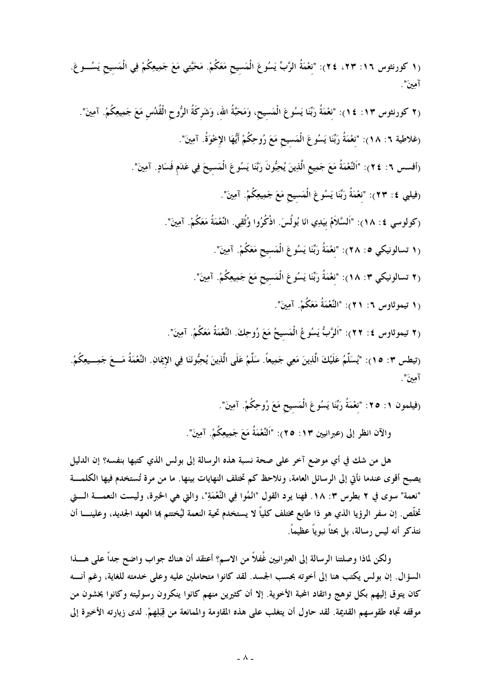(١ كورنثوس ١٦: ٢٣، ٢٤): "نعْمَةُ الرَّبِّ يَسُوعَ الْمَسيحِ مَعَكُمْ. مَحَبَّتِي مَعَ جَمِيعِكُمْ فِي الْمَسيحِ يَسُـــوعَ. آمينَ".

(٢ كورنثوس ١٣: ١٤): "نعْمَةُ رَبِّنَا يَسُوعَ الْمَسيحِ، وَمَحَبَّةُ اللهِ، وَشَرِكَةُ الرُّوحِ الْقُدُسِ مَعَ جَمِيعِكُمْ. آمِينَ". (غلاطية ٦: ١٨): "نعْمَةُ رَبِّنَا يَسُوعَ الْمَسيح مَعَ رُوحِكُمْ أَيُّهَا الإخْوَةُ. آمِينَ". (أَفْسِسِ ٦: ٢٤): "النَّعْمَة مَعَ جَمِيعِ الَّذِينَ يُحِبُّونَ رَبَّنَا يَسُوعَ الْمَسِيحَ فِي عَدَم فَسَادٍ. آمِينَ". (فيلبي ٤: ٢٣): "نعْمَةُ رَبِّنَا يَسُوعَ الْمَسيح مَعَ جَمِيعِكُمْ. آمِينَ". (كُولُوسي ٤: ١٨): "السَّالامُ بيَدِي آنَا بُولسَ. اذْكَرُوا وُثقِي. النُّغْمَةُ مَعَكُمْ. آمِينَ". (1 تسالونيكي 0: ٢٨): "نعْمَةُ رَبِّنَا يَسُوعَ الْمَسيح مَعَكُمْ. آمِينَ". (٢ تسالونيكى ٣: ١٨): "نعْمَةُ رَبِّنَا يَسُوعَ الْمَسيح مَعَ جَمِيعِكُمْ. آمِينَ". (١ تيموثاوس ٦: ٢١): "النِّعْمَةُ مَعَكُمْ. آمِينَ".

(٢ تيموثاوس ٤: ٢٢): "اَلرَّبُّ يَسُوعُ الْمَسيحُ مَعَ رُوحِكَ. النِّعْمَةُ مَعَكُمْ. آمِينَ".

(تيطس ٣: ١٥): "يُسَلّمُ عَلَيْكَ الّذِينَ مَعِي جَمِيعا. سَلّمْ عَلَى الّذِينَ يُحِبُّونَنَا فِي الإِيمَانِ. النَّعْمَة مَـــعَ جَمِـــيعِكُمْ. آمينَ".

(فيلمون ١: ٢٥: "نعْمَة رَبُّنَا يَسُوعَ المَسيح مَعَ رُوحِكمْ. آمِينَ".

والآن انظر إلى (عبرانيين ١٣: ٢٥): "النَّعْمَة مَعَ جَمِيعِكُمْ. آمِينَ".

هل من شك في أي موضع آخر على صحة نسبة هذه الرسالة إلى بولس الذي كتبها بنفسه؟ إن الدليل بصبح أقوى عندما نأتي إلى الرسائل العامة، ونلاحظ كم تختلف النهايات بينها. ما من مرة تُستخدم فيها الكلمــــة "نعمة" سوى في ٢ بطرس ٣: ١٨. فهنا يرد القول "انْمُوا فِي النَّعْمَةِ"، والتي هي الخبرة، وليست النعمــــة الـــــتي تخلص. إن سفر الرؤيا الذي هو ذا طابع مختلف كليا لا يستخدم تحية النعمة ليُختتم بما العهد الجديد، وعلينــــا أن نتذكر أنه ليس رسالة، بل بحثا نبويا عظيما.

ولكن لماذا وصلتنا الرسالة إلى العبرانيين غفلاً من الاسم؟ أعتقد أن هناك جواب واضح جدا على هـــذا السؤال. إن بولس يكتب هنا إلى أخوته بحسب الجسد. لقد كانوا متحاملين عليه وعلى خدمته للغاية، رغم أنــــه كان يتوق إليهم بكل توهج واتقاد المحبة الأخوية. إلا أن كثيرين منهم كانوا ينكرون رسوليته وكانوا يخشون من موقفه تجاه طقوسهم القديمة. لقد حاول أن يتغلب على هذه المقاومة والممانعة من قِبَلِهمْ. لدى زيارته الأخيرة إلى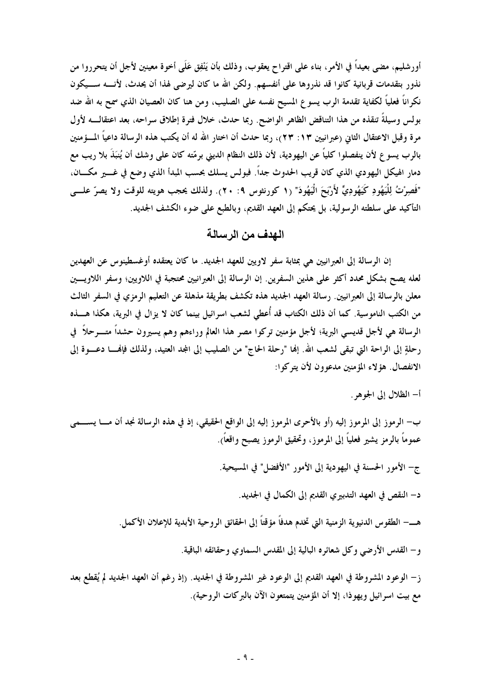أورشليم، مضى بعيداً في الأمر، بناء على اقتراح يعقوب، وذلك بأن يَنْفِق عَلَى أخوة معينين لأجل أن يتحرروا من نذور بتقدمات قربانية كانوا قد نذروها على أنفسهم. ولكن الله ما كان ليرضى لهذا أن يحدث، لأنــــه ســــيكون نكراناً فعلياً لكفاية تقدمة الرب يسو ع المسيح نفسه على الصليب، ومن هنا كان العصيان الذي سمح به الله ضد بولس وسيلةً تنقذه من هذا التناقض الظاهر الواضح. ربما حدث، خلال فترة إطلاق سراحه، بعد اعتقالــــه لأول مرة وقبل الاعتقال الثاني (عبرانيين ١٣: ٢٣)، ربما حدث أن اختار الله له أن يكتب هذه الرسالة داعياً المسؤمنين بالرب يسو ع لأن ينفصلوا كلياً عن اليهودية، لأن ذلك النظام الديني برمّته كان على وشك أن يُنبَذَ بلا ريب مع دمار الهيكل اليهودي الذي كان قريب الحدوث جداً. فبولس يسلك بحسب المبدأ الذي وضع في غـــير مكــــان، "فَصِرْتُ لِلْيَهُودِ كَيَهُودِيٌّ لأَرْبَحَ الْيَهُودَ" (١ كورنثوس ٩: ٢٠). ولذلك يحجب هويته للوقت ولا يصرّ علــي التأكيد على سلطته الرسولية، بل يحتكم إلى العهد القديم، وبالطبع على ضوء الكشف الجديد.

الـهدف من الرسالـة

إن الرسالة إلى العبرانيين هي بمثابة سفر لاويين للعهد الجديد. ما كان يعتقده أوغسطينوس عن العهدين لعله يصح بشكل محدد أكثر على هذين السفرين. إن الرسالة إلى العبرانيين محتجبة في اللاويين؛ وسفر اللاويــــين معلن بالرسالة إلى العبرانيين. رسالة العهد الجديد هذه تكشف بطريقة مذهلة عن التعليم الرمزي في السفر الثالث من الكتب الناموسية. كما أن ذلك الكتاب قد أُعطى لشعب اسرائيل بينما كان لا يزال في البرية، هكذا هـــــذه الرسالة هي لأجل قديسي البرية؛ لأجل مؤمنين تركوا مصر هذا العالم وراءهم وهم يسيرون حشداً متـــرحلاً ۖ في رحلةٍ إلى الراحة التي تبقى لشعب الله. إلها "رحلة الحاج" من الصليب إلى المجد العتيد، ولذلك فإنهـــا دعـــوة إلى الانفصال. هؤ لاء المؤمنين مدعوون لأن يتركوا:

أ– الظلال إلى الجوهر .

ب– الرموز إلى المرموز إليه (أو بالأحرى المرموز إليه إلى الواقع الحقيقي، إذ في هذه الرسالة نجد أن مـــا يســــمي عموماً بالرمز يشير فعلياً إلى المرموز، وتحقيق الرموز يصبح واقعاً).

د– النقص في العهد التدبيري القديم إلى الكمال في الجديد.

و– القدس الأرضى وكل شعائره البالية إلى المقدس السماوي وحقائقه الباقية.

ز – الوعود المشروطة في العهد القديم إلى الوعود غير المشروطة في الجديد. (إذ رغم أن العهد الجديد لم يُقطع بعد مع بيت اسرائيل ويهوذا، إلا أن المؤمنين يتمتعون الآن بالبركات الروحية).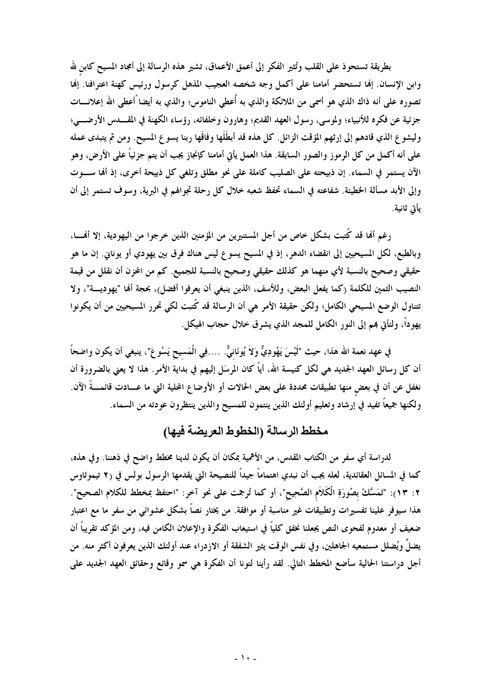بطريقة تستحوذ على القلب وتُثير الفكر إلى أعمق الأعماق، تشير هذه الرسالة إلى أمجاد المسيح كابن لله وابن الإنسان. إنها تستحضر أمامنا على أكمل وجه شخصه العجيب المذهل كرسول ورئيس كهنة اعترافنا. إنها تصوره على أنه ذاك الذي هو أسمى من الملائكة والذي به أُعطى الناموس؛ والذي به أيضا ًاعطى الله إعلانــــات جزئية عن فكره للأنبياء؛ ولموسى، رسول العهد القديم؛ وهارون وخلفائه، رؤساء الكهنة في المقـــدس الأرضــــي؛ وليشوع الذي قادهم إلى إرثهم المؤقت الزائل. كل هذه قد أبطَلَها وفاقَها ربنا يسوع المسيح. ومن ثم يتبدى عمله على أنه أكمل من كل الرموز والصور السابقة. هذا العمل يأتى أمامنا كإنجاز يجب أن يتم جزئياً على الأرض، وهو الآن يستمر في السماء. إن ذبيحته على الصليب كاملة على نحو مطلق وتلغى كل ذبيحة أخرى، إذ ألها ســـوت وإلى الأبد مسألة الخطيئة. شفاعته في السماء تحفظ شعبه خلال كل رحلة تجوالهم في البرية، وسوف تستمر إلى أن يأتي ثانية.

رغم ألها قد كُتبت بشكل خاص من أجل المستنيرين من المؤمنين الذين خرجوا من اليهودية، إلا ألهــــا، وبالطبع، لكل المسيحيين إلى انقضاء الدهر، إذ في المسيح يسوع ليس هناك فرق بين يهودي أو يوناني. إن ما هو حقيقي وصحيح بالنسبة لأي منهما هو كذلك حقيقي وصحيح بالنسبة للجميع. كم من المحزن أن نقلل من قيمة النصيب الثمين للكلمة (كما يفعل البعض، وللأسف، الذين ينبغي أن يعرفوا أفضل)، بحجة ألها "يهوديــــة"، ولا نتناول الوضع المسيحي الكامل؛ ولكن حقيقة الأمر هي أن الرسالة قد كُتبت لكي تحرر المسيحيين من أن يكونوا يهوداً، ولتأتي بمم إلى النور الكامل للمجد الذي يشرق خلال حجاب الهيكل.

في عهد نعمة الله هذا، حيث "لَيْسَ يَهُودِيٌّ وَلاَ يُونَانِيٌّ. ….فِي الْمَسِيحِ يَسُوعَ"، ينبغي أن يكون واضحاً أن كل رسائل العهد الجديد هي لكل كنيسة الله، أياً كان المرسَل إليهم في بداية الأمر. هذا لا يعني بالضرورة أن نغفل عن أن في بعض منها تطبيقات محددة على بعض الحالات أو الأوضاع المحلية التي ما عـــادت قائمـــةً الآن. ولكنها جميعاً تفيد في إرشاد وتعليم أولئك الذين ينتمون للمسيح والذين ينتظرون عودته من السماء.

# مخطط الرسالة (الخطوط العريضة فيها)

لدراسة أي سفر من الكتاب المقدس، من الأهمية بمكان أن يكون لدينا مخطط واضح في ذهننا. وفي هذه، كما في المسائل العقائدية، لعله يجب أن نبدي اهتماماً جيداً للنصيحة التي يقدمها الرسول بولس في (٢ تيموثاوس ٢: ١٣): "تَمَسَّكْ بصُورَةِ الْكَلاَم الصَّحِيح"، أو كما تُرجمت على نحو آخر: "احتفظ بمخطط للكلام الصحيح". هذا سيوفر علينا تفسيرات وتطبيقات غير مناسبة أو موافقة. من يختار نصاً بشكل عشوائي من سفر ما مع اعتبار ضعيف أو معدوم لفحوى النص يجعلنا نخفق كلياً في استيعاب الفكرة والإعلان الكامن فيه، ومن المؤكد تقريباً أن يضلُّ ويُضلل مستمعيه الجاهلين، وفي نفس الوقت يثير الشفقة أو الازدراء عند أولئك الذين يعرفون أكثر منه. من أجل دراستنا الحالية سأضع المخطط التالي. لقد رأينا لتونا أن الفكرة هي سمو وقائع وحقائق العهد الجديد على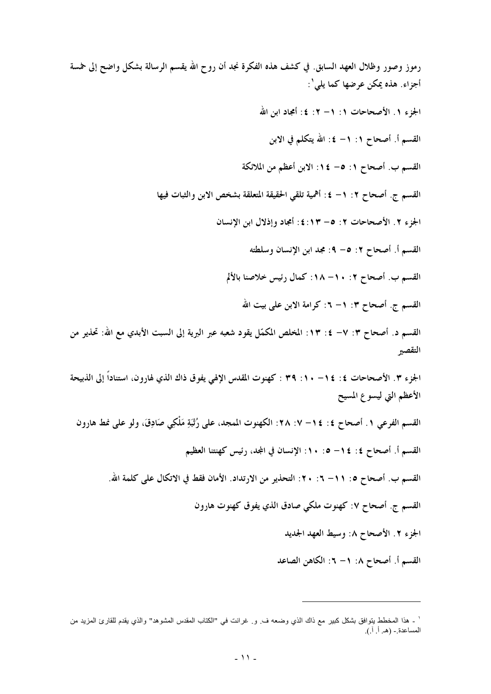رموز وصور وظلال العهد السابق. في كشف هذه الفكرة نجد أن روح الله يقسم الرسالة بشكل واضح إلى خمسة أجزاء. هذه يمكن عرضها كما يلي': الجزء ١. الأصحاحات ١: ١– ٢: ٤: أمجاد ابن الله القسم أ. أصحاح ١: ١- ٤: الله يتكلم في الابن القسم ب. أصحاح ١: ٥- ١٤: الابن أعظم من الملائكة القسم ج. أصحاح ٢: ١- ٤: أهمية تلقى الحقيقة المتعلقة بشخص الابن والثبات فيها الجزء ٢. الأصحاحات ٢: ٥– ١٣:٤: أمجاد وإذلال ابن الإنسان القسم أ. أصحاح ٢: ٥– ٩: مجد ابن الإنسان وسلطته القسم ب. أصحاح ٢: ١٠- ١٨: كمال رئيس خلاصنا بالألم القسم ج. أصحاح ٣: ١– ٦: كرامة الابن على بيت الله القسم د. أصحاح ٣: ٧– ٤: ١٣: المخلص المكمّل يقود شعبه عبر البرية إلى السبت الأبدي مع الله: تحذير من التقصير الجزء ٣. الأصحاحات ٤: ١٤ - ١٠: ٣٩ : كهنوت المقدس الإلهي يفوق ذاك الذي لهارون، استناداً إلى الذبيحة الأعظم التي ليسوع المسيح القسم الفرعي ١. أصحاح ٤: ١٤- ٧: ٢٨: الكهنوت الممجد، على رُتْبَةِ مَلْكِي صَادِقَ، ولو على نمط هارون القسم أ. أصحاح ٤: ١٤– ٥: ١٠: الإنسان في المجد، رئيس كهنتنا العظيم القسم ب. أصحاح ٥: ٦١– ٦: ٢٠ : التحذير من الارتداد. الأمان فقط في الاتكال على كلمة الله. القسم ج. أصحاح ٧: كهنوت ملكي صادق الذي يفوق كهنوت هارون الجزء ٢. الأصحاح ٨: وسيط العهد الجديد القسم أ. أصحاح ٨: ١– ٦: الكاهن الصاعد

<sup>&#</sup>x27; ـ هذا المخطط يتوافق بشكل كبير مع ذاك الذي وضعه ف ِ و ِ غرانت في "الكتاب المقدس المشوهد" والذي يقدم للقارئ المزيد من المساعدة .- (هـ. أ. آ.).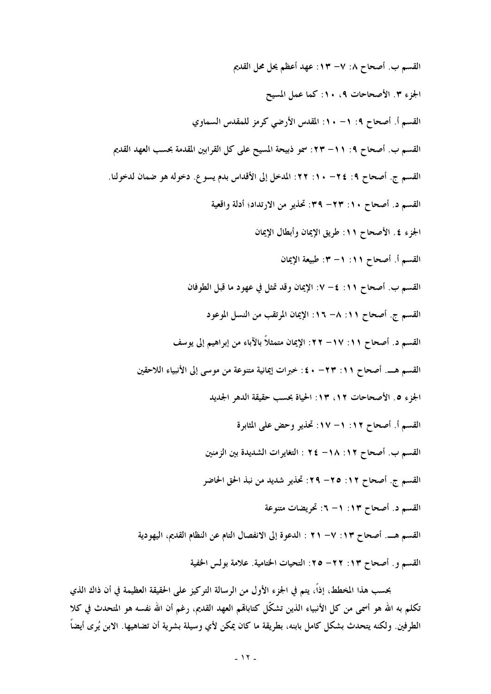القسم ب. أصحاح ٨: ٧– ١٣: عهد أعظم يحل محل القديم الجزء ٣. الأصحاحات ٩، ١٠: كما عمل المسيح القسم أ. أصحاح ٩: ١- ١٠: المقدس الأرضى كرمز للمقدس السماوي القسم ب. أصحاح ٩: ٦١– ٢٣: سمو ذبيحة المسيح على كل القرابين المقدمة بحسب العهد القديم القسم ج. أصحاح ٩: ٢٤- ٦٠: ٢٢: المدخل إلى الأقداس بدم يسوع. دخوله هو ضمان لدخولنا. القسم د. أصحاح ١٠: ٢٣- ٣٩: تحذير من الارتداد؛ أدلة واقعية الجزء ٤ . الأصحاح ١١: طريق الإيمان وأبطال الإيمان القسم أ. أصحاح ١١١. ١- ٣: طبيعة الإيمان القسم ب. أصحاح ١١: ٤– ٧: الإيمان وقد تمثل في عهود ما قبل الطوفان القسم ج. أصحاح ١١: ٨– ١٦: الإيمان المرتقب من النسل الموعود القسم د. أصحاح ١١: ١٧– ٢٢: الإيمان متمثلاً بالآباء من إبراهيم إلى يوسف القسم هـــ. أصحاح ١١: ٢٣ - ٤٠: خبرات إيمانية متنوعة من موسى إلى الأنبياء اللاحقين الجزء ٥. الأصحاحات ١٢، ١٣: الحياة بحسب حقيقة الدهر الجديد القسم أ. أصحاح ١٢: ١– ١٧: تحذير وحض على المثابرة القسم ب. أصحاح ١٢: ١٨- ٢٤ : التغايرات الشديدة بين الزمنين القسم ج. أصحاح ١٢: ٢٥- ٢٩: تحذير شديد من نبذ الحق الحاضر القسم د. أصحاح ١٣: ١- ٦: تحريضات متنوعة القسم هـــ. أصحاح ١٣: ٧– ٢١ : الدعوة إلى الانفصال التام عن النظام القديم، اليهودية القسم و. أصحاح ١٣: ٢٢– ٢٥: التحيات الختامية. علامة بولس الحفية

بحسب هذا المخطط، إذاً، يتم في الجزء الأول من الرسالة التركيز على الحقيقة العظيمة في أن ذاك الذي تكلُّم به الله هو أسمى من كل الأنبياء الذين تشكَّل كتاباهم العهد القديم، رغم أن الله نفسه هو المتحدث في كلا الطرفين. ولكنه يتحدث بشكل كامل بابنه، بطريقة ما كان يمكن لأي وسيلة بشرية أن تضاهيها. الابن يُرى أيضاً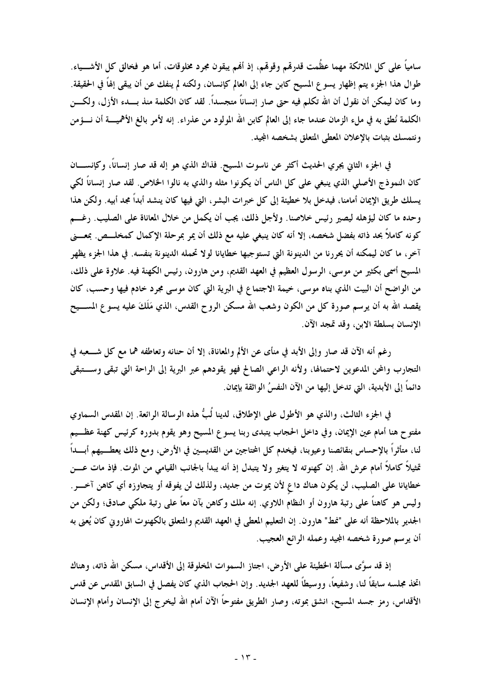سامياً على كل الملائكة مهما عظُمت قدرتمم وقوقمم، إذ ألهم يبقون مجرد مخلوقات، أما هو فخالق كل الأشـــياء. طوال هذا الجزء يتم إظهار يسوع المسيح كابن جاء إلى العالم كإنسان، ولكنه لم ينفك عن أن يبقى إلهاً في الحقيقة. وما كان ليمكن أن نقول أن الله تكلم فيه حتى صار إنساناً متجسداً. لقد كان الكلمة منذ بـــدء الأزل، ولكــــن الكلمة نُطق به في ملء الزمان عندما جاء إلى العالم كابن الله المولود من عذراء. إنه لأمر بالغ الأهميــــة أن نـــؤمن ونتمسك بثبات بالإعلان المعطى المتعلق بشخصه المجيد.

في الجزء الثاني يجري الحديث أكثر عن ناسوت المسيح. فذاك الذي هو إله قد صار إنساناً، وكإنســــان كان النموذج الأصلي الذي ينبغي على كل الناس أن يكونوا مثله والذي به نالوا الخلاص. لقد صار إنساناً لكي يسلك طريق الإيمان أمامنا، فيدخل بلا خطيئة إلى كل خبرات البشر، التي فيها كان ينشد أبداً مجد أبيه. ولكن هذا وحده ما كان ليؤهله ليصير رئيس خلاصنا. ولأجل ذلك، يجب أن يكمل من خلال المعاناة على الصليب. رغسم كونه كاملاً بحد ذاته بفضل شخصه، إلا أنه كان ينبغي عليه مع ذلك أن يمر بمرحلة الإكمال كمخلـــص. بمعـــني آخر، ما كان ليمكنه أن يحررنا من الدينونة التي تستوجبها خطايانا لولا تحمله الدينونة بنفسه. في هذا الجزء يظهر المسيح أسمى بكثير من موسى، الرسول العظيم في العهد القديم، ومن هارون، رئيس الكهنة فيه. علاوة على ذلك، من الواضح أن البيت الذي بناه موسى، خيمة الاجتماع في البرية التي كان موسى مجرد خادم فيها وحسب، كان يقصد الله به أن يرسم صورة كل من الكون وشعب الله مسكن الروح القدس، الذي مَلَكَ عليه يسو ع المســـيح الانسان بسلطة الابن، وقد تمجد الآن.

رغم أنه الآن قد صار وإلى الأبد في منأى عن الألم والمعاناة، إلا أن حنانه وتعاطفه هما مع كل شـــعبه في التجارب والمحن المدعوين لاحتمالها، ولأنه الراعي الصالح فهو يقودهم عبر البرية إلى الراحة التي تبقى وستبقى دائماً إلى الأبدية، التي تدخل إليها من الآن النفسُ الواثقة بإيمان.

في الجزء الثالث، والذي هو الأطول على الإطلاق، لدينا لُبُّ هذه الرسالة الرائعة. إن المقدس السماوي مفتوح هنا أمام عين الإيمان، وفي داخل الحجاب يتبدى ربنا يسوع المسيح وهو يقوم بدوره كرئيس كهنة عظــيم لنا، متأثراً بالإحساس بنقائصنا وعيوبنا، فيخدم كل المحتاجين من القديسين في الأرض، ومع ذلك يعطــيهم أبـــداً تمثيلاً كاملاً أمام عرش الله. إن كهنوته لا يتغير ولا يتبدل إذ أنه يبدأ بالجانب القيامي من الموت. فإذ مات عـــن خطايانا على الصليب، لن يكون هناك داع لأن يموت من جديد، ولذلك لن يفوقه أو يتجاوزه أي كاهن آخـــر . وليس هو كاهناً على رتبة هارون أو النظام اللاوي. إنه ملك وكاهن بآن معاً على رتبة ملكي صادق؛ ولكن من الجدير بالملاحظة أنه على "نمط" هارون. إن التعليم المعطي في العهد القديم والمتعلق بالكهنوت الهاروني كان يُعني به أن يرسم صورة شخصه المجيد وعمله الرائع العجيب.

إذ قد سوَّى مسألة الخطيئة على الأرض، اجتاز السموات المخلوقة إلى الأقداس، مسكن الله ذاته، وهناك اتخذ مجلسه سابقاً لنا، وشفيعاً، ووسيطاً للعهد الجديد. وإن الحجاب الذي كان يفصل في السابق المقدس عن قدس الأقداس، رمز جسد المسيح، انشق بموته، وصار الطريق مفتوحًا الآن أمام الله ليخرج إلى الإنسان وأمام الإنسان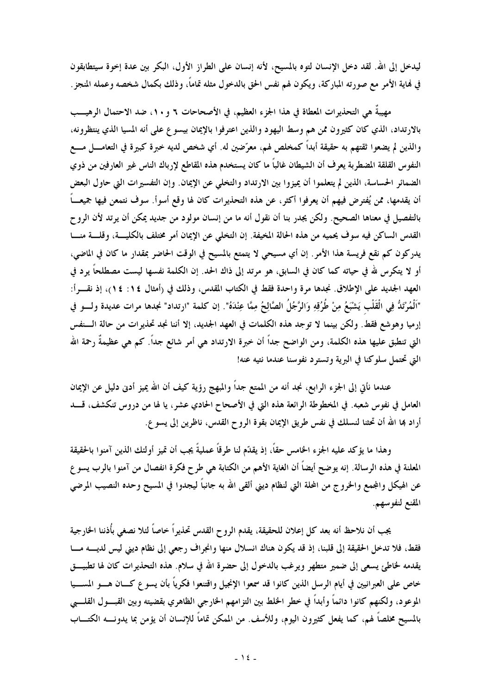ليدخل إلى الله. لقد دخل الإنسان لتوه بالمسيح، لأنه إنسان على الطراز الأول، البكر بين عدة إخوة سيتطابقون في نهاية الأمر مع صورته المباركة، ويكون لهم نفس الحق بالدخول مثله تماماً، وذلك بكمال شخصه وعمله المنجز .

مهيبةً هي التحذيرات المعطاة في هذا الجزء العظيم، في الأصحاحات ٦ و ١٠، ضد الاحتمال الرهيـــب بالارتداد، الذي كان كثيرون ممن هم وسط اليهود والذين اعترفوا بالإيمان بيسوع على أنه المسيا الذي ينتظرونه، والذين لم يضعوا ثقتهم به حقيقة أبداً كمخلص لهم، معرَّضين له. أي شخص لديه خبرة كبيرة في التعامــــل مــــع النفوس القلقة المضطربة يعرف أن الشيطان غالباً ما كان يستخدم هذه المقاطع لإرباك الناس غير العارفين من ذوي الضمائر الحساسة، الذين لم يتعلموا أن يميزوا بين الارتداد والتخلي عن الإيمان. وإن التفسيرات التي حاول البعض أن يقدمها، ممن يُفترض فيهم أن يعرفوا أكثر، عن هذه التحذيرات كان لها وقع أسوأ. سوف نتمعن فيها جميعـــاً بالتفصيل في معناها الصحيح. ولكن يجدر بنا أن نقول أنه ما من إنسان مولود من جديد يمكن أن يرتد لأن الروح القدس الساكن فيه سوف يحميه من هذه الحالة المخيفة. إن التخلي عن الإيمان أمر مختلف بالكليسة، وقلسة منسا يدركون كم نقع فريسة هذا الأمر. إن أي مسيحي لا يتمتع بالمسيح في الوقت الحاضر بمقدار ما كان في الماضي، أو لا يتكرس لله في حياته كما كان في السابق، هو مرتد إلى ذاك الحد. إن الكلمة نفسها ليست مصطلحاً يرد في العهد الجديد على الإطلاق. نجدها مرة واحدة فقط في الكتاب المقدس، وذلك في (أمثال ١٤: ١٤)، إذ نقـــرأ: "اَلْمُرْتَدُّ فِي الْقَلْبِ يَشْبَعُ مِنْ طُرُقِهِ وَالرَّجُلُ الصَّالِحُ مِمَّا عِنْدَهُ". إن كلمة "ارتداد" نجدها مرات عديدة ولــــو في إرميا وهوشع فقط. ولكن بينما لا توجد هذه الكلمات في العهد الجديد، إلا أننا نجد تحذيرات من حالة الــنفس التي تنطبق عليها هذه الكلمة، ومن الواضح جداً أن خبرة الارتداد هي أمر شائع جداً. كم هي عظيمةٌ رحمة الله التي تحتمل سلوكنا في البرية وتسترد نفوسنا عندما نتيه عنه!

عندما نأتي إلى الجزء الرابع، نجد أنه من الممتع جداً والمبهج رؤية كيف أن الله يميز أدنى دليل عن الإيمان العامل في نفوس شعبه. في المخطوطة الرائعة هذه التي في الأصحاح الحادي عشر، يا لها من دروس تنكشف، قــــد أراد بما الله أن تحثنا لنسلك في نفس طريق الإيمان بقوة الروح القدس، ناظرين إلى يسو ع.

وهذا ما يؤكد عليه الجزء الخامس حقاً، إذ يقدّم لنا طرقاً عمليةً يجب أن تميز أولئك الذين آمنوا بالحقيقة المعلنة في هذه الرسالة. إنه يوضح أيضاً أن الغاية الأهم من الكتابة هي طرح فكرة انفصال من آمنوا بالرب يسو ع عن الهيكل والمجمع والخروج من المحلة التي لنظام ديني ألقي الله به جانباً ليجدوا في المسيح وحده النصيب المرضى المقنع لنفوسهم.

يجب أن نلاحظ أنه بعد كل إعلان للحقيقة، يقدم الروح القدس تحذيراً خاصاً لئلا نصغى بأُذننا الخارجية فقط، فلا تدخل الحقيقة إلى قلبنا، إذ قد يكون هناك انسلال منها وانجراف رجعي إلى نظام ديني ليس لديسه مسا يقدمه لخاطئ يسعى إلى ضمير متطهر ويرغب بالدخول إلى حضرة الله في سلام. هذه التحذيرات كان لها تطبيـــق خاص على العبرانيين في أيام الرسل الذين كانوا قد سمعوا الإنجيل واقتنعوا فكرياً بأن يسوع كـــان هــــو المســـيا الموعود، ولكنهم كانوا دائماً وأبداً في خطر الخلط بين التزامهم الخارجي الظاهري بقضيته وبين القبــــول القلــــبي بالمسيح مخلصاً لهم، كما يفعل كثيرون اليوم، وللأسف. من الممكن تماماً للإنسان أن يؤمن بما يدونــــه الكتــــاب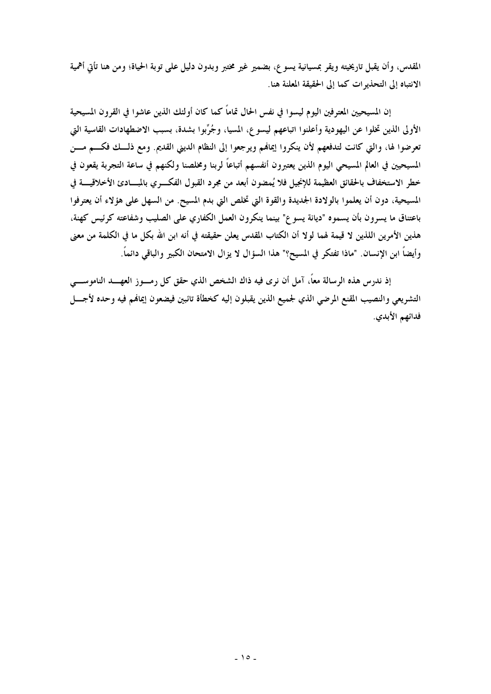المقدس، وأن يقبل تاريخيته ويقر بمسيانية يسوع، بضمير غير مختبر وبدون دليل على توبة الحياة؛ ومن هنا تأتي أهمية الانتباه إلى التحذيرات كما إلى الحقيقة المعلنة هنا.

إن المسيحيين المعترفين اليوم ليسوا في نفس الحال تماماً كما كان أولئك الذين عاشوا في القرون المسيحية الأولى الذين تخلوا عن اليهودية وأعلنوا اتباعهم ليسوع، المسيا، وجُرِّبوا بشدة، بسبب الاضطهادات القاسية التي تعرضوا لها، والتي كانت لتدفعهم لأن ينكروا إيمالهم ويرجعوا إلى النظام الديني القديم. ومع ذلــك فكـــم مـــن المسيحيين في العالم المسيحى اليوم الذين يعتبرون أنفسهم أتباعًا لربنا ومخلصنا ولكنهم في ساعة التجربة يقعون في خطر الاستخفاف بالحقائق العظيمة للإنجيل فلا يُمضون أبعد من مجرد القبول الفكــــري بالمبــــادئ الأخلاقيــــة في المسيحية، دون أن يعلموا بالولادة الجديدة والقوة التي تخلص التي بدم المسيح. من السهل على هؤلاء أن يعترفوا باعتناق ما يسرون بأن يسموه "ديانة يسوع" بينما ينكرون العمل الكفاري على الصليب وشفاعته كرئيس كهنة، هذين الأمرين اللذين لا قيمة لهما لولا أن الكتاب المقدس يعلن حقيقته في أنه ابن الله بكل ما في الكلمة من معنى وأيضاً ابن الإنسان. "ماذا تفتكر في المسيح؟" هذا السؤال لا يزال الامتحان الكبير والباقي دائماً.

إذ ندرس هذه الرسالة معاً، آمل أن نرى فيه ذاك الشخص الذي حقق كل رمــــوز العهـــــد الناموســـــي التشريعي والنصيب المقنع المرضى الذي لجميع الذين يقبلون إليه كخطأة تائبين فيضعون إيمالهم فيه وحده لأجسل فدائهم الأبدي.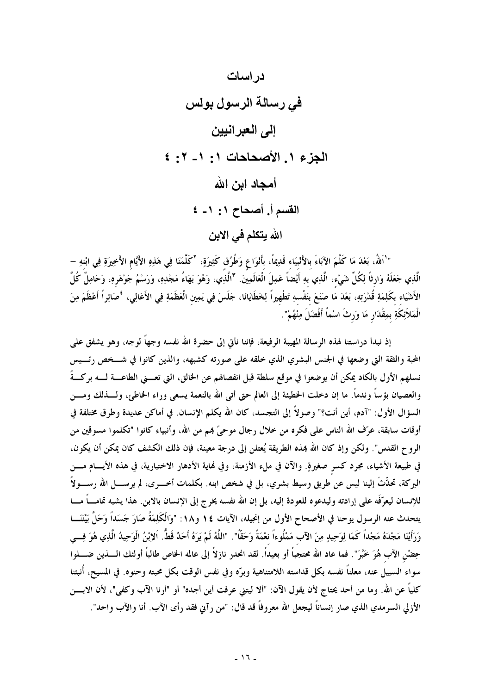

" ٰ اللهُ، بَعْدَ مَا كَلَّمَ الآبَاءَ بالأَنْبيَاء قَدِيمًا، بأَنْوَاعٍ وَطُرُق كَثِيرَةٍ، "كَلَّمَنَا فِي هَذِهِ الأَيّام الأَخِيرَةِ فِي ابْنهِ – الَّذِي جَعَلَهُ وَارثاً لِكُلِّ شَىْء، الَّذِي بهِ أَيْضاً عَمِلَ الْعَالَمِينَ. "الَّذِي، وَهُوَ بَهَاءُ مَجْدِهِ، وَرَسْمُ جَوْهَرهِ، وَحَامِلٌ كُلَّ الأَشْيَاء بكَلِمَةِ قُدْرَتِهِ، بَعْدَ مَا صَنَعَ بنَفْسهِ تَطْهِيراً لِخَطَايَانَا، جَلَسَ فِي يَمِين الْعَظَمَةِ فِي الأَعَالِي، \*صَائِراً أَعْظَمَ مِنَ الْمَلاَئِكَةِ بِمِقْدَارٍ مَا وَرِثَ اسْماً أَفْضَلَ مِنْهُمْ".

إذ نبدأ دراستنا لهذه الرسالة المهيبة الرفيعة، فإننا نأتى إلى حضرة الله نفسه وجهاً لوجه، وهو يشفق على المحبة والثقة التي وضعها في الجنس البشري الذي خلقه على صورته كشبهه، والذين كانوا في شـــخص رئـــيس نسلهم الأول بالكاد يمكن أن يوضعوا في موقع سلطة قبل انفصالهم عن الحالق، التي تعــــنى الطاعــــة لـــــه بركـــةً والعصيان بؤساً وندماً. ما إن دخلت الخطيئة إلى العالم حتى أتى الله بالنعمة يسعى وراء الخاطئ، ولــــذلك ومــــن السؤال الأول: "آدم، أين أنت؟" وصولاً إلى التجسد، كان الله يكلم الإنسان. في أماكن عديدة وطرق مختلفة في أوقات سابقة، عرّف الله الناس على فكره من خلال رجال موحيٍّ بمم من الله، وأنبياء كانوا "تكلموا مسوقين من الروح القدس". ولكن وإذ كان الله بمذه الطريقة يُعتلن إلى درجة معينة، فإن ذلك الكشف كان يمكن أن يكون، في طبيعة الأشياء، مجرد كسر صغيرةٍ. والآن في ملء الأزمنة، وفي لهاية الأدهار الاختبارية، في هذه الأيسام مسن البركة، تحدُّثَ إلينا ليس عن طريق وسيط بشري، بل في شخص ابنه. بكلمات أخـــــرى، لم يرســـــل الله رســـــولاً للإنسان ليعرّفَه على إرادته وليدعوه للعودة إليه، بل إن الله نفسه يخرج إلى الإنسان بالابن. هذا يشبه تمامــــاً مــــا يتحدث عنه الرسول يوحنا في الأصحاح الأول من إنجيله، الآيات ١٤ و١٨: "وَالْكَلِمَةُ صَارَ جَسَداً وَحَلَّ بَيْنَنَـــا وَرَأَيْنَا مَجْدَهُ مَجْداً كَمَا لِوَحِيدٍ مِنَ الآب مَمْلُوءاً نعْمَةً وَحَقًّا". "اللَّهُ لَمْ يَرَهُ أَحَدٌ قَطُّ. اَلإِبْنُ الْوَحِيدُ الَّذِي هُوَ فِسى حِضْنِ الآب هُوَ خَبَّرَ". فما عاد الله محتجباً أو بعيداً. لقد انحدر نازلاً إلى عالمه الخاص طالباً أولئك الــــذين ضـــــلوا سواء السبيل عنه، معلناً نفسه بكل قداسته اللامتناهية وبرّه وفي نفس الوقت بكل محبته وحنوه. في المسيح، أنبئنا كلياً عن الله. وما من أحد يحتاج لأن يقول الآن: "ألا ليتني عرفت أين أجده" أو "أرنا الآب وكفي"، لأن الابسن الأزلى السرمدي الذي صار إنساناً ليجعل الله معروفاً قد قال: "من رآني فقد رأى الآب. أنا والآب واحد".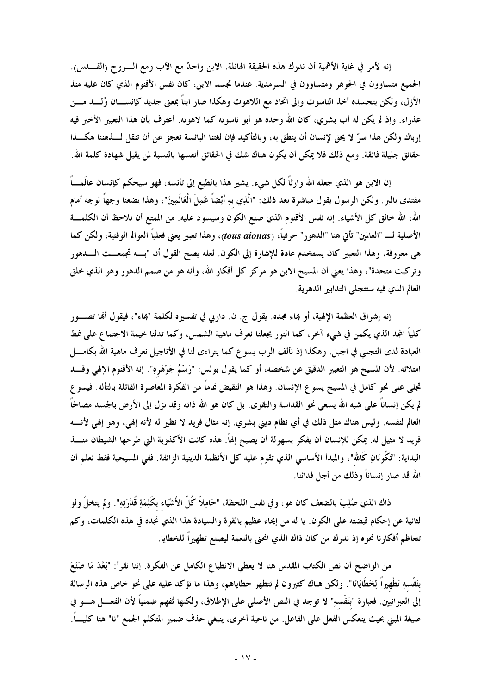إنه لأمرٍ في غاية الأهمية أن ندرك هذه الحقيقة الهائلة. الابن واحدٌ مع الآب ومع الـــرو ح (القـــدس). الجميع متساوون في الجوهر ومتساوون في السرمدية. عندما تجسد الابن، كان نفس الأقنوم الذي كان عليه منذ الأزل، ولكن بتجسده أخذ الناسوت وإلى اتحاد مع اللاهوت وهكذا صار ابناً بمعنى جديد كإنســــان وُلــــد مــــن عذراء. وإذ لم يكن له أب بشري، كان الله وحده هو أبو ناسوته كما لاهوته. أعترف بأن هذا التعبير الأخير فيه إرباك ولكن هذا سرٍّ لا يحق لإنسان أن ينطق به، وبالتأكيد فإن لغتنا البائسة تعجزٍ عن أن تنقل لــــذهننا هكــــذا حقائق جليلة فائقة. ومع ذلك فلا يمكن أن يكون هناك شك في الحقائق أنفسها بالنسبة لمن يقبل شهادة كلمة الله.

إن الابن هو الذي جعله الله وارثاً لكل شيء. يشير هذا بالطبع إلى تأنسه، فهو سيحكم كإنسان عالَمـــاً مفتدى بالبر . ولكن الرسول يقول مباشرة بعد ذلك: "الَّذِي بهِ أَيْضاً عَمِلَ الْعَالَمِينَ"، وهذا يضعنا وجهاً لوجه أمام الله، الله خالق كل الأشياء. إنه نفس الأقنوم الذي صنع الكون وسيسود عليه. من الممتع أن نلاحظ أن الكلمـــة الأصلية لـــ "العالمين" تأتي هنا "الدهور" حرفياً، (tous aionas)، وهذا تعبير يعني فعلياً العوالم الوقتية، ولكن كما هي معروفة، وهذا التعبير كان يستخدم عادة للإشارة إلى الكون. لعله يصح القول أن "بـــه تجمعـــت الـــــدهور وتركبت متحدة"، وهذا يعني أن المسيح الابن هو مركز كل أفكار الله، وأنه هو من صمم الدهور وهو الذي خلق العالم الذي فيه ستتجلى التدابير الدهرية.

إنه إشراق العظمة الإلهية، أو بماء مجده. يقول ج. ن. داربي في تفسيره لكلمة "بماء"، فيقول ألها تصـــور كلياً المجد الذي يكمن في شيء آخر، كما النور يجعلنا نعرف ماهية الشمس، وكما تدلنا خيمة الاجتماع على نمط العبادة لدى التجلي في الجبل. وهكذا إذ نألف الرب يسو ع كما يتراءى لنا في الأناجيل نعرف ماهية الله بكامــــل امتلائه. لأن المسيح هو التعبير الدقيق عن شخصه، أو كما يقول بولس: "رَسْمُ جَوْهَرو". إنه الأقنوم الإلهي وقــــد تجلَّى على نحو كامل في المسيح يسوع الإنسان. وهذا هو النقيض تماماً من الفكرة المعاصرة القائلة بالتأله. فيسوع لم يكن إنساناً على شبه الله يسعى نحو القداسة والتقوى. بل كان هو الله ذاته وقد نزل إلى الأرض بالجسد مصالحاً العالم لنفسه. وليس هناك مثل ذلك في أي نظام ديني بشري. إنه مثال فريد لا نظير له لأنه إلهي، وهو إلهي لأنسه فريد لا مثيل له. يمكن للإنسان أن يفكر بسهولة أن يصبح إلهاً. هذه كانت الأكذوبة التي طرحها الشيطان منــــذ البداية: "تَكُونَانِ كَالله"، والمبدأ الأساسي الذي تقوم عليه كل الأنظمة الدينية الزائفة. ففي المسيحية فقط نعلم أن الله قد صار إنساناً وذلك من أجل فدائنا.

ذاك الذي صُلِبَ بالضعف كان هو، وفي نفس اللحظة، "حَامِلاً كُلَّ الأَشْيَاء بكَلِمَةِ قُدْرَتِهِ". ولم يتخلَّ ولو لثانية عن إحكام قبضته على الكون. يا له من إيحاء عظيم بالقوة والسيادة هذا الذي نجده في هذه الكلمات، وكم تتعاظم أفكارنا نحوه إذ ندرك من كان ذاك الذي انحنى بالنعمة ليصنع تطهيراً للخطايا.

من الواضح أن نص الكتاب المقدس هنا لا يعطي الانطباع الكامل عن الفكرة. إننا نقرأ: "بَعْدَ مَا صَنَعَ بنَفْسهِ تَطْهِيراً لِخَطَايَانَا". ولكن هناك كثيرون لم تتطهر خطاياهم، وهذا ما تؤكد عليه على نحو خاص هذه الرسالة إلى العبرانيين. فعبارة "بنَفْسهِ" لا توجد في النص الأصلي على الإطلاق، ولكنها تُفهم ضمنياً لأن الفعـــل هــــو في صيغة المبني بحيث ينعكس الفعل على الفاعل. من ناحية أخرى، ينبغي حذف ضمير المتكلم الجمع "نا" هنا كليبً.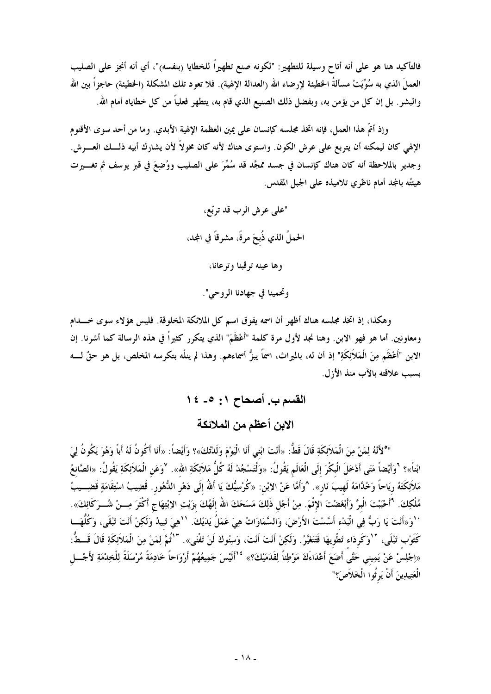فالتأكيد هنا هو على أنه أتاح وسيلة للتطهير : "لكونه صنع تطهيراً للخطايا (بنفسه)"، أي أنه أنجز على الصليب العملَ الذي به سُوِّيَتْ مسألةُ الحظيئة لإرضاء الله (العدالة الإلهية). فلا تعود تلك المشكلة (الحظيئة) حاجزاً بين الله والبشر . بل إن كل من يؤمن به، وبفضل ذلك الصنيع الذي قام به، يتطهر فعلياً من كل خطاياه أمام الله.

وإذ أتمَّ هذا العمل، فإنه اتخذ مجلسه كإنسان على يمين العظمة الإلهية الأبدي. وما من أحد سوى الأقنوم الإلهي كان ليمكنه أن يتربع على عرش الكون. واستوى هناك لأنه كان مخولاً لأن يشارك أبيه ذلـــك العــــرش. وجديرٍ بالملاحظة أنه كان هناك كإنسان في جسد ممجَّد قد سُمَّرَ على الصليب ووُضِعَ في قبر يوسف ثم تغـــيرت هيئتُه بالمجد أمام ناظري تلاميذه على الجبل المقدس.

> "على عرش الرب قد تربّع، الحملُ الذي ذُبحَ مرةً، مشرقاً في المجد، وها عينه ترقبنا وترعانا، وتحمينا في جهادنا الروحي".

وهكذا، إذ اتخذ مجلسه هناك أظهر أن اسمه يفوق اسم كل الملائكة المخلوقة. فليس هؤلاء سوى خـــدام ومعاونين. أما هو فهو الابن. وهنا نجد لأول مرة كلمة "أَعْظَمَ" الذي يتكرر كثيراً في هذه الرسالة كما أشرنا. إن الابن "أَعْظَم مِنَ الْمَلاَئِكَةِ" إذ أن له، بالميراث، اسمَّا يبزُّ أسماءهم. وهذا لم ينلْه بتكرسه المخلص، بل هو حقّ لــــه بسبب علاقته بالآب منذ الأزل.

> القسم ب. أصحاح ١: ٥ ـ ١٤ الابن أعظم من الملائكة

"°لأَنَّهُ لِمَنْ مِنَ الْمَلاَئِكَةِ قَالَ قَطُّ: «أَنْتَ ابْني أَنَا الْيَوْمَ وَلَدْتُكَ»؟ وَأَيْضاً: «أَنَا أَكُونُ لَهُ أَباً وَهُوَ يَكُونُ لِيَ ابْناً»؟ 'وَأَيْضاً مَتَى أَدْخَلَ الْبكْرَ إلَى الْعَالَم يَقُولُ: «وَلْتَسْجُدْ لَهُ كُلُّ مَلاَئِكَةِ الله». <sup>لا</sup>وَعَن الْمَلاَئِكَةِ يَقُولُ: «الصَّانعُ مَلاَئِكَتَهُ ريَاحًا وَخُدَّامَهُ لَهيبَ نَار<sup>ِ</sup>». ^وَأَمَّا عَنْ الإبْن: «كُرْسِيُّكَ يَا أَللهُ إلَى دَهْرِ الدُّهُورِ. قَضِيبُ اسْتِقَامَةٍ قَضِـــيبُ مُلْكِكَ. 'أَحْبَبْتَ الْبرَّ وَأَبْغَضْتَ الإِثْمَ. مِنْ أَجْل ذَلِكَ مَسَحَكَ اللهُ إلَهُكَ بزَيْتِ الإبْتِهَاج أكْثَرَ مِـــنْ شُـــرَكَائِكَ». ` 'وَ«أَنْتَ يَا رَبُّ فِي الْبَدْء أَسَّسْتَ الأَرْضَ، وَالسَّمَاوَاتُ هِيَ عَمَلُ يَدَيْكَ. ``هِيَ تَبيدُ وَلَكِنْ أَنْتَ تَبْقَى، وَكُلُّهَـــا كَثَوْب تَبْلَى، <sup>١٧</sup>وَكَردَاء تَطْويهَا فَتَتَغَيَّرُ. وَلَكِنْ أَنْتَ أَنْتَ، وَسِنُوكَ لَنْ تَفْنَى». <sup>١٣</sup>ثُمَّ لِمَنْ مِنَ الْمَلاَئِكَةِ قَالَ قَــطُّ: «اِجْلِسْ عَنْ يَمِيني حَتَّى أَصَعَ أَعْدَاءَكَ مَوْطِئًا لِقَدَمَيْكَ؟» <sup>1</sup> أَلَيْسَ جَمِيعُهُمْ أَرْوَاحًا خَادِمَةً مُرْسَلَةً لِلْخِدْمَةِ لأَجْـــل الْعَتِيدِينَ أَنْ يَرِثُوا الْخَلاَصَ؟"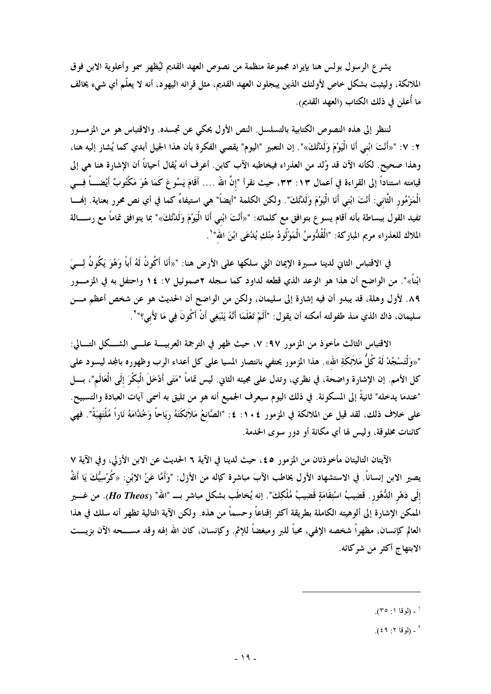يشرع الرسول بولس هنا بإيراد مجموعة منظمة من نصوص العهد القديم ليُظهر سمو وأعلوية الابن فوق الملائكة، وليثبت بشكل خاص لأولئك الذين يبجلون العهد القديم، مثل قرائه اليهود، أنه لا يعلّم أي شيء يخالف ما أُعلن في ذلك الكتاب (العهد القديم).

لننظر إلى هذه النصوص الكتابية بالتسلسل. النص الأول يحكي عن تجسده. والاقتباس هو من المزمـــور ٢ : ٧ : "«أَنْتَ ابْني أَنَا الْيَوْمَ وَلَلنُّكَ»". إن التعبير "اليوم" يقصى الفكرة بأن هذا الجيل أبدي كما يُشار إليه هنا، وهذا صحيح. لكأنه الآن قد وُلد من العذراء فيخاطبه الآب كابن. أعرف أنه يُقال أحياناً أن الإشارة هنا هي إلى قيامته استناداً إلى القراءة في أعمال ١٣: ٣٣، حيث نقرأ "إنَّ اللهُ …. أَقَامَ يَسُوعَ كَمَا هُوَ مَكْتُوبٌ أَيْضـــأ فِـــي الْمَزْمُور الثَّاني: أَنْتَ ابْني أَنَا الْيَوْمَ وَلَدْتُكَ". ولكن الكلمة "أيضاً" هي استيفاءٌ كما في أي نص محرر بعناية. إفمـــا تفيد القول ببساطة بأنه أقام يسوع بتوافق مع كلماته: "«أَنْتَ ابْني أَنَا الْيَوْمَ وَلَدْتُكَ»" بما يتوافق تماماً مع رســـالة الملاك للعذراء مريم المباركة: "الْقُدُّوسُ الْمَوْلُودُ مِنْكِ يُدْعَى ابْنَ الله"`.

في الاقتباس الثاني لدينا مسيرة الإيمان التي سلكها على الأرض هنا: "«أَنَا أَكُونُ لَهُ أَباً وَهُوَ يَكُونُ لِــيَ ابْناً»". من الواضح أن هذا هو الوعد الذي قطعه لداود كما سجله ٢صموئيل ٧: ١٤ واحتفل به في المزمـــور ٨٩. لأول وهلة، قد يبدو أن فيه إشارة إلى سليمان، ولكن من الواضح أن الحديث هو عن شخص أعظم مـــن سليمان، ذاك الذي منذ طفولته أمكنه أن يقول: "أَلَمْ تَعْلَمَا أَنَّهُ يَنْبَغِي أَنْ أَكُونَ فِي مَا لأَبى؟" ْ.

الاقتباس الثالث مأخوذ من المزمور ٩٧: ٧، حيث ظهر في الترجمة العربيسة علسي الشـــكل التـــالي: "«وَلْتَسْجُدْ لَهُ كُلُّ مَلاَئِكَةِ الله». هذا المزمور يحتفي بانتصار المسيا على كل أعداء الرب وظهوره بالمجد ليسود على كل الأمم. إن الإشارة واضحة، في نظري، وتدل على مجيئه الثاني. ليس تماماً "مَتَى أَدْخَلَ الْبِكْرَ إلَى الْعَالَم"، بـــل "عندما يدخله" ثانيةً إلى المسكونة. في ذلك اليوم سيعرف الجميع أنه هو من تليق به أسمى آيات العبادة والتسبيح. على خلاف ذلك، لقد قيل عن الملائكة في المزمور ١٠٤: ٤: "الصَّانعُ مَلاَئِكَتَهُ ريَاحاً وَخُدَّامَهُ نَاراً مُلْتَهبَةً". فهي كائنات مخلوقة، وليس لها أي مكانة أو دور سوى الخدمة.

الآيتان التاليتان مأخوذتان من المزمور ٤٥، حيث لدينا في الآية ٦ الحديث عن الابن الأزلي، وفي الآية ٧ يصير الابن إنساناً. في الاستشهاد الأول يخاطب الآبَ مباشرة كإله من الأزل: "وَأَمَّا عَنْ الإبْن: «كُرْسِيُّكَ يَا أَللهُ إلَى دَهْرِ الدُّهُورِ. قَضِيبُ اسْتِقَامَةٍ قَضِيبُ مُلْكِكٌ". إنه يُخاطَب بشكل مباشر بـــ "الله" (Ho Theos). من غــــير الممكن الإشارة إلى ألوهيته الكاملة بطريقة أكثر إقناعاً وحسماً من هذه. ولكن الآية التالية تظهر أنه سلك في هذا العالم كإنسان، مظهراً شخصه الإلهي، محباً للبر ومبغضاً للإثم. وكإنسان، كان الله إلهه وقد مســـحه الآن بزيـــت الابتهاج أكثر من شركائه.

<sup>&#</sup>x27; ـ (لوقا ۱: ۳٥).

 $(59:7)$  - (لوقا ۲: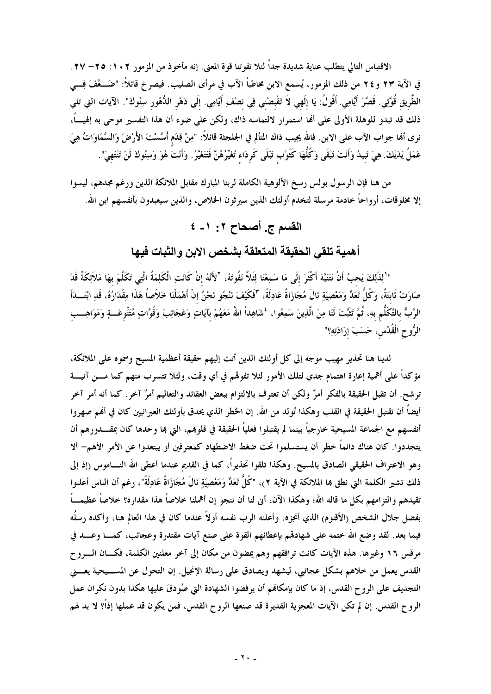الاقتباس التالي يتطلب عناية شديدة جداً لئلا تفوتنا قوة المعنى. إنه مأخوذ من المزمور ١٠٢: ٢٥– ٢٧. في الآية ٢٣ و ٢٤ من ذلك المزمور، يُسمع الابن مخاطباً الآب في مرأى الصليب. فيصر خ قائلاً: "ضَـــعَّفَ فِـــى الطَّريق قُوَّتِي. قَصَّرَ أيَّامِي. أَقُولُ: يَا إلَهي لاَ تَقْبضْني فِي نصْفِ أيَّامِي. إلَى دَهْر الدُّهُور سِنُوكَ". الآيات التي تلي ذلك قد تبدو للوهلة الأولى على ألها استمرار لالتماسه ذاك، ولكن على ضوء أن هذا التفسير موحى به إلهيـــاً، نرى ألها جواب الآب على الابن. فالله يجيب ذاك المتألم في الجلجثة قائلاً: "مِنْ قِدَم أَسَّسْتَ الأَرْضَ وَالسَّمَاوَاتُ هِيَ عَمَلُ يَدَيْكَ. هِيَ تَبِيدُ وَأَنْتَ تَبْقَى وَكُلُّهَا كَثَوْبِ تَبْلَى كَرِدَاءِ تُغَيِّرُهُنَّ فَتَتَغَيَّرُ. وَأَنْتَ هُوَ وَسِنُوكَ لَنْ تَنْتَهِيَ".

من هنا فإن الرسول بولس رسخ الألوهية الكاملة لربنا المبارك مقابل الملائكة الذين ورغم مجدهم، ليسوا إلا مخلوقات، أرواحاً خادمة مرسلة لتخدم أولئك الذين سيرثون الخلاص، والذين سيعبدون بأنفسهم ابن الله.

# القسم ج. أصحاح ٢: ١- ٤

أهمية تلقى الحقيقة المتعلقة بشخص الابن والثبات فيها

" 'لِلْأَلِكَ يَجبُ أَنْ نَتَنَبَّهَ أَكْثَرَ إِلَى مَا سَمِعْنَا لِئَلاً نَفُوتَهُ، <sup>٢</sup>لأَنَّهُ إِنْ كَانَتِ الْكَلِمَةُ الَّتِى تَكَلَّمَ بهَا مَلاَئِكَةٌ قَدْ صَارَتْ ثَابتَةً، وَكُلُّ تَعَدٍّ وَمَعْصِيَةٍ نَالَ مُجَازَاةً عَادِلَةً، "فَكَيْفَ نَنْجُو نَحْنُ إنْ أَهْمَلْنَا خَلاَصاً هَذَا وقِفْدَارُهُ، قَدِ ابْتَـــدَأَ الرَّبُّ بالتَّكَلُّم بهِ، ثُمَّ تَثَبَّتَ لَنَا مِنَ الَّذِينَ سَمِعُوا، 'شَاهِداً اللهُ مَعَهُمْ بآيَاتٍ وَعَجَائِبَ وَقُوَّاتٍ مُتَنِّوعَـــةٍ وَمَوَاهِـــب الرُّوحِ الْقُدُسِ، حَسَبَ إرَادَتِهِ؟"

لدينا هنا تحذير مهيب موجه إلى كل أولئك الذين أتت إليهم حقيقة أعظمية المسيح وسموه على الملائكة، مؤكداً على أهمية إعارة اهتمام جدي لتلك الأمور لئلا تفوقم في أي وقت، ولئلا تتسرب منهم كما مـــن آنيـــة ترشح. أن تقبل الحقيقة بالفكر أمرٌ ولكن أن تعترف بالالتزام ببعض العقائد والتعاليم أمرٌ آخر. كما أنه أمر آخر أيضاً أن تقتبل الحقيقة في القلب وهكذا تُولد من الله. إن الخطر الذي يحدق بأولئك العبرانيين كان في ألهم صهروا أنفسهم مع الجماعة المسيحية خارجياً بينما لم يقتبلوا فعلياً الحقيقة في قلوهم، التي ها وحدها كان بمقــــدورهم أن يتجددوا. كان هناك دائماً خطر أن يستسلموا تحت ضغط الاضطهاد كمعترفين أو يبتعدوا عن الأمر الأهم- ألا وهو الاعتراف الحقيقي الصادق بالمسيح. وهكذا تلقوا تحذيراً، كما في القديم عندما أعطى الله النـــاموس (إذ إلى ذلك تشير الكلمة التي نطق بما الملائكة في الآية ٢)، "كُلُّ تَعَدٍّ وَمَعْصِيَةٍ نَالَ مُجَازَاةً عَادِلَةً"، رغم أن الناس أعلنوا تقيدهم والتزامهم بكل ما قاله الله؛ وهكذا الآن، أبى لنا أن ننجو إن أهملنا خلاصاً هذا مقداره؟ خلاصاً عظيمـــاً بفضل جلال الشخص (الأقنوم) الذي أنجزه، وأعلنه الرب نفسه أولاً عندما كان في هذا العالم هنا، وأكده رسلُه فيما بعد. لقد وضع الله ختمه على شهادقم بإعطائهم القوة على صنع آيات مقتدرة وعجائب، كمـــا وعـــد في مرقس ١٦ وغيرها. هذه الآيات كانت ترافقهم وهم يمضون من مكان إلى آخر معلنين الكلمة، فكـــان الــــروح القدس يعمل من خلاهم بشكل عجائبي، ليشهد ويصادق على رسالة الإنجيل. إن التحول عن المســيحية يعـــني التجديف على الروح القدس، إذ ما كان بإمكالهم أن يرفضوا الشهادة التي صُودقَ عليها هكذا بدون نكران عمل الروح القدس. إن لم تكن الآيات المعجزية القديرة قد صنعها الروح القدس، فمن يكون قد عملها إذاً؟ لا بد لهم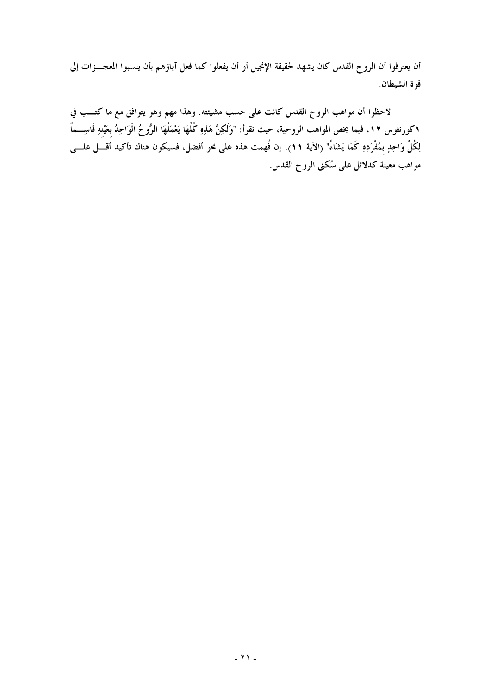أن يعترفوا أن الروح القدس كان يشهد لحقيقة الإنجيل أو أن يفعلوا كما فعل آباؤهم بأن ينسبوا المعجـــزات إلى قوة الشيطان.

لاحظوا أن مواهب الروح القدس كانت على حسب مشيئته. وهذا مهم وهو يتوافق مع ما كتـــب في ١كورنثوس ١٢، فيما يخص المواهب الروحية، حيث نقرأ: "وَلَكِنَّ هَذِهِ كُلَّهَا يَعْمَلُهَا الرُّوحُ الْوَاحِدُ بعَيْنهِ قَاسِـــماً لِكُلِّ وَاحِدٍ بمُفْرَدِهِ كَمَا يَشَاءُ" (الآية ١٩). إن فُهمت هذه على نحو أفضل، فسيكون هناك تأكيد أَقــَـل علـــى مواهب معينة كدلائل على سُكنى الروح القدس.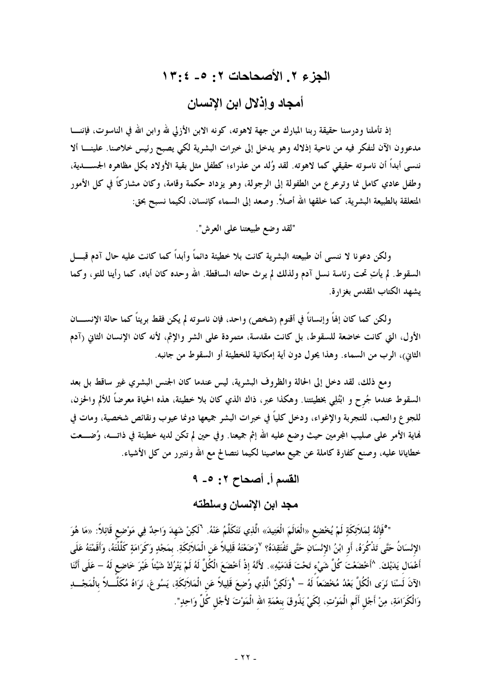# الجزع ٢. الأصحاحات ٢: ٥ - ٢:٢٤ أمجاد و اذلال اين الانسان

إذ تأملنا ودرسنا حقيقة ربنا المبارك من جهة لاهوته، كونه الابن الأزلى لله وابن الله في الناسوت، فإننـــا مدعوون الآن لنفكر فيه من ناحية إذلاله وهو يدخل إلى خبرات البشرية لكي يصبح رئيس خلاصنا. علينـــا ألا ننسي أبداً أن ناسوته حقيقي كما لاهوته. لقد وُلد من عذراء؛ كطفل مثل بقية الأولاد بكل مظاهره الجســــدية، وطفل عادي كامل نما وترعرع من الطفولة إلى الرجولة، وهو يزداد حكمة وقامة، وكان مشاركاً في كل الأمور المتعلقة بالطبيعة البشرية، كما خلقها الله أصلاً. وصعد إلى السماء كإنسان، لكيما نسبح بحق:

"لقد وضع طبيعتنا على العرش".

ولكن دعونا لا ننسبي أن طبيعته البشرية كانت بلا خطيئة دائماً وأبداً كما كانت عليه حال آدم قبـــــل السقوط. لم يأتِ تحت رئاسة نسل آدم ولذلك لم يرث حالته الساقطة. الله وحده كان أباه، كما رأينا للتو، وكما يشهد الكتاب المقدس بغزارة.

ولكن كما كان إلهاً وإنساناً في أقنوم (شخص) واحد، فإن ناسوته لم يكن فقط بريتاً كما حالة الإنســـان الأول، التي كانت خاضعة للسقوط، بل كانت مقدسة، متمردة على الشر والإثم، لأنه كان الإنسان الثانى (آدم الثاني)، الرب من السماء. وهذا يحول دون أية إمكانية للخطيئة أو السقوط من جانبه.

ومع ذلك، لقد دخل إلى الحالة والظروف البشرية، ليس عندما كان الجنس البشري غير ساقط بل بعد السقوط عندما جُرح و ابْتُلِي بخطيئتنا. وهكذا عبر، ذاك الذي كان بلا خطيئة، هذه الحياة معرضاً للألم والحزن، للجوع والتعب، للتجربة والإغواء، ودخل كلياً في خبرات البشر جميعها دونما عيوب ونقائص شخصية، ومات في نهاية الأمر على صليب المجرمين حيث وضع عليه الله إثم جميعنا. وفي حين لم تكن لديه خطيئة في ذاتـــه، وُضـــعت خطايانا عليه، وصنع كفارة كاملة عن جميع معاصينا لكيما نتصالح مع الله ونتبرر من كل الأشياء.

> القسم أ. أصحاح ٢: ٥- ٩ مجد ابن الإنسان وسلطته

"<sup>ه</sup>ُفَإِنَّهُ لِمَلاَئِكَةٍ لَمْ يُخْضِع «الْعَالَمَ الْعَتِيدَ» الَّذِي نَتَكَلَّمُ عَنْهُ. <sup>٦</sup>لَكِنْ شَهدَ وَاحِدٌ فِي مَوْضِع قَائِلاً: «مَا هُوَ الإِنْسَانُ حَتَّى تَذْكُرَهُ، أَو ابْنُ الإِنْسَانِ حَتَّى تَفْتَقِدَهُ؟ لاَوَضَعْتَهُ قَلِيلاً عَن الْمَلاَئِكَةِ. بمَجْدٍ وَكَرَامَةٍ كَلَّلْتُهُ، وَأَقَمْتَهُ عَلَى أَعْمَال يَدَيْكَ. ^أَخْضَعْتَ كُلَّ شَيْء تَحْتَ قَدَمَيْهِ». لأَنَّهُ إذْ أَخْضَعَ الْكُلَّ لَهُ لَمْ يَتْرُكْ شَيْئاً غَيْرَ خَاضِع لَهُ – عَلَى أَنَّنَا الآنَ لَسْنَا نَرَى الْكُلَّ بَعْدُ مُخْضَعاً لَهُ – 'وَلَكِنَّ الَّذِي وُضِعَ قَلِيلاً عَن الْمَلاَئِكَةِ، يَسُوعَ، نَرَاهُ مُكَلَّــلاً بالْمَجْـــلِ وَالْكَرَامَةِ، مِنْ أَجْل أَلَم الْمَوْتِ، لِكَيْ يَذُوقَ بنعْمَةِ الله الْمَوْتَ لأَجْل كُلِّ وَاحِدٍ".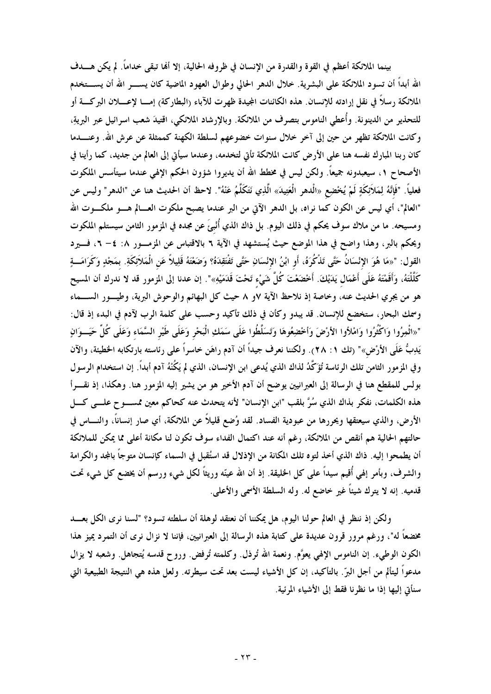بينما الملائكة أعظم في القوة والقدرة من الإنسان في ظروفه الحالية، إلا ألها تبقى حداماً. لم يكن هـــدف الله أبداً أن تسود الملائكة على البشرية. خلال الدهر الحالي وطوال العهود الماضية كان يســــر الله أن يســـتخدم الملائكة رسلاً في نقل إرادته للإنسان. هذه الكائنات المجيدة ظهرت للآباء (البطاركة) إمــــا لإعــــــلان البركــــة أو للتحذير من الدينونة. وأُعطى الناموس بتصرف من الملائكة. وبالإرشاد الملائكي، اقتيدَ شعب اسرائيل عبر البريةِ، وكانت الملائكة تظهر من حين إلى آخر خلال سنوات خضوعهم لسلطة الكهنة كممثلة عن عرش الله. وعنــــدما كان ربنا المبارك نفسه هنا على الأرض كانت الملائكة تأتي لتخدمه، وعندما سيأتي إلى العالم من جديد، كما رأينا في الأصحاح ١، سيعبدونه جميعاً. ولكن ليس في مخطط الله أن يديروا شؤون الحكم الإلهي عندما سيتأسس الملكوت فعلياً. "فَإِنَّهُ لِمَلاَئِكَةٍ لَمْ يُخْضِع «الْدهر الْعَتِيدَ» الَّذِي نَتَكَلَّمُ عَنْهُ". لاحظ أن الحديث هنا عن "الدهر" وليس عن "العالم"، أي ليس عن الكون كما نراه، بل الدهر الآتي من البر عندما يصبح ملكوت العـــالم هــــو ملكــــوت الله ومسيحه. ما من ملاك سوف يحكم في ذلك اليوم. بل ذاك الذي أُنْبيَ عن مجده في المزمور الثامن سيستلم الملكوت ويحكم بالبر، وهذا واضح في هذا الموضع حيث يُستشهد في الآية ٦ بالاقتباس عن المزمـــور ٨: ٤– ٦، فـــيرد القول: "«مَا هُوَ الإِنْسَانُ حَتَّى تَذْكُرَهُ، أَو ابْنُ الإِنْسَانِ حَتَّى تَفْتَقِدَهُ؟ وَضَعْتَهُ قَلِيلاً عَن الْمَلاَئِكَةِ. بمَجْدٍ وَكَرَامَـــةٍ كَلّْلْتَهُ، وَأَقَمْتَهُ عَلَى أَعْمَال يَدَيْكَ. أَخْضَعْتَ كُلّْ شَيْء تَحْتَ قَدَمَيْهِ»". إن عدنا إلى المزمور قد لا ندرك أن المسيح هو من يجري الحديث عنه، وخاصة إذ نلاحظ الآية ٧و ٨ حيث كل البهائم والوحوش البرية، وطيـــور الســــماء وسمك البحار، ستخضع للإنسان. قد يبدو وكأن في ذلك تأكيد وحسب على كلمة الرب لآدم في البدء إذ قال: "«اثْمِرُوا وَاكْثُرُوا وَامْلأوا الأرْضَ وَأحْضِعُوهَا وَتَسَلَّطُوا عَلَى سَمَكِ الْبَحْرِ وَعَلَى طَيْر السَّمَاء وَعَلَى كُلِّ حَيَــوَانٍ يَدِبُّ عَلَى الأرْضِ»" (تك ١: ٢٨). ولكننا نعرف جيداً أن آدم راهَن خاسراً على رئاسته بارتكابه الخطيئة، والآن وفي المزمور الثامن تلك الرئاسة تُؤَكَّدُ لذاك الذي يُدعى ابن الإنسان، الذي لم يَكُنْهُ آدم أبداً. إن استخدام الرسول بولس للمقطع هنا في الرسالة إلى العبرانيين يوضح أن آدم الأخير هو من يشير إليه المزمور هنا. وهكذا، إذ نقـــرأ هذه الكلمات، نفكر بذاك الذي سُرَّ بلقب "ابن الإنسان" لأنه يتحدث عنه كحاكم معين ممســـوح علــــى كــــل الأرض، والذي سيعتقها ويحررها من عبودية الفساد. لقد وُضع قليلاً عن الملائكة، أي صار إنساناً، والنـــاس في حالتهم الحالية هم أنقص من الملائكة، رغم أنه عند اكتمال الفداء سوف تكون لنا مكانة أعلى مما يمكن للملائكة أن يطمحوا إليه. ذاك الذي أخذ لتوه تلك المكانة من الإذلال قد استُقبل في السماء كإنسان متوجًا بالمجد والكرامة والشرف، وبأمر إلهي أُقيم سيداً على كل الحليقة. إذ أن الله عينّه وريثاً لكل شيء ورسم أن يخضع كل شيء تحت قدميه. إنه لا يترك شيئاً غير خاضع له. وله السلطة الأسمى والأعلى.

ولكن إذ ننظر في العالم حولنا اليوم، هل يمكننا أن نعتقد لوهلة أن سلطته تسود؟ "لسنا نرى الكل بعـــد مخضعاً له"، ورغم مرور قرون عديدة على كتابة هذه الرسالة إلى العبرانيين، فإننا لا نزال نرى أن التمرد يميز هذا الكون الوطيء. إن الناموس الإلهي يعوَّم. ونعمة الله تُرذل. وكلمته تُرفض. وروح قدسه يُتجاهل. وشعبه لا يزال مدعواً ليتألم من أجل البرّ . بالتأكيد، إن كل الأشياء ليست بعد تحت سيطرته. ولعل هذه هي النتيجة الطبيعية التي سنأتي إليها إذا ما نظرنا فقط إلى الأشياء المرئية.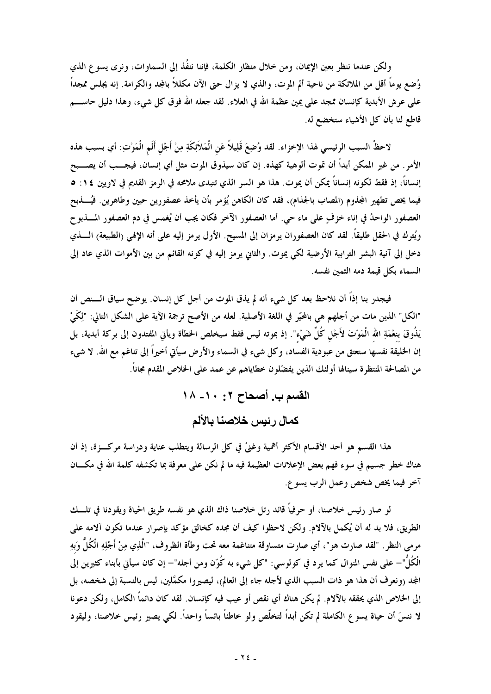ولكن عندما ننظر بعين الإيمان، ومن خلال منظار الكلمة، فإننا ننفُذ إلى السماوات، ونرى يسوع الذي وُضع يوماً أقل من الملائكة من ناحية ألم الموت، والذي لا يزال حتى الآن مكللاً بالمجد والكرامة. إنه يجلس ممجداً على عرش الأبدية كإنسان ممجد على يمين عظمة الله في العلاء. لقد جعله الله فوق كل شيء، وهذا دليل حاســــم قاطع لنا بأن كل الأشياء ستخضع له.

لاحظْ السبب الرئيسي لهذا الإخزاء. لقد وُضِعَ قَلِيلاً عَنِ الْمَلاَئِكَةِ مِنْ أَجْلِ أَلَمِ الْمَوْتِ: أي بسبب هذه الأمر. من غير الممكن أبداً أن تموت ألوهية كهذه. إن كان سيذوق الموت مثل أي إنسان، فيجـــب أن يصـــبح إنساناً، إذ فقط لكونه إنساناً يمكن أن يموت. هذا هو السر الذي تتبدى ملامحه في الرمز القديم في لاويين ١٤: ٥ فيما يخص تطهير المجذوم (المصاب بالجذام)، فقد كان الكاهن يُؤمر بأن يأخذ عصفورين حيين وطاهرين. فيُـــذبح العصفور الواحدُ في إناء خزفٍ على ماء حي. أما العصفور الآخر فكان يجب أن يُغمس في دم العصفور المسذبوح ويُترك في الحقل طليقاً. لقد كان العصفوران يرمزان إلى المسيح. الأول يرمز إليه على أنه الإلهي (الطبيعة) الــــذي دخل إلى آنية البشر الترابية الأرضية لكي يموت. والثاني يرمز إليه في كونه القائم من بين الأموات الذي عاد إلى السماء بكل قيمة دمه الثمين نفسه.

فيجدر بنا إذاً أن نلاحظ بعد كل شيء أنه لم يذق الموت من أجل كل إنسان. يوضح سياق الـــنص أن "الكل" الذين مات من أجلهم هي بالحَيّر في اللغة الأصلية. لعله من الأصح ترجمة الآية على الشكل التالي: "لِكَيْ يَذُوقَ بنعْمَةِ الله الْمَوْتَ لأَجْل كُلِّ شَيْء". إذ بموته ليس فقط سيخلص الخطأة ويأتي المفتدون إلى بركة أبدية، بل إن الحليقة نفسها ستعتق من عبودية الفساد، وكل شيء في السماء والأرض سيأتي أخيراً إلى تناغم مع الله. لا شيء من المصالحة المنتظرة سينالها أولئك الذين يفضّلون خطاياهم عن عمد على الخلاص المقدم مجاناً.

> القسم ب. أصحاح ٢: ١٠- ١٨ كمال رئيس خلاصنا بالألم

هذا القسم هو أحد الأقسام الأكثر أهمية وغنيَّ في كل الرسالة ويتطلب عناية ودراسة مركـــزة، إذ أن هناك خطر جسيم في سوء فهم بعض الإعلانات العظيمة فيه ما لم نكن على معرفة بما تكشفه كلمة الله في مكـــان .<br>آخر فيما يخص شخص وعمل الرب يسو ع.

لو صار رئيس خلاصنا، أو حرفياً قائد رتل خلاصنا ذاك الذي هو نفسه طريق الحياة ويقودنا في تلــك الطريق، فلا بد له أن يُكمل بالآلام. ولكن لاحظوا كيف أن مجده كخالق مؤكد بإصرار عندما تكون آلامه على مرمى النظر . "لقد صارت هو "، أي صارت متساوقة متناغمة معه تحت وطأة الظروف، "الَّذِي مِنْ أَجْلِهِ الْكُلَّ وَبِهِ الْكُلُّ"– علمي نفس المنوال كما يود في كولوسي: "كل شيء به كُوّن ومن أجله"– إن كان سيأتي بأبناء كثيرين إلى المجد (ونعرف أن هذا هو ذات السبب الذي لأجله جاء إلى العالم)، ليصيروا مكمَّلين، ليس بالنسبة إلى شخصه، بل إلى الخلاص الذي يحققه بالآلام. لم يكن هناك أي نقص أو عيب فيه كإنسان. لقد كان دائماً الكامل، ولكن دعونا لا ننسَ أن حياة يسو ع الكاملة لم تكن أبداً لتخلَّص ولو خاطئاً بائساً واحداً. لكي يصير رئيس خلاصنا، وليقود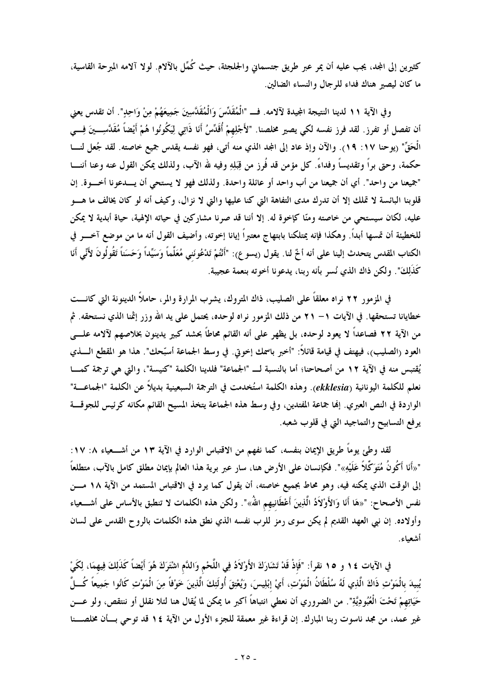كثيرين إلى المجد، يجب عليه أن يمر عبر طريق جتسمانى والجلجثة، حيث كُمِّل بالآلام. لولا آلامه المبرحة القاسية، ما كان ليصير هناك فداء للرجال والنساء الضالين.

و في الآية ١١ لدينا النتيجة المجيدة لآلامه. فــ "الْمُقَدِّسَ وَالْمُقَدَّسِينَ جَمِيعَهُمْ مِنْ وَاحِدِ". أن تقدس يعني أن تفصل أو تفرز. لقد فرز نفسه لكي يصير مخلصنا. "لأَجْلِهمْ أُقَدِّسُ أَنَا ذَاتِي لِيَكُونُوا هُمْ أَيْضاً مُقَدَّسِـــينَ فِـــي الْحَقِّ" (يوحنا ١٧: ١٩). والآن وإذ عاد إلى المجد الذي منه أتى، فهو نفسه يقدس جميع خاصته. لقد جُعل لنسا حكمة، وحتى براً وتقديساً وفداءً. كل مؤمن قد فُرز من قِبَلِهِ وفيه لله الآب، ولذلك يمكن القول عنه وعنا أننـــا "جميعنا من واحد". أي أن جميعنا من أب واحد أو عائلة واحدة. ولذلك فهو لا يستحي أن يـــدعونا أخـــوة. إن قلوبنا البائسة لا تملك إلا أن تدرك مدى التفاهة التي كنا عليها والتي لا نزال، وكيف أنه لو كان يخالف ما هــــو عليه، لكان سيستحي من خاصته ومنّا كإخوة له. إلا أننا قد صرنا مشاركين في حياته الإلهية، حياة أبدية لا يمكن للخطيئة أن تمسها أبداً. وهكذا فإنه يمتلكنا بابتهاج معتبراً إيانا إخوته، وأضيف القول أنه ما من موضع آخـــر في الكتاب المقدس يتحدث إلينا على أنه أخٌ لنا. يقول (يسوع): "أَنْتُمْ تَدْعُونَنى مُعَلِّماً وَسَيِّداً وَحَسَناً تَقُولُونَ لأَنّى أَنَا كَذَلِكَ". ولكن ذاك الذي نُسر بأنه ربنا، يدعونا أخوته بنعمة عجيبة.

في المزمور ٢٢ نراه معلقاً على الصليب، ذاك المتروك، يشرب المرارة والمر، حاملاً الدينونة التي كانـــت خطايانا تستحقها. في الآيات ١– ٢١ من ذلك المزمور نراه لوحده، يحتمل على يد الله وزر إثمنا الذي نستحقه. ثم من الآية ٢٢ فصاعداً لا يعود لوحده، بل يظهر على أنه القائم محاطاً بحشد كبير يدينون بخلاصهم لآلامه علــــى العود (الصليب)، فيهتف في قيامة قائلاً: "أخبر باسمك إخوتي. في وسط الجماعة أسبّحك". هذا هو المقطع الــــذي يُقتبس منه في الآية ١٢ من أصحاحنا؛ أما بالنسبة لــ "الجماعة" فلدينا الكلمة "كنيسة"، والتي هي ترجمة كمـــا نعلم للكلمة اليونانية (ekklesia). وهذه الكلمة استُخدمت في الترجمة السبعينية بديلاً عن الكلمة "الجماعـــة" الواردة في النص العبري. إنها جماعة المفتدين، وفي وسط هذه الجماعة يتخذ المسيح القائم مكانه كرئيس للجوقـــة يرفع التسابيح والتماجيد التي في قلوب شعبه.

لقد وطئ يوماً طريق الإيمان بنفسه، كما نفهم من الاقتباس الوارد في الآية ١٣ من أشــــعياء ٨: ١٧: "«أَنَا أَكُونُ مُتَوَكِّلاً عَلَيْهِ»". فكإنسان على الأرض هنا، سار عبر برية هذا العالم بإيمان مطلق كامل بالآب، متطلعاً إلى الوقت الذي يمكنه فيه، وهو محاط بجميع خاصته، أن يقول كما يرد في الاقتباس المستمد من الآية ١٨ مـــن نفس الأصحاح: "«هَا أَنَا وَالأَوْلاَدُ الَّذِينَ أَعْطَانِيهم اللهُ»". ولكن هذه الكلمات لا تنطبق بالأساس على أشـــعياء وأولاده. إن نبي العهد القديم لم يكن سوى رمز للرب نفسه الذي نطق هذه الكلمات بالروح القدس على لسان أشعباء.

في الآيات ١٤ و ١٥ نقرأ: "فَإِذْ قَدْ تَشَارَكَ الأَوْلاَدُ فِي اللَّحْمِ وَاللَّم اشْتَرَكَ هُوَ أَيْضاً كَذَلِكَ فِيهمَا، لِكَيْ يُبيدَ بالْمَوْتِ ذَاكَ الَّذِي لَهُ سُلْطَانُ الْمَوْتِ، أَيْ إبْلِيسَ، وَيُعْتِقَ أُولَئِكَ الَّذِينَ خَوْفاً مِنَ الْمَوْتِ كَانُوا جَمِيعاً كُـــلَّ حَيَاتِهِمْ تَحْتَ الْعُبُودِيَّةِ". من الضروري أن نعطي انتباهاً أكبر ما يمكن لما يُقال هنا لئلا نقلل أو ننتقص، ولو عـــن غير عمد، من مجد ناسوت ربنا المبارك. إن قراءة غير معمقة للجزء الأول من الآية ١٤ قد توحي بسأن مخلصسنا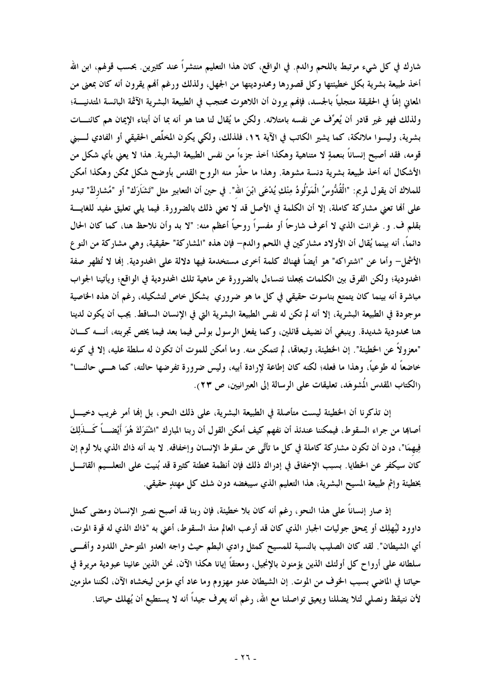شارك في كل شيء مرتبط باللحم والدم. في الواقع، كان هذا التعليم منتشراً عند كثيرين. بحسب قولهم، ابن الله أخذ طبيعة بشرية بكل خطيئتها وكل قصورها ومحدوديتها من الجهل، ولذلك ورغم أفمم يقرون أنه كان بمعنى من المعاني إلهاً في الحقيقة متجلياً بالجسد، فإنهم يرون أن اللاهوت محتجب في الطبيعة البشرية الآثمة البائسة المتدنيــــة؛ ولذلك فهو غير قادر أن يُعرِّف عن نفسه بامتلائه. ولكن ما يُقال لنا هنا هو أنه بما أن أبناء الإيمان هم كائنـــات بشرية، وليسوا ملائكة، كما يشير الكاتب في الآية ١٦، فلذلك، ولكي يكون المخلِّص الحقيقي أو الفادي لـــبني قومه، فقد أصبح إنساناً بنعمةٍ لا متناهية وهكذا أخذ جزءاً من نفس الطبيعة البشرية. هذا لا يعنى بأي شكل من الأشكال أنه أخذ طبيعة بشرية دنسة مشوهة. وهذا ما حذَّر منه الروح القدس بأوضح شكل ممكن وهكذا أمكن للملاك أن يقول لمريم: "الْقُدُّوسُ الْمَوْلُودُ مِنْكِ يُدْعَى ابْنَ الله". في حين أن التعابير مثل "تَشَارَك" أو "مُشاركٌ" تبدو على ألها تعني مشاركة كاملة، إلا أن الكلمة في الأصل قد لا تعني ذلك بالضرورة. فيما يلي تعليق مفيد للغايـــة بقلم ف. و. غرانت الذي لا أعرف شارحاً أو مفسراً روحياً أعظم منه: "لا بد وأن نلاحظ هنا، كما كان الحال دائماً، أنه بينما يُقال أن الأولاد مشاركين في اللحم والدم– فإن هذه "المشاركة" حقيقية، وهي مشاركة من النو ع الأشمل– وأما عن "اشتراكه" هو أيضاً فهناك كلمة أخرى مستخدمة فيها دلالة على المحدودية. إنما لا تُظهر صفة المحدودية؛ ولكن الفرق بين الكلمات يجعلنا نتساءل بالضرورة عن ماهية تلك المحدودية في الواقع؛ ويأتينا الجواب مباشرة أنه بينما كان يتمتع بناسوت حقيقي في كل ما هو ضروري بشكل خاص لتشكيله، رغم أن هذه الخاصية موجودة في الطبيعة البشرية، إلا أنه لم تكن له نفس الطبيعة البشرية التي في الإنسان الساقط. يجب أن يكون لدينا هنا محدودية شديدة. وينبغي أن نضيف قائلين، وكما يفعل الرسول بولس فيما بعد فيما يخص تجربته، أنــــه كــــان "معزولاً عن الخطيئة". إن الخطيئة، وتبعالها، لم تتمكن منه. وما أمكن للموت أن تكون له سلطة عليه، إلا في كونه خاضعاً له طوعياً، وهذا ما فعله؛ لكنه كان إطاعة لإرادة أبيه، وليس ضرورة تفرضها حالته، كما هــــى حالنــــا" (الكتاب المقدس المُشوهَد، تعليقات على الرسالة إلى العبرانيين، ص ٢٣).

إن تذكرنا أن الخطيئة ليست متأصلة في الطبيعة البشرية، على ذلك النحو ، بل إنها أمر غريب دخيــــل أصابما من جراء السقوط، فيمكننا عندئذ أن نفهم كيف أمكن القول أن ربنا المبارك "اشْتَرَكَ هُوَ أَيْضـــاً كَـــذَلِكَ فِيهِمَا"، دون أن تكون مشاركة كاملة في كل ما تأتَّى عن سقوط الإنسان وإخفاقه. لا بد أنه ذاك الذي بلا لوم إن كان سيكفر عن الخطايا. بسبب الإخفاق في إدراك ذلك فإن أنظمة مخطئة كثيرة قد بُنيت على التعلـــيم القائــــل بخطيئة وإثم طبيعة المسيح البشرية، هذا التعليم الذي سيبغضه دون شك كل مهتلٍ حقيقي.

إذ صار إنساناً على هذا النحو، رغم أنه كان بلا خطيئة، فإن ربنا قد أصبح نصير الإنسان ومضى كمثل داوود ليُهلِك أو يمحق جوليات الجبار الذي كان قد أرعب العالم منذ السقوط، أعنى به "ذاك الذي له قوة الموت، أي الشيطان". لقد كان الصليب بالنسبة للمسيح كمثل وادي البطم حيث واجه العدو المتوحش اللدود وأفمــي سلطانه على أرواح كل أولئك الذين يؤمنون بالإنجيل، ومعتقاً إيانا هكذا الآن، نحن الذين عانينا عبودية مريرة في حياتنا في الماضي بسبب الخوف من الموت. إن الشيطان عدو مهزوم وما عاد أي مؤمن ليخشاه الآن، لكننا ملزمين لأن نتيقظ ونصلي لئلا يضللنا ويعيق تواصلنا مع الله، رغم أنه يعرف جيداً أنه لا يستطيع أن يُهلك حياتنا.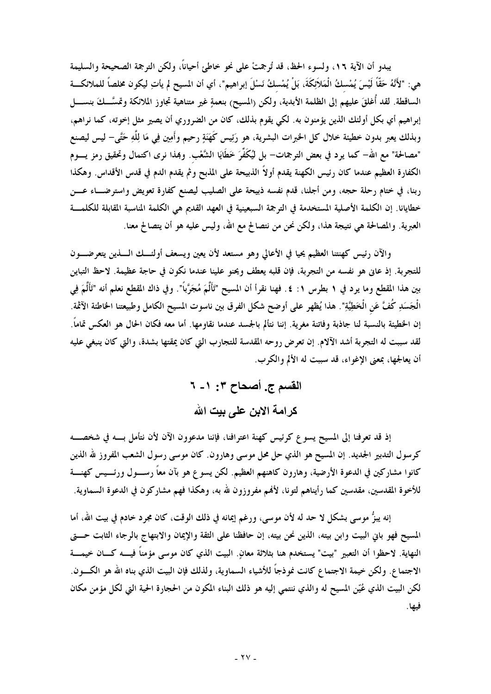يبدو أن الآية ١٦، ولسوء الحظ، قد تُرجمتْ على نحو خاطئ أحياناً، ولكن الترجمة الصحيحة والسليمة هي: "لأَنَّهُ حَقًّا لَيْسَ يُمْسكُ الْمَلاَئِكَةَ، بَلْ يُمْسكُ نَسْلَ إبراهيم"، أي أن المسيح لم يأتِ ليكون مخلصاً للملائكـــة الساقطة. لقد أُغلقَ عليهم إلى الظلمة الأبدية، ولكن (المسيح) بنعمةٍ غير متناهية تجاوز الملائكة وتمسَّــكَ بنســــل إبراهيم أي بكل أولئك الذين يؤمنون به. لكي يقوم بذلك، كان من الضروري أن يصير مثل إخوته، كما نراهم، وبذلك يعبر بدون خطيئة خلال كل الخبرات البشرية، هو رَئِيس كَهَنَةٍ رحيم وأَمِين فِي مَا لِلَّهِ حَتَّى– ليس ليصنع "مصالحة" مع الله– كما يرد في بعض الترجمات– بل ليُكَفِّرَ خَطَايَا الشَّعْب. وبمذا نرى اكتمال وتحقيق رمز يــــوم الكفارة العظيم عندما كان رئيس الكهنة يقدم أولاً الذبيحة على المذبح وثم يقدم الدم في قدس الأقداس. وهكذا ربنا، في ختام رحلة حجه، ومن أجلنا، قدم نفسه ذبيحة على الصليب ليصنع كفارة تعويض واسترضــاء عـــن خطايانا. إن الكلمة الأصلية المستخدمة في الترجمة السبعينية في العهد القديم هي الكلمة المناسبة المقابلة للكلمـــة العبرية. والمصالحة هي نتيجة هذا، ولكن نحن من نتصالح مع الله، وليس عليه هو أن يتصالح معنا.

والآن رئيس كهنتنا العظيم يحيا في الأعالى وهو مستعد لأن يعين ويسعف أولئـــك الــــذين يتعرضــــون للتجربة. إذ عاني هو نفسه من التجربة، فإن قلبه يعطف ويحنو علينا عندما نكون في حاجة عظيمة. لاحظ التباين بين هذا المقطع وما يرد في ١ بطرس ١: ٤. فهنا نقرأ أن المسيح "تَأَلَّمَ مُجَرَّباً". وفي ذاك المقطع نعلم أنه "تَأَلَّمَ فِي الْجَسَدِ كُفَّ عَنِ الْخَطِيَّةِ". هذا يُظهر على أوضح شكل الفرق بين ناسوت المسيح الكامل وطبيعتنا الخاطئة الآثمة. إن الخطيئة بالنسبة لنا جاذبة وفاتنة مغرية. إننا نتألم بالجسد عندما نقاومها. أما معه فكان الحال هو العكس تماماً. لقد سببت له التجربة أشد الآلام. إن تعرض روحه المقدسة للتجارب التي كان يمقتها بشدة، والتي كان ينبغي عليه أن يعالجها، بمعنى الإغواء، قد سببت له الألم والكرب.

> القسم ج. أصحاح ٣: ١- ٦ كر امة الابن على بيت الله

إذ قد تعرفنا إلى المسيح يسوع كرئيس كهنة اعترافنا، فإننا مدعوون الآن لأن نتأمل بسه في شخصــــه كرسول التدبير الجديد. إن المسيح هو الذي حل محل موسى وهارون. كان موسى رسول الشعب المفروز لله الذين كانوا مشاركين في الدعوة الأرضية، وهارون كاهنهم العظيم. لكن يسوع هو بآن معاً رســـول ورئــــيس كهنــــة للأخوة المقدسين، مقدسين كما رأيناهم لتونا، لأفمم مفروزون لله به، وهكذا فهم مشاركون في الدعوة السماوية.

إنه يبزُّ موسى بشكل لا حد له لأن موسى، ورغم إيمانه في ذلك الوقت، كان مجرد خادم في بيت الله، أما المسيح فهو باني البيت وابن بيته، الذين نحن بيته، إن حافظنا على الثقة والإيمان والابتهاج بالرجاء الثابت حــــتي النهاية. لاحظوا أن التعبير "بيت" يستخدم هنا بثلاثة معانٍ. البيت الذي كان موسى مؤمناً فيــــه كــــان خيمــــة الاجتماع. ولكن خيمة الاجتماع كانت نموذجاً للأشياء السماوية، ولذلك فإن البيت الذي بناه الله هو الكسون. لكن البيت الذي عُيّن المسيح له والذي ننتمي إليه هو ذلك البناء المكون من الحجارة الحية التي لكل مؤمن مكان فيها.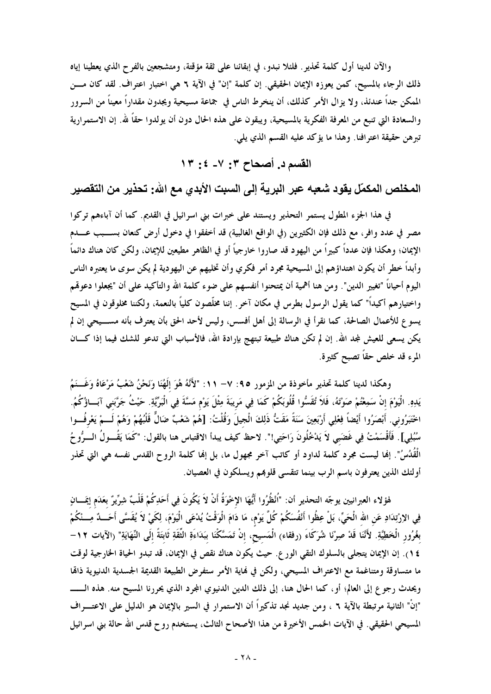والآن لدينا أول كلمة تحذير . فلئلا نبدو ، في إبقائنا على ثقة مؤقتة، ومتشجعين بالفر ح الذي يعطينا إياه ذلك الرجاء بالمسيح، كمن يعوزه الإيمان الحقيقي. إن كلمة "إن" في الآية ٦ هي اختبار اعتراف. لقد كان مـــن الممكن جداً عندئذ، ولا يزال الأمر كذلك، أن ينخرط الناس في جماعة مسيحية ويجدون مقداراً معيناً من السرور والسعادة التي تنبع من المعرفة الفكرية بالمسيحية، ويبقون على هذه الحال دون أن يولدوا حقاً لله. إن الاستمرارية تبرهن حقيقة اعترافنا. وهذا ما يؤكد عليه القسم الذي يلي.

القسم د. أصحاح ٣: ٧- ٤: ١٣

المخلص المكمّل يقود شعبه عبر البرية إلى السبت الأبدي مع الله: تحذير من التقصير

في هذا الجزء المطول يستمر التحذير ويستند على خبرات بني اسرائيل في القديم. كما أن آباءهم تركوا مصر في عدد وافر، مع ذلك فإن الكثيرين (في الواقع الغالبية) قد أخفقوا في دخول أرض كنعان بســـبب عــــدم الإيمان؛ وهكذا فإن عدداً كبيراً من اليهود قد صاروا خارجياً أو في الظاهر مطيعين للإيمان، ولكن كان هناك دائماً وأبداً خطر أن يكون اهتداؤهم إلى المسيحية مجرد أمر فكري وأن تخليهم عن اليهودية لم يكن سوى ما يعتبره الناس اليوم أحياناً "تغيير الدين". ومن هنا أهمية أن يمتحنوا أنفسهم على ضوء كلمة الله والتأكيد على أن "يجعلوا دعوقمم واختيارهم أكيداً" كما يقول الرسول بطرس في مكان آخر . إننا مخلَّصون كليَّا بالنعمة، ولكننا مخلوقون في المسيح يسوع للأعمال الصالحة، كما نقرأ في الرسالة إلى أهل أفسس، وليس لأحد الحق بأن يعترف بأنه مســـيحي إن لم يكن يسعى للعيش لمجد الله. إن لم تكن هناك طبيعة تبتهج بإرادة الله، فالأسباب التي تدعو للشك فيما إذا كـــان المرء قد خلص حقاً تصبح كثيرة.

وهكذا لدينا كلمة تحذير مأخوذة من المزمور ٩٥: ٧– ١١: "لأَنَّهُ هُوَ إِلَهُنَا وَنَحْنُ شَعْبُ مَرْعَاهُ وَغَــنَمُ يَدِهِ. الْيَوْمَ إنْ سَمِعْتُمْ صَوْتَهُ، فَلاَ تُقَسُّوا قُلُوبَكُمْ كَمَا فِي مَرِيبَةَ مِثْلَ يَوْم مَسَّةَ فِي الْبَرِّيَّةِ. حَيْثُ جَرَّبَنى آبَـاؤُكُمُ. اخْتَبَرُوني. أَبْصَرُوا أَيْضاً فِعْلِي أَرْبَعِينَ سَنَةً مَقَتُّ ذَلِكَ الْجيلَ وَقُلْتُ: [هُمْ شَعْبٌ ضَالٌ قَلْبُهُمْ وَهُمْ لَـــمْ يَعْرفُـــوا سُبُلِي] . فَأَقْسَمْتُ فِي غَضَبِي لاَ يَدْخُلُونَ رَاحَتِي!". لاحظ كيف يبدأ الاقتباس هنا بالقول: "كَمَا يَقُــولُ الـــرُّوحُ الْقَدُسُ". إِنَّما ليست مجرد كلمة لداود أو كاتب آخر مجهول ما، بل إِنَّما كلمة الروح القدس نفسه هي التي تحذر أولئك الذين يعترفون باسم الرب بينما تتقسى قلوبمم ويسلكون في العصيان.

هْوْلاء العبرانيين يوجّه التحذير أن: "اُنْظُرُوا أَيُّهَا الإخْوَةُ أَنْ لاَ يَكُونَ فِي أَحَدِكُمْ قَلْبٌ شِرِّيرٌ بعَدَم إيمَـــانٍ فِي الإرْتِدَادِ عَن الله الْحَيِّ، بَلْ عِظُوا أَنْفُسَكُمْ كُلَّ يَوْم، مَا دَامَ الْوَقْتُ يُدْعَى الْيَوْمَ، لِكَيْ لاَ يُقَسَّى أَحَـــدٌ مِـــنْكُمْ بغُرُور الْخَطِيَّةِ. لأَنَّنَا قَدْ صِرْنَا شُرَكَاءَ (رفقاء) الْمَسيحُ، إنْ تَمَسَّكْنَا ببَدَاءَةِ الثِّقَةِ ثَابتَةً إلَى النِّهَايَةِ" (الآيات ١٢– ١٤). إن الإيمان يتجلى بالسلوك التقى الورع. حيث يكون هناك نقص في الإيمان، قد تبدو الحياة الخارجية لوقت ما متساوقة ومتناغمة مع الاعتراف المسيحي، ولكن في نماية الأمر ستفرض الطبيعة القديمة الجسدية الدنيوية ذامًا ويحدث رجوع إلى العالم؛ أو، كما الحال هنا، إلى ذلك الدين الدنيوي المجرد الذي يحررنا المسيح منه. هذه الـــــــــ "إنْ" الثانية مرتبطة بالآية ٦ ، ومن جديد نجد تذكيراً أن الاستمرار في السير بالإيمان هو الدليل على الاعتـــراف المسيحي الحقيقي. في الآيات الخمس الأخيرة من هذا الأصحاح الثالث، يستخدم روح قدس الله حالة بني اسرائيل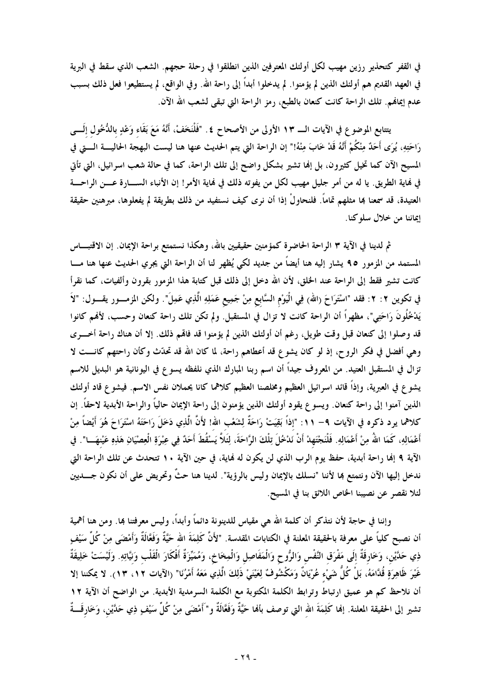في القفر كتحذير رزين مهيب لكل أولئك المعترفين الذين انطلقوا في رحلة حجهم. الشعب الذي سقط في البرية في العهد القديم هم أولئك الذين لم يؤمنوا. لم يدخلوا أبداً إلى راحة الله. وفي الواقع، لم يستطيعوا فعل ذلك بسبب عدم إيمالهم. تلك الراحة كانت كنعان بالطبع، رمز الراحة التي تبقى لشعب الله الآن.

يتتابع الموضوع في الآيات الــــ ١٣ الأولى من الأصحاح ٤. "فَلْنَخَفْ، أَنَّهُ مَعَ بَقَاء وَعْدٍ بالدُّخُول إلَـــى رَاحَتِهِ، يُرَى أَحَدٌ مِنْكُمْ أَنَّهُ قَدْ خَابَ مِنْهُ!" إن الراحة التي يتم الحديث عنها هنا ليست البهجة الحاليسة الستي في المسيح الآن كما تخيل كثيرون، بل إلها تشير بشكل واضح إلى تلك الراحة، كما في حالة شعب اسرائيل، التي تأتي في فماية الطريق. يا له من أمر جليل مهيب لكل من يفوته ذلك في فماية الأمر! إن الأنباء الســــارة عــــن الراحـــة العتيدة، قد سمعنا بما مثلهم تماماً. فلنحاولْ إذا أن نرى كيف نستفيد من ذلك بطريقة لم يفعلوها، مبرهنين حقيقة إيماننا من خلال سلوكنا.

ثم لدينا في الآية ٣ الراحة الحاضرة كمؤمنين حقيقيين بالله، وهكذا نستمتع براحة الإيمان. إن الاقتبـــاس المستمد من المزمور ٩٥ يشار إليه هنا أيضاً من جديد لكي يُظهر لنا أن الراحة التي يجري الحديث عنها هنا مـــا كانت تشير فقط إلى الراحة عند الخلق، لأن الله دخل إلى ذلك قبل كتابة هذا المزمور بقرون وألفيات، كما نقرأ في تكوين ٢: ٢: فقد "اسْتَوَاحَ (الله) فِي الْيَوْم السَّابع مِنْ جَمِيع عَمَلِهِ الَّذِي عَمِلَ". ولكن المزمـــور يقــــول: "لاَ يَدْخُلُونَ رَاحَتِي"، مظهراً أن الراحة كانت لا تزال في المستقبل. ولم تكن تلك راحة كنعان وحسب، لأفمم كانوا قد وصلوا إلى كنعان قبل وقت طويل، رغم أن أولئك الذين لم يؤمنوا قد فاقمم ذلك. إلا أن هناك راحة أخـــرى وهي أفضل في فكر الروح، إذ لو كان يشوع قد أعطاهم راحة، لما كان الله قد تحدَّث وكأن راحتهم كانـــت لا تزال في المستقبل العتيد. من المعروف جيداً أن اسم ربنا المبارك الذي نلفظه يسوع في اليونانية هو البديل للاسم يشوع في العبرية، وإذاً قائد اسرائيل العظيم ومخلصنا العظيم كلاهما كانا يحملان نفس الاسم. فيشوع قاد أولئك الذين آمنوا إلى راحة كنعان. ويسوع يقود أولئك الذين يؤمنون إلى راحة الإيمان حالياً والراحة الأبدية لاحقاً. إن كلاهما يرد ذكره في الآيات ٩– ١١: "إذاً بَقِيَتْ رَاحَةٌ لِشَعْبِ الله! لأَنَّ الَّذِي دَخَلَ رَاحَتَهُ اسْتَرَاحَ هُوَ أَيْضاً مِنْ أَعْمَالِهِ، كَمَا اللهُ مِنْ أَعْمَالِهِ. فَلْنَجْتَهِدْ أَنْ نَدْخُلَ تِلْكَ الرَّاحَةَ، لِثَلاَّ يَسْقُطَ أَحَدٌ فِى عِبْرَةِ الْعِصْيَانِ هَذِهِ عَيْنهَـــا". في الآية ٩ إنها راحة أبدية، حفظ يوم الرب الذي لن يكون له نماية، في حين الآية ١٠ تتحدث عن تلك الراحة التي ندخل إليها الآن ونتمتع بما لأننا "نسلك بالإيمان وليس بالرؤية". لدينا هنا حثٌ وتحريض على أن نكون جــــديين لئلا نقصر عن نصيبنا الخاص اللائق بنا في المسيح.

وإننا في حاجة لأن نتذكر أن كلمة الله هي مقياس للدينونة دائماً وأبداً، وليس معرفتنا بما. ومن هنا أهمية أن نصبح كلياً على معرفة بالحقيقة المعلنة في الكتابات المقدسة. "لأَنَّ كَلِمَةَ الله حَيَّةٌ وَفَعَالَةٌ وَأمْضَى مِنْ كُلِّ سَيْفٍ ذِي حَدَّيْنِ، وَخَارِقَةٌ إلَى مَفْرَق النَّفْس وَالرُّوح وَالْمَفَاصِل وَالْمِخَاخِ، وَمُمَيِّزَةٌ أَفْكَارَ الْقَلْب وَنيَّاتِهِ. وَلَيْسَتْ خَلِيقَةٌ غَيْرَ ظَاهِرَةٍ قُدَّامَهُ، بَلْ كُلَّ شَيْء عُرْيَانٌ وَمَكْشُوفٌ لِعَيْنَيْ ذَلِكَ الَّذِي مَعَهُ أَمْرُنَا" (الآيات ١٢، ١٣). لا يمكننا إلا أن نلاحظ كم هو عميق ارتباط وترابط الكلمة المكتوبة مع الكلمة السرمدية الأبدية. من الواضح أن الآية ١٢ تشير إلى الحقيقة المعلنة. إنما كَلِمَةَ الله التي توصف بأنما حَيَّةٌ وَفَعَّالَةٌ و"أَمْضَى مِنْ كُلِّ سَيْفٍ ذِي حَدَّيْن، وَخَارِقَــةٌ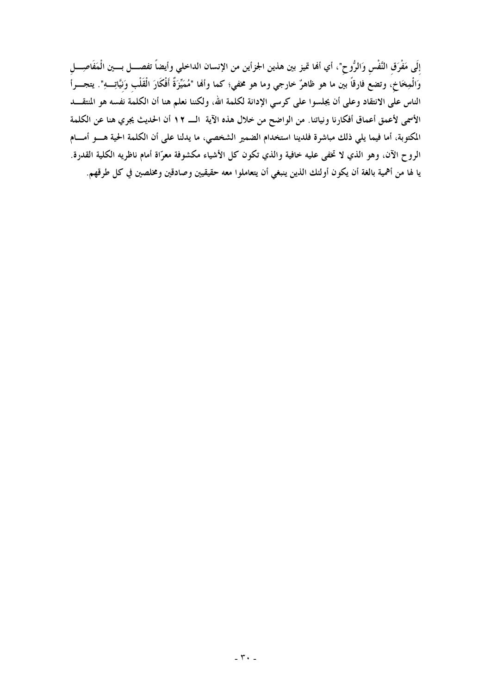إلَى مَفْرَق النَّفْس وَالرُّوح"، أي ألها تميز بين هذين الجزأين من الإنسان الداخلي وأيضاً تفصــــل بــــين الْمَفَاصِـــــل وَالْمِخَاخِ، وتضع فارقاً بين ما هو ظاهرٌ خارجي وما هو مخفي؛ كما وأفما "مُمَيِّزَةٌ أَفْكَارَ الْقَلْب وَنيَّاتِــهِ". يتجـــرأ الناس على الانتقاد وعلى أن يجلسوا على كرسي الإدانة لكلمة الله، ولكننا نعلم هنا أن الكلمة نفسه هو المنتقــــد الأسمى لأعمق أعماق أفكارنا ونياتنا. من الواضح من خلال هذه الآية الـــــ ١٢ أن الحديث يجري هنا عن الكلمة المكتوبة، أما فيما يلي ذلك مباشرة فلدينا استخدام الضمير الشخصي، ما يدلنا على أن الكلمة الحية هـــو أمـــام الروح الآن، وهو الذي لا تخفي عليه خافية والذي تكون كل الأشياء مكشوفة معرّاة أمام ناظريه الكلية القدرة. يا لها من أهمية بالغة أن يكون أولئك الذين ينبغي أن يتعاملوا معه حقيقيين وصادقين ومخلصين في كل طرقهم.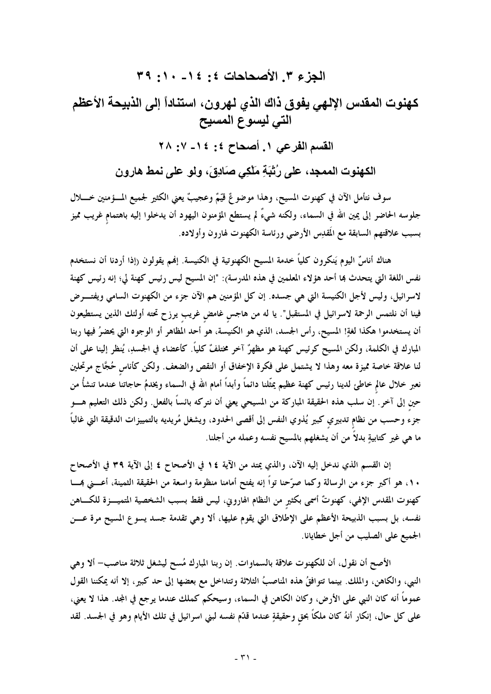الجزء ٣. الأصحاحات ٤: ١٤- ١٠: ٣٩ كهنوت المقدس الإلهي يفوق ذاك الذي لهرون، استناداً إلى الذبيحة الأعظم التي ليسوع المسيح القسم الفرعى ١. أصحاح ٤: ١٤- ٧: ٢٨ الكهنوت الممجد، على رُتْبَةِ مَلْكِي صَادِقَ، ولو على نمط هارون

سوف نتأمل الآن في كهنوت المسيح، وهذا موضوعٌ قيّمٌ وعجيبٌ يعني الكثير لجميع المـــؤمنين خـــــلال جلوسه الحاضر إلى يمين الله في السماء، ولكنه شيءٌ لم يستطع المؤمنون اليهود أن يدخلوا إليه باهتمام غريب مميز بسبب علاقتهم السابقة مع المقدِس الأرضى ورئاسة الكهنوت لهارون وأولاده.

هناك أناسٌ اليوم يَنكرون كليًّا خدمة المسيح الكهنوتية في الكنيسة. إفمم يقولون (إذا أردنا أن نستخدم نفس اللغة التي يتحدث ها أحد هؤلاء المعلمين في هذه المدرسة): "إن المسيح ليس رئيس كهنة لي؛ إنه رئيس كهنة لاسرائيل، وليس لأجل الكنيسة التي هي جسده. إن كل المؤمنين هم الآن جزء من الكهنوت السامي ويفتـــرض فينا أن نلتمس الرحمة لاسرائيل في المستقبل". يا له من هاجس غامض غريب يرزح تحته أولئك الذين يستطيعون أن يستخدموا هكذا لغةٍ! المسيح، رأس الجسد، الذي هو الكنيسة، هو أحد المظاهر أو الوجوه التي يحضرُ فيها ربنا المبارك في الكلمة، ولكن المسيح كرئيس كهنة هو مظهرٌ آخر مختلفٌ كلياً. كأعضاء في الجسدِ، يُنظر إلينا على أن لنا علاقة خاصة مميزة معه وهذا لا يشتمل على فكرة الإخفاق أو النقص والضعف. ولكن كأناس حُجَّاج مرتحلين نعبر خلال عالم خاطئ لدينا رئيس كهنة عظيم يمثِّلنا دائماً وأبداً أمام الله في السماء ويخدمُ حاجاتنا عندما تنشأُ من حين إلى آخر. إن سلب هذه الحقيقة المباركة من المسيحى يعنى أن نتركه بائساً بالفعل. ولكن ذلك التعليم هــــو جزء وحسب من نظام تدبيري كبير يُذوي النفس إلى أقصى الحدود، ويشغل مُريديه بالتمييزات الدقيقة التي غالباً ما هي غير كتابيةِ بدلاً من أن يشغلهم بالمسيح نفسه وعمله من أجلنا.

إن القسم الذي ندخل إليه الآن، والذي يمتد من الآية ١٤ في الأصحاح ٤ إلى الآية ٣٩ في الأصحاح ١٠، هو أكبر جزء من الرسالة وكما صرّحنا تواً إنه يفتح أمامنا منظومة واسعة من الحقيقة الثمينة، أعــــنى بمــــا كهنوت المقدس الإلهي، كهنوتٌ أسمى بكثير من النظام الهاروني، ليس فقط بسبب الشخصية المتميــــزة للكــــاهن نفسه، بل بسبب الذبيحة الأعظم على الإطلاق التي يقوم عليها، ألا وهي تقدمة جسد يسوع المسيح مرة عـــن الجميع على الصليب من أجل خطايانا.

الأصح أن نقول، أن للكهنوت علاقة بالسماوات. إن ربنا المبارك مُسح ليشغل ثلاثة مناصب– ألا وهي النبي، والكاهن، والملك. بينما تتوافقُ هذه المناصبُ الثلاثة وتتداخل مع بعضها إلى حد كبير، إلا أنه يمكننا القول عموماً أنه كان النبي على الأرض، وكان الكاهن في السماء، وسيحكم كملك عندما يرجع في المجد. هذا لا يعني، على كل حال، إنكار أنهُ كان ملكًا بحق وحقيقةٍ عندما قدّم نفسه لبنى اسرائيل في تلك الأيام وهو في الجسد. لقد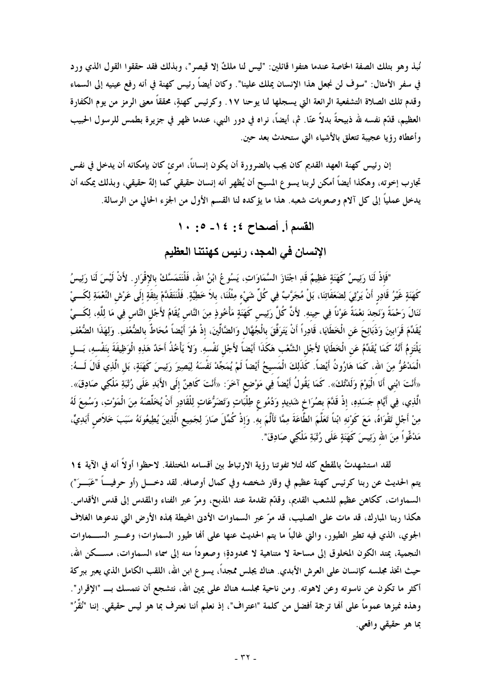نُبذ وهو بتلك الصفة الخاصة عندما هتفوا قائلين: "ليس لنا ملكٌ إلا قيصر"، وبذلك فقد حققوا القول الذي ورد في سفر الأمثال: "سوف لن نجعل هذا الإنسان يملك علينا". وكان أيضاً رئيس كهنة في أنه رفع عينيه إلى السماء وقدم تلك الصلاة التشفعية الرائعة التي يسجلها لنا يوحنا ١٧. وكرئيس كهنةٍ، محققاً معنى الرمز من يوم الكفارة العظيم، قدّم نفسه لله ذبيحةً بدلاً عنّا. ثم، أيضاً، نراه في دور النبي، عندما ظهر في جزيرة بطمس للرسول الحبيب وأعطاه رؤيا عجيبة تتعلق بالأشياء التي ستحدث بعد حين.

إن رئيس كهنة العهد القديم كان يجب بالضرورة أن يكون إنساناً، امرئ كان بإمكانه أن يدخل في نفس تجارب إخوته، وهكذا أيضاً أمكن لربنا يسوع المسيح أن يُظهر أنه إنسان حقيقي كما إلهٌ حقيقي، وبذلك يمكنه أن يدخل عملياً إلى كل آلام وصعوبات شعبه. هذا ما يؤكده لنا القسم الأول من الجزء الحالي من الرسالة.

### الإنسان في المجد، رئيس كهنتنا العظيم

"فَإِذْ لَنَا رَئِيسُ كَهَنَةٍ عَظِيمٌ قَدِ اجْتَازَ السَّمَاوَاتِ، يَسُوعُ ابْنُ الله، فَلْنَتَمَسَّكْ بالإقْرَار . لأَنْ لَيْسَ لَنَا رَئِيسُ كَهَنَةٍ غَيْرُ قَادِرٍ أَنْ يَرْثِيَ لِضَعَفَاتِنَا، بَلْ مُجَرَّبٌ فِي كُلِّ شَيْءٍ مِثْلُنَا، بلاَ خَطِيَّةٍ. فَلْنَتَقَدَّمْ بِثِقَةٍ إلَى عَرْش النِّعْمَةِ لِكَـــيْ نَنَالَ رَحْمَةً وَنَجْدَ نعْمَةً عَوْناً فِي حِينهِ. لأَنَّ كُلَّ رَئِيس كَهَنَةٍ مَأْخُوذٍ مِنَ النَّاسِ يُقَامُ لأَجْل النَّاس فِي مَا لِلَّهِ، لِكَــيْ يُقَدِّمَ قَرَابينَ وَذَبَائِحَ عَنِ الْخَطَايَا، قَادِراً أَنْ يَتَرَفَّقَ بالْجُهَّال وَالضَّالِّينَ، إذْ هُوَ أيْضاً مُحَاطٌّ بالضُّغفِ. وَلِهَذَا الضُّغفِ يَلْتَزِمُ أَنَّهُ كَمَا يُقَدِّمُ عَنِ الْخَطَايَا لأَجْلِ الشَّعْبِ هَكَذَا أَيْضاً لأَجْل نَفْسهِ. وَلاَ يَأْخُذُ أَحَدٌ هَذِهِ الْوَظِيفَةَ بَنَفْسهِ، بَـــل الْمَدْعُوُّ مِنَ اللهِ، كَمَا هَارُونُ أَيْضاً. كَذَلِكَ الْمَسيحُ أَيْضاً لَمْ يُمَجِّدْ نَفْسَهُ لِيَصِيرَ رَئِيسَ كَهَنَةٍ، بَل الَّذِي قَالَ لَـــهُ: «أَنْتَ ابْني أَنَا الْيَوْمَ وَلَدْتُكَ». كَمَا يَقُولُ أَيْضاً فِي مَوْضِع آخَرَ: «أَنْتَ كَاهِنٌ إلَى الأَبَدِ عَلَى رُثْبَةِ مَلْكِي صَادِقَ». الَّذِي، فِي أيَّام جَسَدِهِ، إذْ قَدَّمَ بصُرَاخٍ شَدِيدٍ وَدُمُوعٍ طِلْبَاتٍ وَتَضَرُّعَاتٍ لِلْقَادِرِ أَنْ يُخَلَّصَهُ مِنَ الْمَوْتِ، وَسُمِعَ لَهُ مِنْ أَجْلٍ تَقْوَاهُ، مَعَ كَوْنهِ ابْناً تَعَلَّمَ الطَّاعَةَ مِمَّا تَأَلَّمَ بهِ. وَإذْ كُمِّلَ صَارَ لِجَمِيعِ الَّذِينَ يُطِيعُونَهُ سَبَبَ خَلاَص أَبَدِيٍّ، مَدْغُواً مِنَ الله رَئِيسَ كَهَنَةٍ عَلَى رُتْبَةٍ مَلْكِي صَادِقَ".

لقد استشهدتُ بالمقطع كله لئلا تفوتنا رؤية الارتباط بين أقسامه المختلفة. لاحظوا أولاً أنه في الآية ١٤ يتم الحديث عن ربنا كرئيس كهنة عظيم في وقار شخصه وفي كمال أوصافه. لقد دخـــل (أو حرفيـــاً "عَبَـــوَ") السماوات، ككاهن عظيم للشعب القديم، وقدّم تقدمة عند المذبح، ومرّ عبر الفناء والمقدس إلى قدس الأقداس. هكذا ربنا المبارك، قد مات على الصليب، قد مرّ عبر السماوات الأدنى المحيطة بمذه الأرض التي ندعوها الغلاف الجوي، الذي فيه تطير الطيور، والتي غالباً ما يتم الحديث عنها على ألها طيور السماوات؛ وعــــبر الســــماوات النجمية، يمتد الكون المخلوق إلى مساحة لا متناهية لا محدودةٍ؛ وصعوداً منه إلى سماء السماوات، مســـكن الله، حيث اتخذ مجلسه كإنسان على العرش الأبدي. هناك يجلس ممجداً، يسوع ابن الله، اللقب الكامل الذي يعبر ببركة أكثر ما تكون عن ناسوته وعن لاهوته. ومن ناحية مجلسه هناك على يمين الله، نتشجع أن نتمسك بــ "الإقرار". وهذه نميزها عموماً على ألها ترجمة أفضل من كلمة "اعتراف"، إذ نعلم أننا نعترف بما هو ليس حقيقي. إننا "نُقِّرُ" بما هو حقيقي واقعي.

القسم أ. أصحاح ٤: ١٤- ٥: ١٠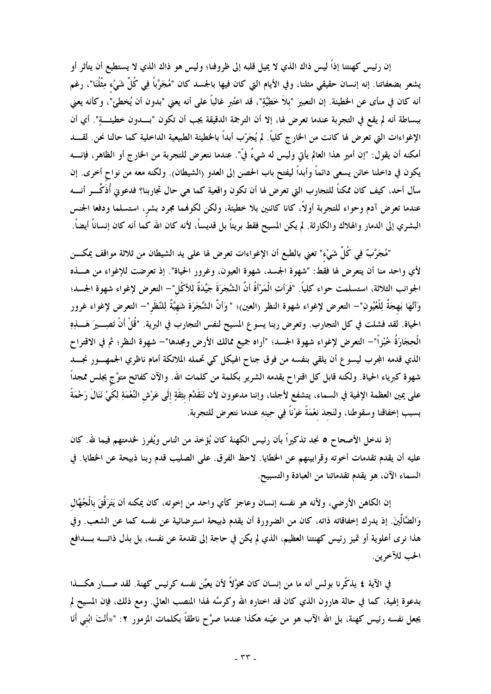إن رئيس كهنتنا إذاً ليس ذاك الذي لا يميل قلبه إلى ظروفنا؛ وليس هو ذاك الذي لا يستطيع أن يتأثر أو يشعر بضعفاتنا. إنه إنسان حقيقي مثلنا، وفي الأيام التي كان فيها بالجسد كان "مُجَرَّباً فِي كُلِّ شَيْء مِثْلُنَا"، رغم أنه كان في منأى عن الخطيئة. إن التعبير "بلاَ خَطِيَّةٍ"، قد اعتُبر غالباً على أنه يعني "بدون أن يُخطئ"، وكأنه يعني ببساطة أنه لم يقع في التجربة عندما تعرض لها، إلا أن الترجمة الدقيقة يجب أن تكون "بسدون خطيئة". أي أن الإغواءات التي تعرض لها كانت من الخارج كلياً. لم يُجَرّب أبداً بالحظيئة الطبيعية الداخلية كما حالنا نحن. لقــــد أمكنه أن يقول: "إن أمير هذا العالم يأتي وليس له شيءٌ فيّ". عندما نتعرض للتجربة من الخارج أو الظاهر، فإنـــــه يكون في داخلنا خائن يسعى دائماً وأبداً ليفتح باب الحصن إلى العدو (الشيطان). ولكنه معه من نواح أخرى. إن سأل أحد، كيف كان ممكناً للتجارب التي تعرض لها أن تكون واقعية كما هي حال تجاربنا؟ فدعوني أُذَكِّـــر أنــــه عندما تعرض آدم وحواء للتجربة أولاً، كانا كائنين بلا خطيئة، ولكن لكوفمما مجرد بشر، استسلما ودفعا الجنس البشري إلى الدمار والهلاك والكارثة. لم يكن المسيح فقط بريتاً بل قديساً، لأنه كان الله كما أنه كان إنساناً أيضاً.

"مُجَرَّبٌ فِي كُلِّ شَيْء" تعني بالطبع أن الإغواءات تعرض لها على يد الشيطان من ثلاثة مواقف يمكــــن لأي واحد منا أن يتعرض لها فقط: "شهوة الجسد، شهوة العيون، وغرور الحياة". إذ تعرضت للإغواء من هـــذه الجوانب الثلاثة، استسلمت حواء كلياً. "فَرَأتِ الْمَرْأَةُ أنَّ الشَّجَرَةَ جَيِّدَةٌ لِلأكْل"– التعرض لإغواء شهوة الجسد؛ وَأَنَّهَا بَهجَةٌ لِلْعُيُونِ"— التعرض لإغواء شهوة النظر (العين)؛ "وَأنَّ الشَّجَرَةَ شَهيَّةٌ لِلنّظَر"— التعرض لإغواء غرور الحياة. لقد فشلت في كل التجارب. وتعرض ربنا يسوع المسيح لنفس التجارب في البرية. "قُلْ أَنْ تَصِـــيرَ هَــــذِهِ الْحِجَارَةُ خُبْزاً"— التعرض لإغواء شهوة الجسد؛ "أراه جميع ممالك الأرض ومجدها"— شهوة النظر؛ ثم في الاقتراح الذي قدمه المجرب ليسوع أن يلقي بنفسه من فوق جناح الهيكل كي تحمله الملائكة أمام ناظري الجمهــــور نجـــــد شهوة كبرياء الحياة. ولكنه قابل كل اقتراح يقدمه الشرير بكلمة من كلمات الله. والآن كفاتح متوَّج يجلس ممجداً على يمين العظمة الإلهية في السماء، يتشفع لأجلنا، وإننا مدعوون لأن نَتَقَدَّم بثِقَةٍ إلَى عَرْش النِّعْمَةِ لِكَيْ نَنَالَ رَحْمَةً بسبب إخفاقنا وسقوطنا، ولنَجدَ نعْمَةً عَوْناً فِي حِينهِ عندما نتعرض للتجربة.

إذ ندخل الأصحاح ٥ نجد تذكيراً بأن رئيس الكهنة كان يُؤخذ من الناس ويُفرز لخدمتهم فيما لله. كان عليه أن يقدم تقدمات أخوته وقرابينهم عن الخطايا. لاحظ الفرق. على الصليب قدم ربنا ذبيحة عن الخطايا. في السماء الآن، هو يقدم تقدماتنا من العبادة والتسبيح.

إن الكاهن الأرضي، ولأنه هو نفسه إنسان وعاجز كأي واحد من إخوته، كان يمكنه أن يَتَرَفَّقَ بالْجُهَّال وَالضَّالِّينَ. إذ يدرك إخفاقاته ذاته، كان من الضرورة أن يقدم ذبيحة استرضائية عن نفسه كما عن الشعب. وفي هذا نرى أعلوية أو تميز رئيس كهنتنا العظيم، الذي لم يكن في حاجة إلى تقدمة عن نفسه، بل بذل ذاتــــه بــــدافع الحب للآخرين.

في الآية ٤ يذكّرنا بولس أنه ما من إنسان كان مخوَّلاً لأن يعيِّن نفسه كرئيس كهنة. لقد صـــار هكـــذا بدعوة إلهية، كما في حالة هارون الذي كان قد اختاره الله وكرسَّه لهذا المنصب العالى. ومع ذلك، فإن المسيح لم يجعل نفسه رئيس كهنة، بل الله الآب هو من عيّنه هكذا عندما صرَّح ناطقاً بكلمات المزمور ٢: "«أَنْتَ ابْني أَنَا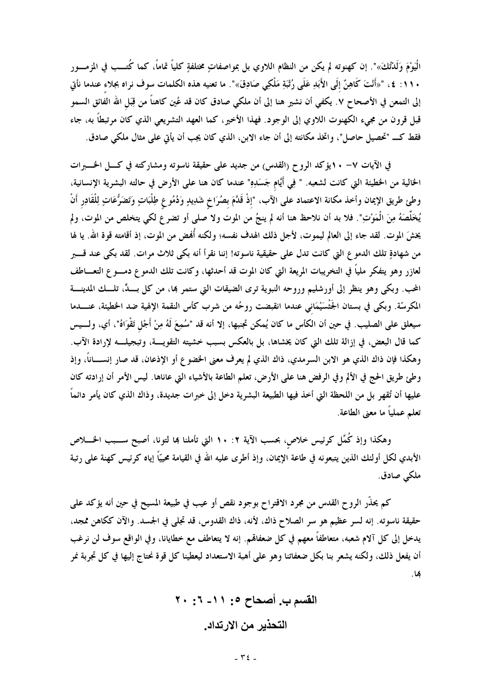الْيَوْمَ وَلَدْتُكَ»". إن كهنوته لم يكن من النظام اللاوي بل بمواصفاتٍ مختلفةٍ كلياً تماماً، كما كُتــب في المزمـــور . ١١: ٤، "«أَنْتَ كَاهِنَّ إِلَى الأَبَدِ عَلَى رُتْبَةِ مَلْكِي صَادِقَ»". ما تعنيه هذه الكلمات سوف نراه بجلاء عندما نأتى إلى التمعن في الأصحاح ٧. يكفي أن نشير هنا إلى أن ملكي صادق كان قد عُين كاهناً من قِبَل الله الفَائق السمو قبل قرون من مجيء الكهنوت اللاوي إلى الوجود. فهذا الأخير، كما العهد التشريعي الذي كان مرتبطاً به، جاء فقط كــ "تحصيل حاصل"، واتخذ مكانته إلى أن جاء الابن، الذي كان يجب أن يأتي على مثال ملكي صادق.

في الآيات ٧– ١٠يؤكد الروح (القدس) من جديد على حقيقة ناسوته ومشاركته في كـل الخــــــــــرات الخالية من الخطيئة التي كانت لشعبه. " فِي أَيَّام جَسَدِهِ" عندما كان هنا على الأرض في حالته البشرية الإنسانية، وطئ طريق الإيمان وأخذ مكانة الاعتماد على الآب، "إذْ قَلَّمَ بصُرَاخٍ شَلبِيدٍ وَدُمُوعٍ طِلْبَاتٍ وَتَضَرُّعَاتٍ لِلْقَادِرِ أَنْ يُخَلِّصَهُ مِنَ الْمَوْتِ". فلا بد أن نلاحظ هنا أنه لم ينجُ من الموت ولا صلى أو تضرع لكي يتخلص من الموت، ولم يخشَ الموت. لقد جاء إلى العالم ليموت، لأجل ذلك الهدف نفسه؛ ولكنه أُهْض من الموت، إذ أقامته قوة الله. يا لها من شهادةٍ تلك الدمو ع التي كانت تدل على حقيقية ناسوته! إننا نقرأ أنه بكي ثلاث مرات. لقد بكي عند قـــــبر لعازر وهو يتفكَّر مليًّا في التخريبات المريعة التي كان الموت قد أحدثها، وكانت تلك الدموع دمــــوع التعــــاطف المحب. وبكي وهو ينظر إلى أورشليم وروحه النبوية ترى الضيقات التي ستمر بما، من كل بسبٍّ، تلسك المدينـــة المكرسّة. وبكي في بستان الجَثْسَيْمَاني عندما انقبضت روحُه من شرب كأس النقمة الإلهية ضد الخطيئة، عنــــدما سيعلق على الصليب. في حين أن الكأس ما كان يُمكن تجنبها، إلا أنه قد "سُمِعَ لَهُ مِنْ أَجْلٍ تَقْوَاهُ"، أي، ولسيس كما قال البعض، في إزالة تلك التي كان يخشاها، بل بالعكس بسبب خشيته التقويـــة، وتبجيلـــه لإرادة الآب. وهكذا فإن ذاك الذي هو الابن السرمدي، ذاك الذي لم يعرف معنى الخضوع أو الإذعان، قد صار إنســـاناً، وإذ وطئ طريق الحج في الألم وفي الرفض هنا على الأرض، تعلم الطاعة بالأشياء التي عاناها. ليس الأمر أن إرادته كان عليها أن تُقهر بل من اللحظة التي أخذ فيها الطبيعة البشرية دخل إلى خبرات جديدة، وذاك الذي كان يأمر دائماً تعلم عملياً ما معنى الطاعة.

وهكذا وإذ كُمِّل كرئيس خلاص، بحسب الآية ٢: ١٠ التي تأملنا بما لتونا، أصبح ســـبب الخــــلاص الأبدي لكل أولئك الذين يتبعونه في طاعة الإيمان، وإذ أطرى عليه الله في القيامة محييًّا إياه كرئيس كهنة على رتبة ملكى صادق.

كم يحذّر الروح القدس من مجرد الاقتراح بوجود نقص أو عيب في طبيعة المسيح في حين أنه يؤكد على حقيقة ناسوته. إنه لسر عظيم هو سر الصلاح ذاك، لأنه، ذاك القدوس، قد تجلي في الجسد. والآن ككاهن ممجد، يدخل إلى كل آلام شعبه، متعاطفاً معهم في كل ضعفالهم. إنه لا يتعاطف مع خطايانا، وفي الواقع سوف لن نرغب أن يفعل ذلك، ولكنه يشعر بنا بكل ضعفاتنا وهو على أهبة الاستعداد ليعطينا كل قوة نحتاج إليها في كل تجربة نمر ها.

> القسم ب. أصحاح ٥: ١١- ٦: ٢٠ التحذير من الارتداد.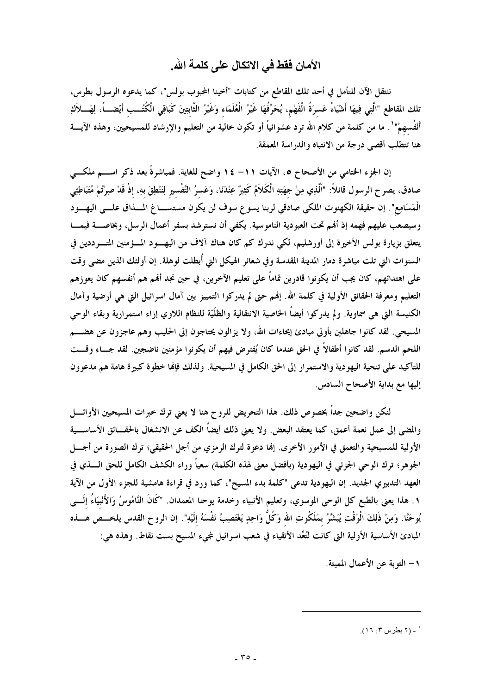### الأمان فقط في الاتكال على كلمة الله.

ننتقل الآن للتأمل في أحد تلك المقاطع من كتابات "أخينا المحبوب بولس"، كما يدعوه الرسول بطرس، نلك المقاطع "الَّتِي فِيهَا أَشْيَاءُ عَسرَةُ الْفَهْمِ، يُحَرِّفُهَا غَيْرُ الْعُلَمَاء وَغَيْرُ الثّابتِينَ كَبَاقِي الْكُتُــب أَيْضــــاً، لِهَــــلأكِ أَنْفُسهمْ" ْ. ما من كلمة من كلام الله ترد عشوائياً أو تكون خالية من التعليم والإرشاد للمسيحيين، وهذه الآيــــة هنا تتطلب أقصى درجة من الانتباه والدراسة المعمقة.

إن الجزء الختامي من الأصحاح ٥، الآيات ١١– ١٤ واضح للغاية. فمباشرةً بعد ذكر اســـم ملكـــى صادق، يصرح الرسول قائلاً: "اَلَّذِي مِنْ جهَتِهِ الْكَلاَمُ كَثِيرٌ عِنْدَنَا، وَعَسرُ التَّفْسير لِنَنْطِقَ بهِ، إذْ قَدْ صِرْتُمْ مُتَبَاطِيَي الْمَسَامِع". إن حقيقة الكهنوت الملكي صادقي لربنا يسوع سوف لن يكون مستســــاغ المــــذاق علــــى اليهــــود وسيصعب عليهم فهمه إذ أفمم تحت العبودية الناموسية. يكفي أن نسترشد بسفر أعمال الرسل، وبخاصــــة فيمــــا يتعلق بزيارة بولس الأخيرة إلى أورشليم، لكي ندرك كم كان هناك آلاف من اليهــــود المــــؤمنين المتـــــرددين في السنوات التي تلت مباشرة دمار المدينة المقدسة وفي شعائر الهيكل التي أُبطلت لوهلة. إن أولئك الذين مضى وقت على اهتدائهم، كان يجب أن يكونوا قادرين تماماً على تعليم الآخرين، في حين نجد ألهم هم أنفسهم كان يعوزهم التعليم ومعرفة الحقائق الأولية في كلمة الله. إنهم حتى لم يدركوا التمييز بين آمال اسرائيل التي هي أرضية وآمال الكنيسة التي هي سماوية. ولم يدركوا أيضاً الخاصية الانتقالية والظلّيّة للنظام اللاوي إزاء استمرارية وبقاء الوحى المسيحي. لقد كانوا جاهلين بأولى مبادئ إيحاءات الله، ولا يزالون يحتاجون إلى الحليب وهم عاجزون عن هضـــم اللحم الدسم. لقد كانوا أطفالاً في الحق عندما كان يُفترض فيهم أن يكونوا مؤمنين ناضجين. لقد جساء وقست للتأكيد على تنحية اليهودية والاستمرار إلى الحق الكامل في المسيحية. ولذلك فإنها خطوة كبيرة هامة هم مدعوون إليها مع بداية الأصحاح السادس.

لنكن واضحين جداً بخصوص ذلك. هذا التحريض للروح هنا لا يعني ترك خبرات المسيحيين الأوائــــل والمضى إلى عمل نعمة أعمق، كما يعتقد البعض. ولا يعني ذلك أيضاً الكف عن الانشغال بالحقــائق الأساســـية الأولية للمسيحية والتعمق في الأمور الأخرى. إلها دعوة لترك الرمزي من أجل الحقيقي؛ ترك الصورة من أجـــل الجوهر؛ ترك الوحي الجزئي في اليهودية (بأفضل معنى لهذه الكلمة) سعياً وراء الكشف الكامل للحق الــــذي في العهد التدبيري الجديد. إن اليهودية تدعى "كلمة بدء المسيح"، كما ورد في قراءة هامشية للجزء الأول من الآية ١ . هذا يعني بالطبع كل الوحي الموسوي، وتعليم الأنبياء وخدمة يوحنا المعمدان. "كَانَ النَّامُوسُ وَالأَنْبيَاءُ إلَـــي يُوحَنَّا. وَمِنْ ذَلِكَ الْوَقْتِ يُبَشَّرُ بمَلَكُوتِ الله وَكُلَّ وَاحِدٍ يَغْتَصِبُ نَفْسَهُ إلَيْهِ". إن الروح القدس يلخـــص هــــذه المبادئ الأساسية الأولية التي كانت لتُعِّد الأتقياء في شعب اسرائيل لمجيء المسيح بست نقاط. وهذه هي:

١ – التوبة عن الأعمال المميتة.

**<sup>.</sup>** (٢ بطرس ٣: ١٦).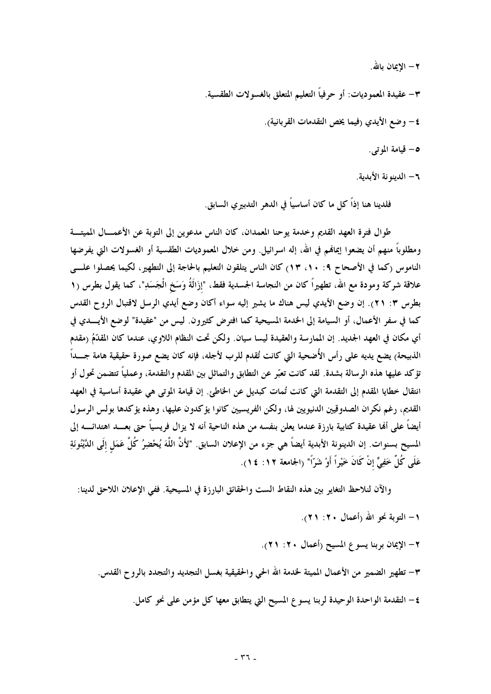٢ – الإيمان بالله.

٣– عقيدة المعموديات: أو حرفياً التعليم المتعلق بالغسولات الطقسية. ٤ – وضع الأيدي (فيما يخص التقدمات القر بانية). ٥– قيامة الموتى.

٦- الدينه نة الأيدية.

فلدينا هنا إذاً كل ما كان أساسياً في الدهر التدبيري السابق.

طوال فترة العهد القديم وخدمة يوحنا المعمدان، كان الناس مدعوين إلى التوبة عن الأعمـــال المميتـــة ومطلوباً منهم أن يضعوا إيمانهم في الله، إله اسرائيل. ومن خلال المعموديات الطقسية أو الغسولات التي يفرضها الناموس (كما في الأصحاح ٩: ١٠، ١٣) كان الناس يتلقون التعليم بالحاجة إلى التطهير، لكيما يحصلوا علـــي علاقة شركة ومودة مع الله، تطهيراً كان من النجاسة الجسدية فقط، "إزَالَةُ وَسَخ الْجَسَدِ"، كما يقول بطرس (١ بطرس ٣: ٢١). إن وضع الأيدي ليس هناك ما يشير إليه سواء أكان وضع أيدي الرسل لاقتبال الروح القدس كما في سفر الأعمال، أو السيامة إلى الخدمة المسيحية كما افترض كثيرون. ليس من "عقيدة" لوضع الأيـــدى في أي مكان في العهد الجديد. إن الممارسة والعقيدة ليسا سيان. ولكن تحت النظام اللاوي، عندما كان المقدَّمُ (مقدم الذبيحة) يضع يديه على رأس الأُضحية التي كانت تُقدم للرب لأجله، فإنه كان يضع صورة حقيقية هامة جـــداً تؤكد عليها هذه الرسالة بشدة. لقد كانت تعبّر عن التطابق والتماثل بين المقدم والتقدمة، وعملياً تتضمن تحول أو انتقال خطايا المقدم إلى التقدمة التي كانت تُمات كبديل عن الخاطئ. إن قيامة الموتى هي عقيدة أساسية في العهد القديم، رغم نكران الصدوقيين الدنيويين لها، ولكن الفريسيين كانوا يؤكدون عليها، وهذه يؤكدها بولس الرسول أيضاً على ألها عقيدة كتابية بارزة عندما يعلن بنفسه من هذه الناحية أنه لا يزال فريسياً حتى بعــــد اهتدائـــــه إلى المسيح بسنوات. إن الدينونة الأبدية أيضاً هي جزء من الإعلان السابق. "لأَنَّ اللَّهَ يُحْضِرُ كُلَّ عَمَل إلَى الدَّيْنُونَةِ عَلَى كُلِّ خَفِيٍّ إنْ كَانَ خَيْراً أَوْ شَرّاً" (الجامعة ١٢: ١٤).

والآن لنلاحظ التغاير بين هذه النقاط الست والحقائق البارزة في المسيحية. ففي الإعلان اللاحق لدينا: ١ – التوبة نحو الله (أعمال ٢٠: ٢١).

٢– الإيمان بربنا يسوع المسيح (أعمال ٢٠: ٢١).

٣– تطهير الضمير من الأعمال المميتة لخدمة الله الحي والحقيقية بغسل التجديد والتجدد بالروح القدس.

٤ – التقدمة الواحدة الوحيدة لربنا يسوع المسيح التي يتطابق معها كل مؤمن على نحو كامل.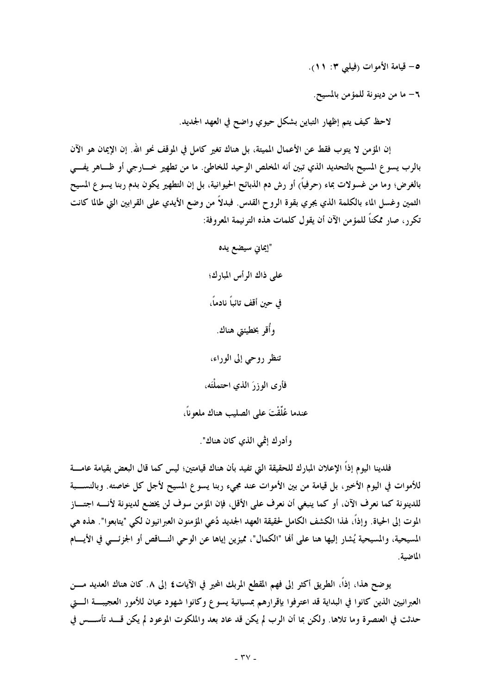٥– قيامة الأموات (فيلبي ٣: ١١).

٦– ما من دينو نة للمؤ من بالمسيح.

لاحظ كيف يتم إظهار التباين بشكل حيوي واضح في العهد الجديد.

إن المؤمن لا يتوب فقط عن الأعمال المميتة، بل هناك تغير كامل في الموقف نحو الله. إن الإيمان هو الآن بالرب يسوع المسيح بالتحديد الذي تبين أنه المخلص الوحيد للخاطئ. ما من تطهير خـــارجي أو ظـــاهر يفـــي بالغرض؛ وما من غسولات بماء (حرفياً) أو رش دم الذبائح الحيوانية، بل إن التطهير يكون بدم ربنا يسو ع المسيح الثمين وغسل الماء بالكلمة الذي يجري بقوة الروح القدس. فبدلاً من وضع الأيدي على القرابين التي طالما كانت تكرر ، صار ممكناً للمؤمن الآن أن يقول كلمات هذه الترنيمة المعروفة:

> "إيماني سيضع يده على ذاك الرأس المبارك؛ في حين أقف تائباً نادماً، وأُقر بخطيئتي هناك. تنظر روحي إلى الوراء، فأرى الوزرَ الذي احتملْتَه، عندما عُلِّقْتَ على الصليب هناك ملعو ناً، وأدرك إثمي الذي كان هناك".

فلدينا اليوم إذاً الإعلان المبارك للحقيقة التي تفيد بأن هناك قيامتين؛ ليس كما قال البعض بقيامة عامــــة للأموات في اليوم الأخير، بل قيامة من بين الأموات عند مجيء ربنا يسوع المسيح لأجل كل خاصته. وبالنســــبة للدينونة كما نعرف الآن، أو كما ينبغي أن نعرف على الأقل، فإن المؤمن سوف لن يخضع لدينونة لأنـــــه اجتـــــاز الموت إلى الحياة. وإذاً، لهذا الكشف الكامل لحقيقة العهد الجديد دُعي المؤمنون العبرانيون لكي "يتابعوا". هذه هي المسيحية، والمسيحية يُشار إليها هنا على ألها "الكمال"، مميزين إياها عن الوحي النـــاقص أو الجزئـــي في الأيـــام الماضية.

يوضح هذا، إذاً، الطريق أكثر إلى فهم المقطع المربك المحير في الآيات£ إلى ٨. كان هناك العديد مــــن العبرانيين الذين كانوا في البداية قد اعترفوا بإقرارهم بمسيانية يسوع وكانوا شهود عيان للأمور العجيبة الستي حدثت في العنصرة وما تلاها. ولكن بما أن الرب لم يكن قد عاد بعد والملكوت الموعود لم يكن قسد تأســـس في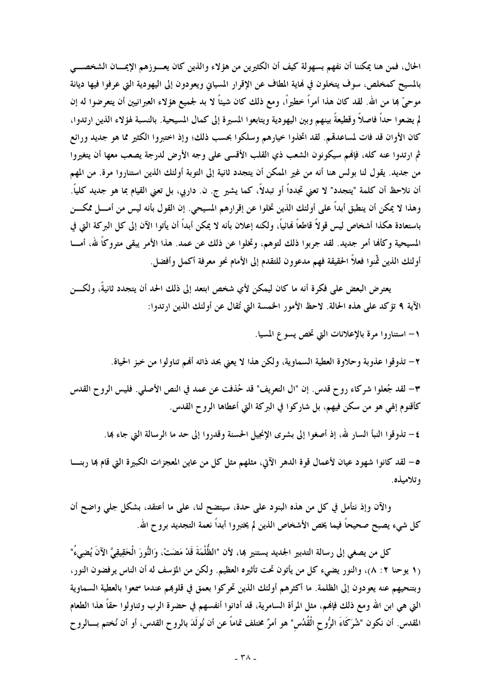الحال، فمن هنا يمكننا أن نفهم بسهولة كيف أن الكثيرين من هؤلاء والذين كان يعسوزهم الإيمسان الشخصسي بالمسيح كمخلص، سوف يتخلون في نماية المطاف عن الإقرار المسياني ويعودون إلى اليهودية التي عرفوا فيها ديانة موحىً بما من الله. لقد كان هذا أمراً خطيراً، ومع ذلك كان شيئاً لا بد لجميع هؤلاء العبرانيين أن يتعرضوا له إن لم يضعو ا حداً فاصلاً وقطيعةً بينهم وبين اليهودية ويتابعوا المسيرة إلى كمال المسيحية. بالنسبة لهؤلاء الذين ارتدوا، كان الأوان قد فات لمساعدقم. لقد اتخذوا خيارهم وسلكوا بحسب ذلك؛ وإذ اختبروا الكثير مما هو جديد ورائع ثم ارتدوا عنه كله، فإنهم سيكونون الشعب ذي القلب الأقسى على وجه الأرض لدرجة يصعب معها أن يتغيروا من جديد. يقول لنا بولس هنا أنه من غير الممكن أن يتجدد ثانية إلى التوبة أولئك الذين استناروا مرة. من المهم أن نلاحظ أن كلمة "يتجدد" لا تعني تجدداً أو تبدلاً، كما يشير ج. ن. داريي، بل تعني القيام بما هو جديد كلياً. وهذا لا يمكن أن ينطبق أبداً على أولئك الذين تخلوا عن إقرارهم المسيحي. إن القول بأنه ليس من أمـــل ممكـــن باستعادة هكذا أشخاص ليس قولاً قاطعاً نمائياً، ولكنه إعلان بأنه لا يمكن أبداً أن يأتوا الآن إلى كل البركة التي في المسيحية وكألها أمر جديد. لقد جربوا ذلك لتوهم، وتخلوا عن ذلك عن عمد. هذا الأمر يبقى متروكًا لله، أمـــا أولئك الذين ثَّنوا فعلاً الحقيقة فهم مدعوون للتقدم إلى الأمام نحو معرفة أكمل وأفضل.

يعترض البعض على فكرة أنه ما كان ليمكن لأي شخص ابتعد إلى ذلك الحد أن يتجدد ثانيةً، ولكـــن الآية ٩ تؤكد على هذه الحالة. لاحظ الأمور الخمسة التي تُقال عن أولئك الذين ارتدوا:

١– استناروا مرة بالإعلانات التي تخص يسوع المسيا.

٢ – تذوقوا عذوبة وحلاوة العطية السماوية، ولكن هذا لا يعني بحد ذاته أُهْم تناولوا من خبز الحياة.

٣- لقد جُعلوا شركاء روح قدس. إن "ال التعريف" قد حُذفت عن عمد في النص الأصلي. فليس الروح القدس كأقنوم إلهي هو من سكن فيهم، بل شاركوا في البركة التي أعطاها الروح القدس.

٤– تذوقوا النبأ السار لله، إذ أصغوا إلى بشرى الإنجيل الحسنة وقدروا إلى حد ما الرسالة التي جاء بما.

0– لقد كانوا شهود عيان لأعمال قوة الدهر الآتى، مثلهم مثل كل من عاين المعجزات الكبيرة التي قام بما ربنـــا و تلاميذه.

والآن وإذ نتأمل في كل من هذه البنود على حدة، سيتضح لنا، على ما أعتقد، بشكل جلى واضح أن كل شيء يصبح صحيحاً فيما يخص الأشخاص الذين لم يختبروا أبداً نعمة التجديد بروح الله.

كل من يصغي إلى رسالة التدبير الجديد يستنير ها، لأن "الظُّلْمَةَ قَدْ مَضَتْ، وَالنُّورَ الْحَقِيقِيَّ الآنَ يُضِيءُ" (١ يوحنا ٢ : ٨)، والنور يضيء كل من يأتون تحت تأثيره العظيم. ولكن من المؤسف له أن الناس يرفضون النور، وبتنحيهم عنه يعودون إلى الظلمة. ما أكثرهم أولئك الذين تحركوا بعمق في قلوبهم عندما سمعوا بالعطية السماوية التي هي ابن الله ومع ذلك فإنهم، مثل المرأة السامرية، قد أدانوا أنفسهم في حضرة الرب وتناولوا حقاً هذا الطعام المقدس. أن نكون "شُرَكَاءَ الرُّوح الْقُدُس" هو أمرٌ مختلف تماماً عن أن نُولَدَ بالروح القدس، أو أن نُختم بسالروح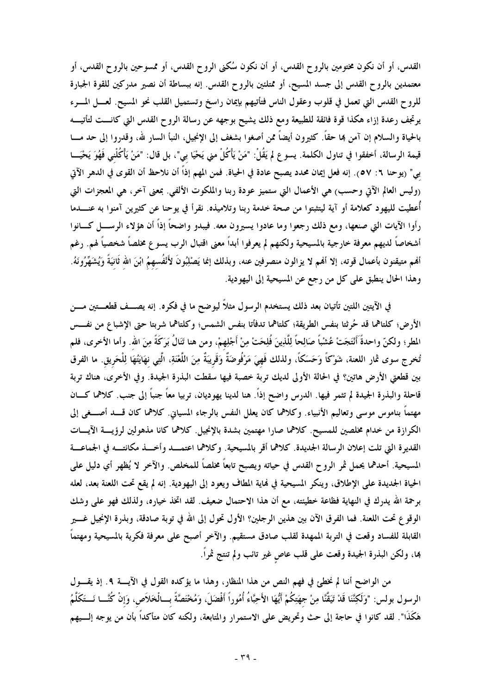القدس، أو أن نكون مختومين بالروح القدس، أو أن نكون سُكني الروح القدس، أو ممسوحين بالروح القدس، أو معتمدين بالروح القدس إلى جسد المسيح، أو ممتلئين بالروح القدس. إنه ببساطة أن نصير مدركين للقوة الجبارة للروح القدس التي تعمل في قلوب وعقول الناس فتأتيهم بإيمان راسخ وتستميل القلب نحو المسيح. لعسل المسرء يرتجف رعدة إزاء هكذا قوة فائقة للطبيعة ومع ذلك يشيح بوجهه عن رسالة الروح القدس التي كانـــت لتأتيـــه بالحياة والسلام إن آمن بما حقًا. كثيرون أيضاً ممن أصغوا بشغف إلى الإنجيل، النبأ السار لله، وقدروا إلى حد مـــا قيمة الرسالة، أخفقوا في تناول الكلمة. يسوع لم يَقُلْ: "مَنْ يَأْكُلْ مني يَحْيَا بي"، بل قال: "مَنْ يَأْكُلْني فَهُوَ يَحْيَـــا بي" (يوحنا ٦: ٥٧). إنه فعل إيمان محدد يصبح عادة في الحياة. فمن المهم إذاً أن نلاحظ أن القوى في الدهر الآتي روليس العالم الآتي وحسب) هي الأعمال التي ستميز عودة ربنا والملكوت الألفي. بمعنى آخر، هي المعجزات التي أُعطيت لليهود كعلامة أو آية ليتثبتوا من صحة خدمة ربنا وتلاميذه. نقرأ في يوحنا عن كثيرين آمنوا به عنــــدما رأوا الآيات التي صنعها، ومع ذلك رجعوا وما عادوا يسيرون معه. فيبدو واضحاً إذاً أن هؤلاء الرســــل كــــانوا أشخاصاً لديهم معرفة خارجية بالمسيحية ولكنهم لم يعرفوا أبداً معنى اقتبال الرب يسوع مخلصاً شخصياً لهم. رغم ألهم متيقنون بأعمال قوته، إلا ألهم لا يزالون منصرفين عنه، وبذلك إنما يَصْلِبُونَ لأَنْفُسهمُ ابْنَ الله ثَانيَةً وَيُشَهِّرُونَهُ. وهذا الحال ينطبق على كل من رجع عن المسيحية إلى اليهودية.

في الآيتين اللتين تأتيان بعد ذلك يستخدم الرسول مثلاً ليوضح ما في فكره. إنه يصـــف قطعـــتين مــــن الأرض؛ كلتاهما قد حُرِثتا بنفس الطريقة؛ كلتاهما تدفأتا بنفس الشمس؛ وكلتاهما شربتا حتى الإشباع من نفـــس المطر؛ ولكنّ واحدةً أَنْتَجَتْ عُشْباً صَالِحاً لِلَّذِينَ فُلِحَتْ مِنْ أَجْلِهِمْ، ومن هنا تَنَالُ بَرَكَةً مِنَ الله. وأما الأخرى، فلم تُنحر ج سوى ثمار اللعنة، شَوْكًا وَحَسَكًا، ولذلك فَهيَ مَرْفُوضَةٌ وَقَريبَةٌ مِنَ اللُّغْنَةِ، الَّتِي نهَايَتُهَا لِلْحَريقِ. ما الفرق بين قطعتي الأرض هاتين؟ في الحالة الأولى لديك تربة خصبة فيها سقطت البذرة الجيدة. وفي الأخرى، هناك تربة قاحلة والبذرة الجيدة لم تثمر فيها. الدرس واضح إذاً. هنا لدينا يهوديان، تربيا معاً جنباً إلى جنب. كلاهما كـــان مهتماً بناموس موسى وتعاليم الأنبياء. وكلاهما كان يعلل النفس بالرجاء المسياني. كلاهما كان قـــد أصـــغى إلى الكرازة من خدام مخلصين للمسيح. كلاهما صارا مهتمين بشدة بالإنجيل. كلاهما كانا مذهولين لرؤيسة الآيسات القديرة التي تلت إعلان الرسالة الجديدة. كلاهما أقر بالمسيحية. وكلاهما اعتمــد وأخــذ مكانتــه في الجماعــة المسيحية. أحدهما يحمل ثمر الروح القدس في حياته ويصبح تابعاً مخلصاً للمخلص. والآخر لا يُظهر أي دليل على الحياة الجديدة على الإطلاق، وينكر المسيحية في نماية المطاف ويعود إلى اليهودية. إنه لم يقع تحت اللعنة بعد، لعله برحمة الله يدرك في النهاية فظاعة خطيئته، مع أن هذا الاحتمال ضعيف. لقد اتخذ خياره، ولذلك فهو على وشك الوقوع تحت اللعنة. فما الفرق الآن بين هذين الرجلين؟ الأول تحول إلى الله في توبة صادقة، وبذرة الإنجيل غــــير القابلة للفساد وقعت في التربة المهدة لقلب صادق مستقيم. والآخر أصبح على معرفة فكرية بالمسيحية ومهتماً ها، ولكن البذرة الجيدة وقعت على قلب عاص غير تائب ولم تنتج ثمراً.

من الواضح أننا لم نخطئ في فهم النص من هذا المنظار، وهذا ما يؤكده القول في الآيسة ٩. إذ يقسول الرسول بولس: "وَلَكِنَّنَا قَدْ تَيَقَّنَّا مِنْ جِهَتِكُمْ أَيُّهَا الأَحِبَّاءُ أُمُوراً أَفْضَلَ، وَمُخْتَصَّةً بِسَالْخَلاَص، وَإِنْ كُنَّسَا نَستَكَلَّمُ هَكَذَا". لقد كانوا في حاجة إلى حث وتحريض على الاستمرار والمتابعة، ولكنه كان متأكداً بأن من يوجه إلـــيهم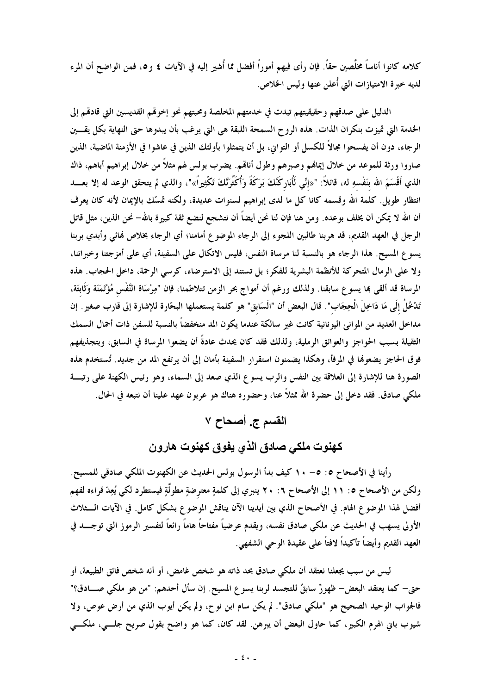كلامه كانوا أناساً مخلَّصين حقاً. فإن رأى فيهم أموراً أفضل مما أُشير إليه في الآيات ٤ و٥، فمن الواضح أن المرء لديه خبرة الامتيازات التي أُعلن عنها وليس الخلاص.

الدليل على صدقهم وحقيقيتهم تبدت في خدمتهم المخلصة ومحبتهم نحو إخوقم القديسين التي قادقم إلى الخدمة التي تميزت بنكران الذات. هذه الروح السمحة اللبقة هي التي يرغب بأن يبدوها حتى النهاية بكل يقسين الرجاء، دون أن يفسحوا مجالاً للكسل أو التواني، بل أن يتمثلوا بأولئك الذين في عاشوا في الأزمنة الماضية، الذين صاروا ورثة للموعد من خلال إيمانهم وصبرهم وطول أناقم. يضرب بولس لهم مثلاً من خلال إبراهيم أباهم، ذاك الذي أَقْسَمَ الله بنَفْسهِ له، قائلاً: "«إنِّي لَأُبَاركَنَّكَ بَرَكَةً وَأُكَثِّرَنَّكَ تَكْثِيراً»"، والذي لم يتحقق الوعد له إلا بعـــد انتظار طويل. كلمة الله وقسمه كانا كل ما لدى إبراهيم لسنوات عديدة، ولكنه تمسّك بالإيمان لأنه كان يعرف أن الله لا يمكن أن يخلف بوعده. ومن هنا فإن لنا نحن أيضاً أن نتشجع لنضع ثقة كبيرة بالله– نحن الذين، مثل قاتل الرجل في العهد القديم، قد هربنا طالبين اللجوء إلى الرجاء الموضوع أمامنا؛ أي الرجاء بخلاص لهائي وأبدي بربنا يسوع المسيح. هذا الرجاء هو بالنسبة لنا مرساة النفس، فليس الاتكال على السفينة، أي على أمزجتنا وخبراتنا، ولا على الرمال المتحركة للأنظمة البشرية للفكر؛ بل تستند إلى الاسترضاء، كرسي الرحمة، داخل الحجاب. هذه المرساة قد ألقى بما يسوع سابقنا. ولذلك ورغم أن أمواج بحر الزمن تتلاطمنا، فإن "مِرْسَاة النَّفْس مُؤْتَمَنَة وَثَابتَة، تَدْخُلُ إلَى مَا دَاخِلَ الْحِجَاب". قال البعض أن "الَسَابق" هو كلمة يستعملها البحّارة للإشارة إلى قارب صغير . إن مداخل العديد من الموانئ اليونانية كانت غير سالكة عندما يكون المد منخفضاً بالنسبة للسفن ذات أحمال السمك الثقيلة بسبب الحواجز والعوائق الرملية، ولذلك فقد كان يحدث عادةً أن يضعوا المرساة في السابق، وبتجذيفهم فوق الحاجز يضعونها في المرفأ، وهكذا يضمنون استقرار السفينة بأمان إلى أن يرتفع المد من جديد. تُستخدم هذه الصورة هنا للإشارة إلى العلاقة بين النفس والرب يسوع الذي صعد إلى السماء، وهو رئيس الكهنة على رتبة ملكي صادق. فقد دخل إلى حضرة الله ممثلاً عنا، وحضوره هناك هو عربون عهد علينا أن نتبعه في الحال.

## القسم ج. أصحاح ٧

كهنوت ملكي صادق الذي يفوق كهنوت هارون

رأينا في الأصحاح ٥: ٥– ١٠ كيف بدأ الرسول بولس الحديث عن الكهنوت الملكي صادقي للمسيح. ولكن من الأصحاح ٥: ١١ إلى الأصحاح ٢: ٢٠ ينبري إلى كلمةٍ معترضةٍ مطولَّةٍ فيستطرد لكي يُعِدّ قراءه لفهم أفضل لهذا الموضوع الهام. في الأصحاح الذي بين أيدينا الآن يناقش الموضوع بشكل كامل. في الآيات الــثلاث الأولى يسهب في الحديث عن ملكي صادق نفسه، ويقدم عرضياً مفتاحاً هاماً رائعاً لتفسير الرموز التي توجــــد في العهد القديم وأيضاً تأكيداً لافتاً على عقيدة الوحى الشفهي.

ليس من سبب يجعلنا نعتقد أن ملكي صادق بحد ذاته هو شخص غامض، أو أنه شخص فائق الطبيعة، أو حتى– كما يعتقد البعض– ظهورٌ سابقٌ للتجسد لربنا يسوع المسيح. إن سأل أحدهم: "من هو ملكى صــــادق؟" فالجواب الوحيد الصحيح هو "ملكي صادق". لم يكن سام ابن نوح، ولم يكن أيوب الذي من أرض عوص، ولا شيوب باني الهرم الكبير، كما حاول البعض أن يبرهن. لقد كان، كما هو واضح بقول صريح جلسي، ملكسي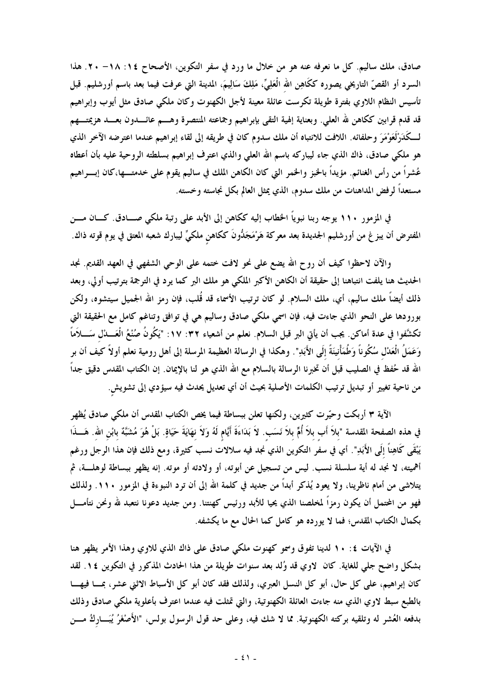صادق، ملك ساليم. كل ما نعرفه عنه هو من خلال ما ورد في سفر التكوين، الأصحاح ١٤: ٢٨- ٢٠. هذا السرد أو القصّ التاريخي يصوره ككَاهِن الله الْعَلِيِّ، مَلِكَ سَالِيمَ، المدينة التي عرفت فيما بعد باسم أورشليم. قبل تأسيس النظام اللاوي بفترة طويلة تكرست عائلة معينة لأجل الكهنوت وكان ملكى صادق مثل أيوب وإبراهيم قد قدم قرابين ككاهن لله العلي. وبعناية إلهية التقي بإبراهيم وجماعته المنتصرة وهـــم عائـــدون بعـــد هزيمتـــهم لــكَدَرْلَعَوْمَرَ وحلفائه. اللافت للانتباه أن ملك سدوم كان في طريقه إلى لقاء إبراهيم عندما اعترضه الآخر الذي هو ملكي صادق، ذاك الذي جاء ليباركه باسم الله العلي والذي اعترف إبراهيم بسلطته الروحية عليه بأن أعطاه عُشراً من رأس الغنائم. مؤيداً بالحَبز والحمر التي كان الكاهن الملك في ساليم يقوم على خدمتــــها،كان إبــــراهيم مستعداً لرفض المداهنات من ملك سدوم، الذي يمثل العالم بكل نجاسته وخسته.

في المزمور ١١٠ يوجه ربنا نبوياً الحظاب إليه ككاهن إلى الأبد على رتبة ملكي صـــادق. كـــان مــــن المفترض أن يبزغ من أورشليم الجديدة بعد معركة هَرْمَجَدُّونَ ككاهن ملكيٍّ ليبارك شعبه المعتق في يوم قوته ذاك.

والآن لاحظوا كيف أن روح الله يضع على نحو لافت ختمه على الوحي الشفهي في العهد القديم. نجد الحديث هنا يلفت انتباهنا إلى حقيقة أن الكاهن الأكبر الملكي هو ملك البر كما يرد في الترجمة بترتيب أولي، وبعد ذلك أيضاً ملك ساليم، أي، ملك السلام. لو كان ترتيب الأسماء قد قُلب، فإن رمز الله الجميل سيتشوه، ولكن بورودها على النحو الذي جاءت فيه، فإن اسمي ملكي صادق وساليم هي في توافق وتناغم كامل مع الحقيقة التي تكشَّفوا في عدة أماكن. يجب أن يأتى البر قبل السلام. نعلم من أشعياء ٣٢: ١٧: "يَكُونُ صُنْعُ الْعَـــدْل سَــــلأماً وَعَمَلُ الْعَدْل سُكُوناً وَطُمَأْنِيَنَةً إلَى الأَبَدِ". وهكذا في الرسالة العظيمة المرسلة إلى أهل رومية نعلم أولاً كيف أن بر الله قد حُفظ في الصليب قبل أن تخبرنا الرسالة بالسلام مع الله الذي هو لنا بالإيمان. إن الكتاب المقدس دقيق جداً من ناحية تغيير أو تبديل ترتيب الكلمات الأصلية بحيث أن أي تعديل يحدث فيه سيؤدي إلى تشويش.

الآية ٣ أربكت وحيّرت كثيرين، ولكنها تعلن ببساطة فيما يخص الكتاب المقدس أن ملكي صادق يُظهر في هذه الصفحة المقدسة "بلاً أَب بلاً أُمٍّ بلاً نَسَب. لاَ بَدَاءَةَ أَيَّام لَهُ وَلاَ نهَايَةَ حَيَاةٍ. بَلْ هُوَ مُشَبَّةٌ بابْن الله. هَـــذَا يَبْقَى كَاهِناً إلَى الأَبَدِ". أي في سفر التكوين الذي نجد فيه سلالات نسب كثيرة، ومع ذلك فإن هذا الرجل ورغم أهميته، لا نجد له أية سلسلة نسب. ليس من تسجيل عن أبوته، أو ولادته أو موته. إنه يظهر ببساطة لوهلـــة، ثم يتلاشى من أمام ناظرينا، ولا يعود يُذكر أبداً من جديد في كلمة الله إلى أن ترد النبوءة في المزمور ١١٠. ولذلك فهو من المحتمل أن يكون رمزاً لمخلصنا الذي يحيا للأبد ورئيس كهنتنا. ومن جديد دعونا نتعبد لله ونحن نتأمـــل بكمال الكتاب المقدس؛ فما لا يورده هو كامل كما الحال مع ما يكشفه.

في الآيات ٤: ١٠ لدينا تفوق وسمو كهنوت ملكي صادق على ذاك الذي للاوي وهذا الأمر يظهر هنا بشكل واضح جلى للغاية. كان لاوي قد وُلد بعد سنوات طويلة من هذا الحادث المذكور في التكوين ١٤. لقد كان إبراهيم، على كل حال، أبو كل النسل العبري، ولذلك فقد كان أبو كل الأسباط الاثني عشر، بمـــا فيهـــا بالطبع سبط لاوي الذي منه جاءت العائلة الكهنوتية، والتي تمثلت فيه عندما اعترف بأعلوية ملكي صادق وذلك بدفعه العُشر له وتلقيه بركته الكهنوتية. مما لا شك فيه، وعلى حد قول الرسول بولس، "الأَصْغَرُ يُبَـــاركُ مــــن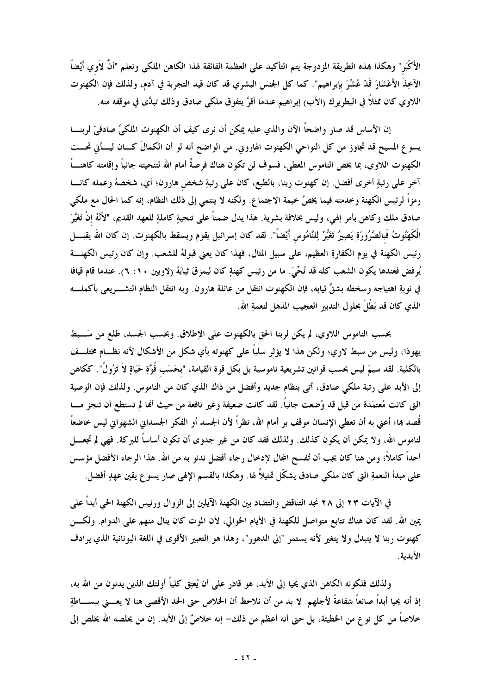الأَكْبَر " وهكذا هذه الطريقة المزدوجة يتم التأكيد على العظمة الفائقة لهذا الكاهن الملكي ونعلم "أنَّ لأوي أيْضاً الآخِذَ الأَعْشَارَ قَدْ عُشِّرَ بإبراهيم". كما كل الجنس البشري قد كان قيد التجربة في آدم، ولذلك فإن الكهنوت اللاوي كان ممثلاً في البطريرك (الأب) إبراهيم عندما أقرَّ بتفوق ملكي صادق وذلك تبدَّى في موقفه منه.

إن الأساس قد صار واضحاً الآن والذي عليه يمكن أن نرى كيف أن الكهنوت الملكيِّ صادقيّ لربنـــا يسوع المسيح قد تجاوز من كل النواحي الكهنوت الهاروين. من الواضح أنه لو أن الكمالَ كـــان ليـــأتي تحـــت الكهنوت اللاوي، بما يخص الناموس المعطى، فسوف لن تكون هناك فرصةٌ أمام الله لتنحيته جانباً وإقامته كاهنـــاً آخر على رتبةٍ أخرى أفضل. إن كهنوت ربنا، بالطبع، كان على رتبةِ شخص هارون؛ أي، شخصهُ وعمله كانـــا رمزاً لرئيس الكهنة وخدمته فيما يخصُ خيمة الاجتماع. ولكنه لا ينتمي إلى ذلك النظام، إنه كما الحال مع ملكي صادق ملك وكاهن بأمر إلهي، وليس بخلافة بشرية. هذا يدل ضمناً على تنحيةٍ كاملةٍ للعهد القديم، "لأَنَّهُ إنْ تَغَيَّرَ الْكَهَنُوتُ فَبالضَّرُورَةِ يَصِيرُ تَغَيُّرٌ لِلنَّامُوس أَيْضاً". لقد كان إسرائيل يقوم ويسقط بالكهنوت. إن كان الله يقبــــل رئيس الكهنة في يوم الكفارةِ العظيم، على سبيل المثال، فهذا كان يعني قبولهُ للشعب. وإن كان رئيس الكهنــــة يُرفض فعندها يكون الشعب كله قد نُحِّيَ. ما من رئيس كهنةٍ كان ليمزقَ ثيابَهُ (لاويين ١٠: ٦). عندما قام قيافا في نوبةِ اهتياجه وسخطه بشقِّ ثيابه، فإن الكهنوت انتقل من عائلة هارون. وبه انتقل النظام التشــــريعي بأكملــــه الذي كان قد بَطَٰلَ بحلول التدبير العجيب المذهل لنعمةِ الله.

بحسب الناموس اللاوي، لم يكن لربنا الحق بالكهنوت على الإطلاق. وبحسب الجسد، طلع من سَـــبط يهوذا، وليس من سبط لاوي؛ ولكن هذا لا يؤثر سلباً على كهنوته بأي شكل من الأشكال لأنه نظــام مختلــف بالكلية. لقد سيمَ ليس بحسب قوانين تشريعية ناموسية بل بكل قوة القيامة، "بحَسَب قُوَّةِ حَيَاةٍ لاَ تَزُولُ". ككاهن إلى الأبد على رتبة ملكي صادق، أتى بنظام جديد وأفضل من ذاك الذي كان من الناموس. ولذلك فإن الوصية التي كانت مُعتمَدة من قبل قد وُضعت جانباً. لقد كانت ضعيفة وغير نافعة من حيث ألها لم تستطع أن تنجز مــــا قُصد بما؛ أعني به أن تعطي الإنسان موقف بر أمام الله، نظراً لأن الجسد أو الفكر الجسداني الشهوانى ليس خاضعاً لناموس الله، ولا يمكن أن يكون كذلك. ولذلك فقد كان من غير جدوى أن تكون أساساً للبركة. فهي لم تجعـــل أحداً كاملاً؛ ومن هنا كان يجب أن تُفسح المجال لإدخال رجاء أفضل ندنو به من الله. هذا الرجاء الأفضل مؤسس على مبدأ النعمةِ التي كان ملكي صادق يشكّل تمثيلاً لها. وهكذا بالقسم الإلهي صار يسو ع يقين عهدٍ أفضل.

في الآيات ٢٣ إلى ٢٨ نجد التناقض والتضاد بين الكهنة الآيلين إلى الزوال ورئيس الكهنة الحي أبداً على يمين الله. لقد كان هناك تتابع متواصل للكهنة في الأيام الخوالي، لأن الموت كان ينال منهم على الدوام. ولكــــن كهنوت ربنا لا يتبدل ولا يتغير لأنه يستمر "إلى الدهور"، وهذا هو التعبير الأقوى في اللغة اليونانية الذي يرادف الأبدية.

ولذلك فلكونه الكاهن الذي يحيا إلى الأبد، هو قادر على أن يُعتِق كلياً أولئك الذين يدنون من الله به، إذ أنه يحيا أبداً صانعاً شفاعةً لأجلهم. لا بد من أن نلاحظ أن الخلاص حتى الحد الأقصى هنا لا يعـــنى ببســــاطةٍ خلاصاً من كل نو ع من الخطيئة، بل حتى أنه أعظم من ذلك– إنه خلاصٌ إلى الأبد. إن من يخلصه الله يخلص إلى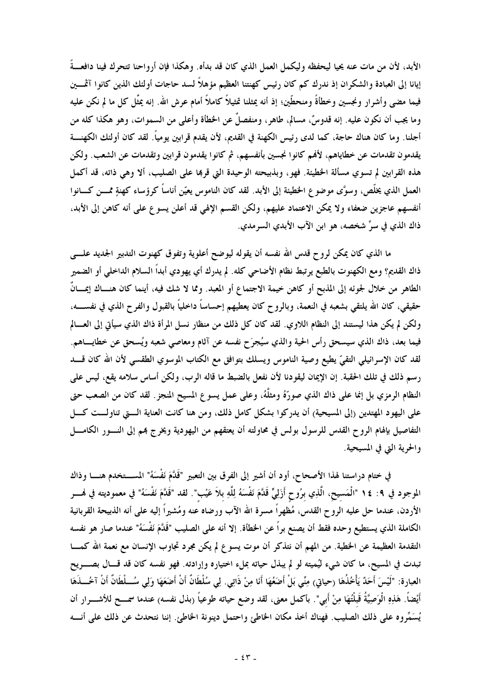الأبد، لأن من مات عنه يحيا ليحفظه وليكمل العمل الذي كان قد بدأه. وهكذا فإن أرواحنا تتحرك فينا دافعــةً إيانا إلى العبادة والشكران إذ ندرك كم كان رئيس كهنتنا العظيم مؤهلاً لسد حاجات أولئك الذين كانوا آثمـــين فيما مضى وأشرار ونجسين وخطأةً ومنحطّين؛ إذ أنه يمثلنا تمثيلاً كاملاً أمام عرش الله. إنه يمثّل كل ما لم نكن عليه وما يجب أن نكون عليه. إنه قدوسٌ، مسالم، طاهر، ومنفصلٌ عن الخطأة وأعلى من السموات، وهو هكذا كله من أجلنا. وما كان هناك حاجة، كما لدى رئيس الكهنة في القديم، لأن يقدم قرابين يومياً. لقد كان أولئك الكهنــــة يقدمون تقدمات عن خطاياهم، لأفمم كانوا نجسين بأنفسهم، ثم كانوا يقدمون قرابين وتقدمات عن الشعب. ولكن هذه القرابين لم تسوي مسألة الخطيئة. فهو، وبذبيحته الوحيدة التي قربما على الصليب، ألا وهي ذاته، قد أكمل العمل الذي يخلَّص، وسوَّى موضوع الخطيئة إلى الأبد. لقد كان الناموس يعيِّن أناساً كرؤساء كهنةٍ ممـــن كــــانوا أنفسهم عاجزين ضعفاء ولا يمكن الاعتماد عليهم، ولكن القسم الإلهي قد أعلن يسوع على أنه كاهن إلى الأبد، ذاك الذي في سرِّ شخصه، هو ابن الآب الأبدي السرمدي.

ما الذي كان يمكن لروح قدس الله نفسه أن يقوله ليوضح أعلوية وتفوق كهنوت التدبير الجديد علـــي ذاك القديم؟ ومع الكهنوت بالطبع يرتبط نظام الأضاحى كله. لم يدرك أي يهودي أبداً السلام الداخلى أو الضمير الطاهر من خلال لجوئه إلى المذبح أو كاهن خيمة الاجتماع أو المعبد. ومما لا شك فيه، أينما كان هنــاك إيمـــانٌ حقيقى، كان الله يلتقى بشعبه في النعمة، وبالروح كان يعطيهم إحساساً داخلياً بالقبول والفرح الذي في نفســــه، ولكن لم يكن هذا ليستند إلى النظام اللاوي. لقد كان كل ذلك من منظار نسل المرأة ذاك الذي سيأتي إلى العسالم فيما بعد، ذاك الذي سيسحق رأس الحية والذي سيُجرَح نفسه عن آثام ومعاصي شعبه ويُسحق عن خطايــــاهم. لقد كان الإسرائيلي التقيّ يطيع وصية الناموس ويسلك بتوافق مع الكتاب الموسوي الطقسي لأن الله كان قــــد رسم ذلك في تلك الحقبة. إن الإيمان ليقودنا لأن نفعل بالضبط ما قاله الرب، ولكن أساس سلامه يقع، ليس على النظام الرمزي بل إنما على ذاك الذي صورَّهُ ومثلَّهُ، وعلى عمل يسوع المسيح المنجز . لقد كان من الصعب حتى على اليهود المهتدين (إلى المسيحية) أن يدركوا بشكل كامل ذلك، ومن هنا كانت العناية الـــــق تناولـــت كــــل التفاصيل بإلهام الروح القدس للرسول بولس في محاولته أن يعتقهم من اليهودية ويخرج بمم إلى النسور الكامسل والحرية التي في المسيحية.

في ختام دراستنا لهذا الأصحاح، أود أن أشير إلى الفرق بين التعبير "قَلَّمَ نَفْسَهُ" المســـتخدم هنــــا وذاك الموجود في ٩: ١٤ "الْمَسيح، الَّذِي بِرُوحٍ أَزَلِيٍّ قَدَّمَ نَفْسَهُ لِلَّهِ بلاَ عَيْبٍ". لقد "قَدَّمَ نَفْسَهُ" في معموديته في فمـــر الأردن، عندما حل عليه الروح القدس، مُظهراً مسرة الله الآب ورضاه عنه ومُشيراً إليه على أنه الذبيحة القربانية الكاملة الذي يستطيع وحده فقط أن يصنع براً عن الخطأة. إلا أنه على الصليب "قَلَّمَ نَفْسَهُ" عندما صار هو نفسه التقدمة العظيمة عن الخطية. من المهم أن نتذكر أن موت يسوع لم يكن مجرد تجاوب الإنسان مع نعمة الله كمـــا تبدت في المسيح، ما كان شيء ليُميته لو لم يبذل حياته بملء اختياره وإرادته. فهو نفسه كان قد قـــال بصـــــريح العبارة: "لَيْسَ أَحَدٌ يَأْخُذُهَا (حياتي) مِنِّي بَلْ أَضَعُهَا أَنَا مِنْ ذَاتِي. لِي سُلْطَانٌ أَنْ أَضَعَهَا وَلِي سُــلْطَانٌ أَنْ آخُـــذَهَا أَيْضاً. هَذِهِ الْوَصِيَّةُ قَبْلُتُهَا مِنْ أَبِي". بأكمل معنى، لقد وضع حياته طوعياً (بذل نفسه) عندما سمـــح للأشــــرار أن يُسَمِّروه على ذلك الصليب. فهناك أخذ مكان الخاطئ واحتمل دينونة الخاطئ. إننا نتحدث عن ذلك على أنسه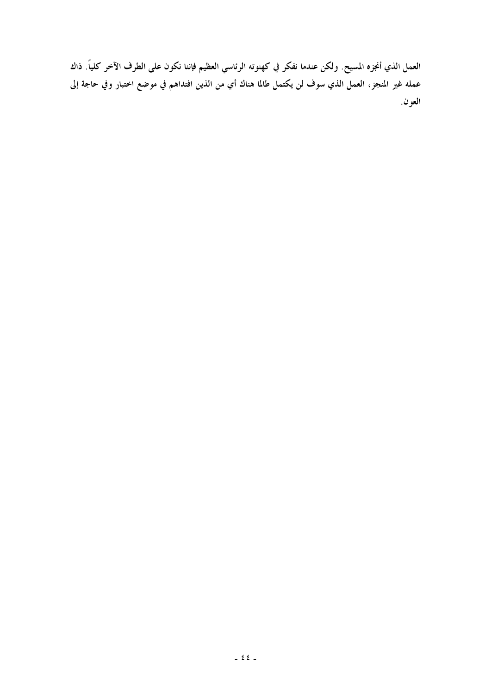العمل الذي أنجزه المسيح. ولكن عندما نفكر في كهنوته الرئاسي العظيم فإننا نكون على الطرف الآخر كلياً. ذاك عمله غير المنجز، العمل الذي سوف لن يكتمل طالما هناك أي من الذين افتداهم في موضع اختبار وفي حاجة إلى العون.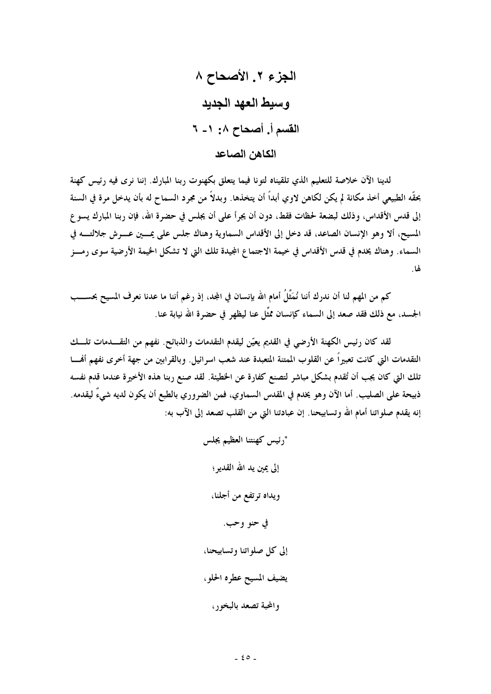لدينا الآن خلاصة للتعليم الذي تلقيناه لتونا فيما يتعلق بكهنوت ربنا المبارك. إننا نرى فيه رئيس كهنة بحقَّه الطبيعي أخذ مكانة لم يكن لكاهن لاوي أبداً أن يتخذها. وبدلاً من مجرد السماح له بأن يدخل مرة في السنة إلى قدس الأقداس، وذلك لبضعة لحظات فقط، دون أن يجرأ على أن يجلس في حضرة الله، فإن ربنا المبارك يسوع المسيح، ألا وهو الإنسان الصاعد، قد دخل إلى الأقداس السماوية وهناك جلس على يمــين عـــرش جلالتــــه في السماء. وهناك يخدم في قدس الأقداس في خيمة الاجتماع الجيدة تلك التي لا تشكل الخيمة الأرضية سوى رمسز لها.

كم من المهم لنا أن ندرك أننا نُمَثَّلُ أمام الله بإنسان في المجد، إذ رغم أننا ما عدنا نعرف المسيح بحســـب الجسد، مع ذلك فقد صعد إلى السماء كإنسان ممشَّل عنا ليظهر في حضرة الله نيابة عنا.

لقد كان رئيس الكهنة الأرضى في القديم يعيّن ليقدم التقدمات والذبائح. نفهم من التقـــدمات تلـــك التقدمات التي كانت تعبيراً عن القلوب الممتنة المتعبدة عند شعب اسرائيل. وبالقرابين من جهة أخرى نفهم أفمسا تلك التي كان يجب أن تُقدم بشكل مباشر لتصنع كفارة عن الخطيئة. لقد صنع ربنا هذه الأخيرة عندما قدم نفسه ذبيحة على الصليب. أما الآن وهو يخدم في المقدس السماوي، فمن الضروري بالطبع أن يكون لديه شيءٌ ليقدمه. إنه يقدم صلواتنا أمام الله وتسابيحنا. إن عبادتنا التي من القلب تصعد إلى الآب به:

> "رئيس كهنتنا العظيم يجلس إلى يمين يد الله القدير ؛ ويداه ترتفع من أجلنا، في حنو وحب. إلى كل صلواتنا وتسابيحنا، يضيف المسيح عطره الحلو، والمحبة تصعد بالبخور،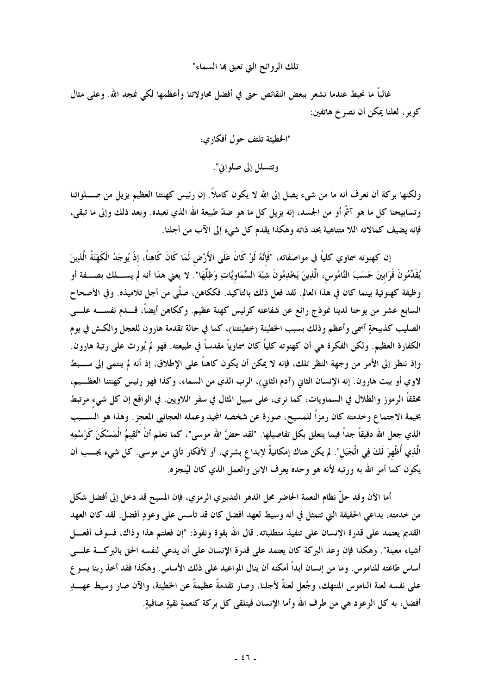تلك الروائح التي تعبق بما السماء"

غالباً ما نحبط عندما نشعر ببعض النقائص حتى في أفضل محاولاتنا وأعظمها لكي نمجد الله. وعلى مثال كوبر ، لعلنا يمكن أن نصر خ هاتفين:

> "الخطيئة تلتف حول أفكاري، وتتسلل إلى صلواتي".

ولكنها بركة أن نعرف أنه ما من شيء يصل إلى الله لا يكون كاملاً. إن رئيس كهنتنا العظيم يزيل من صــــلواتنا وتسابيحنا كل ما هو آثْمٌ أو من الجسد، إنه يزيل كل ما هو ضدّ طبيعة الله الذي نعبده. وبعد ذلك وإلى ما تبقى، فإنه يضيف كمالاته اللا متناهية بحد ذاته وهكذا يقدم كل شيء إلى الآب من أجلنا.

إن كهنوته سماوي كلياً في مواصفاته، "فَإِنَّهُ لَوْ كَانَ عَلَى الأَرْضِ لَمَا كَانَ كَاهِناً، إذْ يُوجَدُ الْكَهَنَةُ الَّذِينَ يُقَدِّمُونَ قَرَابينَ حَسَبَ النَّامُوس، الَّذِينَ يَخْدِمُونَ شِبْهَ السَّمَاويَّاتِ وَظِلَّهَا". لا يعني هذا أنه لم يســــلك بصــــفة أو وظيفة كهنوتية بينما كان في هذا العالم. لقد فعل ذلك بالتأكيد. فككاهن، صلَّى من أجل تلاميذه. وفي الأصحاح السابع عشر من يوحنا لدينا نموذج رائع عن شفاعته كرئيس كهنة عظيم. وككاهن أيضاً، قـــدم نفســــه علـــي الصليب كذبيحةٍ أسمى وأعظم وذلك بسبب الخطيئة (خطيئتنا)، كما في حالة تقدمة هارون للعجل والكبش في يوم الكفارة العظيم. ولكن الفكرة هي أن كهنوته كلياً كان سماوياً مقدساً في طبيعته. فهو لم يُورِث على رتبة هارون. وإذ ننظر إلى الأمر من وجهة النظر تلك، فإنه لا يمكن أن يكون كاهناً على الإطلاق، إذ أنه لم ينتمى إلى ســـبط لاوي أو بيت هارون. إنه الإنسان الثاني (آدم الثاني)، الرب الذي من السماء، وكذا فهو رئيس كهنتنا العظــيم، محققاً الرموز والظلال في السماويات، كما نرى، على سبيل المثال في سفر اللاويين. في الواقع إن كل شيء مرتبط بخيمة الاجتماع وخدمته كان رمزاً للمسيح، صورة عن شخصه المجيد وعمله العجائبي المعجز . وهذا هو الســـبب الذي جعل الله دقيقاً جداً فيما يتعلق بكل تفاصيلها. "لقد حضَّ الله موسى"، كما نعلم أنْ "تُقِيمُ الْمَسْكَنَ كَرَسْمِهِ الَّذِي أُظْهِرَ لَكَ فِي الْجَبَل". لم يكن هناك إمكانيةٌ لإبداع بشري، أو لأفكار تأتي من موسى. كل شيء يجـــب أن يكون كما أمر الله به ورتبه لأنه هو وحده يعرف الابن والعمل الذي كان ليُنجزه.

أما الآن وقد حلَّ نظام النعمة الحاضر محل الدهر التدبيري الرمزي، فإن المسيح قد دخل إلى أفضل شكل من خدمته، بداعي الحقيقة التي تتمثل في أنه وسيط لعهد أفضل كان قد تأسس على وعودٍ أفضل. لقد كان العهد القديم يعتمد على قدرة الإنسان على تنفيذ متطلباته. قال الله بقوة ونفوذ: "إن فعلتم هذا وذاك، فسوف أفعـــل أشياء معينة". وهكذا فإن وعد البركة كان يعتمد على قدرة الإنسان على أن يدعى لنفسه الحق بالبركة علــــى أساس طاعته للناموس. وما من إنسان أبداً أمكنه أن ينال المواعيد على ذلك الأساس. وهكذا فقد أخذ ربنا يسو ع على نفسه لعنة الناموس المنتهك، وجُعل لعنةً لأجلنا، وصار تقدمةً عظيمةً عن الخطيئة، والآن صار وسيط عهــــــــــو أفضل، به كل الوعود هي من طرف الله وأما الإنسان فيتلقى كل بركة كنعمةٍ نقيةٍ صافيةٍ.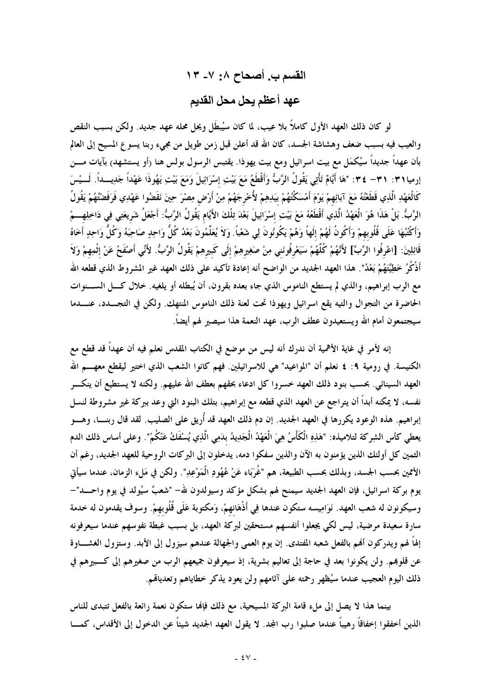القسم ب. أصحاح ٠٨: ٧- ١٣ عهد أعظم يحل محل القديم

لو كان ذلك العهد الأول كاملاً بلا عيب، لما كان سيُبطَل ويحل محله عهد جديد. ولكن بسبب النقص والعيب فيه بسبب ضعف وهشاشة الجسد، كان الله قد أعلن قبل زمن طويل من مجيء ربنا يسوع المسيح إلى العالم بأن عهداً جديداً سيُكمَل مع بيت اسرائيل ومع بيت يهوذا. يقتبس الرسول بولس هنا (أو يستشهد) بآيات مـــن إرميا ٣١ : ٣١- ٣٤ : "هَا أَيَّامٌ تَأْتِي يَقُولُ الرَّبُّ وَأَقْطَعُ مَعَ بَيْتِ إسْرَائِيلَ وَمَعَ بَيْتِ يَهُوذَا عَهْداً جَدِيـــداً. لَـــيْسَ كَالْعَهْدِ الَّذِي قَطَعْتُهُ مَعَ آبَائِهِمْ يَوْمَ أَمْسَكْتُهُمْ بيَدِهِمْ لأُخْرِجَهُمْ مِنْ أَرْض مِصْرَ حِينَ نَقَضُوا عَهْدِي فَرَفَضْتُهُمْ يَقُولُ الرَّبُّ. بَلْ هَذَا هُوَ الْعَهْدُ الَّذِي أَقْطَعُهُ مَعَ بَيْتِ إسْرَائِيلَ بَعْدَ تِلْكَ الأَيَّام يَقُولُ الرَّبُّ: أَجْعَلُ شَريعَتِي فِي دَاخِلِهِـــمْ وَأَكْتُبُهَا عَلَى قُلُوبهمْ وَأَكُونُ لَهُمْ إِلَهاً وَهُمْ يَكُونُونَ لِي شَعْباً. وَلاَ يُعَلِّمُونَ بَعْدُ كُلُّ وَاحِدٍ صَاحِبَهُ وَكُلُّ وَاحِدٍ أَخَاهُ قَائِلِينَ: [اعْرِفُوا الرَّبَّ] لأَنَّهُمْ كُلَّهُمْ سَيَعْرِفُونَني مِنْ صَغِيرِهِمْ إِلَى كَبِيرِهِمْ يَقُولُ الرَّبُّ. لأَنِّي أَصْفَحُ عَنْ إثْمِهِمْ وَلاَ أَذْكُرُ خَطِيَّتَهُمْ بَعْدُ". هذا العهد الجديد من الواضح أنه إعادة تأكيد على ذلك العهد غير المشروط الذي قطعه الله مع الرب إبراهيم، والذي لم يستطع الناموس الذي جاء بعده بقرون، أن يُبطله أو يلغيه. خلال كـــل الســـنوات الحاضرة من التجوال والتيه يقع اسرائيل ويهوذا تحت لعنة ذلك الناموس المنتهك. ولكن في التجـــدد، عنــــدما سيجتمعون أمام الله ويستعيدون عطف الرب، عهد النعمة هذا سيصير لهم أيضاً.

إنه لأمر في غاية الأهمية أن ندرك أنه ليس من موضع في الكتاب المقدس نعلم فيه أن عهداً قد قطع مع الكنيسة. في رومية ٩: ٤ نعلم أن "المواعيد" هي للاسرائيلين. فهم كانوا الشعب الذي اختير ليقطع معهــــم الله العهد السينائي. بحسب بنود ذلك العهد خسروا كل ادعاء بحقهم بعطف الله عليهم. ولكنه لا يستطيع أن ينكسر نفسه، لا يمكنه أبداً أن يتراجع عن العهد الذي قطعه مع إبراهيم، بتلك البنود التي وعد ببركة غير مشروطة لنسل إبراهيم. هذه الوعود يكررها في العهد الجديد. إن دم ذلك العهد قد أُريق على الصليب. لقد قال ربنــــا، وهــــو يعطي كأس الشِركة لتلاميذه: "هَذِهِ الْكَأْسُ هِيَ الْعَهْدُ الْجَدِيدُ بدَمِي الَّذِي يُسْفَكُ عَنْكُمْ". وعلى أساس ذلك الدم الثمين كل أولئك الذين يؤمنون به الآن والذين سفكوا دمه، يدخلون إلى البركات الروحية للعهد الجديد، رغم أن الأممين بحسب الجسد، وبذلك بحسب الطبيعة، هم "غُرِبَاء عَنْ عُهُودِ الْمَوْعِدِ". ولكن في مَلءِ الزمان، عندما سيأتي يوم بركة اسرائيل، فإن العهد الجديد سيمنح لهم بشكل مؤكد وسيولدون لله– "شعبٌ سيُولد في يوم واحـــد"– وسيكونون له شعب العهد. نَوَامِيسه ستكون عندها فِي أَذْهَانهمْ، وَمكتوبة عَلَى قُلُوبهمْ. وسوف يقدمون له خدمة سارة سعيدة مرضية، ليس لكي يجعلوا أنفسهم مستحقين لبركة العهد، بل بسبب غبطة نفوسهم عندما سيعرفونه إلهاً لهم ويدركون ألهم بالفعل شعبه المفتدى. إن يوم العمي والجهالة عندهم سيزول إلى الأبد. وستزول الغشـــاوة عن قلوبهم. ولن يكونوا بعد في حاجة إلى تعاليم بشرية، إذ سيعرفون جميعهم الرب من صغيرهم إلى كـــبيرهم في ذلك اليوم العجيب عندما سيُظهر رحمته على آثامهم ولن يعود يذكر خطاياهم وتعديالهم.

بينما هذا لا يصل إلى ملء قامة البركة المسيحية، مع ذلك فإنها ستكون نعمة رائعة بالفعل تتبدى للناس الذين أخفقوا إخفاقاً رهيباً عندما صلبوا رب المجد. لا يقول العهد الجديد شيئاً عن الدخول إلى الأقداس، كمسا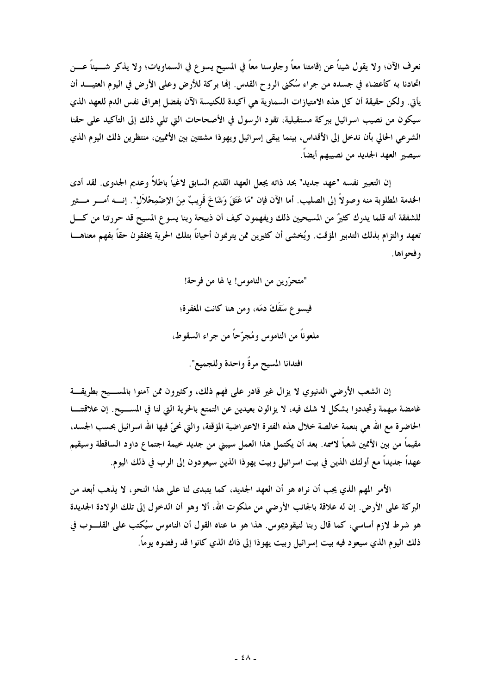نعرف الآن؛ ولا يقول شيئاً عن إقامتنا معاً وجلوسنا معاً في المسيح يسوع في السماويات؛ ولا يذكر شـــيئاً عـــن اتحادنا به كأعضاء في جسده من جراء سُكنى الروح القدس. إنها بركة للأرض وعلى الأرض في اليوم العتيــــد أن يأتي. ولكن حقيقة أن كل هذه الامتيازات السماوية هي أكيدة للكنيسة الآن بفضل إهراق نفس الدم للعهد الذي سيكون من نصيب اسرائيل ببركة مستقبلية، تقود الرسول في الأصحاحات التي تلي ذلك إلى التأكيد على حقنا الشرعي الحالي بأن ندخل إلى الأقداس، بينما يبقى إسرائيل ويهوذا مشتتين بين الأمميين، منتظرين ذلك اليوم الذي سيصير العهد الجديد من نصيبهم أيضاً.

إن التعبير نفسه "عهد جديد" بحد ذاته يجعل العهد القديم السابق لاغياً باطلاً وعديم الجدوى. لقد أدى الخدمة المطلوبة منه وصولاً إلى الصليب. أما الآن فإن "مَا عَتَقَ وَشَاخَ قَريبٌ مِنَ الإضْمِحْلاَل". إنسه أمسر مسثير للشفقة أنه قلما يدرك كثيرٌ من المسيحيين ذلك ويفهمون كيف أن ذبيحة ربنا يسوع المسيح قد حررتنا من كــــل تعهد والتزام بذلك التدبير المؤقت. ويُخشى أن كثيرين ممن يترنمون أحياناً بتلك الحرية يخفقون حقاً بفهم معناهــــا و فحو اها .

> "متحرّرين من الناموس! يا لها من فرحة! فيسو ع سَفَكَ دمَه، ومن هنا كانت المغفرة؛ ملعوناً من الناموس ومُجرِّحاً من جراء السقوط، افتدانا المسيح مرةً واحدة وللجميع".

إن الشعب الأرضى الدنيوي لا يزال غير قادر على فهم ذلك، وكثيرون ممن آمنوا بالمســيح بطريقـــة غامضة مبهمة وتجددوا بشكل لا شك فيه، لا يزالون بعيدين عن التمتع بالحرية التي لنا في المســيح. إن علاقتنـــا الحاضرة مع الله هي بنعمة خالصة خلال هذه الفترة الاعتراضية المؤقتة، والتي نحيٍّ فيها الله اسرائيل بحسب الجسد، مقيماً من بين الأممين شعباً لاسمه. بعد أن يكتمل هذا العمل سيبني من جديد خيمة اجتماع داود الساقطة وسيقيم عهداً جديداً مع أولئك الذين في بيت اسرائيل وبيت يهوذا الذين سيعودون إلى الرب في ذلك اليوم.

الأمر المهم الذي يجب أن نراه هو أن العهد الجديد، كما يتبدى لنا على هذا النحو، لا يذهب أبعد من البركة على الأرض. إن له علاقة بالجانب الأرضي من ملكوت الله، ألا وهو أن الدخول إلى تلك الولادة الجديدة هو شرط لازم أساسي، كما قال ربنا لنيقوديموس. هذا هو ما عناه القول أن الناموس سيُكتب على القلـــوب في ذلك اليوم الذي سيعود فيه بيت إسرائيل وبيت يهوذا إلى ذاك الذي كانوا قد رفضوه يوماً.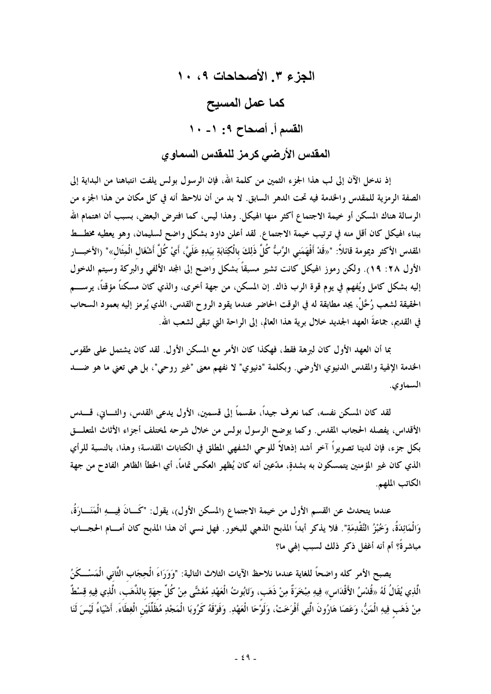الجزع ٣. الأصحاحات ٩، ١٠ كما عمل المسيح القسم أ. أصحاح ٩: ١- ١٠ المقدس الأرضي كرمز للمقدس السماوي

إذ ندخل الآن إلى لب هذا الجزء الثمين من كلمة الله، فإن الرسول بولس يلفت انتباهنا من البداية إلى الصفة الرمزية للمقدس والخدمة فيه تحت الدهر السابق. لا بد من أن نلاحظ أنه في كل مكان من هذا الجزء من الرسالة هناك المسكن أو خيمة الاجتماع أكثر منها الهيكل. وهذا ليس، كما افترض البعض، بسبب أن اهتمام الله ببناء الهيكل كان أقل منه في ترتيب خيمة الاجتماع. لقد أعلن داود بشكل واضح لسليمان، وهو يعطيه مخطــط المقدس الأكثر ديمومة قائلاً: "«قَدْ أَفْهَمَني الرَّبُّ كُلَّ ذَلِكَ بالْكِتَابَةِ بيَدِهِ عَلَيَّ، أَيْ كُلَّ أشْغَال الْمِثَال»" (الأخبـــار الأول ٢٨: ١٩). ولكن رموز الهيكل كانت تشير مسبقاً بشكل واضح إلى المجد الألفي والبركة وسيتم الدخول إليه بشكل كامل ويُفهم في يوم قوة الرب ذاك. إن المسكن، من جهة أخرى، والذي كان مسكناً مؤقتاً، يرســــم الحقيقة لشعب رُحَّلْ، يجد مطابقة له في الوقت الحاضر عندما يقود الروح القدس، الذي يُرمز إليه بعمود السحاب في القديم، جماعةَ العهد الجديد خلال برية هذا العالم، إلى الراحة التي تبقى لشعب الله.

بما أن العهد الأول كان لبرهة فقط، فهكذا كان الأمر مع المسكن الأول. لقد كان يشتمل على طقوس الخدمة الإلهية والمقدس الدنيوي الأرضى. وبكلمة "دنيوي" لا نفهم معنى "غير روحي"، بل هي تعني ما هو ضــــد السماوي.

لقد كان المسكن نفسه، كما نعرف جيداً، مقسماً إلى قسمين، الأول يدعى القدس، والثـــاني، قـــــدس الأقداس، يفصله الحجاب المقدس. وكما يوضح الرسول بولس من خلال شرحه لمختلف أجزاء الأثاث المتعلـــق بكل جزء، فإن لدينا تصويراً آخر أشد إذهالاً للوحي الشفهي المطلق في الكتابات المقدسة؛ وهذا، بالنسبة للرأي الذي كان غير المؤمنين يتمسكون به بشدةٍ، مدّعين أنه كان يُظهر العكس تماماً، أي الخطأ الظاهر الفادح من جهة الكاتب الملهم.

عندما يتحدث عن القسم الأول من خيمة الاجتماع (المسكن الأول)، يقول: "كَـــانَ فِيــــهِ الْمَنَـــارَةُ، وَالْمَائِدَةُ، وَخُبْزُ التَّقْدِمَةِ". فلا يذكر أبداً المذبح الذهبي للبخور. فهل نسبي أن هذا المذبح كان أمسام الحجساب مباشرةً؟ أم أنه أغفل ذكر ذلك لسبب إلهي ما؟

يصبح الأمر كله واضحاً للغاية عندما نلاحظ الآيات الثلاث التالية: "وَوَرَاءَ الْحِجَاب الثَّاني الْمَسْــكَنُ الَّذِي يُقَالُ لَهُ «قُدْسُ الأَقْدَاس» فِيهِ مِبْحَرَةٌ مِنْ ذَهَب، وَتَابُوتُ الْعَهْدِ مُغَشَّى مِنْ كُلِّ جهَةٍ بالذَّهَب، الَّذِي فِيهِ قِسْطٌ مِنْ ذَهَب فِيهِ الْمَنُّ، وَعَصَا هَارُونَ الَّتِي أَفْرَخَتْ، وَلَوْحَا الْعَهْدِ. وَفَوْقَهُ كَرُوبَا الْمَجْدِ مُظَلِّلَيْن الْغِطَاءَ. أشْيَاءُ لَيْسَ لَنَا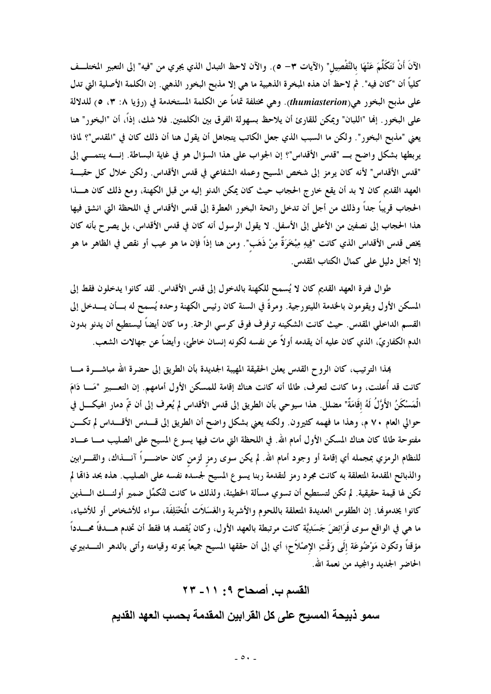الآنَ أَنْ نَتَكَلَّمَ عَنْهَا بالتَّفْصِيل" (الآيات ٣– ٥). والآن لاحظ التبدل الذي يجري من "فيه" إلى التعبير المختلـــف كلياً أن "كان فيه". ثم لاحظ أن هذه المخرة الذهبية ما هي إلا مذبح البخور الذهبي. إن الكلمة الأصلية التي تدل على مذبح البخور هي(thumiasterion). وهي مختلفة تماماً عن الكلمة المستخدمة في (رؤيا ٨: ٣، ٥) للدلالة على البخور . إنما "اللبان" ويمكن للقارئ أن يلاحظ بسهولة الفرق بين الكلمتين. فلا شك، إذاً، أن "البخور" هنا يعني "مذبح البخور". ولكن ما السبب الذي جعل الكاتب يتجاهل أن يقول هنا أن ذلك كان في "المقدس"؟ لماذا يربطها بشكل واضح بــ "قدس الأقداس"؟ إن الجواب على هذا السؤال هو في غاية البساطة. إنــــه ينتمــــي إلى "قدس الأقداس" لأنه كان يرمز إلى شخص المسيح وعمله الشفاعي في قدس الأقداس. ولكن خلال كل حقبـــة العهد القديم كان لا بد أن يقع خارج الحجاب حيث كان يمكن الدنو إليه من قبل الكهنة، ومع ذلك كان هـــذا الحجاب قريباً جداً وذلك من أجل أن تدخل رائحة البخور العطرة إلى قدس الأقداس في اللحظة التي انشق فيها هذا الحجاب إلى نصفين من الأعلى إلى الأسفل. لا يقول الرسول أنه كان في قدس الأقداس، بل يصرح بأنه كان يخص قدس الأقداس الذي كانت "فِيهِ مِبْخَرَةٌ مِنْ ذَهَب". ومن هنا إذاً فإن ما هو عيب أو نقص في الظاهر ما هو إلا أجمل دليل على كمال الكتاب المقدس.

طوال فترة العهد القديم كان لا يُسمح للكهنة بالدخول إلى قدس الأقداس. لقد كانوا يدخلون فقط إلى المسكن الأول ويقومون بالخدمة الليتورجية. ومرةً في السنة كان رئيس الكهنة وحده يُسمح له بسأن يسدخل إلى القسم الداخلي المقدس. حيث كانت الشكينه ترفرف فوق كرسي الرحمة. وما كان أيضاً ليستطيع أن يدنو بدون الدم الكفاريِّ، الذي كان عليه أن يقدمه أولاً عن نفسه لكونه إنسان خاطئ، وأيضاً عن جهالات الشعب.

هِذا الترتيب، كان الرو ح القدس يعلن الحقيقة المهيبة الجديدة بأن الطريق إلى حضرة الله مباشــــرة مــــا كانت قد أُعلنت، وما كانت لتعرف، طالما أنه كانت هناك إقامة للمسكن الأول أمامهم. إن التعـــبير "مَـــا دَامَ الْمَسْكَنُ الأَوَّلُ لَهُ إقَامَةٌ" مضلل. هذا سيوحى بأن الطريق إلى قدس الأقداس لم يُعرف إلى أن تمّ دمار الهيكــــل في حوالي العام ٧٠ م، وهذا ما فهمه كثيرون. ولكنه يعني بشكل واضح أن الطريق إلى قــــدس الأقــــداس لم تكــــن مفتوحة طالما كان هناك المسكن الأول أمام الله. في اللحظة التي مات فيها يسوع المسيح على الصليب مــــا عــــاد للنظام الرمزي بمجمله أي إقامة أو وجود أمام الله. لم يكن سوى رمز لزمن كان حاضــــراً آنــــذاك، والقــــرابين والذبائح المقدمة المتعلقة به كانت مجرد رمز لتقدمة ربنا يسوع المسيح لجسده نفسه على الصليب. هذه بحد ذاقما لم تكن لها قيمة حقيقية. لم تكن لتستطيع أن تسوي مسألة الخطيئة، ولذلك ما كانت لتُكمِّل ضمير أولئـــك الــــذين كانوا يخدموها. إن الطقوس العديدة المتعلقة باللحوم والأشربة والغَسَلاَت المُخْتَلِفَة، سواء للأشخاص أو للأشياء، ما هي في الواقع سوى فَرَائِضَ جَسَدِيَّة كانت مرتبطة بالعهد الأول، وكان يُقصد هِا فقط أن تخدم هـــدفاً محـــدداً مؤقتاً وتكون مَوْضُوعَة إلَى وَقْتِ الإصْلاَح؛ أي إلى أن حققها المسيح جميعاً بموته وقيامته وأتى بالدهر التــــدبيري الحاضر الجديد والمجيد من نعمة الله.

> القسم ب. أصحاح ٩: ١١- ٢٣ سمو ذبيحة المسيح على كل القرابين المقدمة بحسب العهد القديم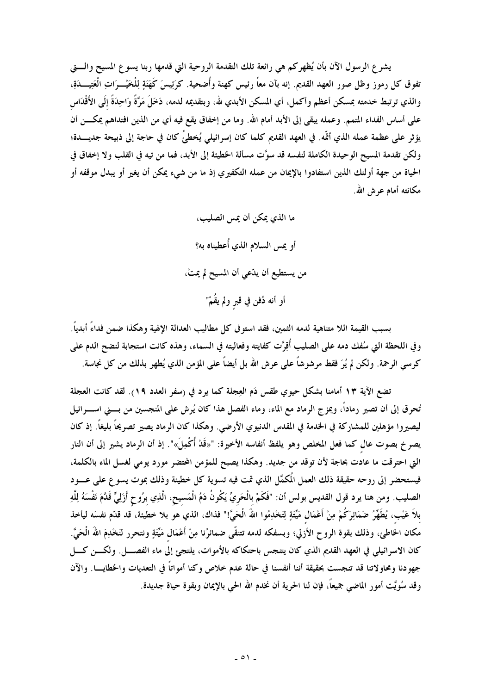يشرع الرسول الآن بأن يُظهركم هي رائعة تلك التقدمة الروحية التي قدمها ربنا يسوع المسيح والـــتي تفوق كل رموز وظل صور العهد القديم. إنه بآن معاً رئيس كهنة وأُضحية. كرَئِيسَ كَهَنَةٍ لِلْخَيْـــرَاتِ الْعَتِيـــدَةِ، والذي ترتبط خدمته بمسكن أعظم وأكمل، أي المسكن الأبدي لله، وبتقديمه لدمه، دَخَلَ مَرَّةً وَاحِدَةً إلَى الأَقْدَاس على أساس الفداء المتمم. وعمله يبقى إلى الأبد أمام الله. وما من إخفاق يقع فيه أي من الذين افتداهم يمكــــن أن يؤثر على عظمة عمله الذي أتَّه. في العهد القديم كلما كان إسرائيلي يُخطئُ كان في حاجة إلى ذبيحة جديـــدة؛ ولكن تقدمة المسيح الوحيدة الكاملة لنفسه قد سوَّت مسألة الخطيئة إلى الأبد، فما من تيه في القلب ولا إخفاق في الحياة من جهة أولئك الذين استفادوا بالإيمان من عمله التكفيري إذ ما من شيء يمكن أن يغير أو يبدل موقفه أو مكانته أمام عوش الله.

> ما الذي يمكن أن يمس الصليب، أو يمس السلام الذي أُعطيناه به؟ من يستطيع أن يدّعي أن المسيح لم يمتْ، أو أنه دُفن في قبر ولم يقُمْ"

بسبب القيمة اللا متناهية لدمه الثمين، فقد استو في كل مطاليب العدالة الإلهية وهكذا ضمن فداءً أبدياً. وفي اللحظة التي سُفك دمه على الصليب أُقِرَّت كفايته وفعاليته في السماء، وهذه كانت استجابة لنضح الدم على كرسي الرحمة. ولكن لم يُرَ فقط مرشوشاً على عرش الله بل أيضاً على المؤمن الذي يُطهر بذلك من كل نجاسة.

تضع الآية ١٣ أمامنا بشكل حيوي طقس دَم العِجلة كما يرد في (سفر العدد ١٩). لقد كانت العجلة تُنحرق إلى أن تصير رماداً، ويمز ج الرماد مع الماء، وماء الفصل هذا كان يُرش على المنجسين من بــــني اســـــرائيل ليصيروا مؤهلين للمشاركة في الخدمة في المقدس الدنيوي الأرضى. وهكذا كان الرماد يصير تصريحاً بليغاً. إذ كان يصرخ بصوت عال كما فعل المخلص وهو يلفظ أنفاسه الأخيرة: "«قَدْ أُكْمِلَ»". إذ أن الرماد يشير إلى أن النار التي احترقت ما عادت بحاجة لأن توقد من جديد. وهكذا يصبح للمؤمن المحتضر مورد يومي لغسل الماء بالكلمة، فيستحضر إلى روحه حقيقة ذلك العمل المكمَّل الذي تمت فيه تسوية كل خطيئة وذلك بموت يسوع على عــــود الصليب. ومن هنا يرد قول القديس بولس أن: "فَكَمْ بالْحَريِّ يَكُونُ دَمُ الْمَسيح، الَّذِي برُوحٍ أَزَلِيٍّ قَدَّمَ نَفْسَهُ لِلَّهِ بلاَ عَيْب، يُطَهِّرُ ضَمَائِرَكُمْ مِنْ أَعْمَال مَيَّتَةٍ لِتَخْدِمُوا الله الْحَيَّ!" فذاك، الذي هو بلا خطيئة، قد قدّم نفسَه ليأخذ مكان الخاطئ، وذلك بقوة الروح الأزلى؛ وبسفكه لدمه تتنقَّى ضمائرُنا مِنْ أَعْمَال مَيَّتَةٍ ونتحرر لنَخْدِمَ الله الْحَيَّ. كان الاسرائيلي في العهد القديم الذي كان يتنجس باحتكاكه بالأموات، يلتجئ إلى ماء الفصــــل. ولكــــن كــــل جهودنا ومحاولاتنا قد تنجست بحقيقة أننا أنفسنا في حالة عدم خلاص وكنا أمواتاً في التعديات والخطايـــا. والآن وقد سُويَّت أمور الماضي جميعاً، فإن لنا الحرية أن نخدم الله الحي بالإيمان وبقوة حياة جديدة.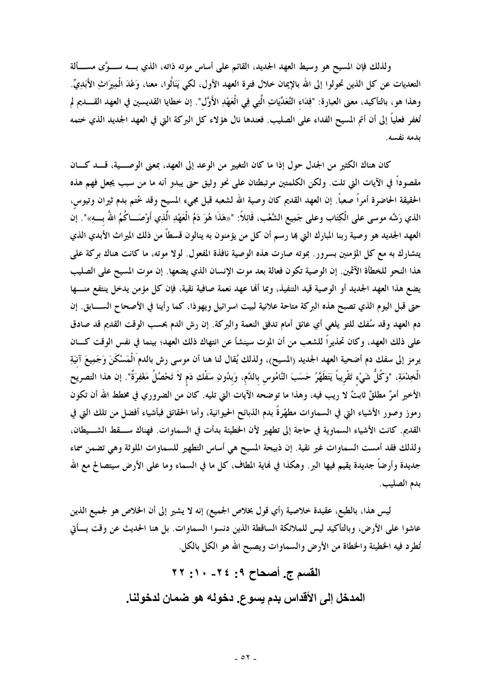ولذلك فإن المسيح هو وسيط العهد الجديد، القائم على أساس موته ذاته، الذي بــــه ســــوًى مســــألة التعديات عن كل الذين تحولوا إلى الله بالإيمان خلال فترة العهد الأول، لكي يَنَالُوا، معنا، وَعْدَ الْمِيرَاثِ الأَبَدِيِّ. وهذا هو، بالتأكيد، معنى العبارة: "فِلدَاء التَّعَدِّيَاتِ الَّتِي فِي الْعَهْدِ الأَوَّل". إن خطايا القديسين في العهد القــــديم لم تُغفر فعلياً إلى أن أتم المسيح الفداء على الصليب. فعندها نال هؤلاء كل البركة التي في العهد الجديد الذي ختمه بدمه نفسه.

كان هناك الكثير من الجدل حول إذا ما كان التغيير من الوعد إلى العهد، بمعنى الوصـــية، قـــد كـــان مقصوداً في الآيات التي تلت. ولكن الكلمتين مرتبطتان على نحو وثيق حتى يبدو أنه ما من سبب يجعل فهم هذه الحقيقة الحاضرة أمراً صعباً. إن العهد القديم كان وصية الله لشعبه قبل مجيء المسيح وقد خُتم بدم ثيران وتيوس، الذي رَشَّه موسى على الْكِتَاب وعلى جَمِيع الشَّعْب، قَائِلاً: "«هَذَا هُوَ دَمُ الْعَهْدِ الَّذِي أَوْصَـــاكُمُ اللهُ بــــهِ»". إنَّا العهد الجديد هو وصية ربنا المبارك التي بما رسم أن كل من يؤمنون به ينالون قسطاً من ذلك الميراث الأبدي الذي يتشارك به مع كل المؤمنين بسرور . بموته صارت هذه الوصية نافذة المفعول. لولا موته، ما كانت هناك بركة على هذا النحو للخطأة الآثمين. إن الوصية تكون فعالة بعد موت الإنسان الذي يضعها. إن موت المسيح على الصليب يضع هذا العهد الجديد أو الوصية قيد التنفيذ، وبما ألها عهد نعمة صافية نقية، فإن كل مؤمن يدخل ينتفع منسها حتى قبل اليوم الذي تصبح هذه البركة متاحة علانية لبيت اسرائيل ويهوذا، كما رأينا في الأصحاح الســــابق. إن دم العهد وقد سُفك للتو يلغي أي عائق أمام تدفق النعمة والبركة. إن رش الدم بحسب الوقت القديم قد صادق على ذلك العهد، وكان تحذيراً للشعب من أن الموت سينشأ عن انتهاك ذلك العهد؛ بينما في نفس الوقت كـــان يرمز إلى سفك دم أضحية العهد الجديد (المسيح)، ولذلك يُقال لنا هنا أن موسى رش بالدم الْمَسْكَنَ وَجَمِيعَ آنيَةِ الْخِدْمَةِ، "وَكُلُّ شَيْءٍ تَقْرِيباً يَتَطَهَّرُ حَسَبَ النَّامُوس بالدَّم، وَبدُونِ سَفْكِ دَم لاَ تَحْصُلُ مَغْفِرَةٌ". إن هذا التصريح الأخير أمرٌ مطلقٌ ثابتٌ لا ريب فيه، وهذا ما توضحه الآيات التي تليه. كان من الضروري في مخطط الله أن تكون رموز وصور الأشياء التي في السماوات مطهَّرةً بدم الذبائح الحيوانية، وأما الحقائق فبأشياء أفضل من تلك التي في القديم. كانت الأشياء السماوية في حاجة إلى تطهير لأن الخطيئة بدأت في السماوات. فهناك ســـقط الشـــيطان، ولذلك فقد أمست السماوات غير نقية. إن ذبيحة المسيح هي أساس التطهير للسماوات الملوثة وهي تضمن سماء جديدة وأرضاً جديدة يقيم فيها البر . وهكذا في نماية المطاف، كل ما في السماء وما على الأرض سيتصالح مع الله بدم الصليب.

ليس هذا، بالطبع، عقيدة خلاصية (أي قول بخلاص الجميع) إنه لا يشير إلى أن الخلاص هو لجميع الذين عاشوا على الأرض، وبالتأكيد ليس للملائكة الساقطة الذين دنسوا السماوات. بل هنا الحديث عن وقت يسأتي تُطرِد فيه الخطيئة والخطاة من الأرض والسماوات ويصبح الله هو الكل بالكل.

> القسم ج. أصحاح ٩: ٢٤- ١٠: ٢٢ المدخل إلى الأقداس بدم يسوع. دخوله هو ضمان لدخولنا.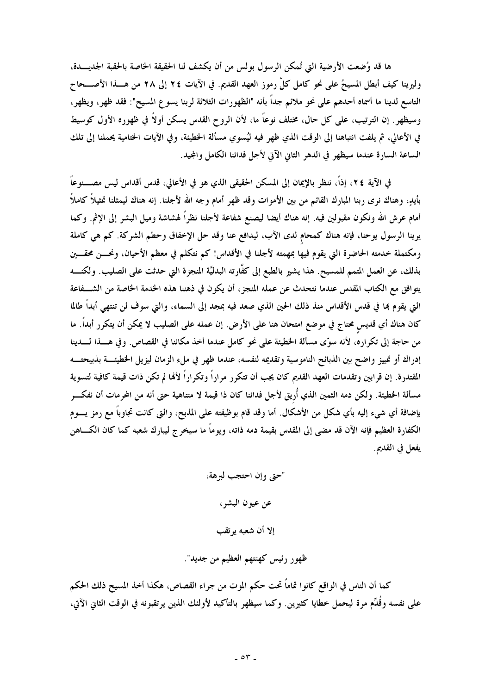ها قد وُضعت الأرضية التي تُمكن الرسول بولس من أن يكشف لنا الحقيقة الخاصة بالحقبة الجديـــدة، وليرينا كيف أبطل المسيحُ على نحو كامل كلَّ رموز العهد القديم. في الآيات ٢٤ إلى ٢٨ من هــــذا الأصــــحاح التاسع لدينا ما أسماه أحدهم على نحو ملائم جداً بأنه "الظهورات الثلاثة لربنا يسوع المسيح": فقد ظهر، ويظهر، وسيظهر . إن الترتيب، على كل حال، مختلف نوعاً ما، لأن الروح القدس يسكن أولاً في ظهوره الأول كوسيط في الأعالي، ثم يلفت انتباهنا إلى الوقت الذي ظهر فيه ليُسوي مسألة الخطيئة، وفي الآيات الختامية يحملنا إلى تلك الساعة السارة عندما سيظهر في الدهر الثاني الآتي لأجل فدائنا الكامل والمجيد.

في الآية ٢٤، إذاً، ننظر بالإيمان إلى المسكن الحقيقي الذي هو في الأعالى، قدس أقداس ليس مصــــنوعاً بأيدٍ، وهناك نرى ربنا المبارك القائم من بين الأموات وقد ظهر أمام وجه الله لأجلنا. إنه هناك ليمثلنا تمثيلاً كاملاً أمام عرش الله ونكون مقبولين فيه. إنه هناك أيضا ليصنع شفاعة لأجلنا نظراً لهشاشة وميل البشر إلى الإثم. وكما يرينا الرسول يوحنا، فإنه هناك كمحام لدى الآب، ليدافع عنا وقد حل الإخفاق وحطم الشركة. كم هي كاملة ومكتملة خدمته الحاضرة التي يقوم فيها بمهمته لأجلنا في الأقداس! كم نتكلم في معظم الأحيان، ونحـــن محقــــين بذلك، عن العمل المتمم للمسيح. هذا يشير بالطبع إلى كفَّارته البدليَّة المنجزة التي حدثت على الصليب. ولكنــــه يتوافق مع الكتاب المقدس عندما نتحدث عن عمله المنجز ، أن يكون في ذهننا هذه الخدمة الخاصة من الشـــفاعة التي يقوم بما في قدس الأقداس منذ ذلك الحين الذي صعد فيه بمجد إلى السماء، والتي سوف لن تنتهي أبداً طالما كان هناك أي قديس محتاج في موضع امتحان هنا على الأرض. إن عمله على الصليب لا يمكن أن يتكرر أبداً. ما من حاجة إلى تكراره، لأنه سوّى مسألة الخطيئة على نحو كامل عندما أخذ مكاننا في القصاص. وفي هــــذا لـــــدينا إدراك أو تمييز واضح بين الذبائح الناموسية وتقديمه لنفسه، عندما ظهر في ملء الزمان ليزيل الخطيئة بذبيحتــه المقتدرة. إن قرابين وتقدمات العهد القديم كان يجب أن تتكرر مراراً وتكراراً لألها لم تكن ذات قيمة كافية لتسوية مسألة الخطيئة. ولكن دمه الثمين الذي أُريق لأجل فدائنا كان ذا قيمة لا متناهية حتى أنه من المحرمات أن نفكـــر بإضافة أي شيء إليه بأي شكل من الأشكال. أما وقد قام بوظيفته على المذبح، والتي كانت تجاوباً مع رمز يــــوم الكفارة العظيم فإنه الآن قد مضى إلى المقدس بقيمة دمه ذاته، ويوماً ما سيخرج ليبارك شعبه كما كان الكـــاهن يفعل في القديم.

> "حتى وإن احتجب لبرهة، عن عيون البشر، إلا أن شعبه يوتقب ظهور رئيس كهنتهم العظيم من جديد".

كما أن الناس في الواقع كانوا تماماً تحت حكم الموت من جراء القصاص، هكذا أخذ المسيح ذلك الحكم على نفسه وقُدِّم مرة ليحمل خطايا كثيرين. وكما سيظهر بالتأكيد لأولئك الذين يرتقبونه في الوقت الثاني الآتي،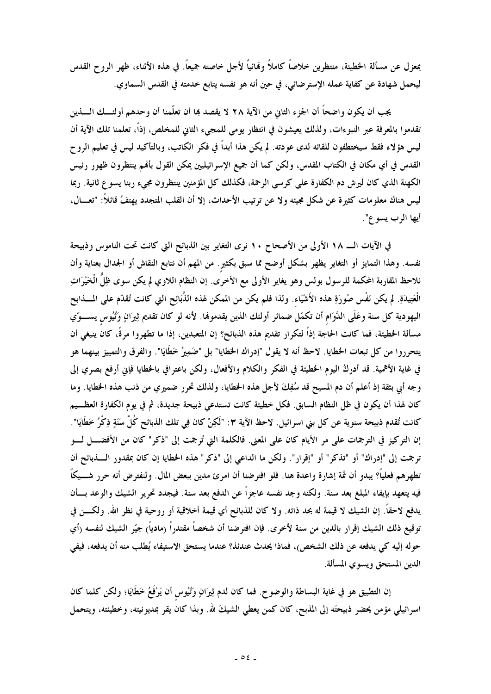بمعزل عن مسألة الخطيئة، منتظرين خلاصاً كاملاً ولهائياً لأجل خاصته جميعاً. في هذه الأثناء، ظهر الروح القدس ليحمل شهادة عن كفاية عمله الإسترضائي، في حين أنه هو نفسه يتابع خدمته في القدس السماوي.

يجب أن يكون واضحاً أن الجزء الثاني من الآية ٢٨ لا يقصد بما أن تعلَّمنا أن وحدهم أولئـــك الــــذين تقدموا بالمعرفة عبر النبوءات، ولذلك يعيشون في انتظار يومي للمجيء الثاني للمخلص، إذاً، تعلمنا تلك الآية أن ليس هؤلاء فقط سيختطفون للقائه لدى عودته. لم يكن هذا أبداً في فكر الكاتب، وبالتأكيد ليس في تعليم الروح القدس في أي مكان في الكتاب المقدس، ولكن كما أن جميع الإسرائيليين يمكن القول بألهم ينتظرون ظهور رئيس الكهنة الذي كان ليرش دم الكفارة على كرسي الرحمة، فكذلك كل المؤمنين ينتظرون مجيء ربنا يسوع ثانية. ربما ليس هناك معلومات كثيرة عن شكل مجيئه ولا عن ترتيب الأحداث، إلا أن القلب المتجدد يهتفُ قائلاً: "تعـــال، أيها الرب يسوع".

في الآيات الـ ١٨ الأولى من الأصحاح ١٠ نرى التغاير بين الذبائح التي كانت تحت الناموس وذبيحة نفسه. وهذا التمايز أو التغاير يظهر بشكل أوضح مما سبق بكثيرٍ. من المهم أن نتابع النقاش أو الجدال بعناية وأن نلاحظ المقاربة المحكمة للرسول بولس وهو يغاير الأولى مع الأخرى. إن النظام اللاوي لم يكن سوى ظِلَّ الْخَيْرَاتِ الْعَتِيدَةِ. لم يكن نَفْس صُورَةِ هذه الأَشْيَاء. ولذا فلم يكن من الممكن لهذه الذَّبَائِح التي كانت تُقدّم على المسذابح اليهودية كل سنة وعَلَى الدَّوَام أن تكمَّل ضمائر أولئك الذين يقدموها. لأنه لو كان تقديم ثِيرَانٍ وَتُيُوس يســـوّي مسألة الخطيئة، فما كانت الحاجة إذاً لتكرار تقديم هذه الذبائح؟ إن المتعبدين، إذا ما تطهروا مرةً، كان ينبغي أن يتحرروا من كل تبعات الحظايا. لاحظ أنه لا يقول "إدراك الحطايا" بل "ضَمِيرُ خَطَايَا". والفرق والتمييز بينهما هو في غاية الأهمية. قد أدركُ اليوم الخطيئة في الفكر والكلام والأفعال، ولكن باعترافي بالخطايا فإني أرفع بصري إلى وجه أبي بثقة إذ أعلم أن دم المسيح قد سُفِكَ لأجل هذه الخطايا، ولذلك تحرر ضميري من ذنب هذه الخطايا. وما كان لهذا أن يكون في ظل النظام السابق. فكل خطيئة كانت تستدعى ذبيحة جديدة، ثم في يوم الكفارة العظـــيم كانت تُقدم ذبيحة سنوية عن كل بني اسرائيل. لاحظ الآية ٣: "لَكِنْ كان فِي تلك الذبائح كُلَّ سَنَةٍ ذِكْرُ خَطَايَا". إن التركيز في الترجمات على مر الأيام كان على المعنى. فالكلمة التي تُرجمت إلى "ذكر" كان من الأفضــــل لــــو ترجمت إلى "إدراك" أو "تذكر" أو "إقرار". ولكن ما الداعي إلى "ذكر" هذه الخطايا إن كان بمقدور الــــذبائح أن تطهرهم فعلياً؟ يبدو أن ثمة إشارة واعدة هنا. فلو افترضنا أن امرئ مدين ببعض المال. ولنفترض أنه حرر شـــيكاً فيه يتعهد بإيفاء المبلغ بعد سنة. ولكنه وجد نفسه عاجزاً عن الدفع بعد سنة. فيجدد تحرير الشيك والوعد بسأن يدفع لاحقاً. إن الشيك لا قيمة له بحد ذاته. ولا كان للذبائح أي قيمة أخلاقية أو روحية في نظر الله. ولكـــن في توقيع ذلك الشيك إقرار بالدين من سنة لأخرى. فإن افترضنا أن شخصاً مقتدراً رمادياً) جيّر الشيك لنفسه رأي حوله إليه كي يدفعه عن ذلك الشخص)، فماذا يحدث عندئذ؟ عندما يستحق الاستيفاء يُطلب منه أن يدفعه، فيفي الدين المستحق ويسوى المسألة.

إن التطبيق هو في غاية البساطة والوضوح. فما كان لدم ثِيرَانٍ وَتُيُوس أن يَرْفَعُ خَطَايَا؛ ولكن كلما كان اسرائيلي مؤمن يحضر ذبيحتَه إلى المذبح، كان كمن يعطي الشيكَ لله. وبذا كان يقر بمديونيته، وخطيئته، ويتحمل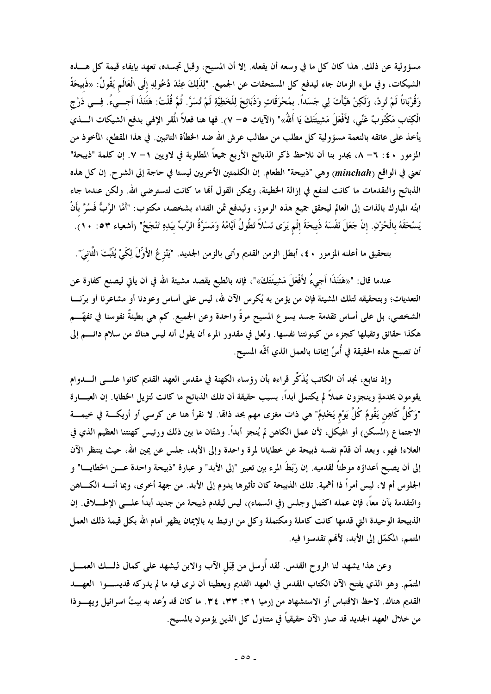مسؤولية عن ذلك. هذا كان كل ما في وسعه أن يفعله. إلا أن المسيح، وقبل تجسده، تعهد بإيفاء قيمة كل هـــذه الشيكات، وفي ملء الزمان جاء ليدفع كل المستحقات عن الجميع. "لِلذَلِكَ عِنْدَ دُخُولِهِ إلَى الْعَالَم يَقُولُ: «ذَبيحَةً وَقُرْبَاناً لَمْ تُردْ، وَلَكِنْ هَيَّأْتَ لِي جَسَداً. بمُحْرَقَاتٍ وَذَبَائِحَ لِلْخَطِيَّةِ لَمْ تُسَرَّ. ثُمَّ قُلْتُ: هَتَنَذَا أجـــيءُ. فِـــي دَرْج الْكِتَاب مَكْتُوبٌ عَنِّي، لأَفْعَلَ مَشِيئَتَكَ يَا أَللهُ»" (الآيات ٥– ٧). فها هنا فعلاً الُمقر الإلهي بدفع الشيكات الــــذي يأخذ على عاتقه بالنعمة مسؤولية كل مطلب من مطالب عرش الله ضد الخطأة التائبين. في هذا المقطع، المأخوذ من المزمور ٤٠ : ٦– ٨، يجدر بنا أن نلاحظ ذكر الذبائح الأربع جميعاً المطلوبة في لاويين ١– ٧. إن كلمة "ذبيحة" تعني في الواقع (minchah) وهي "ذبيحة" الطعام. إن الكلمتين الأخريين ليستا في حاجة إلى الشرح. إن كل هذه الذبائح والتقدمات ما كانت لتنفع في إزالة الخطيئة، ويمكن القول ألها ما كانت لتسترضى الله. ولكن عندما جاء ابنُه المبارك بالذات إلى العالم ليحقق جميع هذه الرموز، وليدفع ثمن الفداء بشخصه، مكتوب: "أَمَّا الرَّبُّ فَسُرَّ بأَنْ يَسْحَقَهُ بالْحُرْنِ. إنْ جَعَلَ نَفْسَهُ ذَبيحَةَ إثْمٍ يَرَى نَسْلاً تَطُولُ أَيَّامُهُ وَمَسَرَّةُ الرَّبّ بيَدِهِ تَنْجَحُ" (أشعياء ٥٣ : ١٠).

بتحقيق ما أعلنه المزمور ٤٠ ، أبطل الزمن القديم وأتى بالزمن الجديد. "يَنْزِعُ الأَوِّلَ لِكَيْ يُثَبّتَ الثّانيّ".

عندما قال: "«هَتَنَذَا أَجيءُ لأَفْعَلَ مَشِيئَتَكَ»"، فإنه بالطبع يقصد مشيئة الله في أن يأتي ليصنع كفارة عن التعديات؛ وبتحقيقه لتلك المشيئة فإن من يؤمن به يُكرس الآن لله، ليس على أساس وعودنا أو مشاعرنا أو برّنــــا الشخصي، بل على أساس تقدمة جسد يسوع المسيح مرةً واحدة وعن الجميع. كم هي بطيئةٌ نفوسنا في تفهّـــم هكذا حقائق وتقبلها كجزء من كينونتنا نفسها. ولعل في مقدور المرء أن يقول أنه ليس هناك من سلام دائــــم إلى أن تصبح هذه الحقيقة في أُسِّ إيماننا بالعمل الذي أتَّمه المسيح.

وإذ نتابع، نجد أن الكاتب يُذَكِّر قراءه بأن رؤساء الكهنة في مقدس العهد القديم كانوا علـــى الــــدوام يقومون بخدمةٍ وينجزون عملاً لم يكتمل أبداً، بسبب حقيقة أن تلك الذبائح ما كانت لتزيل الخطايا. إن العبـــارة "وَكُلُّ كَاهِن يَقُومُ كُلَّ يَوْم يَخْدِمُ" هي ذات مغزى مهم بحد ذالها. لا نقرأ هنا عن كرسي أو أريكــــة في خيمــــة الاجتماع (المسكن) أو الهيكل، لأن عمل الكاهن لم يُنجز أبداً. وشتّان ما بين ذلك ورئيس كهنتنا العظيم الذي في العلاء! فهو، وبعد أن قلَّم نفسه ذبيحة عن خطايانا لمرة واحدة وإلى الأبد، جلس عن يمين الله، حيث ينتظر الآن إلى أن يصبح أعداؤه موطئاً لقدميه. إن رَبَطَ المرء بين تعبير "إلى الأبد" و عبارة "ذبيحة واحدة عـــن الخطايـــا" و الجلوس أم لا، ليس أمراً ذا أهمية. تلك الذبيحة كان تأثيرها يدوم إلى الأبد. من جهة أخرى، وبما أنــــه الكــــاهن والتقدمة بآن معاً، فإن عمله اكتَمل وجلس (في السماء)، ليس ليقدم ذبيحة من جديد أبداً علـــى الإطـــــلاق. إن الذبيحة الوحيدة التي قدمها كانت كاملة ومكتملة وكل من ارتبط به بالإيمان يظهر أمام الله بكل قيمة ذلك العمل المتمم، المكمّل إلى الأبد، لأفمم تقدسوا فيه.

وعن هذا يشهد لنا الروح القدس. لقد أُرسل من قِبَل الآب والابن ليشهد على كمال ذلـــك العمــــل المتمّم. وهو الذي يفتح الآن الكتاب المقدس في العهد القديم ويعطينا أن نرى فيه ما لم يدركه قديســــوا العهـــــد القديم هناك. لاحظ الاقتباس أو الاستشهاد من إرميا ٣١: ٣٣، ٣٤. ما كان قد وُعد به بيتُ اسرائيل ويهـــوذا من خلال العهد الجديد قد صار الآن حقيقياً في متناول كل الذين يؤمنون بالمسيح.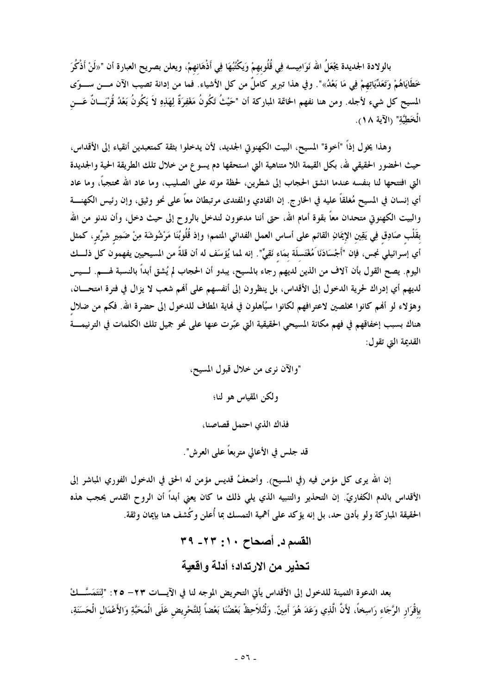بالولادة الجديدة يجْعَلُ الله نَوَامِيسه فِي قُلُوبهمْ وَيكْتُبُهَا فِي أَذْهَانهمْ، ويعلن بصريح العبارة أن "«لَنْ أَذْكُرَ خَطَايَاهُمْ وَتَعَلَّيَاتِهِمْ فِي مَا بَعْدُ»". وفي هذا تبرير كاملٌ من كل الأشياء. فما من إدانة تصيب الآن مــــن ســـوّى المسيح كل شيء لأجله. ومن هنا نفهم الخاتمة المباركة أن "حَيْثُ تَكُونُ مَغْفِرَةٌ لِهَذِهِ لاَ يَكُونُ بَعْدُ قُرْبَـــانٌ عَـــن الْخَطِيَّة" (الآية ١٨).

وهذا يخول إذاً "أخوة" المسيح، البيت الكهنوتي الجديد، لأن يدخلوا بثقة كمتعبدين أنقياء إلى الأقداس، حيث الحضور الحقيقي لله، بكل القيمة اللا متناهية التي استحقها دم يسوع من خلال تلك الطريقة الحية والجديدة التي افتتحها لنا بنفسه عندما انشق الحجاب إلى شطرين، لحظة موته على الصليب، وما عاد الله محتجبًا، وما عاد أي إنسان في المسيح مُغلقاً عليه في الخارج. إن الفادي والمفتدى مرتبطان معاً على نحو وثيق، وإن رئيس الكهنــــة والبيت الكهنوتى متحدان معاً بقوة أمام الله، حتى أننا مدعوون لندخل بالروح إلى حيث دخل، وأن ندنو من الله بقَلْب صَادِق فِي يَقِين الإيمَانِ القائم على أساس العمل الفدائي المتمم؛ وإذ قُلُوبُنَا مَرْشُوشَة مِنْ ضَمِير شِرِّير، كمثل أي إسرائيلي نجس، فإن "أَجْسَادَنَا مُغْتَسلَة بمَاء نَقِيٍّ". إنه لمما يُؤسَف له أن قلةً من المسيحيين يفهمون كل ذلـــك اليوم. يصح القول بأن آلاف من الذين لديهم رجاء بالمسيح، يبدو أن الحجاب لم يُشق أبداً بالنسبة لهـــم. لـــيس لديهم أي إدراك لحرية الدخول إلى الأقداس، بل ينظرون إلى أنفسهم على ألهم شعب لا يزال في فترة امتحـــان، وهؤلاء لو أفمم كانوا مخلصين لاعترافهم لكانوا سيُأهلون في نماية المطاف للدخول إلى حضرة الله. فكم من ضلال هناك بسبب إخفاقهم في فهم مكانة المسيحي الحقيقية التي عبّرت عنها على نحو جميل تلك الكلمات في الترنيمــــة القديمة التي تقول:

> "والآن نوي من خلال قبول المسيح، ولكن المقياس هو لنا؛ فذاك الذي احتمل قصاصنا،

قد جلس في الأعالي متربعاً على العرش".

إن الله يرى كل مؤمن فيه (في المسيح). وأضعفُ قديس مؤمن له الحق في الدخول الفوري المباشر إلى الأقداس بالدم الكفاريّ. إن التحذير والتنبيه الذي يلي ذلك ما كان يعني أبداً أن الروح القدس يحجب هذه الحقيقة المباركة ولو بأدنى حد، بل إنه يؤكد على أهمية التمسك بما أُعلن وكُشف هنا بإيمان وثقة.

> القسم د. أصحاح ١٠: ٢٢- ٣٩ تحذير من الارتداد؛ أدلة واقعية

بعد الدعوة الثمينة للدخول إلى الأقداس يأتي التحريض الموجه لنا في الآيسات ٢٣ – ٢٥: "لِنَتَمَسَّــكْ بإقْرَار الرَّجَاء رَاسِخاً، لأَنَّ الَّذِي وَعَدَ هُوَ أَمِينٌ. وَلْنُلاَحِظْ بَعْضُنَا بَعْضاً لِلتَّحْريض عَلَى الْمَحَبَّةِ وَالأَعْمَال الْحَسَنَةِ،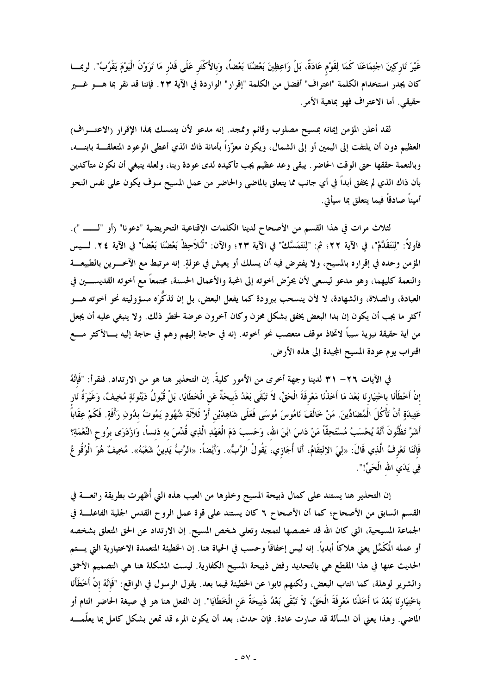غَيْرَ تَاركِينَ اجْتِمَاعَنَا كَمَا لِقَوْم عَادَةٌ، بَلْ وَاعِظِينَ بَعْضُنَا بَعْضًا، وَبالأَكْثَر عَلَى قَدْر مَا تَرَوْنَ الْيَوْمَ يَقْرُبُ". لربمـــا كان يجدر استخدام الكلمة "اعتراف" أفضل من الكلمة "إقرار" الواردة في الآية ٢٣. فإننا قد نقر بما هــــو غـــير حقيقي. أما الاعتراف فهو بماهية الأمر.

لقد أعلن المؤمن إيمانه بمسيح مصلوب وقائم وممجد. إنه مدعو لأن يتمسك بمذا الإقرار (الاعتـــراف) العظيم دون أن يلتفت إلى اليمين أو إلى الشمال، ويكون معزّزاً بأمانة ذاك الذي أعطى الوعود المتعلقــــة بابنــــه، وبالنعمة حققها حتى الوقت الحاضر . يبقى وعد عظيم يجب تأكيده لدى عودة ربنا، ولعله ينبغي أن نكون متأكدين بأن ذاك الذي لم يخفق أبداً في أي جانب مما يتعلق بالماضي والحاضر من عمل المسيح سوف يكون على نفس النحو أميناً صادقاً فيما يتعلق بما سيأتي.

لثلاث مرات في هذا القسم من الأصحاح لدينا الكلمات الإقناعية التحريضية "دعونا" (أو "لـــــ "). فأولاً: "لِنَتَقَدَّمْ"، في الآية ٢٢؛ ثم: "لِنَتَمَسَّكْ" في الآية ٢٣؛ والآن: "لْنُلاَحِظْ بَعْضُنَا بَعْضاً" في الآية ٢٤. لـــيس المؤمن وحده في إقراره بالمسيح، ولا يفترض فيه أن يسلك أو يعيش في عزلةٍ. إنه مرتبط مع الآخــــرين بالطبيعـــة والنعمة كليهما، وهو مدعو ليسعى لأن يحرّض أخوته إلى المجة والأعمال الحسنة، مجتمعاً مع أخوته القديســـين في العبادة، والصلاة، والشهادة، لا لأن ينسحب ببرودة كما يفعل البعض، بل إن تَذكَّرَه مسؤوليته نحو أخوته هـــو أكثر ما يجب أن يكون إن بدا البعض يخفق بشكل محزن وكان آخرون عرضة لخطر ذلك. ولا ينبغي عليه أن يجعل من أية حقيقة نبوية سبباً لاتخاذ موقف متعصب نحو أخوته. إنه في حاجة إليهم وهم في حاجة إليه بـــالأكثر مــــع اقتراب يوم عودة المسيح المجيدة إلى هذه الأرض.

في الآيات ٢٦– ٣١ لدينا وجهة أخرى من الأمور كليةً. إن التحذير هنا هو من الارتداد. فنقرأ: "فَإِنَّهُ إنْ أَخْطَأْنَا باخْتِيَارِنَا بَعْدَ مَا أَخَذْنَا مَعْرِفَةَ الْحَقِّ، لاَ تَبْقَى بَعْدُ ذَبيحَةٌ عَنِ الْخَطَايَا، بَلْ قُبُولُ دَيْنُونَةٍ مُخِيفٌ، وَغَيْرَةُ نَارِ عَتِيدَةٍ أَنْ تَأْكُلَ الْمُضَادِّينَ. مَنْ خَالَفَ نَامُوسَ مُوسَى فَعَلَى شَاهِدَيْنِ أَوْ ثَلاَثَةِ شُهُودٍ يَمُوتُ بدُونِ رَأْفَةٍ. فَكَمْ عِقَاباً أَشَرَّ تَظُنُّونَ أَنَّهُ يُحْسَبُ مُسْتَحِقّاً مَنْ دَاسَ ابْنَ الله، وَحَسبَ دَمَ الْعَهْدِ الَّذِي قُدِّسَ بهِ دَنساً، وَازْدَرَى برُوح النِّعْمَةِ؟ فَإِنَّنَا نَعْرِفُ الَّذِي قَالَ: «لِيَ الاِنْتِقَامُ، أَنَا أُجَازِي، يَقُولُ الرَّبُّ». وَأَيْضاً: «الرَّبُّ يَدِينُ شَعْبَهُ». مُخِيفٌ هُوَ الْوُقُوعُ فِي يَدَيِ الله الْحَيِّ!".

إن التحذير هنا يستند على كمال ذبيحة المسيح وخلوها من العيب هذه التي أُظهرت بطريقة رائعــــة في القسم السابق من الأصحاح؛ كما أن الأصحاح ٦ كان يستند على قوة عمل الروح القدس الجلية الفاعلـــة في الجماعة المسيحية، التي كان الله قد خصصها لتمجد وتعلى شخص المسيح. إن الارتداد عن الحق المتعلق بشخصه أو عمله الْمَكَمَّل يعني هلاكاً أبدياً. إنه ليس إخفاقاً وحسب في الحياة هنا. إن الخطيئة المتعمدة الاختيارية التي يستم الحديث عنها في هذا المقطع هي بالتحديد رفض ذبيحة المسيح الكفارية. ليست المشكلة هنا هي التصميم الأحمق والشرير لوهلة، كما انتاب البعض، ولكنهم تابوا عن الخطيئة فيما بعد. يقول الرسول في الواقع: "فَإِنَّهُ إنْ أخْطَأْنَا باخْتِيَارنَا بَعْدَ مَا أَخَذْنَا مَعْرِفَةَ الْحَقِّ، لاَ تَبْقَى بَعْدُ ذَبيحَةٌ عَنِ الْخَطَايَا". إن الفعل هنا هو في صيغة الحاضر التام أو الماضي. وهذا يعني أن المسألة قد صارت عادة. فإن حدث، بعد أن يكون المرء قد تمعن بشكل كامل بما يعلّمــــه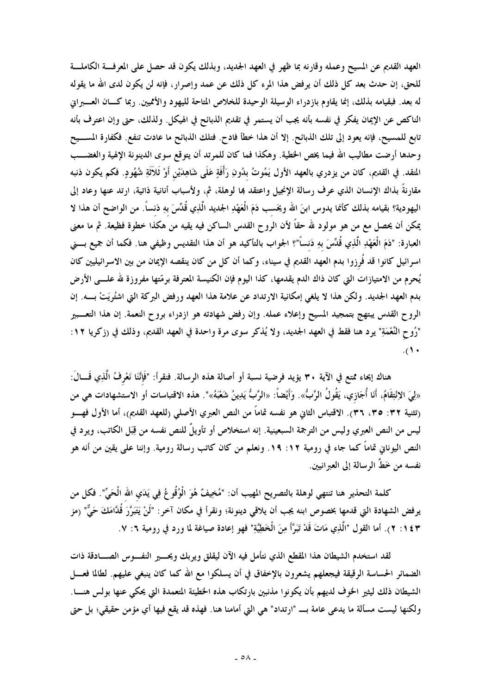العهد القديم عن المسيح وعمله وقارنه بما ظهر في العهد الجديد، وبذلك يكون قد حصل على المعرفة الكاملة للحق، إن حدث بعد كل ذلك أن يرفض هذا المرء كل ذلك عن عمد وإصرار، فإنه لن يكون لدى الله ما يقوله له بعد. فبقيامه بذلك، إنما يقاوم بازدراء الوسيلة الوحيدة للخلاص المتاحة لليهود والأمميين. ربما كـــان العــــبراني الناكص عن الإيمان يفكر في نفسه بأنه يجب أن يستمر في تقديم الذبائح في الهيكل. ولذلك، حتى وإن اعترف بأنه تابع للمسيح، فإنه يعود إلى تلك الذبائح. إلا أن هذا خطأ فادح. فتلك الذبائح ما عادت تنفع. فكفارة المســـيح وحدها أرضت مطاليب الله فيما يخص الخطية. وهكذا فما كان للمرتد أن يتوقع سوى الدينونة الإلهية والغضـــب المتقد. في القديم، كان من يزدري بالعهد الأول يَمُوتُ بدُونِ رَأْفَةٍ عَلَى شَاهِدَيْنِ أَوْ ثَلاَثَةِ شُهُودٍ. فكم يكون ذنبه مقارنةً بذاك الإنسان الذي عرف رسالة الإنجيل واعتقد بما لوهلة، ثم، ولأسباب أنانية ذاتية، ارتد عنها وعاد إلى اليهودية؟ بقيامه بذلك كأنما يدوس ابنَ الله ويحَسب دَمَ الْعَهْدِ الجديد الَّذِي قُدِّسَ بهِ دَنساً. من الواضح أن هذا لا يمكن أن يحصل مع من هو مولود لله حقاً لأن الروح القدس الساكن فيه يقيه من هكذا خطوة فظيعة. ثم ما معنى العبارة: "دَمَ الْعَهْلِ الَّذِي قُلِّسَ بهِ دَنساً"؟ الجواب بالتأكيد هو أن هذا التقديس وظيفى هنا. فكما أن جميع بـــنى اسرائيل كانوا قد فُرزوا بدم العهد القديم في سيناء، وكما أن كل من كان ينقصه الإيمان من بين الاسرائيليين كان يُحرِم من الامتيازات التي كان ذاك الدم يقدمها، كذا اليوم فإن الكنيسة المعترفة برمّتها مفروزة لله علـــي الأرض بدم العهد الجديد. ولكن هذا لا يلغي إمكانية الارتداد عن علامة هذا العهد ورفض البركة التي اشتُريَتْ بــــه. إن الروح القدس يبتهج بتمجيد المسيح وإعلاء عمله. وإن رفض شهادته هو ازدراء بروح النعمة. إن هذا التعــبير "رُوحِ النَّعْمَةِ" يرد هنا فقط في العهد الجديد، ولا يُذكر سوى مرة واحدة في العهد القديم، وذلك في (زكريا ١٢:  $(1)$ 

هناك إيحاء ممتع في الآية ٣٠ يؤيد فرضية نسبة أو أصالة هذه الرسالة. فنقرأ: "فَإِنَّنَا نَعْرفُ الَّذِي قَـــالَ: «لِيَ الاِنْتِقَامُ، أَنَا أُجَازِي، يَقُولُ الرَّبُّ». وَأَيْضاً: «الرَّبُّ يَدِينُ شَعْبَهُ»". هذه الاقتباسات أو الاستشهادات هي من (تثنية ٣٢: ٣٥، ٣٦). الاقتباس الثاني هو نفسه تماماً من النص العبري الأصلي (للعهد القديم)، أما الأول فهسو ليس من النص العبري وليس من الترجمة السبعينية. إنه استخلاص أو تأويلٌ للنص نفسه من قِبَل الكاتب، ويرد في النص اليوناني تماماً كما جاء في رومية ١٢: ١٩. ونعلم من كان كاتب رسالة رومية. وإننا على يقين من أنه هو نفسه من خَطَّ الرسالة إلى العبر انيين.

كلمة التحذير هنا تنتهي لوهلة بالتصريح المهيب أن: "مُخِيفٌ هُوَ الْوُقُوعُ فِي يَدَي الله الْحَيِّ". فكل من يرفض الشهادة التي قدمها بخصوص ابنه يجب أن يلاقي دينونة؛ ونقرأ في مكان آخر : "لَنْ يَتَبَرَّرَ قُدَّامَكَ حَيٌّ" (مز ١٤٣: ٢). أما القول "الَّذِي مَاتَ قَدْ تَبَرَّأَ مِنَ الْخَطِيَّةِ" فهو إعادة صياغة لما ورد في رومية ٦: ٧.

لقد استخدم الشيطان هذا المقطع الذي نتأمل فيه الآن ليقلق ويربك ويحسير النفسوس الصسادقة ذات الضمائر الحساسة الرقيقة فيجعلهم يشعرون بالإخفاق في أن يسلكوا مع الله كما كان ينبغي عليهم. لطالما فعـــل الشيطان ذلك ليثير الخوف لديهم بأن يكونوا مذنبين بارتكاب هذه الخطيئة المتعمدة التي يحكي عنها بولس هنسا. ولكنها ليست مسألة ما يدعي عامة بـــ "ارتداد" هي التي أمامنا هنا. فهذه قد يقع فيها أي مؤمن حقيقي؛ بل حتى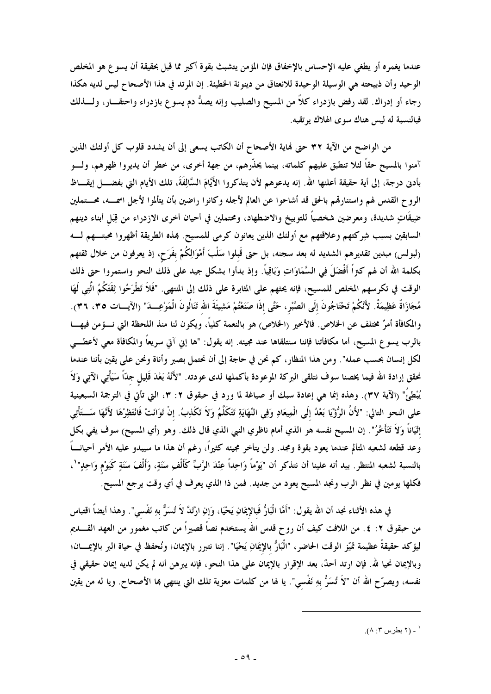عندما يغمره أو يطغي عليه الإحساس بالإخفاق فإن المؤمن يتشبث بقوة أكبر مما قبل بحقيقة أن يسوع هو المخلص الوحيد وأن ذبيحته هي الوسيلة الوحيدة للانعتاق من دينونة الخطيئة. إن المرتد في هذا الأصحاح ليس لديه هكذا رجاء أو إدراك. لقد رفض بازدراء كلاًّ من المسيح والصليب وإنه يصدُّ دم يسوع بازدراء واحتقــــار، ولــــذلك فبالنسبة له ليس هناك سوى الهلاك يوتقبه.

من الواضح من الآية ٣٢ حتى فماية الأصحاح أن الكاتب يسعى إلى أن يشدد قلوب كل أولئك الذين آمنوا بالمسيح حقاً لئلا تنطبق عليهم كلماته، بينما يحذّرهم، من جهة أخرى، من خطر أن يديروا ظهرهم، ولــــو بأدن درجة، إلى أية حقيقة أعلنها الله. إنه يدعوهم لأن يتذكروا الأَيَّامَ السَّالِفَةَ، تلك الأيام التي بفضــــل إيقــــاظ الروح القدس لهم واستنارقمم بالحق قد أشاحوا عن العالم لأجله وكانوا راضين بأن يتألموا لأجل اسمـــه، محـــتملين ضِيقَاتٍ شديدة، ومعرضين شخصياً للتوبيخ والاضطهاد، ومحتملين في أحيان أخرى الازدراء من قِبَل أبناء دينهم السابقين بسبب شِركتهم وعلاقتهم مع أولئك الذين يعانون كرمي للمسيح. بمذه الطريقة أظهروا محبتـــهم لــــه (لبولس) مبدين تقديرهم الشديد له بعد سجنه، بل حتى قَبلوا سَلْبَ أَمْوَالِكُمْ بفَرَحٍ، إذ يعرفون من خلال ثقتهم بكلمة الله أن لهم كتراً أَفْضَلَ فِي السَّمَاوَاتِ وَبَاقِيًّا. وإذ بدأوا بشكل جيد على ذلك النحو واستمروا حتى ذلك الوقت في تكرسهم المخلص للمسيح، فإنه يحثهم على المثابرة على ذلك إلى المنتهى. "فَلاَ تَطْرَحُوا ثِقَتَكُمُ الَّتِي لَهَا مُجَازَاةٌ عَظِيمَةٌ. لأَنَّكُمْ تَحْتَاجُونَ إلَى الصَّبْرِ، حَتَّى إذَا صَنَعْتُمْ مَشِيئَةَ الله تَنَالُونَ الْمَوْعِـــدَ" (الآيـــات ٣٥، ٣٦). والمكافأة أمرٌ مختلف عن الخلاص. فالأخير (الخلاص) هو بالنعمة كلياً، ويكون لنا منذ اللحظة التي نـــؤمن فيهــــا بالرب يسوع المسيح، أما مكافأتنا فإننا سنتلقاها عند مجيئه. إنه يقول: "ها إني آتي سريعاً والمكافأة معى لأعطـــى لكل إنسان بحسب عمله". ومن هذا المنظار، كم نحن في حاجة إلى أن نحتمل بصبر وأناة ونحن على يقين بأننا عندما نحقق إرادة الله فيما يخصنا سوف نتلقى البركة الموعودة بأكملها لدى عودته. "لأَنَّهُ بَعْدَ قَلِيل جدًّا سَيَأْتِي الآتِي وَلاَ يُبْطِئُ" (الآية ٣٧). وهذه إنما هي إعادة سبك أو صياغة لما ورد في حبقوق ٢: ٣، التي تأتِّي في الترجمة السبعينية على النحو التالى: "لأَنَّ الرُّؤْيَا بَعْدُ إلَى الْمِيعَادِ وَفِي النِّهَايَةِ تَتَكَلَّمُ وَلاَ تَكْذِبُ. إنْ تَوَانَتْ فَانْتَظِرْهَا لأَنَّهَا سَــتَأْتِي إِتْيَاناً وَلاَ تَتَأَخَّرُ". إن المسيح نفسه هو الذي أمام ناظري النبي الذي قال ذلك. وهو (أي المسيح) سوف يفي بكل وعد قطعه لشعبه المتألم عندما يعود بقوة ومجد. ولن يتأخر مجيئه كثيراً، رغم أن هذا ما سيبدو عليه الأمر أحيانـــاً بالنسبة لشعبه المتظر. بيد أنه علينا أن نتذكر أن "يَوْماً وَاحِداً عِنْدَ الرَّبِّ كَأَلْفِ سَنَةٍ، وَأَلْفَ سَنَةٍ كَيَوْمٍ وَاحِدٍ" `، فكلها يومين في نظر الرب ونجد المسيح يعود من جديد. فمن ذا الذي يعرف في أي وقت يرجع المسيح.

في هذه الأثناء نجد أن الله يقول: "أَمَّا الْبَارُّ فَبالإِيمَانِ يَحْيَا، وَإنِ ارْتَدَّ لاَ تُسَرُّ بهِ نَفْسي". وهذا أيضاً اقتباس من حبقوق ٢: ٤. من اللافت كيف أن روح قدس الله يستخدم نصاً قصيراً من كاتب مغمور من العهد القــــديم ليؤكد حقيقةً عظيمة تميّز الوقت الحاضر، "الْبَارُّ بالإيمَانِ يَحْيَا". إننا نتبرر بالإيمان؛ ونُحفظ في حياة البر بالإيمــــان؛ وبالإيمان نحيا لله. فإن ارتد أحدٌ، بعد الإقرار بالإيمان على هذا النحو، فإنه يبرهن أنه لم يكن لديه إيمان حقيقي في نفسه، ويصرّح الله أن "لاَ تُسَرُّ بهِ نَفْسي". يا لها من كلمات معزية تلك التي ينتهي بما الأصحاح. ويا له من يقين

<sup>&#</sup>x27; ـ (٢ بطرس ٣: ٨).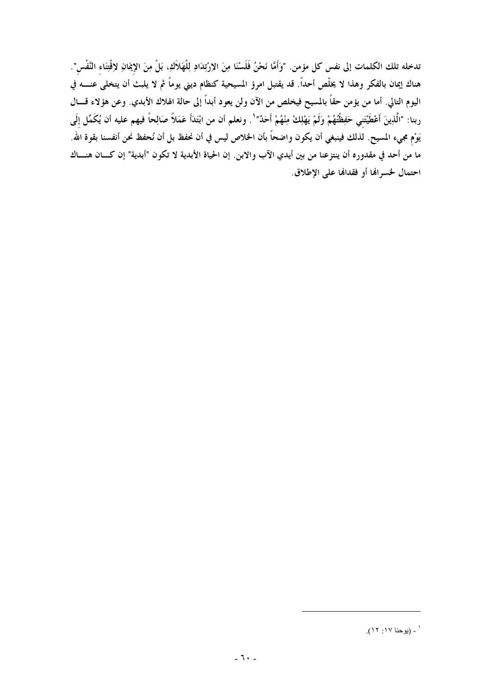تدخله تلك الكلمات إلى نفس كل مؤمن. "وَأَمَّا نَحْنُ فَلَسْنَا مِنَ الإرْتِدَادِ لِلْهَلاَكِ، بَلْ مِنَ الإيمَانِ لإقْتِنَاء النَّفْس". هناك إيمان بالفكر وهذا لا يخلَّص أحداً. قد يقتبل امرؤ المسيحية كنظام ديني يوماً ثم لا يلبث أن يتخلى عنــــه في اليوم التالي. أما من يؤمن حقًّا بالمسيح فيخلص من الآن ولن يعود أبداً إلى حالة الهلاك الأبدي. وعن هؤلاء قـــال ربنا: "الَّذِينَ أَعْطَيْتَنِي حَفِظْتُهُمْ وَلَمْ يَهْلِكْ مِنْهُمْ أَحَدٌ"'. ونعلم أن من ابْتَدَأَ عَمَلاً صَالِحاً فيهم عليه أن يُكَمِّل إلَى يَوْمِ مجيءِ المسيح. لذلك فينبغي أن يكون واضحاً بأن الخلاص ليس في أن نحفظ بل أن نُحفظ نحن أنفسنا بقوة الله. ما من أحد في مقدوره أن ينتزعنا من بين أيدي الآب والابن. إن الحياة الأبدية لا تكون "أبدية" إن كـــان هنـــاك احتمال لحسرالها أو فقدالها على الإطلاق.

<sup>&#</sup>x27; ۔ (يوحنا ١٧: ١٢).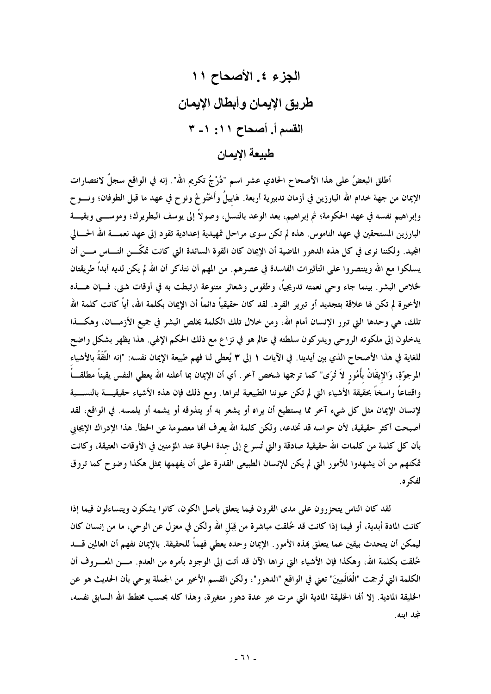أطلق البعضُ على هذا الأصحاح الحادي عشر اسم "دُرْجُ تكريم الله". إنه في الواقع سجلٌ لانتصارات الإيمان من جهة خدام الله البارزين في أزمان تدبيرية أربعة. هَابيلُ وأَخْنُوخُ ونوح في عهد ما قبل الطوفان؛ ونـــوح وإبراهيم نفسه في عهد الحكومة؛ ثم إبراهيم، بعد الوعد بالنسل، وصولاً إلى يوسف البطريرك؛ وموســــى وبقيــــة البارزين المستحقين في عهد الناموس. هذه لم تكن سوى مراحل تمهيدية إعدادية تقود إلى عهد نعمــــة الله الحــــالى المجيد. ولكننا نرى في كل هذه الدهور الماضية أن الإيمان كان القوة السائدة التي كانت تمكَّـــن النــــاس مــــن أن يسلكوا مع الله وينتصروا على التأثيرات الفاسدة في عصرهم. من المهم أن نتذكر أن الله لم يكن لديه أبداً طريقتان لخلاص البشر . بينما جاء وحي نعمته تدريجياً، وطقوس وشعائر متنوعة ارتبطت به في أوقات شتى، فسإن هسذه الأخيرة لم تكن لها علاقة بتجديد أو تبرير الفرد. لقد كان حقيقياً دائماً أن الإيمان بكلمة الله، أياً كانت كلمة الله تلك، هي وحدها التي تبرر الإنسان أمام الله، ومن خلال تلك الكلمة يخلص البشر في جميع الأزمـــان، وهكــــذا يدخلون إلى ملكوته الروحي ويدركون سلطته في عالم هو في نزاع مع ذلك الحكم الإلهي. هذا يظهر بشكل واضح للغاية في هذا الأصحاح الذي بين أيدينا. في الآيات ١ إلى ٣ يُعطي لنا فهم طبيعة الإيمان نفسه: "إنه الثِّقَةُ بالأشياء المرجوّةِ، وَالإيقَانُ بأُمُورٍ لاَ تُرَى" كما ترجمها شخص آخرٍ. أي أن الإيمان بما أعلنه الله يعطى النفس يقيناً مطلقـــاً واقتناعاً راسخاً بحقيقة الأشياء التي لم تكن عيوننا الطبيعية لتراها. ومع ذلك فإن هذه الأشياء حقيقيــــة بالنســــبة لإنسان الإيمان مثل كل شيء آخر مما يستطيع أن يراه أو يشعر به أو يتذوقه أو يشمه أو يلمسه. في الواقع، لقد أصبحت أكثر حقيقية، لأن حواسه قد تخدعه، ولكن كلمة الله يعرف ألها معصومة عن الخطأ. هذا الإدراك الإيجابي بأن كل كلمة من كلمات الله حقيقية صادقة والتي تُسر ع إلى جدة الحياة عند المؤمنين في الأوقات العتيقة، وكانت تمكنهم من أن يشهدوا للأمور التي لم يكن للإنسان الطبيعي القدرة على أن يفهمها بمثل هكذا وضوح كما تروق لفكه ه.

لقد كان الناس يتحزرون على مدى القرون فيما يتعلق بأصل الكون، كانوا يشكون ويتساءلون فيما إذا كانت المادة أبدية، أو فيما إذا كانت قد خُلقت مباشرة من قِبَل الله ولكن في معزل عن الوحي، ما من إنسان كان ليمكن أن يتحدث بيقين عما يتعلق بمذه الأمور . الإيمان وحده يعطي فهماً للحقيقة. بالإيمان نفهم أن العالمين قــــد خُلقت بكلمة الله، وهكذا فإن الأشياء التي نراها الآن قد أتت إلى الوجود بأمره من العدم. مـــن المعـــروف أن الكلمة التي تُرجمت "الْعَالَمِينَ" تعني في الواقع "الدهور"، ولكن القسم الأخير من الجملة يوحي بأن الحديث هو عن الخليقة المادية. إلا أنما الخليقة المادية التي مرت عبر عدة دهور متغيرة، وهذا كله بحسب مخطط الله السابق نفسه، لمجلد ابنه.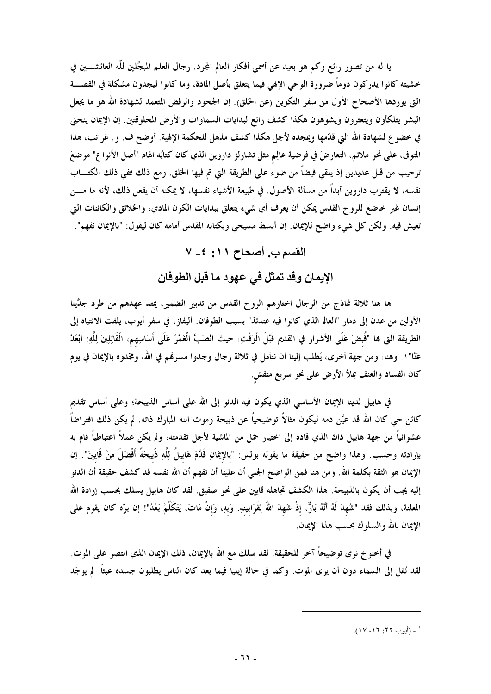يا له من تصور رائع وكم هو بعيد عن أسمى أفكار العالم المجرد. رجال العلم المبجِّلين للَّه العائشــــين في خشيته كانوا يدركون دوماً ضرورة الوحى الإلهى فيما يتعلق بأصل المادة، وما كانوا ليجدون مشكلة في القصـــة التي يوردها الأصحاح الأول من سفر التكوين (عن الخلق). إن الجحود والرفض المتعمد لشهادة الله هو ما يجعل البشر يتلكأون ويتعثرون ويشوهون هكذا كشف رائع لبدايات السماوات والأرض المخلوقتين. إن الإيمان ينحني في خضوع لشهادة الله التي قدّمها ويمجده لأجل هكذا كشف مذهل للحكمة الإلهية. أوضح ف. و. غرانت، هذا المتوفى، على نحو ملائم، التعارضَ في فرضية عالِمٍ مثل تشارلز داروين الذي كان كتابُه الهام "أصل الأنواع" موضعَ ترحيب من قبل عديدين إذ يلقى فيضاً من ضوء على الطريقة التي تم فيها الخلق. ومع ذلك ففي ذلك الكتــــاب نفسه، لا يقترب داروين أبداً من مسألة الأصول. في طبيعة الأشياء نفسها، لا يمكنه أن يفعل ذلك، لأنه ما مــــن إنسان غير خاضع للروح القدس يمكن أن يعرف أي شيء يتعلق ببدايات الكون المادي، والخلائق والكائنات التي تعيش فيه. ولكن كل شيء واضح للإيمان. إن أبسط مسيحي وبكتابه المقدس أمامه كان ليقول: "بالإيمان نفهم".

## القسم ب. أصحاح ١١: ٤- ٧

الإيمان وقد تمثل في عهود ما قبل الطوفان

ها هنا ثلاثة نماذج من الرجال اختارهم الروح القدس من تدبير الضمير، يمتد عهدهم من طرد جدَّينا الأولين من عدن إلى دمار "العالم الذي كانوا فيه عندئذ" بسبب الطوفان. أليفاز، في سفر أيوب، يلفت الانتباه إلى الطريقة التي هما "قُبضَ عَلَى الأشرار في القديم قَبْلَ الْوَقْتِ، حيث انْصَبَّ الْغَمْرُ عَلَى أَسَاسِهم، الْقَائِلِينَ لِلّهِ: ابْعُدْ عَنَّا"١. وهنا، ومن جهة أخرى، يُطلب إلينا أن نتأمل في ثلاثة رجال وجدوا مسرقمم في الله، ومجّدوه بالإيمان في يوم كان الفساد والعنف يملأ الأرض على نحو سريع متفش.

في هابيل لدينا الإيمان الأساسي الذي يكون فيه الدنو إلى الله على أساس الذبيحة؛ وعلى أساس تقديم كائن حي كان الله قد عيَّن دمه ليكون مثالاً توضيحياً عن ذبيحة وموت ابنه المبارك ذاته. لم يكن ذلك افتراضاً عشوائياً من جهة هابيل ذاك الذي قاده إلى اختيار حمل من الماشية لأجل تقدمته، ولم يكن عملاً اعتباطياً قام به بإرادته وحسب. وهذا واضح من حقيقة ما يقوله بولس: "بالإيمَانِ قَدَّمَ هَابيلُ لِلَّهِ ذَبيحَةً أَفْضَلَ مِنْ قَايينَ". إن الإيمان هو الثقة بكلمة الله. ومن هنا فمن الواضح الجلبي أن علينا أن نفهم أن الله نفسه قد كشف حقيقة أن الدنو إليه يجب أن يكون بالذبيحة. هذا الكشف تجاهله قايين على نحوٍ صفيق. لقد كان هابيل يسلك بحسب إرادة الله المعلنة، وبذلك فقد "شُهِدَ لَهُ أَنَّهُ بَارٌّ، إذْ شَهِدَ اللهُ لِقَرَابينهِ. وَبهِ، وَإِنْ مَاتَ، يَتَكَلَّمْ بَعْدُ"! إن برّه كان يقوم على الإيمان بالله والسلوك بحسب هذا الإيمان.

في أخنو خ نرى توضيحاً آخر للحقيقة. لقد سلك مع الله بالإيمان، ذلك الإيمان الذي انتصر على الموت. لقد نُقل إلى السماء دون أن يرى الموت. وكما في حالة إيليا فيما بعد كان الناس يطلبون جسده عبثاً. لم يوجَد

' ـ (أيوب ٢٢: ١٦، ١٧).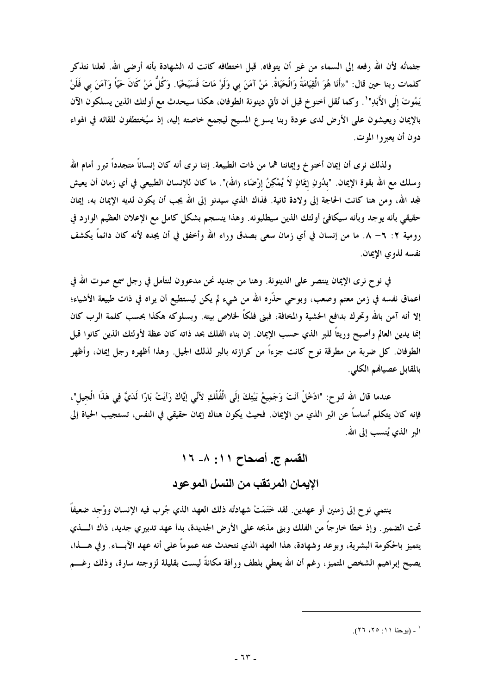جثمانُه لأن الله رفعه إلى السماء من غير أن يتوفاه. قبل اختطافه كانت له الشهادة بأنه أرضى الله. لعلنا نتذكر كلمات ربنا حين قال: "«أَنَا هُوَ الْقِيَامَةُ وَالْحَيَاةُ. مَنْ آمَنَ بي وَلَوْ مَاتَ فَسَيَحْيَا. وَكُلُّ مَنْ كَانَ حَيَّاً وَآمَنَ بي فَلَنْ يَمُوتَ إِلَى الأَبَدِ" `. وكما نُقل أخنو خ قبل أن تأتى دينونة الطوفان، هكذا سيحدث مع أولئك الذين يسلكون الآن بالإيمان ويعيشون على الأرض لدى عودة ربنا يسوع المسيح ليجمع خاصته إليه، إذ سيُختطفون للقائه في الهواء دون أن يعبروا الموت.

ولذلك نرى أن إيمان أخنوخ وإيماننا هما من ذات الطبيعة. إننا نرى أنه كان إنساناً متجدداً تبرر أمام الله وسلك مع الله بقوة الإيمان. "بدُونِ إيمَانٍ لاَ يُمْكِنُ إرْضَاء (الله)". ما كان للإنسان الطبيعي في أي زمان أن يعيش لمجد الله، ومن هنا كانت الحاجة إلى ولادة ثانية. فذاك الذي سيدنو إلى الله يجب أن يكون لديه الإيمان به، إيمان حقيقي بأنه يوجد وبأنه سيكافئ أولئك الذين سيطلبونه. وهذا ينسجم بشكل كامل مع الإعلان العظيم الوارد في رومية ٢: ٦– ٨. ما من إنسان في أي زمان سعى بصدق وراء الله وأخفق في أن يجده لأنه كان دائماً يكشف نفسه لذوي الإيمان.

في نوح نرى الإيمان ينتصر على الدينونة. وهنا من جديد نحن مدعوون لنتأمل في رجل سمع صوت الله في أعماق نفسه في زمن معتم وصعب، وبوحي حذَّره الله من شيء لم يكن ليستطيع أن يراه في ذات طبيعة الأشياء؛ إلا أنه آمن بالله وتحرك بدافع الخشية والمخافة، فبني فلكًا لخلاص بيته. وبسلوكه هكذا بحسب كلمة الرب كان إنما يدين العالم وأصبح وريثاً للبر الذي حسب الإيمان. إن بناء الفلك بحد ذاته كان عظة لأولئك الذين كانوا قبل الطوفان. كل ضربة من مطرقة نو ح كانت جزءاً من كرازته بالبر لذلك الجيل. وهذا أظهره رجل إيمان، وأظهر بالمقابل عصياهم الكلي.

عندما قال الله لنو ح: "ادْخُلْ أنْتَ وَجَمِيعُ بَيْتِكَ إِلَى الْفُلْكِ لِأنِّي إِيَّاكَ رَأيْتُ بَارّا لَدَيّ فِي هَذَا الْجيل"، فإنه كان يتكلم أساساً عن البر الذي من الإيمان. فحيث يكون هناك إيمان حقيقى في النفس، تستجيب الحياة إلى البر الذي يُنسب إلى الله.

## القسم ج. أصحاح ١١: ٨- ١٦ الإيمان المرتقب من النسل الموعود

ينتمي نوح إلى زمنين أو عهدين. لقد خَتَمَتْ شهادتُه ذلك العهد الذي جُرب فيه الإنسان ووُجد ضعيفاً تحت الضمير . وإذ خطا خارجاً من الفلك وبني مذبحه على الأرض الجديدة، بدأ عهد تدبيري جديد، ذاك الــــذي يتميز بالحكومة البشرية، وبوعد وشهادة، هذا العهد الذي نتحدث عنه عموماً على أنه عهد الآبساء. وفي هسذا، يصبح إبراهيم الشخص المتميز، رغم أن الله يعطي بلطف ورأفة مكانةً ليست بقليلة لزوجته سارة، وذلك رغـــم

<sup>&#</sup>x27; ـ (يوحنا ١١: ٢٥، ٢٦).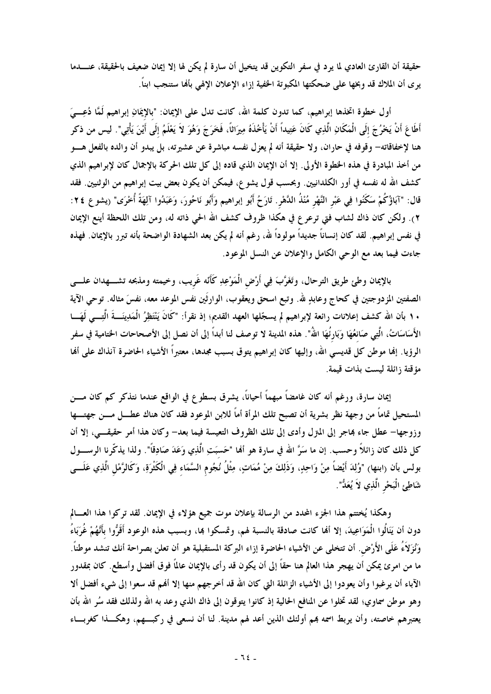حقيقة أن القارئ العادي لما يرد في سفر التكوين قد يتخيل أن سارة لم يكن لها إلا إيمان ضعيف بالحقيقة، عنــــدما يرى أن الملاك قد وبخها على ضحكتها المكبوتة الحفية إزاء الإعلان الإلهي بألها ستنجب ابناً.

أول خطوة اتخذها إبراهيم، كما تدون كلمة الله، كانت تدل على الإيمان: "بالإيمَانِ إبراهيم لَمَّا دُعِـــيَ أَطَاعَ أَنْ يَحْرُجَ إلَى الْمَكَانِ الَّذِي كَانَ عَتِيداً أَنْ يَأْخُذَهُ مِيرَاثًا، فَخَرَجَ وَهُوَ لاَ يَعْلَمُ إلَى أَيْنَ يَأْتِي". ليس من ذكر هنا لإخفاقاته- وقوفه في حاران، ولا حقيقة أنه لم يعزل نفسه مباشرة عن عشيرته، بل يبدو أن والده بالفعل هـــو من أخذ المبادرة في هذه الخطوة الأولى. إلا أن الإيمان الذي قاده إلى كل تلك الحركة بالإجمال كان لإبراهيم الذي كشف الله له نفسه في أور الكلدانيين. وبحسب قول يشوع، فيمكن أن يكون بعض بيت إبراهيم من الوثنيين. فقد قال: "آبَاؤُكُمْ سَكَنُوا فِي عَبْرِ النَّهْرِ مُنْذُ الدَّهْرِ. تَارَحُ أَبُو إبراهيم وَأَبُو نَاحُورَ، وَعَبَدُوا آلِهَةً أُخْرَى" (يشوع ٢٤: ٢). ولكن كان ذاك لشاب فتي ترعرع في هكذا ظروف كشف الله الحي ذاته له، ومن تلك اللحظة أينع الإيمان في نفس إبراهيم. لقد كان إنساناً جديداً مولوداً لله، رغم أنه لم يكن بعد الشهادة الواضحة بأنه تبرر بالإيمان. فهذه جاءت فيما بعد مع الوحي الكامل والإعلان عن النسل الموعود.

بالإيمان وطئ طريق الترحال، وتَغَرَّبَ فِي أَرْضِ الْمَوْعِدِ كَأَنّه غَريب، وخيمته ومذبحه تشــــهدان علــــى الصفتين المزدوجتين في كحاج وعابدٍ لله. وتبع اسحق ويعقوب، الوارثَين نفس الموعد معه، نفسَ مثاله. توحى الآية ١٠ بأن الله كشف إعلانات رائعة لإبراهيم لم يسجّلها العهد القديم؛ إذ نقرأ: "كَانَ يَنْتَظِرُ الْمَدِينَـــةَ الَّتِـــى لَهَـــا الأَسَاسَاتُ، الَّتِي صَانعُهَا وَبَارتُهَا اللهُ". هذه المدينة لا توصف لنا أبداً إلى أن نصل إلى الأصحاحات الختامية في سفر الرؤيا. إنها موطن كل قديسى الله، وإليها كان إبراهيم يتوق بسبب مجدها، معتبراً الأشياء الحاضرة آنذاك على أنها مؤقتة زائلة ليست بذات قيمة.

إيمان سارة، ورغم أنه كان غامضاً مبهماً أحياناً، يشرق بسطوع في الواقع عندما نتذكر كم كان مـــن المستحيل تماماً من وجهة نظر بشرية أن تصبح تلك المرأة أماً للابن الموعود فقد كان هناك عطـــل مــــن جهتــــها وزوجها– عطل جاء بماجر إلى المترل وأدى إلى تلك الظروف التعيسة فيما بعد– وكان هذا أمر حقيقـــي، إلا أن كل ذلك كان زائلاً وحسب. إن ما سَرَّ الله في سارة هو ألها "حَسبَتِ الَّذِي وَعَدَ صَادِقاً". ولذا يذكّرنا الرســـول بولس بأن (ابنها) "وُلِدَ أَيْضاً مِنْ وَاحِدٍ، وَذَلِكَ مِنْ مُمَاتٍ، مِثْلُ نُجُوم السَّمَاء فِي الْكَثْرَةِ، وَكَالرَّمْل الَّذِي عَلَـــى شَاطِئِ الْبَحْرِ الَّذِي لاَ يُعَدُّ".

وهكذا يُختتم هذا الجزء المحدد من الرسالة بإعلان موت جميع هؤلاء في الإيمان. لقد تركوا هذا العسالم دون أن يَنَالُوا الْمَوَاعِيدَ، إلا ألها كانت صادقة بالنسبة لهم، وتمسكوا بما، وبسبب هذه الوعود أَقَرُّوا بأَنَّهُمْ غُرَبَاءُ وَنُزَلاَءُ عَلَى الأَرْضِ. أن تتخلى عن الأشياء الحاضرة إزاء البركة المستقبلية هو أن تعلن بصراحة أنك تنشد موطناً. ما من امرئ يمكن أن يهجر هذا العالم هنا حقاً إلى أن يكون قد رأى بالإيمان عالمًا فوق أفضل وأسطع. كان بمقدور الآباء أن يرغبوا وأن يعودوا إلى الأشياء الزائلة التي كان الله قد أخرجهم منها إلا ألهم قد سعوا إلى شيء أفضل ألا وهو موطن سماوي؛ لقد تخلوا عن المنافع الحالية إذ كانوا يتوقون إلى ذاك الذي وعد به الله ولذلك فقد سُر الله بأن يعتبرهم خاصته، وأن يربط اسمه بمم أولئك الذين أعد لهم مدينة. لنا أن نسعى في ركبـــهم، وهكـــذا كغربـــاء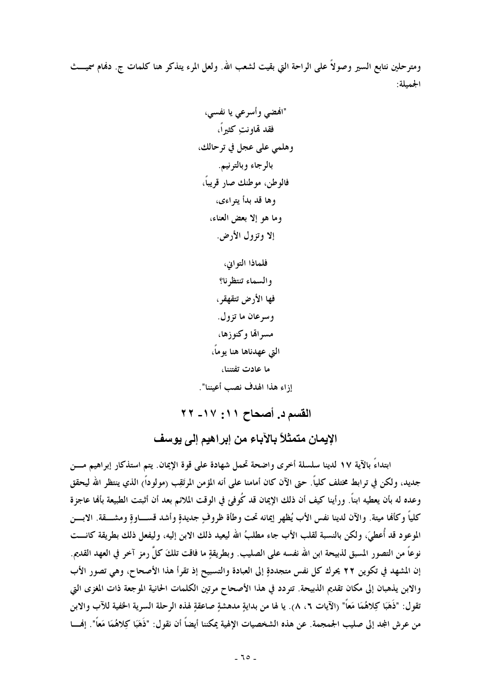ومترحلين نتابع السير وصولاً على الراحة التي بقيت لشعب الله. ولعل المرء يتذكر هنا كلمات ج. دفمام سميـــث الجميلة:

فلماذا التوابي، والسماء تنتظرنا؟ فها الأرض تتقهقر ، وسرعان ما تزول. مسراقها وكنوزها، التي عهدناها هنا يوماً، ما عادت تفتننا، إزاء هذا الهدف نصب أعيننا".

القسم د. أصحاح ١١: ١٧- ٢٢

الإيمان متمثلاً بالآباء من إبراهيم إلى يوسف

ابتداءً بالآية ١٧ لدينا سلسلة أخرى واضحة تحمل شهادة على قوة الإيمان. يتم استذكار إبراهيم مـــن جديد، ولكن في ترابط مختلف كلياً. حتى الآن كان أمامنا على أنه المؤمن المرتَقِب (مولوداً) الذي ينتظر الله ليحقق وعده له بأن يعطيه ابناً. ورأينا كيف أن ذلك الإيمان قد كُوفي في الوقت الملائم بعد أن أثبتت الطبيعة بألها عاجزة كلياً وكألها ميتة. والآن لدينا نفس الأب يُظهر إيمانه تحت وطأة ظروفٍ جديدةٍ وأشد قســاوةٍ ومشـــقة. الابـــن الموعود قد أُعطيَ، ولكن بالنسبة لقلب الأب جاء مطلبُ الله ليعيد ذلك الابن إليه، وليفعل ذلك بطريقة كانـــت نوعاً من التصور المسبق لذبيحة ابن الله نفسه على الصليب. وبطريقةٍ ما فاقت تلكَ كلَّ رمزٍ آخرٍ في العهد القديم. إن المشهد في تكوين ٢٢ يحرك كل نفس متجددةٍ إلى العبادة والتسبيح إذ تقرأ هذا الأصحاح، وهي تصور الأب والابن يذهبان إلى مكان تقديم الذبيحة. تتردد في هذا الأصحاح مرتين الكلمات الحانية الموجعة ذات المغزى التي تقول: "ذَهَبَا كِلاهُمَا مَعاً" (الآيات ٦، ٨). يا لها من بدايةِ مدهشةِ صاعقةِ لهذه الرحلة السرية الحفية للآب والابن من عرش المجد إلى صليب الجمجمة. عن هذه الشخصيات الإلهية يمكننا أيضاً أن نقول: "ذَهَبَا كِلاهُمَا مَعاً". إفمـــا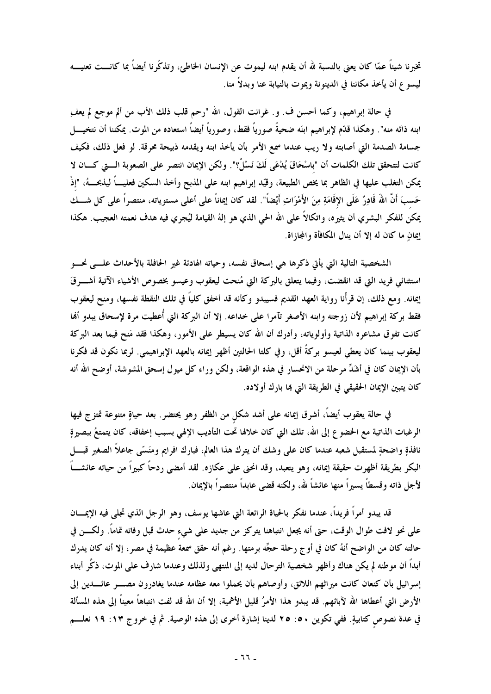تخبرنا شيئاً عمّا كان يعني بالنسبة لله أن يقدم ابنه ليموت عن الإنسان الخاطئ، وتذكّرنا أيضاً بما كانـــت تعنيـــه ليسو ع أن يأخذ مكاننا في الدينونة ويموت بالنيابة عنا وبدلاً منا.

في حالة إبراهيم، وكما أحسن ف. و. غرانت القول، الله "رحم قلب ذلك الأب من ألم موجع لم يعف ابنه ذاتَه منه". وهكذا قدّم لإبراهيم ابنَه ضحيةً صورياً فقط، وصورياً أيضاً استعاده من الموت. يمكننا أن نتخيـــل جسامة الصدمة التي أصابته ولا ريب عندما سمع الأمر بأن يأخذ ابنه ويقدمه ذبيحة محرقة. لو فعل ذلك، فكيف كانت لتتحقق تلك الكلمات أن "باسْحَاقَ يُدْعَى لَكَ نَسْلٌّ؟". ولكن الإيمان انتصر على الصعوبة الــــق كــــان لا يمكن التغلب عليها في الظاهر بما يخص الطبيعة، وقيّد إبراهيم ابنه على المذبح وأخذ السكين فعليـــاً ليذبحـــهُ، "إذْ حَسبَ أَنَّ اللهُ قَادِرٌ عَلَى الإِقَامَةِ مِنَ الأَمْوَاتِ أَيْضاً". لقد كان إِيماناً على أعلى مستوياته، منتصراً على كل شـــك يمكن للفكر البشري أن يثيره، واتكالاً على الله الحي الذي هو إلهُ القيامة ليُجري فيه هدف نعمته العجيب. هكذا إيمانٍ ما كان له إلا أن ينال المكافأة والمجازاة.

الشخصية التالية التي يأتي ذكرها هي إسحاق نفسه، وحياته الهادئة غير الحافلة بالأحداث علـــي نحـــو استثنائي فريد التي قد انقضت، وفيما يتعلق بالبركة التي مُنحت ليعقوب وعيسو بخصوص الأشياء الآتية أشـــرقَ إيمانه. ومع ذلك، إن قرأْنا رواية العهد القديم فسيبدو وكأنه قد أخفق كلياً في تلك النقطة نفسها، ومنح ليعقوب فقط بركة إبراهيم لأن زوجته وابنه الأصغر تآمرا على خداعه. إلا أن البركة التي أُعطيت مرة لإسحاق يبدو ألها كانت تفوق مشاعره الذاتية وأولوياته، وأدرك أن الله كان يسيطر على الأمور، وهكذا فقد مَنح فيما بعد البركة ليعقوب بينما كان يعطى لعيسو بركةً أقل، وفي كلتا الحالتين أظهر إيمانه بالعهد الإبراهيمي. لربما نكون قد فكرنا بأن الإيمان كان في أشَدٍّ مرحلة من الانحسار في هذه الواقعة، ولكن وراء كل ميول إسحق المشوشة، أوضح الله أنه كان يتبين الإيمان الحقيقي في الطريقة التي بما بارك أولاده.

في حالة يعقوب أيضاً، أشرق إيمانه على أشد شكل من الظفر وهو يحتضر. بعد حياةٍ متنوعة تمتزج فيها الرغبات الذاتية مع الخضوع إلى الله، تلك التي كان خلالها تحت التأديب الإلهي بسبب إخفاقه، كان يتمتعُ ببصيرةٍ نافذةٍ واضحةٍ لمستقبل شعبه عندما كان على وشك أن يترك هذا العالم، فبارك افرايم ومنَسَّى جاعلاً الصغير قبــــل البكر بطريقة أظهرت حقيقة إيمانه، وهو يتعبد، وقد انحني على عكازه. لقد أمضى ردحاً كبيراً من حياته عائشـــاً لأجل ذاته وقسطاً يسيراً منها عائشاً لله، ولكنه قضي عابداً منتصراً بالإيمان.

قد يبدو أمراً فريداً، عندما نفكر بالحياة الرائعة التي عاشها يوسف، وهو الرجل الذي تجلى فيه الإيمــــان على نحو لافت طوال الوقت، حتى أنه يجعل انتباهنا يتركز من جديد على شيء حدث قبل وفاته تماماً. ولكــــن في حالته كان من الواضح أنهُ كان في أوج رحلة حجِّه برمتها. رغم أنه حقق سمعة عظيمة في مصر، إلا أنه كان يدرك أبداً أن موطنه لم يكن هناك وأظهر شخصية الترحال لديه إلى المنتهى ولذلك وعندما شارف على الموت، ذكَّر أبناء إسرائيل بأن كنعان كانت ميراثهم اللائق، وأوصاهم بأن يحملوا معه عظامه عندما يغادرون مصـــر عائــــدين إلى الأرض التي أعطاها الله لآبائهم. قد يبدو هذا الأمرُ قليل الأهمية، إلا أن الله قد لفت انتباهاً معيناً إلى هذه المسألة في عدة نصوص كتابيةٍ. ففي تكوين ٥٠: ٢٥ لدينا إشارة أخرى إلى هذه الوصية. ثم في خروج ١٣: ١٩ نعلـــم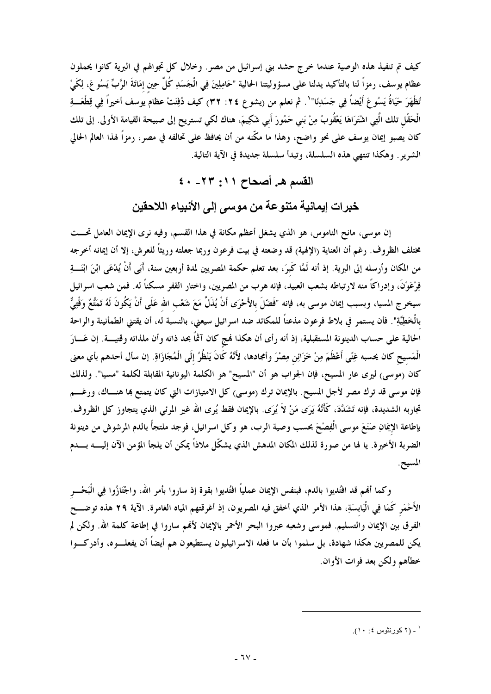كيف تم تنفيذ هذه الوصية عندما خرج حشد بني إسرائيل من مصرٍ. وخلال كل تجوالهم في البرية كانوا يحملون عظام يوسف، رمزاً لنا بالتأكيد يدلنا على مسؤوليتنا الحالية "حَامِلِينَ فِي الْجَسَدِ كُلَّ حِين إمَاتَةَ الرَّبِّ يَسُو عَ، لِكَيْ تُظْهَرَ حَيَاةُ يَسُوعَ أَيْضاً فِي جَسَدِنَا" ' . ثم نعلم من (يشوع ٢٤: ٣٢) كيف دُفِنَتْ عظام يوسف أخيراً فِي قِطْعَـــةِ الْحَقْل تلك الَّتِي اشْتَرَاهَا يَعْقُوبُ مِنْ بَني حَمُورَ أَبي شَكِيمَ، هناك لكي تستريح إلى صبيحة القيامة الأولى. إلى تلك كان يصبو ٳيمان يوسف على نحو واضح، وهذا ما مكَّنه من أن يحافظ على تحالفه في مصر، رمزاً لهذا العالم الحالي الشرير . وهكذا تنتهي هذه السلسلة، وتبدأ سلسلة جديدة في الآية التالية.

القسم هـ. أصحاح ١١: ٢٣- ٤٠

خبرات إيمانية متنوعة من موسى إلى الأنبياء اللاحقين

إن موسى، مانح الناموس، هو الذي يشغل أعظم مكانة في هذا القسم، وفيه نرى الإيمان العامل تحـــت مختلف الظروف. رغم أن العناية (الإلهية) قد وضعته في بيت فرعون وربما جعلته وريثاً للعرش، إلا أن إيمانه أخرجه من المكان وأرسله إلى البرية. إذ أنه لَمَّا كَبرَ، بعد تعلم حكمة المصريين لمدة أربعين سنة، أَبَى أَنْ يُدْعَى ابْنَ ابْنَـــةِ فِرْعَوْنَ، وإدراكاً منه لارتباطه بشعب العبيد، فإنه هرب من المصريين، واختار القفر مسكناً له. فمن شعب اسرائيل سيخرج المسيا، وبسبب إيمان موسى به، فإنه "فَضّلَ بالأَحْرَى أَنْ يُذَلَّ مَعَ شَعْب الله عَلَى أَنْ يَكُونَ لَهُ تَمَتُّعٌ وَقْتِيٌّ بالْخَطِيَّةِ". فأن يستمر في بلاط فرعون مذعناً للمكائد ضد اسرائيل سيعني، بالنسبة له، أن يقتني الطمأنينة والراحة الحالية على حساب الدينونة المستقبلية، إذ أنه رأى أن هكذا فمج كان آثمًا بحد ذاته وأن ملذاته وقتيـــة. إن عَـــارَ الْمَسيح كان يحسبه غِنًى أَعْظَمَ مِنْ خَزَائِن مِصْرَ وأمجادها، لأَنَّهُ كَانَ يَنْظُرُ إلَى الْمُجَازَاةِ. إن سأل أحدهم بأي معنى كان (موسى) ليرى عار المسيح، فإن الجواب هو أن "المسيح" هو الكلمة اليونانية المقابلة لكلمة "مسيا". ولذلك فإن موسى قد ترك مصر لأجل المسيح. بالإيمان ترك (موسى) كل الامتيازات التي كان يتمتع بما هنـــاك، ورغـــم تجاربه الشديدة، فإنه تَشَدَّدَ، كَأَنَّهُ يَرَى مَنْ لاَ يُرَى. بالإيمان فقط يُرى الله غير المرئي الذي يتجاوز كل الظروف. بإطاعة الإيمَانِ صَنَعَ موسى الْفِصْحَ بحسب وصية الرب، هو وكل اسرائيل، فوجد ملتجأً بالدم المرشوش من دينونة الضربة الأخيرة. يا لها من صورة لذلك المكان المدهش الذي يشكّل ملاذاً يمكن أن يلجأ المؤمن الآن إليـــــه بــــــدم المسيح.

وكما ألهم قد افتُديوا بالدم، فبنفس الإيمان عملياً افتُديوا بقوة إذ ساروا بأمر الله، واجْتَازُوا فِي الْبَحْــر الأَحْمَرِ كَمَا فِي الْيَابِسَةِ، هذا الأمر الذي أخفق فيه المصريون، إذ أغرقتهم المياه الغامرة. الآية ٢٩ هذه توضـــح الفرق بين الإيمان والتسليم. فموسى وشعبه عبروا البحر الأحمر بالإيمان لأفمم ساروا في إطاعة كلمة الله. ولكن لم يكن للمصريين هكذا شهادة، بل سلموا بأن ما فعله الاسرائيليون يستطيعون هم أيضاً أن يفعلـــوه، وأدركـــوا خطأهم ولكن بعد فوات الأوان.

<sup>&#</sup>x27; ـ (٢ كورنثوس ٤: ١٠).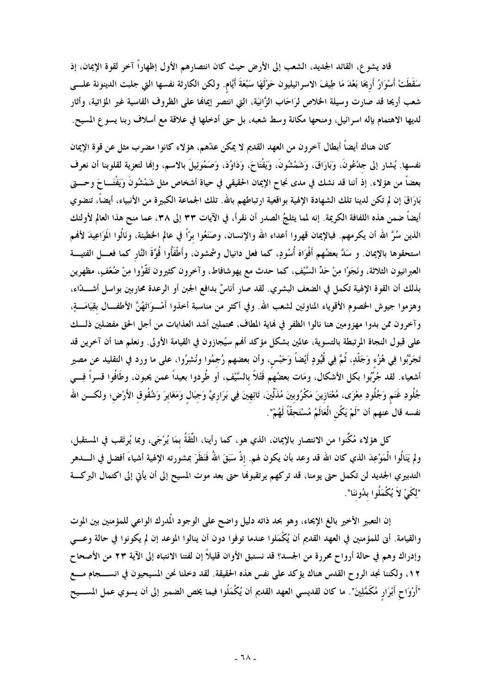قاد يشو ع، القائد الجديد، الشعب إلى الأرض حيث كان انتصارهم الأول إظهاراً آخر لقوة الإيمان، إذ سَقَطَتْ أَسْوَارُ أَرِيحَا بَعْدَ مَا طِيفَ الاسرائيليون حَوْلَهَا سَبْعَةَ أَيَّام. ولكن الكارثة نفسها التي جلبت الدينونة علــــى شعب أريحا قد صارت وسيلة الخلاص لرَاحَاب الزَّانيَة، التي انتصر إيمالها على الظروف القاسية غير المؤاتية، وأثار لديها الاهتمام بإله اسرائيل، ومنحها مكانة وسط شعبه، بل حتى أدخلها في علاقة مع أسلاف ربنا يسوع المسيح.

كان هناك أيضاً أبطال آخرون من العهد القديم لا يمكن عدّهم، هؤلاء كانوا مضرب مثل عن قوة الإيمان نفسها. يُشار إلى جمْعُونَ، وَبَارَاقَ، وَشَمْشُونَ، وَيَفْتَاحَ، وَدَاوُدَ، وَصَمُوئِيلَ بالاسم، وإنها لتعزية لقلوبنا أن نعرف بعضاً من هؤلاء. إذ أننا قد نشك في مدى نجاح الإيمان الحقيقي في حياة أشخاص مثل شَمْشُونَ وَيَفْتَـــاحَ وحــــتى بَارَاقَ إن لم تكن لدينا تلك الشهادة الإلهية بواقعية ارتباطهم بالله. تلك الجماعة الكبيرة من الأنبياء، أيضاً، تنضوي أيضاً ضمن هذه اللفافة الكريمة. إنه لمما يثلجُ الصدر أن نقرأ، في الآيات ٣٣ إلى ٣٨، عما منح هذا العالم لأولئك الذين سُرَّ الله أن يكرمهم. فبالإيمان قهروا أعداء الله والإنسان، وصَنَعُوا برّاً في عالم الخطيئة، ونَالُوا المَوَاعِيدَ لأفمم استحقوها بالإيمان. و سَدَّ بعضُهم أَفْوَاهَ أُسُودٍ، كما فعل دانيال وشمشون، وأَطْفَأُوا قُوَّةَ النَّار كما فعـــل الفتيــــة العبرانيون الثلاثة، ونَجَوْا مِنْ حَدِّ السَّيْفِ، كما حدث مع يهوشافاط، وآخرون كثيرون تَقَوُوا مِنْ ضُعْفٍ، مظهرين بذلك أن القوة الإلهية تكمل في الضعف البشري. لقد صار أناسٌ بدافع الجبن أو الرعدة محاربين بواسل أشــــدّاء، وهزموا جيوش الخصوم الأقوياء المناوئين لشعب الله. وفي أكثر من مناسبة أخذوا أَمْــوَاتَهُنَّ الأطفــال بقِيَامَـــةٍ، وآخرون ممن بدوا مهزومين هنا نالوا الظفر في نماية المطاف، محتملين أشد العذابات من أجل الحق مفضلين ذلـــك على قبول النجاة المرتبطة بالتسوية، عالمين بشكل مؤكد ألهم سيُجازون في القيامة الأولى. ونعلم هنا أن آخرين قد تَجَرَّبُوا فِي هُزُء وَجَلْدٍ، ثُمَّ فِي قُيُودٍ أَيْضاً وَحَبْس، وأن بعضهم رُجمُوا ونُشِرُوا، على ما ورد في التقليد عن مصير أشعياء. لقد جُرِّبُوا بكل الأشكال، ومَات بعضُهم قَتْلاً بالسَّيْفِ، أو طُردوا بعيداً عمن يحبون، وطَافُوا قسراً فِسي جُلُودِ غَنَمٍ وَجُلُودِ مِعْزَى، مُعْتَازِينَ مَكْرُوبينَ مُذَلِّينَ، تَائِهِينَ فِي بَرَارِيَّ وَجَبَال وَمَغَايرَ وَشُقُوق الأَرْضِ؛ ولكــــن الله نفسه قال عنهم أن "لَمْ يَكُن الْعَالَمُ مُسْتَحِقّاً لَهُمْ".

كل هؤلاء مُكِّنوا من الانتصار بالإيمان، الذي هو، كما رأينا، الثُّقَةُ بمَا يُرْجَى، وبما يُرتَقب في المستقبل، ولم يَنَالُوا الْمَوْعِدَ الذي كان الله قد وعد بأن يكون لهم. إذْ سَبَقَ اللهُ فَنَظَرَ بمشورته الإلهية أشياءَ أفضل في الــــــــدهر التدبيري الجديد لن تكمل حتى يومنا، قد تركهم يرتقبولها حتى بعد موت المسيح إلى أن يأتي إلى اكتمال البركـــة "لِكَىْ لاَ يُكْمَلُوا بِدُوننَا".

إن التعبير الأخير بالغ الإيحاء، وهو بحد ذاته دليل واضح على الوجود المُدرك الواعي للمؤمنين بين الموت والقيامة. أنى للمؤمنين في العهد القديم أن يُكْمَلوا عندما توفوا دون أن ينالوا الموعد إن لم يكونوا في حالة وعـــى وإدراك وهم في حالة أرواح محررة من الجسد؟ قد نستبق الأوان قليلاً إن لفتنا الانتباه إلى الآية ٢٣ من الأصحاح ١٢، ولكننا نجد الروح القدس هناك يؤكد على نفس هذه الحقيقة. لقد دخلنا نحن المسيحيون في انســــجام مــــع "أَرْوَاحٍ أَبْرَارٍ مُكَمَّلِينَ". ما كان لقديسي العهد القديم أن يُكْمَلُوا فيما يخص الضمير إلى أن يسوي عمل المســـيح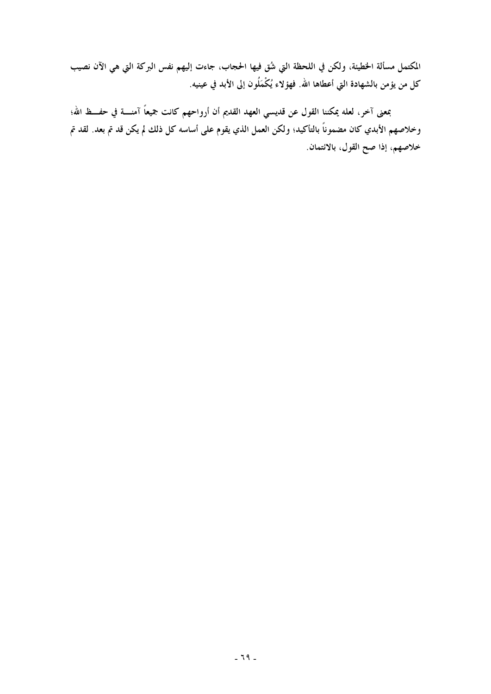المكتمل مسألة الخطيئة، ولكن في اللحظة التي شُقٍ فيها الحجاب، جاءت إليهم نفس البركة التي هي الآن نصيب كل من يؤمن بالشهادة التي أعطاها الله. فهؤلاء يُكْمَلُون إلى الأبد في عينيه.

بمعنى آخر، لعله يمكننا القول عن قديسي العهد القديم أن أرواحهم كانت جميعاً آمنــــة في حفـــظ الله؛ وخلاصهم الأبدي كان مضموناً بالتأكيد؛ ولكن العمل الذي يقوم على أساسه كل ذلك لم يكن قد تم بعد. لقد تم خلاصهم، إذا صح القول، بالانتمان.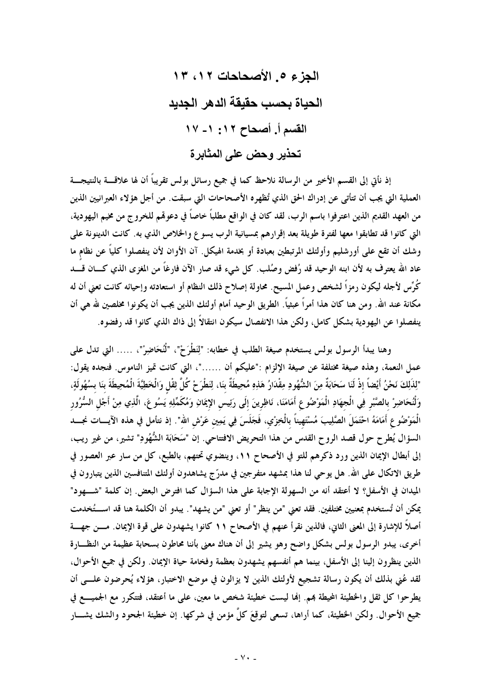الجزع 0 الأصحاحات ١٢، ١٣ الحباة بحسب حقيقة الدهر الجدبد القسم أ. أصحاح ١٢: ١- ١٧ تحذير وحض على المثابرة

إذ نأتى إلى القسم الأخير من الرسالة نلاحظ كما في جميع رسائل بولس تقريباً أن لها علاقــــة بالنتيجــــة العملية التي يجب أن تتأتى عن إدراك الحق الذي تُظهره الأصحاحات التي سبقت. من أجل هؤلاء العبرانيين الذين من العهد القديم الذين اعترفوا باسم الرب، لقد كان في الواقع مطلباً خاصاً في دعوهُم للخروج من مخيم اليهودية، التي كانوا قد تطابقوا معها لفترة طويلة بعد إقرارهم بمسيانية الرب يسوع والخلاص الذي به. كانت الدينونة على وشك أن تقع على أورشليم وأولئك المرتبطين بعبادة أو بخدمة الهيكل. آن الأوان لأن ينفصلوا كلياً عن نظام ما عاد الله يعترف به لأن ابنه الوحيد قد رُفض وصُلب. كل شيء قد صار الآن فارغاً من المغزى الذي كــــان قـــــد كُرِّس لأجله ليكون رمزاً لشخص وعمل المسيح. محاولة إصلاح ذلك النظام أو استعادته وإحيائه كانت تعني أن له مكانة عند الله. ومن هنا كان هذا أمراً عبثياً. الطريق الوحيد أمام أولئك الذين يجب أن يكونوا مخلصين لله هي أن ينفصلوا عن اليهودية بشكل كامل، ولكن هذا الانفصال سيكون انتقالاً إلى ذاك الذي كانوا قد رفضوه.

وهنا يبدأ الرسول بولس يستخدم صيغة الطلب في خطابه: "لِنَطْرَحْ"، "لْنُحَاضِرْ"، ..... التي تدل علي عمل النعمة، وهذه صيغة مختلفة عن صيغة الإلزام :"عليكم أن ……"، التي كانت تميز الناموس. فنجده يقول: "لِلذَلِكَ نَحْنُ أَيْضاً إذْ لَنَا سَحَابَةٌ مِنَ الشُّهُودِ مِقْدَارُ هَذِهِ مُحِيطَةٌ بنَا، لِنَطْرَحْ كُلَّ ثِقْل وَالْخَطِيَّةَ الْمُحِيطَةَ بنَا بسُهُولَةٍ، وَلْنُحَاضِرْ بالصَّبْرِ فِي الْجهَادِ الْمَوْضُوعِ أَمَامَنَا، نَاظِرِينَ إلَى رَئِيس الإيمَانِ وَمُكَمِّلِهِ يَسُوعَ، الَّذِي مِنْ أَجْل السُّرُور الْمَوْضُوعِ أَمَامَهُ احْتَمَلَ الصَّلِيبَ مُسْتَهِيناً بالْخِزْيي، فَجَلَسَ فِي يَمِين عَرْش الله". إذ نتأمل في هذه الآيـــات نجـــــد السؤال يُطرح حول قصد الروح القدس من هذا التحريض الافتتاحي. إن "سَحَابَة الشُّهُودِ" تشير، من غير ريب، إلى أبطال الإيمان الذين ورد ذكرهم للتو في الأصحاح ١١، وينضوي تحتهم، بالطبع، كل من سار عبر العصور في طريق الاتكال على الله. هل يوحي لنا هذا بمشهد متفرجين في مدرّ ج يشاهدون أولئك المتنافسين الذين يتبارون في الميدان في الأسفل؟ لا أعتقد أنه من السهولة الإجابة على هذا السؤال كما افترض البعض. إن كلمة "شـــهود" يمكن أن تُستخدم بمعنيين مختلفين. فقد تعني "من ينظر" أو تعني "من يشهد". يبدو أن الكلمة هنا قد استُخدمت أصلاً للإشارة إلى المعنى الثاني، فالذين نقرأ عنهم في الأصحاح ١١ كانوا يشهدون على قوة الإيمان. مـــن جهـــة أخرى، يبدو الرسول بولس بشكل واضح وهو يشير إلى أن هناك معنى بأننا محاطون بسحابة عظيمة من النظـــارة الذين ينظرون إلينا إلى الأسفل، بينما هم أنفسهم يشهدون بعظمة وفخامة حياة الإيمان. ولكن في جميع الأحوال، لقد عُنِي بذلك أن يكون رسالة تشجيع لأولئك الذين لا يزالون في موضع الاختبار، هؤلاء يُحرضون علــــى أن يطرحوا كل ثقل والخطيئة المحيطة بمم. إنما ليست خطيئة شخص ما معين، على ما أعتقد، فتتكرر مع الجميــــع في جميع الأحوال. ولكن الخطيئة، كما أراها، تسعى لتوقِعَ كلَّ مؤمن في شركها. إن خطيئة الجحود والشك يشـــار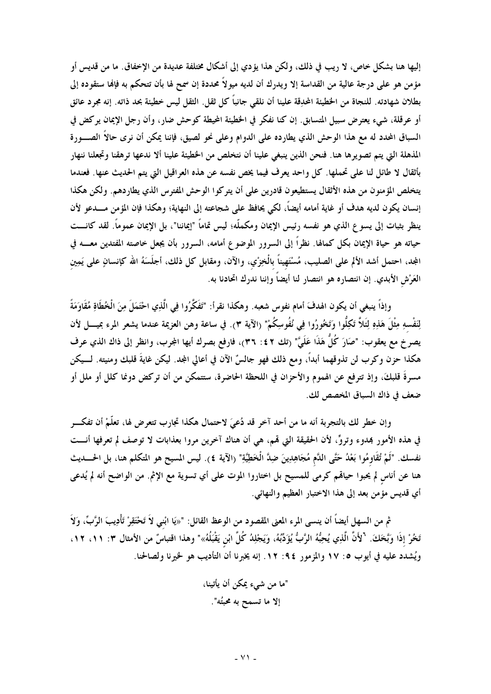إليها هنا بشكل خاص، لا ريب في ذلك، ولكن هذا يؤدي إلى أشكال مختلفة عديدة من الإخفاق. ما من قديس أو مؤمن هو على درجة عالية من القداسة إلا ويدرك أن لديه ميولاً محددة إن سمح لها بأن تتحكم به فإنها ستقوده إلى بطلان شهادته. للنجاة من الخطيئة المحدِقة علينا أن نلقى جانباً كل ثقل. الثقل ليس خطيئة بحد ذاته. إنه مجرد عائق أو عرقلة، شيء يعترض سبيل المتسابق. إن كنا نفكر في الخطيئة المحيطة كوحش ضار، وأن رجل الإيمان يركض في السباق المحدد له مع هذا الوحش الذي يطارده على الدوام وعلى نحو لصيق، فإننا يمكن أن نرى حالاً الصـــورة المذهلة التي يتم تصويرها هنا. فنحن الذين ينبغي علينا أن نتخلص من الخطيئة علينا ألا ندعها ترهقنا وتجعلنا ننهار بأثقال لا طائل لنا على تحملها. كل واحد يعرف فيما يخص نفسه عن هذه العراقيل التي يتم الحديث عنها. فعندما يتخلص المؤمنون من هذه الأثقال يستطيعون قادرين على أن يتركوا الوحش المفترس الذي يطاردهم. ولكن هكذا إنسان يكون لديه هدف أو غاية أمامه أيضاً، لكي يحافظ على شجاعته إلى النهاية؛ وهكذا فإن المؤمن مــــدعو لأن ينظر بثبات إلى يسوع الذي هو نفسه رئيس الإيمان ومكملّه؛ ليس تماماً "إيماننا"، بل الإيمان عموماً. لقد كانـــت حياته هو حياة الإيمان بكل كمالها. نظراً إلى السرور الموضوع أمامه، السرور بأن يجعل خاصته المفتدين معــــه في المجد، احتمل أشد الألم على الصليب، مُسْتَهيناً بالْخِزْي، والآن، ومقابل كل ذلك، أجلَسَهُ الله كإنسانٍ على يَمِين العَرْش الأبدي. إن انتصاره هو انتصار لنا أيضاً وإننا ندرك اتحادنا به.

وإذاً ينبغي أن يكون الهدفَ أمام نفوس شعبه. وهكذا نقرأ: "تَفَكَّرُوا فِي الَّذِي احْتَمَلَ مِنَ الْخُطَاةِ مُقَاوَمَةً لِنَفْسهِ مِثْلَ هَذِهِ لِتَلاَّ تَكِلُّوا وَتَخُورُوا فِي نُفُوسِكُمْ" (الآية ٣). في ساعة وهن العزيمة عندما يشعر المرء بميــــل لأن يصرَخ مع يعقوب: "صَارَ كُلُّ هَذَا عَلَيَّ" (تك ٤٢: ٣٦)، فارفع بصرك أيها المجرب، وانظر إلى ذاك الذي عرف هكذا حزن وكرب لن تذوقهما أبداً، ومع ذلك فهو جالسٌ الآن في أعالى المجد. ليكن غايةَ قلبك ومنيته. لـــيكن مسرةَ قلبكَ، وإذ تترفع عن الهموم والأحزان في اللحظة الحاضرة، ستتمكن من أن تركض دونما كلل أو ملل أو ضعف في ذاك السباق المخصص لك.

وإن خطر لك بالتجربة أنه ما من أحد آخر قد دُعيَ لاحتمال هكذا تجارب تتعرض لها، تعلَّمْ أن تفكـــر في هذه الأمور بمدوء وتروٍّ، لأن الحقيقة التي قمم، هي أن هناك آخرين مروا بعذابات لا توصف لم تعرفها أنـــت نفسك. "لَمْ تُقَاوِمُوا بَعْدُ حَتَّى الدَّم مُجَاهِدِينَ ضِدَّ الْخَطِيَّةِ" (الآية ٤). ليس المسيح هو المتكلم هنا، بل الحــــديث هنا عن أناس لم يحبوا حياهم كرمي للمسيح بل اختاروا الموت على أي تسوية مع الإثم. من الواضح أنه لم يُدعى أي قديس مؤمن بعد إلى هذا الاختبار العظيم والنهائي.

ثم من السهل أيضاً أن ينسى المرء المعنى المقصود من الوعظ القائل: "«يَا ابْني لاَ تَحْتَقِرْ تَأْدِيبَ الرَّبِّ، وَلاَ تَخُرْ إذَا وَبَّخَكَ. <sup>٦</sup>لأَنَّ الَّذِي يُحِبُّهُ الرَّبُّ يُؤَدِّبُهُ، وَيَجْلِدُ كُلَّ ابْن يَقْبَلُهُ»" وهذا اقتباسٌ من الأمثال ٣: ١١، ١٢، ويُشدد عليه في أيوب ٥: ١٧ والمزمور ٩٤: ١٢. إنه يخبرنا أن التأديب هو لخيرنا ولصالحنا.

"ما من شيء يمكن أن يأتينا، إلا ما تسمح به محبتُه".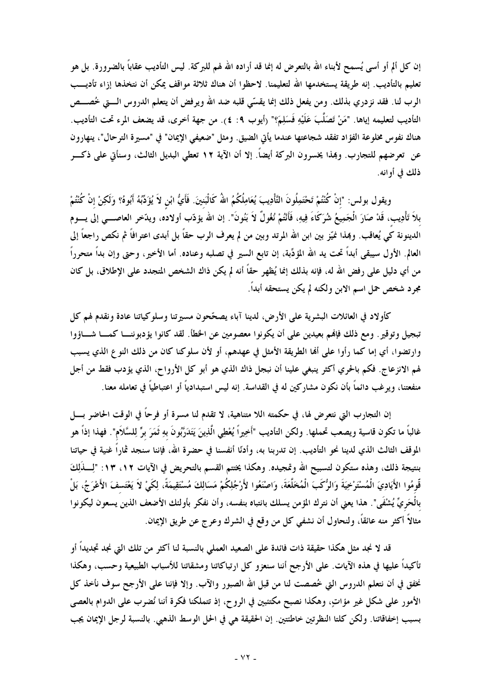إن كل ألم أو أسى يُسمح لأبناء الله بالتعرض له إنما قد أراده الله لهم للبركة. ليس التأديب عقاباً بالضرورة. بل هو تعليم بالتأديب. إنه طريقة يستخدمها الله لتعليمنا. لاحظوا أن هناك ثلاثة مواقف يمكن أن نتخذها إزاء تأديـــب الرب لنا. فقد نزدري بذلك. ومن يفعل ذلك إنما يقسَّى قلبه ضد الله ويرفض أن يتعلم الدروس الـــتى خُصـــص التأديب لتعليمه إياها. "مَنْ تَصَلُّبَ عَلَيْهِ فَسَلِمَ؟" (أيوب ٩: ٤). من جهة أخرى، قد يضعف المرء تحت التأديب. هناك نفوس مخلوعة الفؤاد تفقد شجاعتها عندما يأتي الضيق. ومثل "ضعيفي الإيمان" في "مسيرة الترحال"، ينهارون عن تعرضهم للتجارب. وبمذا يخسرون البركة أيضاً. إلا أن الآية ١٢ تعطى البديل الثالث، وسنأتى على ذكـــر ذلك في أوانه.

ويقول بولس: "إنْ كُنْتُمْ تَحْتَمِلُونَ التَّأْدِيبَ يُعَامِلُكُمُ اللَّهُ كَالْبَنينَ. فَأَيُّ ابْن لاَ يُؤَدِّبُهُ أَبُوهُ؟ وَلَكِنْ إنْ كُنْتُمْ بلاَ تَأْدِيب، قَدْ صَارَ الْجَمِيعُ شُرَكَاءَ فِيهِ، فَأَنْتُمْ نُغُولٌ لاَ بَنُونَ". إن الله يؤدّب أولاده، ويدّخر العاصــــي إلى يــــوم الدينونة كي يُعاقب. وهِذا نميّز بين ابن الله المرتد وبين من لم يعرف الرب حقّاً بل أبدى اعترافاً ثم نكص راجعاً إلى العالم. الأول سيبقى أبداً تحت يد الله المؤدِّبة، إن تابع السير في تصلبه وعناده. أما الأخير، وحتى وإن بداً متحرراً من أي دليل على رفض الله له، فإنه بذلك إنما يُظهر حقاً أنه لم يكن ذاك الشخص المتجدد على الإطلاق، بل كان مجرد شخص حمل اسم الابن ولكنه لم يكن يستحقه أبداً.

كأولاد في العائلات البشرية على الأرض، لدينا آباء يصحَّحون مسيرتنا وسلوكياتنا عادة ونقدم لهم كل تبجيل وتوقير . ومع ذلك فإنهم بعيدين على أن يكونوا معصومين عن الخطأ. لقد كانوا يؤدبوننــا كمـــا شـــاؤوا وارتضوا، أي إما كما رأوا على ألها الطريقة الأمثل في عهدهم، أو لأن سلوكنا كان من ذلك النوع الذي يسبب لهم الانزعاج. فكم بالحري أكثر ينبغي علينا أن نبجل ذاك الذي هو أبو كل الأرواح، الذي يؤدب فقط من أجل منفعتنا، ويرغب دائماً بأن نكون مشاركين له في القداسة. إنه ليس استبدادياً أو اعتباطياً في تعامله معنا.

إن التجارب التي نتعرض لها، في حكمته اللا متناهية، لا تقدم لنا مسرة أو فرحاً في الوقت الحاضر بــــل غالباً ما تكون قاسية ويصعب تحملها. ولكن التأديب "أَخِيراً يُعْطِي الَّذِينَ يَتَدَرَّبُونَ بهِ ثَمَرَ برِّ لِلسَّلاَم". فهذا إذاً هو الموقف الثالث الذي لدينا نحو التأديب. إن تدربنا به، وأدنّا أنفسنا في حضرة الله، فإننا سنجد ثماراً غنية في حياتنا بنتيجة ذلك، وهذه ستكون لتسبيح الله وتمجيده. وهكذا يختتم القسم بالتحريض في الآيات ١٢، ١٣: "لِـــذَلِكَ قُّومُوا الأَيَادِيَ الْمُسْتَرْخِيَةَ وَالرُّكَبَ الْمُخَلَّعَةَ، وَاصْنَعُوا لأَرْجُلِكُمْ مَسَالِكَ مُسْتَقِيمَةً، لِكَيْ لاَ يَعْتَسفَ الأَعْرَجُ، بَلْ بِالْحَرِيِّ يُشْفَى". هذا يعني أن نترك المؤمن يسلك بانتباه بنفسه، وأن نفكر بأولئك الأضعف الذين يسعون ليكونوا مثالاً أكثر منه عائقاً، ولنحاول أن نشفي كل من وقع في الشرك وعرج عن طريق الإيمان.

قد لا نجد مثل هكذا حقيقة ذات فائدة على الصعيد العملي بالنسبة لنا أكثر من تلك التي نجد تجديداً أو تأكيداً عليها في هذه الآيات. على الأرجح أننا سنعزو كل ارتباكاتنا ومشقاتنا للأسباب الطبيعية وحسب، وهكذا نخفق في أن نتعلم الدروس التي خُصصت لنا من قبل الله الصبور والآب. وإلا فإننا على الأرجح سوف نأخذ كل الأمور على شكل غير مؤاتٍ، وهكذا نصبح مكتئبين في الروح، إذ تتملكنا فكرة أننا نُضرب على الدوام بالعصى بسبب إخفاقاتنا. ولكن كلتا النظرتين خاطئتين. إن الحقيقة هي في الحل الوسط الذهبي. بالنسبة لرجل الإيمان يجب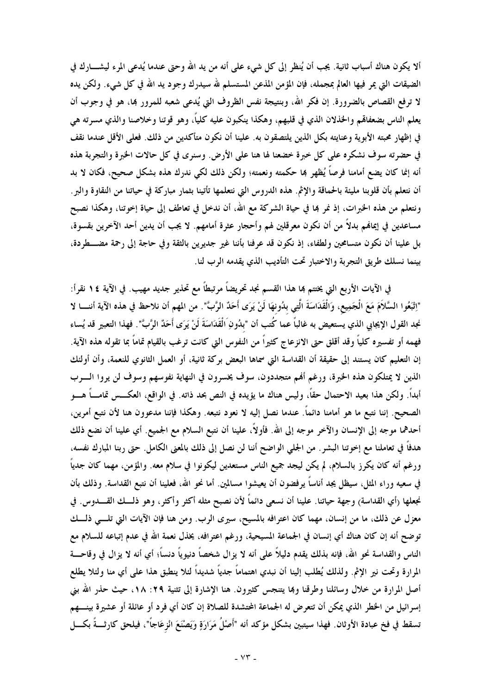ألا يكون هناك أسباب ثانية. يجب أن يُنظر إلى كل شيء علمي أنه من يد الله وحتى عندما يُدعى المرء ليشــــارك في الضيقات التي يمر فيها العالم بمجمله، فإن المؤمن المذعن المستسلم لله سيدرك وجود يد الله في كل شيء. ولكن يده لا ترفع القصاص بالضرورة. إن فكر الله، وبنتيجة نفس الظروف التي يُدعى شعبه للمرور بما، هو في وجوب أن يعلم الناس بضعفالهم والخذلان الذي في قلبهم، وهكذا ينكبون عليه كلياً، وهو قوتنا وخلاصنا والذي مسرته هي في إظهار محبته الأبوية وعنايته بكل الذين يلتصقون به. علينا أن نكون متأكدين من ذلك. فعلى الأقل عندما نقف في حضرته سوف نشكره على كل خبرة خضعنا لها هنا على الأرض. وسنرى في كل حالات الخبرة والتجربة هذه أنه إنما كان يضع أمامنا فرصاً يُظهر بما حكمته ونعمته؛ ولكن ذلك لكي ندرك هذه بشكل صحيح، فكان لا بد أن نتعلم بأن قلوبنا مليئة بالحماقة والإثم. هذه الدروس التي نتعلمها تأتينا بثمار مباركة في حياتنا من النقاوة والبر. ونتعلم من هذه الخبرات، إذ نمر بما في حياة الشركة مع الله، أن ندخل في تعاطف إلى حياة إخوتنا، وهكذا نصبح مساعدين في إيمالهم بدلاً من أن نكون معرقلين لهم وأحجار عثرة أمامهم. لا يجب أن يدين أحد الآخرين بقسوة، بل علينا أن نكون متسامحين ولطفاء، إذ نكون قد عرفنا بأننا غير جديرين بالثقة وفي حاجة إلى رحمة مضــــطردة، بينما نسلك طريق التجربة والاختبار تحت التأديب الذي يقدمه الرب لنا.

في الآيات الأربع التي يختتم بما هذا القسم نجد تحريضاً مرتبطاً مع تحذير جديد مهيب. في الآية ١٤ نقرأ: "اِتْبَعُوا السَّلاَمَ مَعَ الْجَمِيع، وَالْقَدَاسَةَ الَّتِي بدُونهَا لَنْ يَرَى أَحَدٌ الرَّبَّ". من المهم أن نلاحظ في هذه الآية أننــــا لا نجد القول الإيجابي الذي يستعيض به غالباً عما كُتب أن "بدُونِ الْقَدَاسَةَ لَنْ يَرَى أَحَدٌ الرَّبَّ". فهذا التعبير قد يُساء فهمه أو تفسيره كلياً وقد أقلق حتى الانزعاج كثيراً من النفوس التي كانت ترغب بالقيام تماماً بما تقوله هذه الآية. إن التعليم كان يستند إلى حقيقة أن القداسة التي سماها البعض بركة ثانية، أو العمل الثانوي للنعمة، وأن أولئك الذين لا يمتلكون هذه الخبرة، ورغم ألهم متجددون، سوف يخسرون في النهاية نفوسهم وسوف لن يروا السرب أبداً. ولكن هذا بعيد الاحتمال حقاً، وليس هناك ما يؤيده في النص بحد ذاته. في الواقع، العكـــس تمامــــاً هــــو الصحيح. إننا نتبع ما هو أمامنا دائماً. عندما نصل إليه لا نعود نتبعه. وهكذا فإننا مدعوون هنا لأن نتبع أمرين، أحدهما موجه إلى الإنسان والآخر موجه إلى الله. فأولاً، علينا أن نتبع السلام مع الجميع. أي علينا أن نضع ذلك هدفاً في تعاملنا مع إخوتنا البشر. من الجلي الواضح أننا لن نصل إلى ذلك بالمعنى الكامل. حتى ربنا المبارك نفسه، ورغم أنه كان يكرز بالسلام، لم يكن ليجد جميع الناس مستعدين ليكونوا في سلام معه. والمؤمن، مهما كان جدياً في سعيه وراء المثل، سيظل يجد أناساً يرفضون أن يعيشوا مسالمين. أما نحو الله، فعلينا أن نتبع القداسة. وذلك بأن نجعلها (أي القداسة) وجهة حياتنا. علينا أن نسعى دائماً لأن نصبح مثله أكثر وأكثر، وهو ذلــك القــــدوس. في معزل عن ذلك، ما من إنسان، مهما كان اعترافه بالمسيح، سيرى الرب. ومن هنا فإن الآيات التي تلـــي ذلـــك توضح أنه إن كان هناك أي إنسان في الجماعة المسيحية، ورغم اعترافه، يخذل نعمة الله في عدم إتباعه للسلام مع الناس والقداسة نحو الله، فإنه بذلك يقدم دليلاً على أنه لا يزال شخصاً دنيوياً دنساً؛ أي أنه لا يزال في وقاحـــة المرارة وتحت نير الإثم. ولذلك يُطلب إلينا أن نبدي اهتماماً جدياً شديداً لئلا ينطبق هذا على أي منا ولئلا يطلع أصل المرارة من خلال وسائلنا وطرقنا وبما يتنجس كثيرون. هنا الإشارة إلى تثنية ٢٩: ١٨، حيث حذر الله بني إسرائيل من الخطر الذي يمكن أن تتعرض له الجماعة المحتشدة للصلاة إن كان أي فرد أو عائلة أو عشيرة بينـــهم تسقط في فخ عبادة الأوثان. فهذا سيتبين بشكل مؤكد أنه "أَصْلُ مَرَارَةٍ وَيَصْنَعَ انْزِعَاجاً"، فيلحق كارثـــةً بكـــل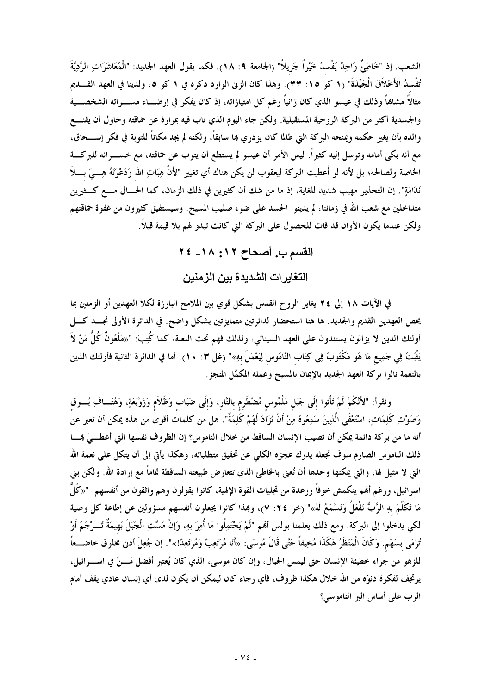الشعب. إذ "خَاطِيٌّ وَاحِدٌ يُفْسدُ خَيْراً جَزِيلاً" (الجامعة ٩: ١٨). فكما يقول العهد الجديد: "الْمُعَاشَرَاتِ الرَّدِيَّةَ تُفْسِدُ الأَخْلَاقَ الْجَيِّدَةَ" (١ كو ١٥: ٣٣). وهذا كان الزنى الوارد ذكره في ١ كو ٥، ولدينا في العهد القـــديم مثالاً مشاهِاً وذلك في عيسو الذي كان زانياً رغم كل امتيازاته، إذ كان يفكر في إرضـــاء مســــراته الشخصــــية والجسدية أكثر من البركة الروحية المستقبلية. ولكن جاء اليوم الذي تاب فيه بمرارة عن حماقته وحاول أن يقنـــع والده بأن يغير حكمه ويمنحه البركة التي طالما كان يزدري بما سابقاً، ولكنه لم يجد مكاناً للتوبة في فكر إســـحاق، مع أنه بكي أمامه وتوسل إليه كثيراً. ليس الأمر أن عيسو لم يستطع أن يتوب عن حماقته، مع خســــرانه للبركــــة الخاصة ولصالحه؛ بل لأنه لو أُعطيت البركة ليعقوب لن يكن هناك أي تغيير "لأَنَّ هِبَاتِ الله وَدَعْوَتَهُ هِــــىَ بــــلاَ نَدَامَةٍ". إن التحذير مهيب شديد للغاية، إذ ما من شك أن كثيرين في ذلك الزمان، كما الحـــال مــــع كـــثيرين متداخلين مع شعب الله في زماننا، لم يدينوا الجسد على ضوء صليب المسيح. وسيستفيق كثيرون من غفوة حماقتهم ولكن عندما يكون الأوان قد فات للحصول على البركة التي كانت تبدو لهم بلا قيمة قبلاً.

## القسم ب. أصحاح ١٢: ١٨- ٢٤

التغاير ات الشديدة بين الزمنين

في الآيات ١٨ إلى ٢٤ يغاير الروح القدس بشكل قوي بين الملامح البارزة لكلا العهدين أو الزمنين بما يخص العهدين القديم والجديد. ها هنا استحضار لدائرتين متمايزتين بشكل واضح. في الدائرة الأولى نجسد كسل أولئك الذين لا يزالون يستندون على العهد السينائي، ولذلك فهم تحت اللعنة، كما كُتِبَ: "«مَلْعُونٌ كُلُّ مَنْ لاَ يَثْبُتُ فِي جَمِيع مَا هُوَ مَكْتُوبٌ فِي كِتَاب النَّامُوس لِيَعْمَلَ بهِ»" (غل ٣: ١٠). أما في الدائرة الثانية فأولئك الذين بالنعمة نالوا بركة العهد الجديد بالإيمان بالمسيح وعمله المكمَّل المنجز .

ونقرأ: "لأَنَّكُمْ لَمْ تَأْتُوا إلَى جَبَل مَلْمُوس مُضْطَرِم بالنَّارِ، وَإلَى ضَبَابٍ وَظَلاَمٍ وَزَوْبَعَةٍ، وَهُتَـــافِ بُــــوقِ وَصَوْتِ كَلِمَاتٍ، اسْتَعْفَى الَّذِينَ سَمِعُوهُ مِنْ أَنْ تُزَادَ لَهُمْ كَلِمَةٌ". هل من كلمات أقوى من هذه يمكن أن تعبر عن أنه ما من بركة دائمة يمكن أن تصيب الإنسان الساقط من خلال الناموس؟ إن الظروف نفسها التي أعطـــيَ همـــا ذلك الناموس الصارم سوف تجعله يدرك عجزه الكلى عن تحقيق متطلباته، وهكذا يأتى إلى أن يتكل على نعمة الله التي لا مثيل لها، والتي يمكنها وحدها أن تُعني بالخاطئ الذي تتعارض طبيعته الساقطة تماماً مع إرادة الله. ولكن بني اسرائيل، ورغم ألهم ينكمش خوفاً ورعدة من تجليات القوة الإلهية، كانوا يقولون وهم واثقون من أنفسهم: "«كُلُّ مَا تَكَلَّمَ بهِ الرَّبُّ نَفْعَلُ وَنَسْمَعُ لَهُ»" (خر ٢٤: ٧)، وهِذا كانوا يجعلون أنفسهم مسؤولين عن إطاعة كل وصية لكي يدخلوا إلى البركة. ومع ذلك يعلمنا بولس ألهم "لَمْ يَحْتَمِلُوا مَا أُمِرَ بهِ، وَإِنْ مَسَّتِ الْجَبَلَ بَهيمَةٌ تُـــرْجَمُ أَوْ تُرْمَى بسَهْم. وَكَانَ الْمَنْظَرُ هَكَذَا مُخِيفاً حَتَّى قَالَ مُوسَى: «أَنَا مُرْتَعِبٌ وَمُرْتَعِدٌ!»". إن جُعِلَ أدنى مخلوق خاضـــعاً للزهو من جراء خطيئة الإنسان حتى ليمس الجبال، وإن كان موسى، الذي كان يُعتبر أفضل مَـــنْ في اســــرائيل، يرتجف لفكرة دنوّه من الله حلال هكذا ظروف، فأي رجاء كان ليمكن أن يكون لدى أي إنسان عادي يقف أمام الرب على أساس البر الناموسي؟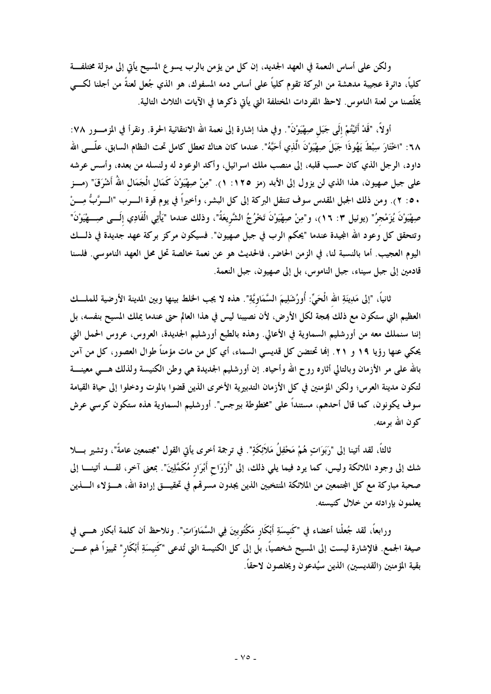ولكن على أساس النعمة في العهد الجديد، إن كل من يؤمن بالرب يسو ع المسيح يأتى إلى مترلة مختلفـــة كليًّا، دائرة عجيبة مدهشة من البركة تقوم كليًّا على أساس دمه المسفوك، هو الذي جُعل لعنةً من أجلنا لكـــى يخلَّصنا من لعنة الناموس. لاحظ المفردات المختلفة التي يأتى ذكرها في الآيات الثلاث التالية.

أولاً، "قَدْ أَتَيْتُمْ إِلَى جَبَلٍ صِهْيَوْنَ". وفي هذا إشارة إلى نعمة الله الانتقائية الحرة. ونقرأ في المزمسور ٧٨: ٦٨: "اخْتَارَ سِبْطَ يَهُوذَا جَبَلَ صِهْيَوْ'نَ الَّذِي أَحَبَّهُ". عندما كان هناك تعطل كامل تحت النظام السابق، علَّــي الله داود، الرجل الذي كان حسب قلبه، إلى منصب ملك اسرائيل، وأكد الوعود له ولنسله من بعده، وأسس عرشه على جبل صهيون، هذا الذي لن يزول إلى الأبد (مز ١٢٥: ١). "مِنْ صِهْيَوْنَ كَمَال الْجَمَال اللهُ أَشْرَقَ" (مـــز ٥٠: ٢). ومن ذلك الجبل المقدس سوف تنتقل البركة إلى كل البشر، وأخيراً في يوم قوة الــــرب "الــــرَّبُّ مِــــنْ صِهْيَوْنَ يُزَمْجرُ" (يوئيل ٣: ١٦)، و"مِنْ صِهْيَوْنَ تَخْرُجُ الشَّريعَةُ"، وذلك عندما "يَأْتِي الْفَادِي إلَـــى صِــــهْيَوْنَ" وتتحقق كل وعود الله المجيدة عندما "يحكم الرب في جبل صهيون". فسيكون مركز بركة عهد جديدة في ذلـــك اليوم العجيب. أما بالنسبة لنا، في الزمن الحاضر، فالحديث هو عن نعمة خالصة تحل محل العهد الناموسي. فلسنا قادمين إلى جبل سيناء، جبل الناموس، بل إلى صهيون، جبل النعمة.

ثانياً، "إلى مَدِينَةِ الله الْحَيِّ: أُورُشَلِيمَ السَّمَاوِيَّةِ". هذه لا يجب الخلط بينها وبين المدينة الأرضية للملسك العظيم التي ستكون مع ذلك بمجة لكل الأرض، لأن نصيبنا ليس في هذا العالم حتى عندما يملك المسيح بنفسه، بل إننا سنملك معه من أورشليم السماوية في الأعالي. وهذه بالطبع أورشليم الجديدة، العروس، عروس الحمل التي يحكي عنها رؤيا ١٩ و ٢١. إنها تحتضن كل قديسي السماء، أي كل من مات مؤمناً طوال العصور، كل من آمن بالله على مر الأزمان وبالتالي أثاره روح الله وأحياه. إن أورشليم الجديدة هي وطن الكنيسة ولذلك هـــي معينــــة لتكون مدينة العرس؛ ولكن المؤمنين في كل الأزمان التدبيرية الأخرى الذين قضوا بالموت ودخلوا إلى حياة القيامة سوف يكونون، كما قال أحدهم، مستنداً على "مخطوطة بيرجس". أورشليم السماوية هذه ستكون كرسي عرش كون الله بو مته.

ثالثاً، لقد أتينا إلى "رَبَوَاتٍ هُمْ مَحْفِلُ مَلاَئِكَةٍ". في ترجمة أخرى يأتي القول "مجتمعين عامةً"، وتشير بسلا شك إلى وجود الملائكة وليس، كما يرد فيما يلي ذلك، إلى "أَرْوَاحٍ أَبْرَارٍ مُكَمَّلِينَ". بمعنى آخر، لقــــد أتينــــا إلى صحبة مباركة مع كل المجتمعين من الملائكة المنتخبين الذين يجدون مسرقم في تحقيــــق إرادة الله، هــــؤلاء الــــذين يعلمون بإرادته من خلال كنيسته.

ورابعًا، لقد جُعلْنا أعضاء في "كَنيسَةِ أَبْكَارٍ مَكْتُوبينَ فِي السَّمَاوَاتِ". ونلاحظ أن كلمة أبكار هــــي في صيغة الجمع. فالإشارة ليست إلى المسيح شخصياً، بل إلى كل الكنيسة التي تُدعى "كَنيسَةِ أَبْكَار" تمييزاً لهم عـــن بقية المؤمنين (القديسين) الذين سيُدعون ويخلصون لاحقاً.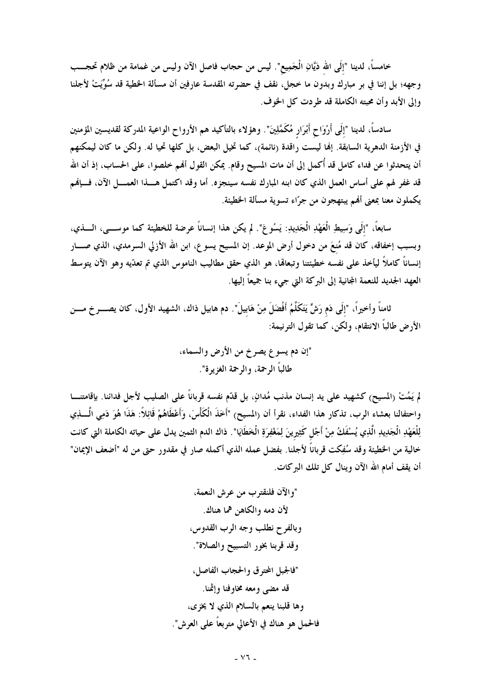خامساً، لدينا "إلَى الله دَيَّانِ الْجَمِيع". ليس من حجاب فاصل الآن وليس من غمامة من ظلام تحجـــب وجهه؛ بل إننا في بر مبارك وبدون ما خجل، نقف في حضرته المقدسة عارفين أن مسألة الخطية قد سُوِّيَتْ لأجلنا وإلى الأبد وأن محبته الكاملة قد طردت كل الخوف.

سادساً، لدينا "إلَى أَرْوَاح أَبْرَار مُكَمَّلِينَ". وهؤلاء بالتأكيد هم الأرواح الواعية المدركة لقديسين المؤمنين في الأزمنة الدهرية السابقة. إلها ليست راقدة (نائمة)، كما تخيل البعض، بل كلها تحيا له. ولكن ما كان ليمكنهم أن يتحدثوا عن فداء كامل قد أُكمل إلى أن مات المسيح وقام. يمكن القول ألهم خلصوا، على الحساب، إذ أن الله قد غفر لهم على أساس العمل الذي كان ابنه المبارك نفسه سينجزه. أما وقد اكتمل هــــذا العمــــل الآن، فـــإنهم يكملون معنا بمعنى ألهم يبتهجون من جرّاء تسوية مسألة الخطيئة.

سابعاً، "إلَى وَسِيطِ الْعَهْدِ الْجَدِيدِ: يَسُو عَ". لم يكن هذا إنساناً عرضة للخطيئة كما موســــى، الـــــذي، وبسبب إخفاقه، كان قد مُنعَ من دخول أرض الموعد. إن المسيح يسوع، ابن الله الأزلى السرمدي، الذي صــــار إنساناً كاملاً ليأخذ على نفسه خطيئتنا وتبعالها، هو الذي حقق مطاليب الناموس الذي تم تعدّيه وهو الآن يتوسط العهد الجديد للنعمة المجانية إلى البركة التي جيء بنا جميعاً إليها.

ثامناً وأخيراً، "إلَى دَم رَشٍّ يَتَكَلَّمُ أَفْضَلَ مِنْ هَابيلَ". دم هابيل ذاك، الشهيد الأول، كان يصـــرخ مـــن الأرض طالباً الانتقام، ولكن، كما تقول الترنيمة:

لم يَمُتْ (المسيح) كشهيد على يد إنسان مذنب مُدانٍ، بل قدّم نفسه قرباناً على الصليب لأجل فدائنا. بإقامتنــــا واحتفالنا بعشاء الرب، تذكار هذا الفداء، نقرأ أن (المسيح) "أَخَذَ الْكَأْسَ، وَأَعْطَاهُمْ قَائِلاً: هَذَا هُوَ دَمِى الَّـــذِي لِلْعَهْدِ الْجَدِيدِ الَّذِي يُسْفَكُ مِنْ أَجْل كَثِيرِينَ لِمَغْفِرَةِ الْخَطَايَا". ذاك الدم الثمين يدل على حياته الكاملة التي كانت خالية من الخطيئة وقد سُفِكت قرباناً لأجلنا. بفضل عمله الذي أكمله صار في مقدور حتى من له "أضعف الإيمان" أن يقف أمام الله الآن وينال كل تلك البركات.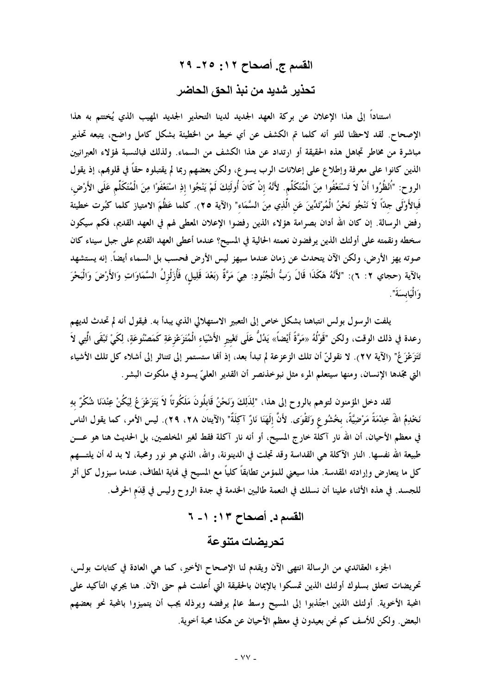## القسم ج. أصحاح ١٢: ٢٥- ٢٩ تحذير شديد من نبذ الحق الحاضر

استناداً إلى هذا الإعلان عن بركة العهد الجديد لدينا التحذير الجديد المهيب الذي يُختتم به هذا الإصحاح. لقد لاحظنا للتو أنه كلما تم الكشف عن أي خيط من الخطيئة بشكل كامل واضح، يتبعه تحذير مباشرة من مخاطر تجاهل هذه الحقيقة أو ارتداد عن هذا الكشف من السماء. ولذلك فبالنسبة لهؤلاء العبرانيين الذين كانوا على معرفة وإطلاع على إعلانات الرب يسوع، ولكن بعضهم ربما لم يقتبلوه حقاً في قلوبمم، إذ يقول الروح: "اُنْظُرُوا أَنْ لاَ تَسْتَعْفُوا مِنَ الْمُتَكَلِّم. لأَنَّهُ إنْ كَانَ أُولَئِكَ لَمْ يَنْجُوا إذِ اسْتَعْفَوْا مِنَ الْمُتَكَلِّم عَلَى الأَرْض، فَبالأَوْلَى جدّاً لاَ نَنْجُو نَحْنُ الْمُرْتَدِّينَ عَنِ الَّذِي مِنَ السَّمَاء" (الآية ٢٥). كلما عَظُمَ الامتياز كلما كبُرت خطيئة رفض الرسالة. إن كان الله أدان بصرامة هؤلاء الذين رفضوا الإعلان المعطى لهم في العهد القديم، فكم سيكون سخطه ونقمته على أولئك الذين يرفضون نعمته الحالية في المسيح؟ عندما أعطى العهد القديم على جبل سيناء كان صوته يهز الأرض، ولكن الآن يتحدث عن زمان عندما سيهز ليس الأرض فحسب بل السماء أيضاً. إنه يستشهد بالآية (حجاي ٢: ٦): "لأَنَّهُ هَكَذَا قَالَ رَبُّ الْجُنُودِ: هِيَ مَرَّةٌ (بَعْدَ قَلِيل) فَأُزَلْزلُ السَّمَاوَاتِ وَالأَرْضَ وَالْبَحْرَ وَالْيَابِسَةَ".

يلفت الرسول بولس انتباهنا بشكل خاص إلى التعبير الاستهلالي الذي يبدأ به. فيقول أنه لم تحدث لديهم رعدة في ذلك الوقت، ولكن "قَوْلُهُ «مَرَّةً أَيْضاً» يَدُلُّ عَلَى تَغْيير الأَشْيَاء الْمُتَزَعْزِعَةِ كَمَصْنُوعَةٍ، لِكَيْ تَبْقَى الَّتِي لاَ تَتَزَعْزَعُ" (الآية ٢٧). لا نقولنَّ أن تلك الزعزعة لم تبدأ بعد، إذ ألها ستستمر إلى تتناثر إلى أشلاء كل تلك الأشياء التي مجّدها الإنسان، ومنها سيتعلّم المرء مثل نبوخذنصر أن القدير العليّ يسود في ملكوت البشر .

لقد دخل المؤمنون لتوهم بالروح إلى هذا، "لِذَلِكَ وَنَحْنُ قَابِلُونَ مَلَكُوتاً لاَ يَتَزَعْزَعُ لِيَكُنْ عِنْدَنَا شُكْرٌ بهِ نَخْدِمُ اللّهَ خِدْمَةً مَرْضِيَّةً، بخُشُوعٍ وَتَقْوَى. لأَنَّ إلَهَنَا نَارٌ آكِلَةٌ" (الآيتان ٢٨، ٢٩). ليس الأمر، كما يقول الناس في معظم الأحيان، أن الله نار آكلة خارج المسيح، أو أنه نار آكلة فقط لغير المخلصين، بل الحديث هنا هو عــــن طبيعة الله نفسها. النار الآكلة هي القداسة وقد تجلت في الدينونة، والله، الذي هو نور ومحبة، لا بد له أن يلتــــهم كل ما يتعارض وإرادته المقدسة. هذا سيعني للمؤمن تطابقاً كلياً مع المسيح في نماية المطاف، عندما سيزول كل أثر للجسد. في هذه الأثناء علينا أن نسلك في النعمة طالبين الخدمة في جدة الروح وليس في قِدَم الحرف.

> القسم د. أصحاح ١٣: ١- ٦ تحريضات متنوعة

الجزء العقائدي من الرسالة انتهى الآن ويقدم لنا الإصحاح الأخير، كما هي العادة في كتابات بولس، تحريضات تتعلق بسلوك أولئك الذين تمسكوا بالإيمان بالحقيقة التى أُعلنت لهم حتى الآن. هنا يجري التأكيد على المحبة الأخوية. أولئك الذين اجتُذبوا إلى المسيح وسط عالم يرفضه ويرذله يجب أن يتميزوا بالمحبة نحو بعضهم البعض. ولكن للأسف كم نحن بعيدون في معظم الأحيان عن هكذا محبة أخوية.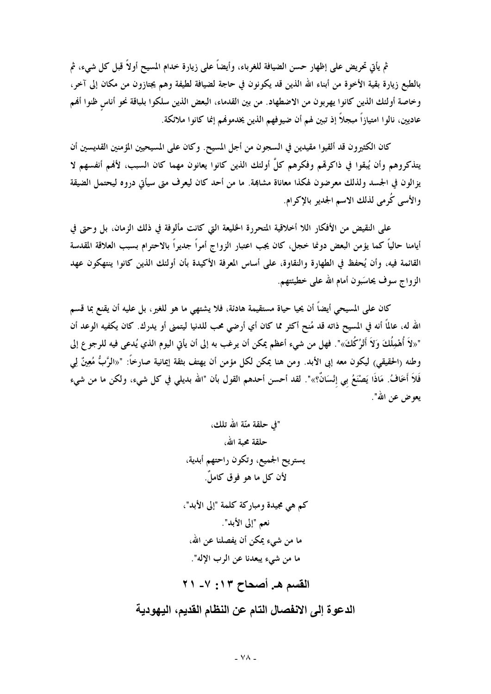ثم يأتي تحريض على إظهار حسن الضيافة للغرباء، وأيضاً على زيارة خدام المسيح أولاً قبل كل شيء، ثم بالطبع زيارة بقية الأخوة من أبناء الله الذين قد يكونون في حاجة لضيافة لطيفة وهم يجتازون من مكان إلى آخر، وخاصة أولئك الذين كانوا يهربون من الاضطهاد. من بين القدماء، البعض الذين سلكوا بلباقة نحو أناس ظنوا أفمم عاديين، نالوا امتيازاً مبجلاً إذ تبين لهم أن ضيوفهم الذين يخدمونهم إنما كانوا ملائكة.

كان الكثيرون قد ألقيوا مقيدين في السجون من أجل المسيح. وكان على المسيحيين المؤمنين القديسين أن يتذكروهم وأن يُبقوا في ذاكرتمم وفكرهم كلِّ أولئك الذين كانوا يعانون مهما كان السبب، لأفمم أنفسهم لا يزالون في الجسد ولذلك معرضون لهكذا معاناة مشابهة. ما من أحد كان ليعرف متى سيأتي دروه ليحتمل الضيقة والأسى كُرمي لذلك الاسم الجدير بالإكرام.

على النقيض من الأفكار اللا أخلاقية المتحررة الخليعة التي كانت مألوفة في ذلك الزمان، بل وحتى في أيامنا حالياً كما يؤمن البعض دونما خجل، كان يجب اعتبار الزواج أمراً جديراً بالاحترام بسبب العلاقة المقدسة القائمة فيه، وأن يُحفظ في الطهارة والنقاوة، على أساس المعرفة الأكيدة بأن أولئك الذين كانوا ينتهكون عهد الزواج سوف يحاسَبون أمام الله على خطيئتهم.

كان على المسيحي أيضاً أن يحيا حياة مستقيمة هادئة، فلا يشتهي ما هو للغير، بل عليه أن يقنع بما قسم الله له، عالمًا أنه في المسيح ذاته قد مُنح أكثر مما كان أي أرضى محب للدنيا ليتمنى أو يدرك. كان يكفيه الوعد أن "«لاَ أُهْمِلُكَ وَلاَ أَتْرُكُكَ»". فهل من شيء أعظم يمكن أن يرغب به إلى أن يأتي اليوم الذي يُدعى فيه للرجوع إلى وطنه (الحقيقي) ليكون معه إبى الأبد. ومن هنا يمكن لكل مؤمن أن يهتف بثقة إيمانية صارخاً: "«الرَّبُّ مُعِينٌ لِي فَلاَ أَخَافُ. مَاذَا يَصْنَعُ بي إِنْسَانٌ؟»". لقد أحسن أحدهم القول بأن "الله بديلي في كل شيء، ولكن ما من شيء يعوض عن الله".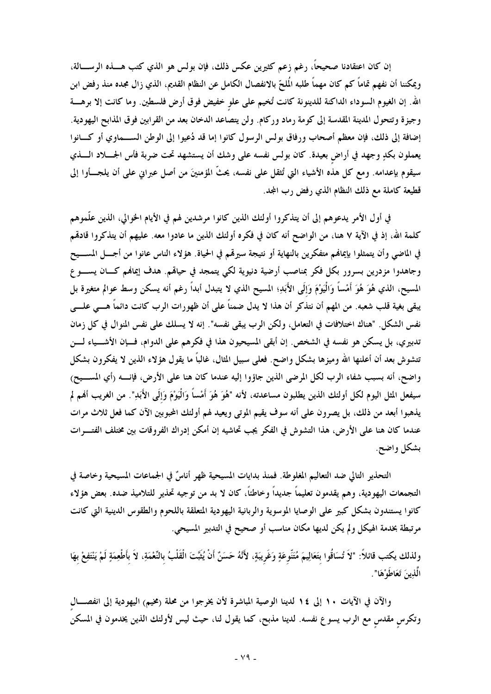إن كان اعتقادنا صحيحاً، رغم زعم كثيرين عكس ذلك، فإن بولس هو الذي كتب هــــذه الرســــالة، ويمكننا أن نفهم تماماً كم كان مهماً طلبه المُلحّ بالانفصال الكامل عن النظام القديم، الذي زال مجده منذ رفض ابن الله. إن الغيوم السوداء الداكنة للدينونة كانت تُخيم على علو خفيض فوق أرض فلسطين. وما كانت إلا برهــــة وجيزة وتتحول المدينة المقدسة إلى كومة رماد وركام. ولن يتصاعد الدخان بعد من القرابين فوق المذابح اليهودية. إضافة إلى ذلك، فإن معظم أصحاب ورفاق بولس الرسول كانوا إما قد دُعيوا إلى الوطن الســماوي أو كـــانوا يعملون بكدٍ وجهد في أراض بعيدة. كان بولس نفسه على وشك أن يستشهد تحت ضربة فأس الجــــلاد الـــــذي سيقوم بإعدامه. ومع كل هذه الأشياء التي تُثقل على نفسه، يحتُّ المؤمنينَ من أصل عبراني على أن يلجـــأوا إلى قطيعة كاملة مع ذلك النظام الذي رفض رب المجد.

في أول الأمر يدعوهم إلى أن يتذكروا أولئك الذين كانوا مرشدين لهم في الأيام الخوالي، الذين علَّموهم كلمة الله، إذ في الآية ٧ هنا، من الواضح أنه كان في فكره أولئك الذين ما عادوا معه. عليهم أن يتذكروا قادقمم في الماضي وأن يتمثلوا بإيمالهم متفكرين بالنهاية أو نتيجة سيرقمم في الحياة. هؤلاء الناس عانوا من أجـــل المســـيح وجاهدوا مزدرين بسرور بكل فكر بمناصب أرضية دنيوية لكي يتمجد في حياقمم. هدف إيمالهم كـــان يســــوع المسيح، الذي هُوَ هُوَ أَمْساً وَالْيَوْمَ وَإِلَى الأَبَدِ؛ المسيح الذي لا يتبدل أبداً رغم أنه يسكن وسط عوالم متغيرة بل يبقى بغية قلب شعبه. من المهم أن نتذكر أن هذا لا يدل ضمناً على أن ظهورات الرب كانت دائماً هـــى علـــى نفس الشكل. "هناك اختلافات في التعامل، ولكن الرب يبقى نفسه". إنه لا يسلك على نفس المنوال في كل زمان تدبيري، بل يسكن هو نفسه في الشخص. إن أبقى المسيحيون هذا في فكرهم على الدوام، فــإن الأشـــياء لـــن تتشوش بعد أن أعلنها الله وميزها بشكل واضح. فعلمي سبيل المثال، غالباً ما يقول هؤلاء الذين لا يفكرون بشكل واضح، أنه بسبب شفاء الرب لكل المرضى الذين جاؤوا إليه عندما كان هنا على الأرض، فإنــــه رأي المســـيح) سيفعل المثل اليوم لكل أولئك الذين يطلبون مساعدته، لأنه "هُوَ هُوَ أَمْساً وَالْيَوْمَ وَإِلَى الأَبَدِ". من الغريب أفمم لم يذهبوا أبعد من ذلك، بل يصرون على أنه سوف يقيم الموتى ويعيد لهم أولئك المحبوبين الآن كما فعل ثلاث مرات عندما كان هنا على الأرض، هذا التشوش في الفكر يجب تحاشيه إن أمكن إدراك الفروقات بين مختلف الفتـــرات بشكل واضح.

التحذير التالي ضد التعاليم المغلوطة. فمنذ بدايات المسيحية ظهر أناسٌ في الجماعات المسيحية وخاصة في التجمعات اليهودية، وهم يقدمون تعليماً جديداً وخاطئاً، كان لا بد من توجيه تحذير للتلاميذ ضده. بعض هؤلاء كانوا يستندون بشكل كبير على الوصايا الموسوية والربانية اليهودية المتعلقة باللحوم والطقوس الدينية التي كانت مرتبطة بخدمة الهيكل ولم يكن لديها مكان مناسب أو صحيح في التدبير المسيحي.

ولذلك يكتب قائلاً: "لاَ تُسَاقُوا بتَعَالِيمَ مُتَنّوعَةٍ وَغَريبَةٍ، لأَنَّهُ حَسَنٌ أَنْ يُثَبّتَ الْقَلْبُ بالنِّعْمَةِ، لاَ بأطْعِمَةٍ لَمْ يَنْتَفِعْ بهَا الَّذِينَ تَعَاطُوْهَا".

والآن في الآيات ١٠ إلى ١٤ لدينا الوصية المباشرة لأن يخرجوا من محلة (مخيم) اليهودية إلى انفصــال وتكرس مقدس مع الرب يسوع نفسه. لدينا مذبح، كما يقول لنا، حيث ليس لأولئك الذين يخدمون في المسكن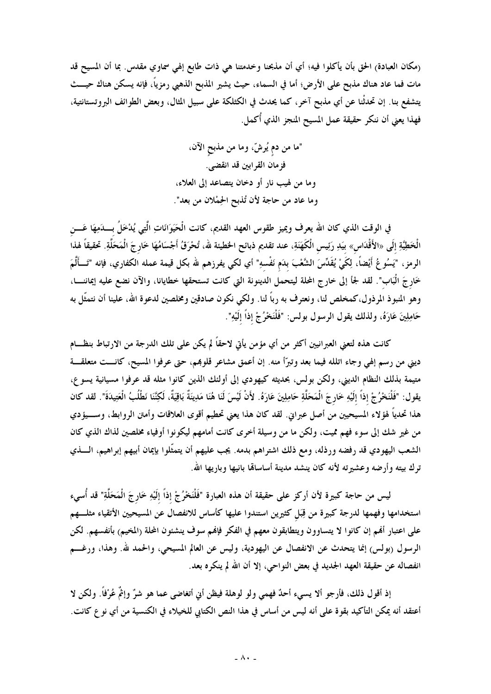(مكان العبادة) الحق بأن يأكلوا فيه؛ أي أن مذبحنا وخدمتنا هي ذات طابع إلهي سماوي مقدس. بما أن المسيح قد مات فما عاد هناك مذبح على الأرض؛ أما في السماء، حيث يشير المذبح الذهبي رمزياً، فإنه يسكن هناك حيـــث يتشفع بنا. إن تحدثْنا عن أي مذبح آخر، كما يحدث في الكثلكة على سبيل المثال، وبعض الطوائف البروتستانتية، فهذا يعني أن ننكر حقيقة عمل المسيح المنجز الذي أكمل.

> "ما من دم يُرشّ، وما من مذبح الآن، فزمان القرابين قد انقضى. وما من لهيب نار أو دخان يتصاعد إلى العلاء، وما عاد من حاجة لأن تُذبح الحِمْلان من بعد".

في الوقت الذي كان الله يعرف ويميز طقوس العهد القديم، كانت الْحَيَوَانَاتِ الَّتِي يُدْخَلُ بِـــدَمِهَا عَـــن الْخَطِيَّةِ إلَى «الأَقْدَاس» بيَدِ رَئِيس الْكَهَنَةِ، عند تقديم ذبائح الخطيئة لله، تُحْرَقُ أَجْسَامُهَا خَارجَ الْمَحَلَّةِ. تحقيقاً لهذا الرمز، "يَسُوعُ أَيْضاً، لِكَيْ يُقَدِّسَ الشَّعْبَ بدَم نَفْسهِ" أي لكي يفرزهم لله بكل قيمة عمله الكفاري، فإنه "تَـــألَّمَ خَارِجَ الْبَاب". لقد لجأ إلى خارج المحلة ليتحمل الدينونة التي كانت تستحقها خطايانا، والآن نضع عليه إيماننـــا، وهو المنبوذ المرذول،كمخلص لنا، ونعترف به رباً لنا. ولكي نكون صادقين ومخلصين لدعوة الله، علينا أن نتمثّل به حَامِلِينَ عَارَهُ، ولذلك يقول الرسول بولس: "فَلْنَخْرُجْ إذاً إلَيْهِ".

كانت هذه لتعنى العبرانيين أكثر من أي مؤمن يأتى لاحقاً لم يكن على تلك الدرجة من الارتباط بنظـــام ديني من رسم إلهي وجاء اتلله فيما بعد وتبرّأ منه. إن أعمق مشاعر قلوبمم، حتى عرفوا المسيح، كانــت متعلقــة متيمة بذلك النظام الديني، ولكن بولس، بحديثه كيهودي إلى أولئك الذين كانوا مثله قد عرفوا مسيانية يسوع، يقول: "فَلْنَحْرُجْ إذاً إلَيْهِ خَارِجَ الْمَحَلَّةِ حَامِلِينَ عَارَهُ. لأَنْ لَيْسَ لَنَا هُنَا مَدِينَةٌ بَاقِيَةٌ، لَكِنَّنَا نَطْلُبُ الْعَتِيدَةَ". لقد كان هذا تحدياً لهؤلاء المسيحيين من أصل عبراني. لقد كان هذا يعنى تحطيم أقوى العلاقات وأمتن الروابط، وســـيؤدي من غير شك إلى سوء فهم مميت، ولكن ما من وسيلة أخرى كانت أمامهم ليكونوا أوفياء مخلصين لذاك الذي كان الشعب اليهودي قد رفضه ورذله، ومع ذلك اشتراهم بدمه. يجب عليهم أن يتمثَّلوا بإيمان أبيهم إبراهيم، الــــذي ترك بيته وأرضه وعشيرته لأنه كان ينشد مدينة أساساقما بانيها وباريها الله.

ليس من حاجة كبيرة لأن أركز على حقيقة أن هذه العبارة "فَلْنَحْرُجْ إذاً إلَيْهِ خَارجَ الْمَحَلَّةِ" قد أُسيء استخدامها وفهمها لدرجة كبيرة من قِبَل كثيرين استندوا عليها كأساس للانفصال عن المسيحيين الأتقياء مثلـــهم على اعتبار أفمم إن كانوا لا يتساوون ويتطابقون معهم في الفكر فإفمم سوف ينشئون المحلة (المخيم) بأنفسهم. لكن الرسول (بولس) إنما يتحدث عن الانفصال عن اليهودية، وليس عن العالم المسيحي، والحمد لله. وهذا، ورغـــم انفصاله عن حقيقة العهد الجديد في بعض النواحي، إلا أن الله لم ينكره بعد.

إذ أقول ذلك، فأرجو ألا يسيء أحدٌ فهمي ولو لوهلة فيظن أني أتغاضى عما هو شرٌ وإثمٌ عُرْفاً. ولكن لا أعتقد أنه يمكن التأكيد بقوة على أنه ليس من أساس في هذا النص الكتابي للخيلاء في الكنسية من أي نو ع كانت.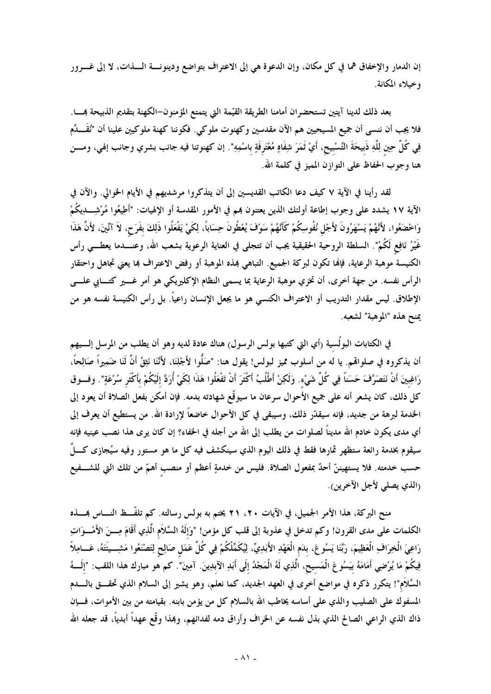إن الدمار والإخفاق هما في كل مكان، وإن الدعوة هي إلى الاعتراف بتواضع ودينونسة السذات، لا إلى غسرور وخيلاء المكانة.

بعد ذلك لدينا آيتين تستحضران أمامنا الطريقة القيّمة التي يتمتع المؤمنون–الكهنة بتقديم الذبيحة بمــــا. فلا يجب أن ننسى أن جميع المسيحيين هم الآن مقدسين وكهنوت ملوكي. فكوننا كهنة ملوكيين علينا أن "نُقَـــدِّم فِي كُلِّ حِين لِلَّهِ ذَبيحَةَ التَّسْبيح، أَيْ ثَمَرَ شِفَاهٍ مُعْتَرِفَةٍ باسْمِهِ". إن كهنوتنا فيه جانب بشري وجانب إلهي، ومــــن هنا وجوب الحفاظ على التوازن المميز في كلمة الله.

لقد رأينا في الآية ٧ كيف دعا الكاتب القديسين إلى أن يتذكروا مرشديهم في الأيام الخوالي. والآن في الآية ١٧ يشدد على وجوب إطاعة أولئك الذين يعتنون بمم في الأمور المقدسة أو الإلهيات: "أَطِيعُوا مُرْشِــــــدِيكُمْ وَاخْضَعُوا، لأَنَّهُمْ يَسْهَرُونَ لأَجْل نُفُوسِكُمْ كَأَنَّهُمْ سَوْفَ يُعْطُونَ حِسَاباً، لِكَيْ يَفْعَلُوا ذَلِكَ بفَرَح، لاَ آنّينَ، لأنَّ هَذَا غَيْرُ نَافِعٍ لَكُمْ". السلطة الروحية الحقيقية يجب أن تتجلى في العناية الرعوية بشعب الله، وعنــــدما يعطــــي رأس الكنيسة موهبة الرعاية، فإنها تكون لبركة الجميع. التباهي بمذه الموهبة أو رفض الاعتراف بما يعني تجاهل واحتقار الرأس نفسه. من جهة أخرى، أن تخزي موهبة الرعاية بما يسمى النظام الإكليريكي هو أمر غــــير كتــــابي علــــــي الإطلاق. ليس مقدار التدريب أو الاعتراف الكنسي هو ما يجعل الإنسان راعياً. بل رأس الكنيسة نفسه هو من يمنح هذه "الموهبة" لشعبه.

في الكتابات البولُسية (أي التي كتبها بولس الرسول) هناك عادة لديه وهو أن يطلب من المرسل إلــــيهم أن يذكروه في صلواقمم. يا له من أسلوب مميز لبولس! يقول هنا: "صَلُّوا لأَجْلِنَا، لأَنَّنَا نَثِقُ أَنَّ لَنَا ضَمِيراً صَالِحاً، رَاغِبِينَ أَنْ نَتَصَرَّفَ حَسَناً فِي كُلِّ شَيْء. وَلَكِنْ أَطْلُبُ أَكْثَرَ أَنْ تَفْعَلُوا هَذَا لِكَيْ أُرَدَّ إلَيْكُمْ بأَكْثَر سُرْعَةٍ". وفسوق كل ذلك، كان يشعر أنه على جميع الأحوال سرعان ما سيوقّع شهادته بدمه. فإن أمكن بفعل الصلاة أن يعود إلى الخدمة لبرهة من جديد، فإنه سيقدّر ذلك، وسيبقى في كل الأحوال خاضعاً لإرادة الله. من يستطيع أن يعرف إلى أي مدى يكون خادم الله مديناً لصلوات من يطلب إلى الله من أجله في الحفاء؟ إن كان يرى هذا نصب عينيه فإنه سيقوم بخدمة رائعة ستظهر ثمارها فقط في ذلك اليوم الذي سينكشف فيه كل ما هو مستور وفيه سيُجازى كــــلٌ حسب خدمته. فلا يستهيننّ أحدٌ بمفعول الصلاة. فليس من خدمةٍ أعظم أو منصب أهمّ من تلك التي للشـــفيع (الذي يصلي لأجل الآخرين).

منح البركة، هذا الأمر الجميل، في الآيات ٢٠، ٢١ يختم به بولس رسالته. كم تلفُّــظ النــــاس بمــــذه الكلمات على مدى القرون! وكم تدخل في عذوبة إلى قلب كل مؤمن! "وَإِلَهُ السَّلاَمِ الَّذِي أَقَامَ مِـــنَ الأَمْـــوَاتِ رَاعِيَ الْخِرَافِ الْعَظِيمَ، رَبَّنَا يَسُوعَ، بلدَم الْعَهْدِ الأَبَدِيِّ، لِيُكَمِّلْكُمْ فِي كُلِّ عَمَل صَالِح لِتَصْنَعُوا مَشِـــيئَتَهُ، عَـــامِلاً فِيكُمْ مَا يُرْضِي أَمَامَهُ بيَسُوعَ الْمَسيح، الَّذِي لَهُ الْمَجْدُ إلَى أَبَدِ الآبدِينَ. آمِينَ". كم هو مبارك هذا اللقب: "إلَـــهُ السَّلاَم"! يتكرر ذكره في مواضع أخرى في العهد الجديد، كما نعلم، وهو يشير إلى السلام الذي تحقـــق بالــــدم المسفوك على الصليب والذي على أساسه يخاطب الله بالسلام كل من يؤمن بابنه. بقيامته من بين الأموات، فـــإن ذاك الذي الراعي الصالح الذي بذل نفسه عن الخراف وأراق دمه لفدائهم، وهذا وقّع عهداً أبدياً، قد جعله الله